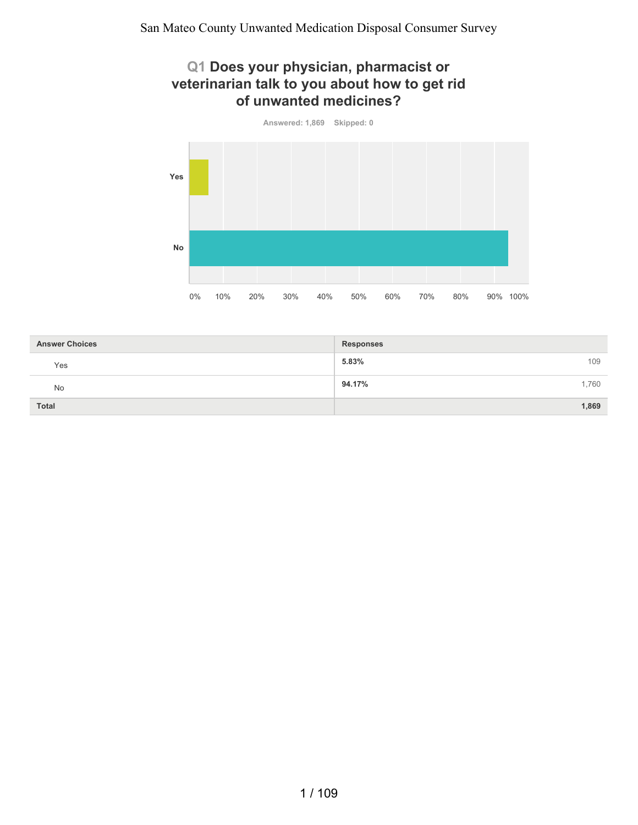#### **Q1 Does your physician, pharmacist or veterinarian talk to you about how to get rid of unwanted medicines?**



| <b>Answer Choices</b> | <b>Responses</b> |     |
|-----------------------|------------------|-----|
| Yes                   | 5.83%            | 109 |
| No                    | 94.17%<br>1,760  |     |
| <b>Total</b>          | 1,869            |     |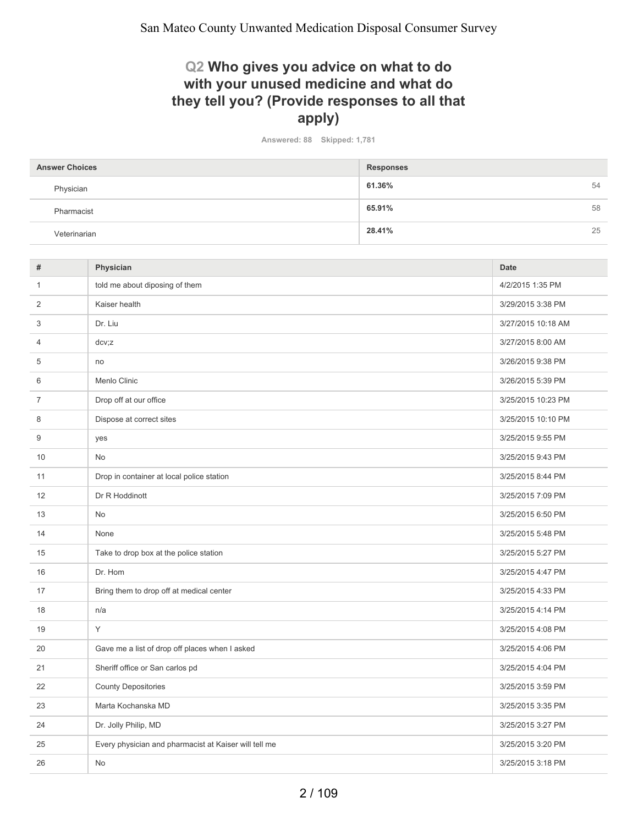#### **Q2 Who gives you advice on what to do with your unused medicine and what do they tell you? (Provide responses to all that apply)**

**Answered: 88 Skipped: 1,781**

| <b>Answer Choices</b> | <b>Responses</b> |
|-----------------------|------------------|
| Physician             | 61.36%<br>54     |
| Pharmacist            | 65.91%<br>58     |
| Veterinarian          | 28.41%<br>25     |

| Physician                                             | <b>Date</b>        |
|-------------------------------------------------------|--------------------|
| told me about diposing of them                        | 4/2/2015 1:35 PM   |
| Kaiser health                                         | 3/29/2015 3:38 PM  |
| Dr. Liu                                               | 3/27/2015 10:18 AM |
| dcv; z                                                | 3/27/2015 8:00 AM  |
| no                                                    | 3/26/2015 9:38 PM  |
| Menlo Clinic                                          | 3/26/2015 5:39 PM  |
| Drop off at our office                                | 3/25/2015 10:23 PM |
| Dispose at correct sites                              | 3/25/2015 10:10 PM |
| yes                                                   | 3/25/2015 9:55 PM  |
| No                                                    | 3/25/2015 9:43 PM  |
| Drop in container at local police station             | 3/25/2015 8:44 PM  |
| Dr R Hoddinott                                        | 3/25/2015 7:09 PM  |
| <b>No</b>                                             | 3/25/2015 6:50 PM  |
| None                                                  | 3/25/2015 5:48 PM  |
| Take to drop box at the police station                | 3/25/2015 5:27 PM  |
| Dr. Hom                                               | 3/25/2015 4:47 PM  |
| Bring them to drop off at medical center              | 3/25/2015 4:33 PM  |
| n/a                                                   | 3/25/2015 4:14 PM  |
| Υ                                                     | 3/25/2015 4:08 PM  |
| Gave me a list of drop off places when I asked        | 3/25/2015 4:06 PM  |
| Sheriff office or San carlos pd                       | 3/25/2015 4:04 PM  |
| <b>County Depositories</b>                            | 3/25/2015 3:59 PM  |
| Marta Kochanska MD                                    | 3/25/2015 3:35 PM  |
| Dr. Jolly Philip, MD                                  | 3/25/2015 3:27 PM  |
| Every physician and pharmacist at Kaiser will tell me | 3/25/2015 3:20 PM  |
| No                                                    | 3/25/2015 3:18 PM  |
|                                                       |                    |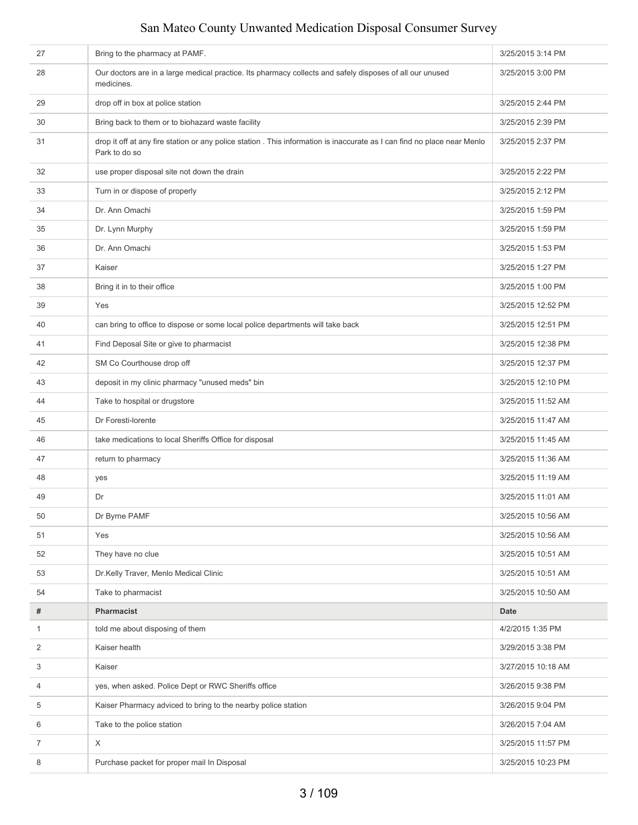| 27             | Bring to the pharmacy at PAMF.                                                                                                            | 3/25/2015 3:14 PM  |
|----------------|-------------------------------------------------------------------------------------------------------------------------------------------|--------------------|
| 28             | Our doctors are in a large medical practice. Its pharmacy collects and safely disposes of all our unused<br>medicines.                    | 3/25/2015 3:00 PM  |
| 29             | drop off in box at police station                                                                                                         | 3/25/2015 2:44 PM  |
| 30             | Bring back to them or to biohazard waste facility                                                                                         | 3/25/2015 2:39 PM  |
| 31             | drop it off at any fire station or any police station . This information is inaccurate as I can find no place near Menlo<br>Park to do so | 3/25/2015 2:37 PM  |
| 32             | use proper disposal site not down the drain                                                                                               | 3/25/2015 2:22 PM  |
| 33             | Turn in or dispose of properly                                                                                                            | 3/25/2015 2:12 PM  |
| 34             | Dr. Ann Omachi                                                                                                                            | 3/25/2015 1:59 PM  |
| 35             | Dr. Lynn Murphy                                                                                                                           | 3/25/2015 1:59 PM  |
| 36             | Dr. Ann Omachi                                                                                                                            | 3/25/2015 1:53 PM  |
| 37             | Kaiser                                                                                                                                    | 3/25/2015 1:27 PM  |
| 38             | Bring it in to their office                                                                                                               | 3/25/2015 1:00 PM  |
| 39             | Yes                                                                                                                                       | 3/25/2015 12:52 PM |
| 40             | can bring to office to dispose or some local police departments will take back                                                            | 3/25/2015 12:51 PM |
| 41             | Find Deposal Site or give to pharmacist                                                                                                   | 3/25/2015 12:38 PM |
| 42             | SM Co Courthouse drop off                                                                                                                 | 3/25/2015 12:37 PM |
| 43             | deposit in my clinic pharmacy "unused meds" bin                                                                                           | 3/25/2015 12:10 PM |
| 44             | Take to hospital or drugstore                                                                                                             | 3/25/2015 11:52 AM |
| 45             | Dr Foresti-lorente                                                                                                                        | 3/25/2015 11:47 AM |
| 46             | take medications to local Sheriffs Office for disposal                                                                                    | 3/25/2015 11:45 AM |
| 47             | return to pharmacy                                                                                                                        | 3/25/2015 11:36 AM |
| 48             | yes                                                                                                                                       | 3/25/2015 11:19 AM |
| 49             | Dr                                                                                                                                        | 3/25/2015 11:01 AM |
| 50             | Dr Byrne PAMF                                                                                                                             | 3/25/2015 10:56 AM |
| 51             | Yes                                                                                                                                       | 3/25/2015 10:56 AM |
| 52             | They have no clue                                                                                                                         | 3/25/2015 10:51 AM |
| 53             | Dr.Kelly Traver, Menlo Medical Clinic                                                                                                     | 3/25/2015 10:51 AM |
| 54             | Take to pharmacist                                                                                                                        | 3/25/2015 10:50 AM |
| #              | <b>Pharmacist</b>                                                                                                                         | <b>Date</b>        |
| 1              | told me about disposing of them                                                                                                           | 4/2/2015 1:35 PM   |
| 2              | Kaiser health                                                                                                                             | 3/29/2015 3:38 PM  |
| 3              | Kaiser                                                                                                                                    | 3/27/2015 10:18 AM |
| 4              | yes, when asked. Police Dept or RWC Sheriffs office                                                                                       | 3/26/2015 9:38 PM  |
| 5              | Kaiser Pharmacy adviced to bring to the nearby police station                                                                             | 3/26/2015 9:04 PM  |
| 6              | Take to the police station                                                                                                                | 3/26/2015 7:04 AM  |
| $\overline{7}$ | $\times$                                                                                                                                  | 3/25/2015 11:57 PM |
| 8              | Purchase packet for proper mail In Disposal                                                                                               | 3/25/2015 10:23 PM |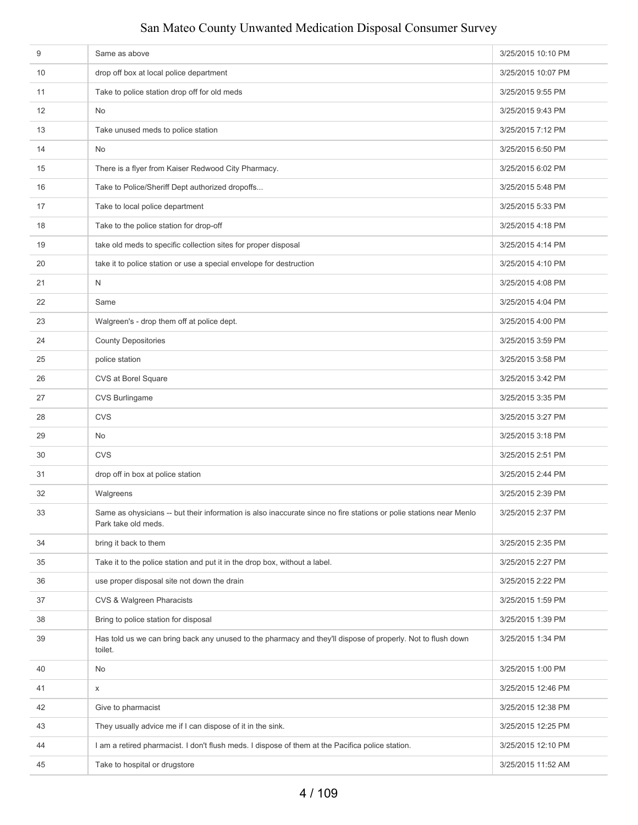| $9$ | Same as above                                                                                                                             | 3/25/2015 10:10 PM |
|-----|-------------------------------------------------------------------------------------------------------------------------------------------|--------------------|
| 10  | drop off box at local police department                                                                                                   | 3/25/2015 10:07 PM |
| 11  | Take to police station drop off for old meds                                                                                              | 3/25/2015 9:55 PM  |
| 12  | No                                                                                                                                        | 3/25/2015 9:43 PM  |
| 13  | Take unused meds to police station                                                                                                        | 3/25/2015 7:12 PM  |
| 14  | No                                                                                                                                        | 3/25/2015 6:50 PM  |
| 15  | There is a flyer from Kaiser Redwood City Pharmacy.                                                                                       | 3/25/2015 6:02 PM  |
| 16  | Take to Police/Sheriff Dept authorized dropoffs                                                                                           | 3/25/2015 5:48 PM  |
| 17  | Take to local police department                                                                                                           | 3/25/2015 5:33 PM  |
| 18  | Take to the police station for drop-off                                                                                                   | 3/25/2015 4:18 PM  |
| 19  | take old meds to specific collection sites for proper disposal                                                                            | 3/25/2015 4:14 PM  |
| 20  | take it to police station or use a special envelope for destruction                                                                       | 3/25/2015 4:10 PM  |
| 21  | N                                                                                                                                         | 3/25/2015 4:08 PM  |
| 22  | Same                                                                                                                                      | 3/25/2015 4:04 PM  |
| 23  | Walgreen's - drop them off at police dept.                                                                                                | 3/25/2015 4:00 PM  |
| 24  | <b>County Depositories</b>                                                                                                                | 3/25/2015 3:59 PM  |
| 25  | police station                                                                                                                            | 3/25/2015 3:58 PM  |
| 26  | CVS at Borel Square                                                                                                                       | 3/25/2015 3:42 PM  |
| 27  | CVS Burlingame                                                                                                                            | 3/25/2015 3:35 PM  |
| 28  | <b>CVS</b>                                                                                                                                | 3/25/2015 3:27 PM  |
| 29  | No                                                                                                                                        | 3/25/2015 3:18 PM  |
| 30  | <b>CVS</b>                                                                                                                                | 3/25/2015 2:51 PM  |
| 31  | drop off in box at police station                                                                                                         | 3/25/2015 2:44 PM  |
| 32  | Walgreens                                                                                                                                 | 3/25/2015 2:39 PM  |
| 33  | Same as ohysicians -- but their information is also inaccurate since no fire stations or polie stations near Menlo<br>Park take old meds. | 3/25/2015 2:37 PM  |
| 34  | bring it back to them                                                                                                                     | 3/25/2015 2:35 PM  |
| 35  | Take it to the police station and put it in the drop box, without a label.                                                                | 3/25/2015 2:27 PM  |
| 36  | use proper disposal site not down the drain                                                                                               | 3/25/2015 2:22 PM  |
| 37  | CVS & Walgreen Pharacists                                                                                                                 | 3/25/2015 1:59 PM  |
| 38  | Bring to police station for disposal                                                                                                      | 3/25/2015 1:39 PM  |
| 39  | Has told us we can bring back any unused to the pharmacy and they'll dispose of properly. Not to flush down<br>toilet.                    | 3/25/2015 1:34 PM  |
| 40  | No                                                                                                                                        | 3/25/2015 1:00 PM  |
| 41  | X                                                                                                                                         | 3/25/2015 12:46 PM |
| 42  | Give to pharmacist                                                                                                                        | 3/25/2015 12:38 PM |
| 43  | They usually advice me if I can dispose of it in the sink.                                                                                | 3/25/2015 12:25 PM |
| 44  | I am a retired pharmacist. I don't flush meds. I dispose of them at the Pacifica police station.                                          | 3/25/2015 12:10 PM |
| 45  | Take to hospital or drugstore                                                                                                             | 3/25/2015 11:52 AM |
|     |                                                                                                                                           |                    |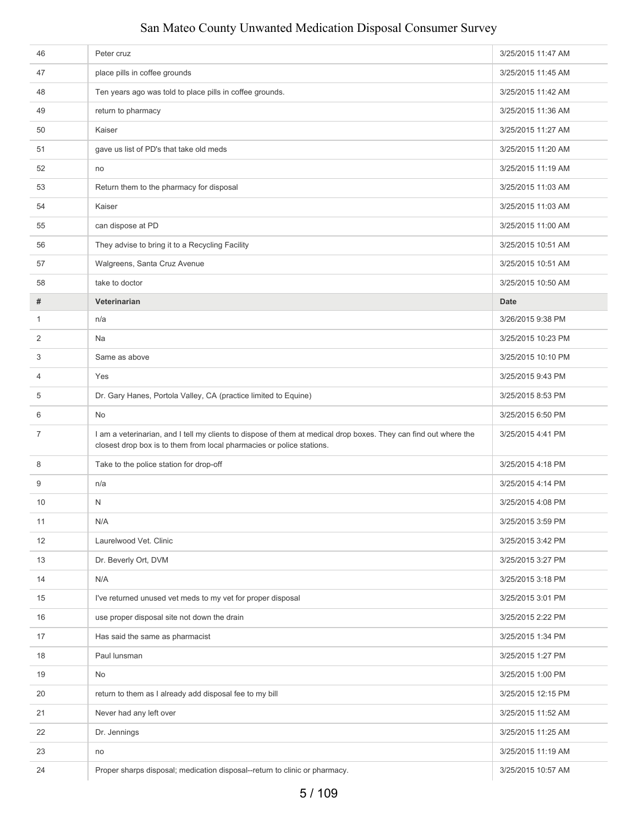| 46           | Peter cruz                                                                                                                                                                                | 3/25/2015 11:47 AM |
|--------------|-------------------------------------------------------------------------------------------------------------------------------------------------------------------------------------------|--------------------|
| 47           | place pills in coffee grounds                                                                                                                                                             | 3/25/2015 11:45 AM |
| 48           | Ten years ago was told to place pills in coffee grounds.                                                                                                                                  | 3/25/2015 11:42 AM |
| 49           | return to pharmacy                                                                                                                                                                        | 3/25/2015 11:36 AM |
| 50           | Kaiser                                                                                                                                                                                    | 3/25/2015 11:27 AM |
| 51           | gave us list of PD's that take old meds                                                                                                                                                   | 3/25/2015 11:20 AM |
| 52           | no                                                                                                                                                                                        | 3/25/2015 11:19 AM |
| 53           | Return them to the pharmacy for disposal                                                                                                                                                  | 3/25/2015 11:03 AM |
| 54           | Kaiser                                                                                                                                                                                    | 3/25/2015 11:03 AM |
| 55           | can dispose at PD                                                                                                                                                                         | 3/25/2015 11:00 AM |
| 56           | They advise to bring it to a Recycling Facility                                                                                                                                           | 3/25/2015 10:51 AM |
| 57           | Walgreens, Santa Cruz Avenue                                                                                                                                                              | 3/25/2015 10:51 AM |
| 58           | take to doctor                                                                                                                                                                            | 3/25/2015 10:50 AM |
| #            | Veterinarian                                                                                                                                                                              | <b>Date</b>        |
| $\mathbf{1}$ | n/a                                                                                                                                                                                       | 3/26/2015 9:38 PM  |
| 2            | Na                                                                                                                                                                                        | 3/25/2015 10:23 PM |
| 3            | Same as above                                                                                                                                                                             | 3/25/2015 10:10 PM |
| 4            | Yes                                                                                                                                                                                       | 3/25/2015 9:43 PM  |
| 5            | Dr. Gary Hanes, Portola Valley, CA (practice limited to Equine)                                                                                                                           | 3/25/2015 8:53 PM  |
| 6            | No                                                                                                                                                                                        | 3/25/2015 6:50 PM  |
| 7            | I am a veterinarian, and I tell my clients to dispose of them at medical drop boxes. They can find out where the<br>closest drop box is to them from local pharmacies or police stations. | 3/25/2015 4:41 PM  |
| 8            | Take to the police station for drop-off                                                                                                                                                   | 3/25/2015 4:18 PM  |
| 9            | n/a                                                                                                                                                                                       | 3/25/2015 4:14 PM  |
| 10           | N                                                                                                                                                                                         | 3/25/2015 4:08 PM  |
| 11           | N/A                                                                                                                                                                                       | 3/25/2015 3:59 PM  |
| 12           | Laurelwood Vet. Clinic                                                                                                                                                                    | 3/25/2015 3:42 PM  |
| 13           | Dr. Beverly Ort, DVM                                                                                                                                                                      | 3/25/2015 3:27 PM  |
| 14           | N/A                                                                                                                                                                                       | 3/25/2015 3:18 PM  |
| 15           | I've returned unused vet meds to my vet for proper disposal                                                                                                                               | 3/25/2015 3:01 PM  |
| 16           | use proper disposal site not down the drain                                                                                                                                               | 3/25/2015 2:22 PM  |
| 17           | Has said the same as pharmacist                                                                                                                                                           | 3/25/2015 1:34 PM  |
| 18           | Paul lunsman                                                                                                                                                                              | 3/25/2015 1:27 PM  |
| 19           | No                                                                                                                                                                                        | 3/25/2015 1:00 PM  |
| 20           | return to them as I already add disposal fee to my bill                                                                                                                                   | 3/25/2015 12:15 PM |
| 21           | Never had any left over                                                                                                                                                                   | 3/25/2015 11:52 AM |
| 22           | Dr. Jennings                                                                                                                                                                              | 3/25/2015 11:25 AM |
| 23           | no                                                                                                                                                                                        | 3/25/2015 11:19 AM |
| 24           | Proper sharps disposal; medication disposal--return to clinic or pharmacy.                                                                                                                | 3/25/2015 10:57 AM |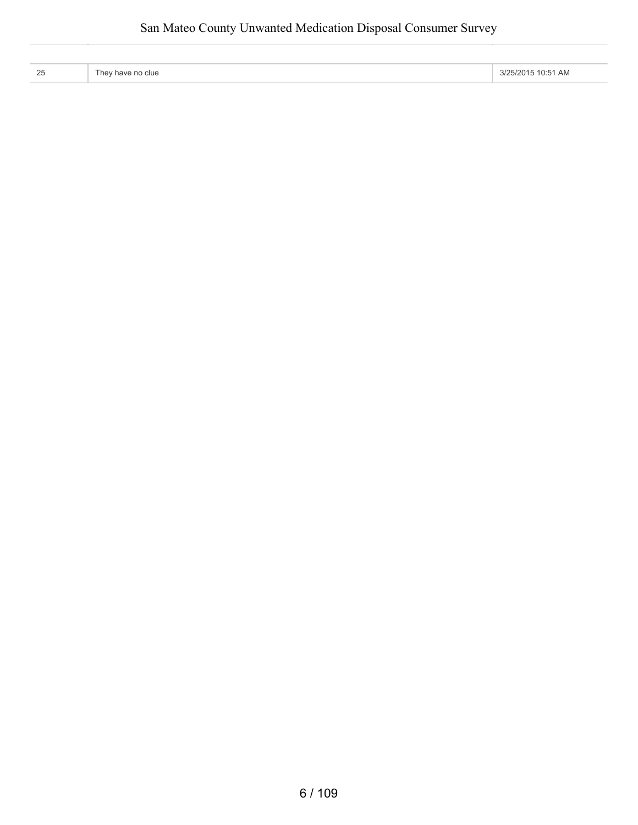| つら<br>້ | clue<br>l hev have no | ות ר<br>/2015<br>10:5<br>1 am |
|---------|-----------------------|-------------------------------|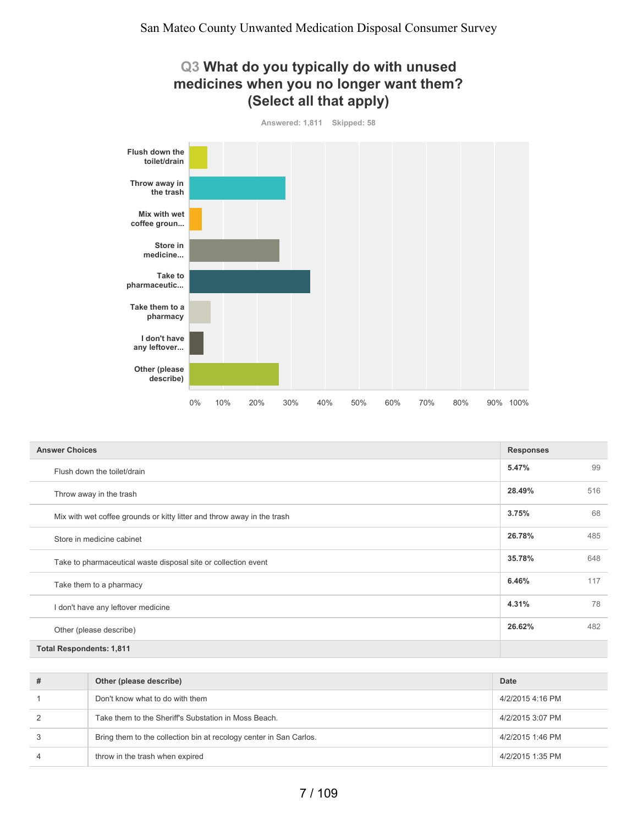#### **Q3 What do you typically do with unused medicines when you no longer want them? (Select all that apply)**



| <b>Answer Choices</b>                                                   | <b>Responses</b> |     |
|-------------------------------------------------------------------------|------------------|-----|
| Flush down the toilet/drain                                             | 5.47%            | 99  |
| Throw away in the trash                                                 | 28.49%           | 516 |
| Mix with wet coffee grounds or kitty litter and throw away in the trash | 3.75%            | 68  |
| Store in medicine cabinet                                               | 26.78%           | 485 |
| Take to pharmaceutical waste disposal site or collection event          | 35.78%           | 648 |
| Take them to a pharmacy                                                 | 6.46%            | 117 |
| I don't have any leftover medicine                                      | 4.31%            | 78  |
| Other (please describe)                                                 | 26.62%           | 482 |
| <b>Total Respondents: 1,811</b>                                         |                  |     |

| #              | Other (please describe)                                            | Date             |
|----------------|--------------------------------------------------------------------|------------------|
|                | Don't know what to do with them                                    | 4/2/2015 4:16 PM |
| 2              | Take them to the Sheriff's Substation in Moss Beach.               | 4/2/2015 3:07 PM |
| 3              | Bring them to the collection bin at recology center in San Carlos. | 4/2/2015 1:46 PM |
| $\overline{4}$ | throw in the trash when expired                                    | 4/2/2015 1:35 PM |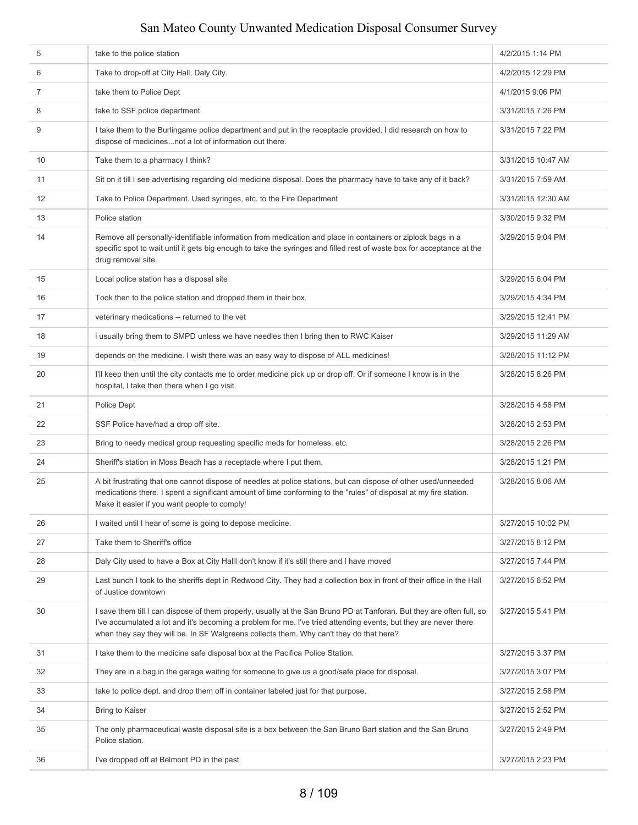| 5              | take to the police station                                                                                                                                                                                                                                                                                                           | 4/2/2015 1:14 PM   |
|----------------|--------------------------------------------------------------------------------------------------------------------------------------------------------------------------------------------------------------------------------------------------------------------------------------------------------------------------------------|--------------------|
| 6              | Take to drop-off at City Hall, Daly City.                                                                                                                                                                                                                                                                                            | 4/2/2015 12:29 PM  |
| $\overline{7}$ | take them to Police Dept                                                                                                                                                                                                                                                                                                             | 4/1/2015 9:06 PM   |
| 8              | take to SSF police department                                                                                                                                                                                                                                                                                                        | 3/31/2015 7:26 PM  |
| 9              | I take them to the Burlingame police department and put in the receptacle provided. I did research on how to<br>dispose of medicinesnot a lot of information out there.                                                                                                                                                              | 3/31/2015 7:22 PM  |
| 10             | Take them to a pharmacy I think?                                                                                                                                                                                                                                                                                                     | 3/31/2015 10:47 AM |
| 11             | Sit on it till I see advertising regarding old medicine disposal. Does the pharmacy have to take any of it back?                                                                                                                                                                                                                     | 3/31/2015 7:59 AM  |
| 12             | Take to Police Department. Used syringes, etc. to the Fire Department                                                                                                                                                                                                                                                                | 3/31/2015 12:30 AM |
| 13             | Police station                                                                                                                                                                                                                                                                                                                       | 3/30/2015 9:32 PM  |
| 14             | Remove all personally-identifiable information from medication and place in containers or ziplock bags in a<br>specific spot to wait until it gets big enough to take the syringes and filled rest of waste box for acceptance at the<br>drug removal site.                                                                          | 3/29/2015 9:04 PM  |
| 15             | Local police station has a disposal site                                                                                                                                                                                                                                                                                             | 3/29/2015 6:04 PM  |
| 16             | Took then to the police station and dropped them in their box.                                                                                                                                                                                                                                                                       | 3/29/2015 4:34 PM  |
| 17             | veterinary medications -- returned to the vet                                                                                                                                                                                                                                                                                        | 3/29/2015 12:41 PM |
| 18             | i usually bring them to SMPD unless we have needles then I bring then to RWC Kaiser                                                                                                                                                                                                                                                  | 3/29/2015 11:29 AM |
| 19             | depends on the medicine. I wish there was an easy way to dispose of ALL medicines!                                                                                                                                                                                                                                                   | 3/28/2015 11:12 PM |
| 20             | I'll keep then until the city contacts me to order medicine pick up or drop off. Or if someone I know is in the<br>hospital, I take then there when I go visit.                                                                                                                                                                      | 3/28/2015 8:26 PM  |
| 21             | Police Dept                                                                                                                                                                                                                                                                                                                          | 3/28/2015 4:58 PM  |
| 22             | SSF Police have/had a drop off site.                                                                                                                                                                                                                                                                                                 | 3/28/2015 2:53 PM  |
| 23             | Bring to needy medical group requesting specific meds for homeless, etc.                                                                                                                                                                                                                                                             | 3/28/2015 2:26 PM  |
| 24             | Sheriff's station in Moss Beach has a receptacle where I put them.                                                                                                                                                                                                                                                                   | 3/28/2015 1:21 PM  |
| 25             | A bit frustrating that one cannot dispose of needles at police stations, but can dispose of other used/unneeded<br>medications there. I spent a significant amount of time conforming to the "rules" of disposal at my fire station.<br>Make it easier if you want people to comply!                                                 | 3/28/2015 8:06 AM  |
| 26             | I waited until I hear of some is going to depose medicine.                                                                                                                                                                                                                                                                           | 3/27/2015 10:02 PM |
| 27             | Take them to Sheriff's office                                                                                                                                                                                                                                                                                                        | 3/27/2015 8:12 PM  |
| 28             | Daly City used to have a Box at City HallI don't know if it's still there and I have moved                                                                                                                                                                                                                                           | 3/27/2015 7:44 PM  |
| 29             | Last bunch I took to the sheriffs dept in Redwood City. They had a collection box in front of their office in the Hall<br>of Justice downtown                                                                                                                                                                                        | 3/27/2015 6:52 PM  |
| 30             | I save them till I can dispose of them properly, usually at the San Bruno PD at Tanforan. But they are often full, so<br>I've accumulated a lot and it's becoming a problem for me. I've tried attending events, but they are never there<br>when they say they will be. In SF Walgreens collects them. Why can't they do that here? | 3/27/2015 5:41 PM  |
| 31             | I take them to the medicine safe disposal box at the Pacifica Police Station.                                                                                                                                                                                                                                                        | 3/27/2015 3:37 PM  |
| 32             | They are in a bag in the garage waiting for someone to give us a good/safe place for disposal.                                                                                                                                                                                                                                       | 3/27/2015 3:07 PM  |
| 33             | take to police dept. and drop them off in container labeled just for that purpose.                                                                                                                                                                                                                                                   | 3/27/2015 2:58 PM  |
| 34             | Bring to Kaiser                                                                                                                                                                                                                                                                                                                      | 3/27/2015 2:52 PM  |
| 35             | The only pharmaceutical waste disposal site is a box between the San Bruno Bart station and the San Bruno<br>Police station.                                                                                                                                                                                                         | 3/27/2015 2:49 PM  |
| 36             | I've dropped off at Belmont PD in the past                                                                                                                                                                                                                                                                                           | 3/27/2015 2:23 PM  |
|                |                                                                                                                                                                                                                                                                                                                                      |                    |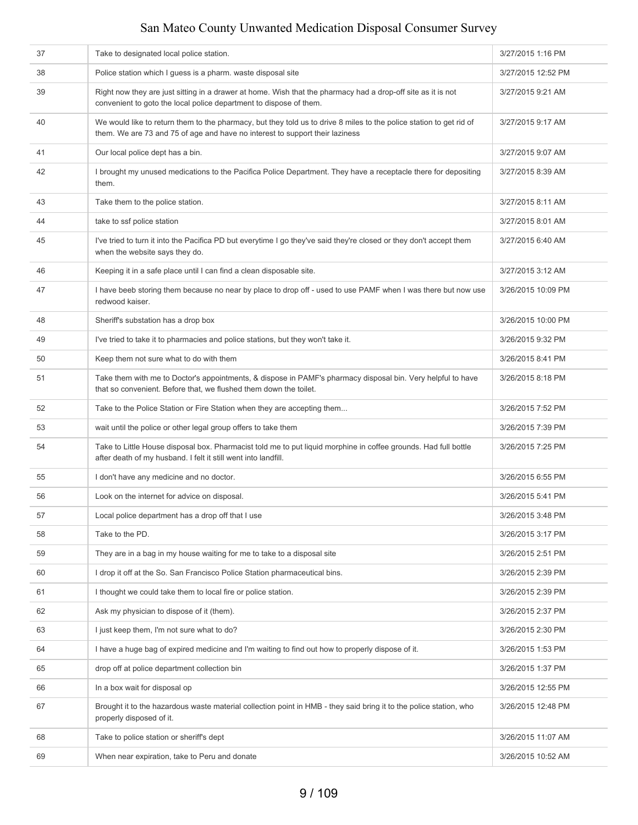| 37 | Take to designated local police station.                                                                                                                                                            | 3/27/2015 1:16 PM  |
|----|-----------------------------------------------------------------------------------------------------------------------------------------------------------------------------------------------------|--------------------|
| 38 | Police station which I quess is a pharm. waste disposal site                                                                                                                                        | 3/27/2015 12:52 PM |
| 39 | Right now they are just sitting in a drawer at home. Wish that the pharmacy had a drop-off site as it is not<br>convenient to goto the local police department to dispose of them.                  | 3/27/2015 9:21 AM  |
| 40 | We would like to return them to the pharmacy, but they told us to drive 8 miles to the police station to get rid of<br>them. We are 73 and 75 of age and have no interest to support their laziness | 3/27/2015 9:17 AM  |
| 41 | Our local police dept has a bin.                                                                                                                                                                    | 3/27/2015 9:07 AM  |
| 42 | I brought my unused medications to the Pacifica Police Department. They have a receptacle there for depositing<br>them.                                                                             | 3/27/2015 8:39 AM  |
| 43 | Take them to the police station.                                                                                                                                                                    | 3/27/2015 8:11 AM  |
| 44 | take to ssf police station                                                                                                                                                                          | 3/27/2015 8:01 AM  |
| 45 | I've tried to turn it into the Pacifica PD but everytime I go they've said they're closed or they don't accept them<br>when the website says they do.                                               | 3/27/2015 6:40 AM  |
| 46 | Keeping it in a safe place until I can find a clean disposable site.                                                                                                                                | 3/27/2015 3:12 AM  |
| 47 | I have beeb storing them because no near by place to drop off - used to use PAMF when I was there but now use<br>redwood kaiser.                                                                    | 3/26/2015 10:09 PM |
| 48 | Sheriff's substation has a drop box                                                                                                                                                                 | 3/26/2015 10:00 PM |
| 49 | I've tried to take it to pharmacies and police stations, but they won't take it.                                                                                                                    | 3/26/2015 9:32 PM  |
| 50 | Keep them not sure what to do with them                                                                                                                                                             | 3/26/2015 8:41 PM  |
| 51 | Take them with me to Doctor's appointments, & dispose in PAMF's pharmacy disposal bin. Very helpful to have<br>that so convenient. Before that, we flushed them down the toilet.                    | 3/26/2015 8:18 PM  |
| 52 | Take to the Police Station or Fire Station when they are accepting them                                                                                                                             | 3/26/2015 7:52 PM  |
| 53 | wait until the police or other legal group offers to take them                                                                                                                                      | 3/26/2015 7:39 PM  |
| 54 | Take to Little House disposal box. Pharmacist told me to put liquid morphine in coffee grounds. Had full bottle<br>after death of my husband. I felt it still went into landfill.                   | 3/26/2015 7:25 PM  |
| 55 | I don't have any medicine and no doctor.                                                                                                                                                            | 3/26/2015 6:55 PM  |
| 56 | Look on the internet for advice on disposal.                                                                                                                                                        | 3/26/2015 5:41 PM  |
| 57 | Local police department has a drop off that I use                                                                                                                                                   | 3/26/2015 3:48 PM  |
| 58 | Take to the PD.                                                                                                                                                                                     | 3/26/2015 3:17 PM  |
| 59 | They are in a bag in my house waiting for me to take to a disposal site                                                                                                                             | 3/26/2015 2:51 PM  |
| 60 | I drop it off at the So. San Francisco Police Station pharmaceutical bins.                                                                                                                          | 3/26/2015 2:39 PM  |
| 61 | I thought we could take them to local fire or police station.                                                                                                                                       | 3/26/2015 2:39 PM  |
| 62 | Ask my physician to dispose of it (them).                                                                                                                                                           | 3/26/2015 2:37 PM  |
| 63 | I just keep them, I'm not sure what to do?                                                                                                                                                          | 3/26/2015 2:30 PM  |
| 64 | I have a huge bag of expired medicine and I'm waiting to find out how to properly dispose of it.                                                                                                    | 3/26/2015 1:53 PM  |
| 65 | drop off at police department collection bin                                                                                                                                                        | 3/26/2015 1:37 PM  |
| 66 | In a box wait for disposal op                                                                                                                                                                       | 3/26/2015 12:55 PM |
| 67 | Brought it to the hazardous waste material collection point in HMB - they said bring it to the police station, who<br>properly disposed of it.                                                      | 3/26/2015 12:48 PM |
| 68 | Take to police station or sheriff's dept                                                                                                                                                            | 3/26/2015 11:07 AM |
| 69 | When near expiration, take to Peru and donate                                                                                                                                                       | 3/26/2015 10:52 AM |
|    |                                                                                                                                                                                                     |                    |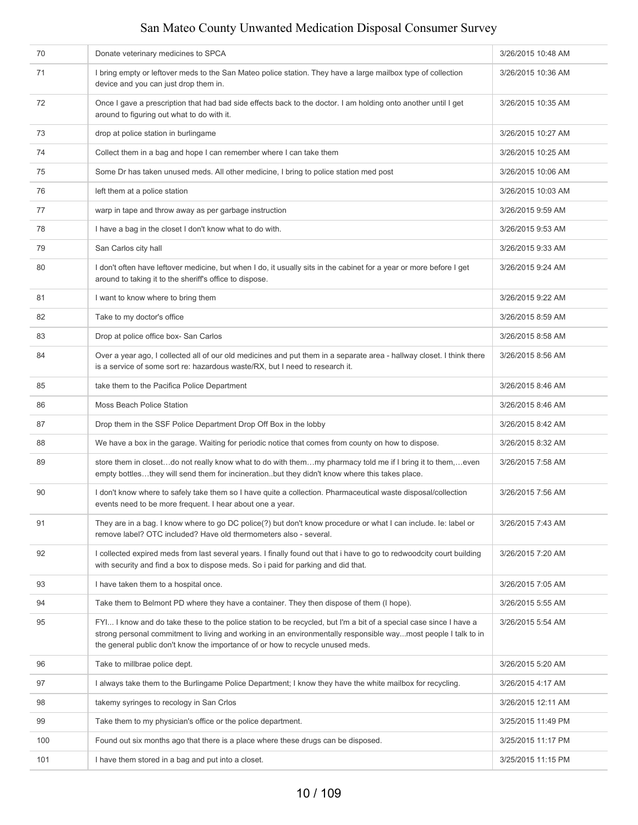| 70  | Donate veterinary medicines to SPCA                                                                                                                                                                                                                                                                                   | 3/26/2015 10:48 AM |
|-----|-----------------------------------------------------------------------------------------------------------------------------------------------------------------------------------------------------------------------------------------------------------------------------------------------------------------------|--------------------|
| 71  | I bring empty or leftover meds to the San Mateo police station. They have a large mailbox type of collection<br>device and you can just drop them in.                                                                                                                                                                 | 3/26/2015 10:36 AM |
| 72  | Once I gave a prescription that had bad side effects back to the doctor. I am holding onto another until I get<br>around to figuring out what to do with it.                                                                                                                                                          | 3/26/2015 10:35 AM |
| 73  | drop at police station in burlingame                                                                                                                                                                                                                                                                                  | 3/26/2015 10:27 AM |
| 74  | Collect them in a bag and hope I can remember where I can take them                                                                                                                                                                                                                                                   | 3/26/2015 10:25 AM |
| 75  | Some Dr has taken unused meds. All other medicine, I bring to police station med post                                                                                                                                                                                                                                 | 3/26/2015 10:06 AM |
| 76  | left them at a police station                                                                                                                                                                                                                                                                                         | 3/26/2015 10:03 AM |
| 77  | warp in tape and throw away as per garbage instruction                                                                                                                                                                                                                                                                | 3/26/2015 9:59 AM  |
| 78  | I have a bag in the closet I don't know what to do with.                                                                                                                                                                                                                                                              | 3/26/2015 9:53 AM  |
| 79  | San Carlos city hall                                                                                                                                                                                                                                                                                                  | 3/26/2015 9:33 AM  |
| 80  | I don't often have leftover medicine, but when I do, it usually sits in the cabinet for a year or more before I get<br>around to taking it to the sheriff's office to dispose.                                                                                                                                        | 3/26/2015 9:24 AM  |
| 81  | I want to know where to bring them                                                                                                                                                                                                                                                                                    | 3/26/2015 9:22 AM  |
| 82  | Take to my doctor's office                                                                                                                                                                                                                                                                                            | 3/26/2015 8:59 AM  |
| 83  | Drop at police office box- San Carlos                                                                                                                                                                                                                                                                                 | 3/26/2015 8:58 AM  |
| 84  | Over a year ago, I collected all of our old medicines and put them in a separate area - hallway closet. I think there<br>is a service of some sort re: hazardous waste/RX, but I need to research it.                                                                                                                 | 3/26/2015 8:56 AM  |
| 85  | take them to the Pacifica Police Department                                                                                                                                                                                                                                                                           | 3/26/2015 8:46 AM  |
| 86  | Moss Beach Police Station                                                                                                                                                                                                                                                                                             | 3/26/2015 8:46 AM  |
| 87  | Drop them in the SSF Police Department Drop Off Box in the lobby                                                                                                                                                                                                                                                      | 3/26/2015 8:42 AM  |
| 88  | We have a box in the garage. Waiting for periodic notice that comes from county on how to dispose.                                                                                                                                                                                                                    | 3/26/2015 8:32 AM  |
| 89  | store them in closetdo not really know what to do with themmy pharmacy told me if I bring it to them,even<br>empty bottlesthey will send them for incinerationbut they didn't know where this takes place.                                                                                                            | 3/26/2015 7:58 AM  |
| 90  | I don't know where to safely take them so I have quite a collection. Pharmaceutical waste disposal/collection<br>events need to be more frequent. I hear about one a year.                                                                                                                                            | 3/26/2015 7:56 AM  |
| 91  | They are in a bag. I know where to go DC police(?) but don't know procedure or what I can include. Ie: label or<br>remove label? OTC included? Have old thermometers also - several.                                                                                                                                  | 3/26/2015 7:43 AM  |
| 92  | I collected expired meds from last several years. I finally found out that i have to go to redwoodcity court building<br>with security and find a box to dispose meds. So i paid for parking and did that.                                                                                                            | 3/26/2015 7:20 AM  |
| 93  | I have taken them to a hospital once.                                                                                                                                                                                                                                                                                 | 3/26/2015 7:05 AM  |
| 94  | Take them to Belmont PD where they have a container. They then dispose of them (I hope).                                                                                                                                                                                                                              | 3/26/2015 5:55 AM  |
| 95  | FYI I know and do take these to the police station to be recycled, but I'm a bit of a special case since I have a<br>strong personal commitment to living and working in an environmentally responsible waymost people I talk to in<br>the general public don't know the importance of or how to recycle unused meds. | 3/26/2015 5:54 AM  |
| 96  | Take to millbrae police dept.                                                                                                                                                                                                                                                                                         | 3/26/2015 5:20 AM  |
| 97  | I always take them to the Burlingame Police Department; I know they have the white mailbox for recycling.                                                                                                                                                                                                             | 3/26/2015 4:17 AM  |
| 98  | takemy syringes to recology in San Crlos                                                                                                                                                                                                                                                                              | 3/26/2015 12:11 AM |
| 99  | Take them to my physician's office or the police department.                                                                                                                                                                                                                                                          | 3/25/2015 11:49 PM |
| 100 | Found out six months ago that there is a place where these drugs can be disposed.                                                                                                                                                                                                                                     | 3/25/2015 11:17 PM |
| 101 | I have them stored in a bag and put into a closet.                                                                                                                                                                                                                                                                    | 3/25/2015 11:15 PM |
|     |                                                                                                                                                                                                                                                                                                                       |                    |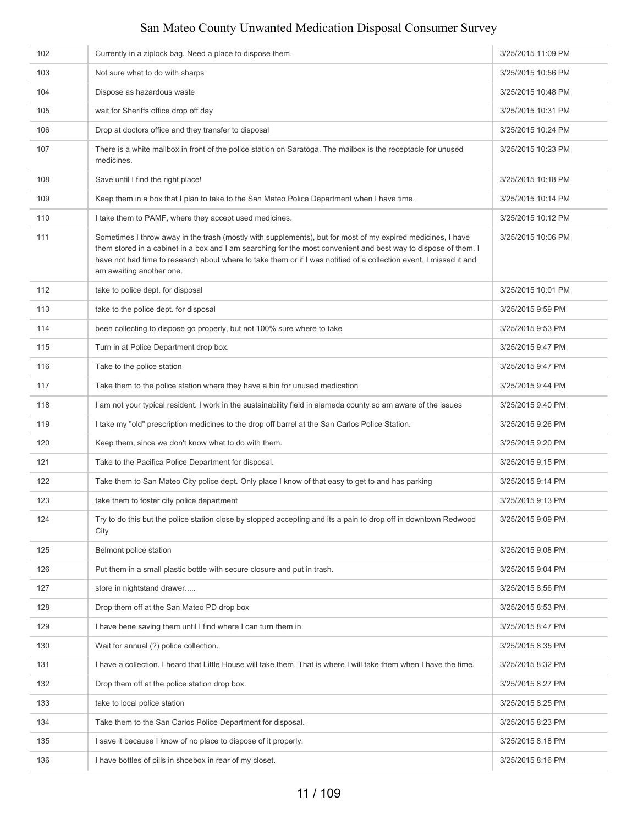| 102 | Currently in a ziplock bag. Need a place to dispose them.                                                                                                                                                                                                                                                                                                                        | 3/25/2015 11:09 PM |
|-----|----------------------------------------------------------------------------------------------------------------------------------------------------------------------------------------------------------------------------------------------------------------------------------------------------------------------------------------------------------------------------------|--------------------|
| 103 | Not sure what to do with sharps                                                                                                                                                                                                                                                                                                                                                  | 3/25/2015 10:56 PM |
| 104 | Dispose as hazardous waste                                                                                                                                                                                                                                                                                                                                                       | 3/25/2015 10:48 PM |
| 105 | wait for Sheriffs office drop off day                                                                                                                                                                                                                                                                                                                                            | 3/25/2015 10:31 PM |
| 106 | Drop at doctors office and they transfer to disposal                                                                                                                                                                                                                                                                                                                             | 3/25/2015 10:24 PM |
| 107 | There is a white mailbox in front of the police station on Saratoga. The mailbox is the receptacle for unused<br>medicines.                                                                                                                                                                                                                                                      | 3/25/2015 10:23 PM |
| 108 | Save until I find the right place!                                                                                                                                                                                                                                                                                                                                               | 3/25/2015 10:18 PM |
| 109 | Keep them in a box that I plan to take to the San Mateo Police Department when I have time.                                                                                                                                                                                                                                                                                      | 3/25/2015 10:14 PM |
| 110 | I take them to PAMF, where they accept used medicines.                                                                                                                                                                                                                                                                                                                           | 3/25/2015 10:12 PM |
| 111 | Sometimes I throw away in the trash (mostly with supplements), but for most of my expired medicines, I have<br>them stored in a cabinet in a box and I am searching for the most convenient and best way to dispose of them. I<br>have not had time to research about where to take them or if I was notified of a collection event, I missed it and<br>am awaiting another one. | 3/25/2015 10:06 PM |
| 112 | take to police dept. for disposal                                                                                                                                                                                                                                                                                                                                                | 3/25/2015 10:01 PM |
| 113 | take to the police dept. for disposal                                                                                                                                                                                                                                                                                                                                            | 3/25/2015 9:59 PM  |
| 114 | been collecting to dispose go properly, but not 100% sure where to take                                                                                                                                                                                                                                                                                                          | 3/25/2015 9:53 PM  |
| 115 | Turn in at Police Department drop box.                                                                                                                                                                                                                                                                                                                                           | 3/25/2015 9:47 PM  |
| 116 | Take to the police station                                                                                                                                                                                                                                                                                                                                                       | 3/25/2015 9:47 PM  |
| 117 | Take them to the police station where they have a bin for unused medication                                                                                                                                                                                                                                                                                                      | 3/25/2015 9:44 PM  |
| 118 | I am not your typical resident. I work in the sustainability field in alameda county so am aware of the issues                                                                                                                                                                                                                                                                   | 3/25/2015 9:40 PM  |
| 119 | I take my "old" prescription medicines to the drop off barrel at the San Carlos Police Station.                                                                                                                                                                                                                                                                                  | 3/25/2015 9:26 PM  |
| 120 | Keep them, since we don't know what to do with them.                                                                                                                                                                                                                                                                                                                             | 3/25/2015 9:20 PM  |
| 121 | Take to the Pacifica Police Department for disposal.                                                                                                                                                                                                                                                                                                                             | 3/25/2015 9:15 PM  |
| 122 | Take them to San Mateo City police dept. Only place I know of that easy to get to and has parking                                                                                                                                                                                                                                                                                | 3/25/2015 9:14 PM  |
| 123 | take them to foster city police department                                                                                                                                                                                                                                                                                                                                       | 3/25/2015 9:13 PM  |
| 124 | Try to do this but the police station close by stopped accepting and its a pain to drop off in downtown Redwood<br>City                                                                                                                                                                                                                                                          | 3/25/2015 9:09 PM  |
| 125 | Belmont police station                                                                                                                                                                                                                                                                                                                                                           | 3/25/2015 9:08 PM  |
| 126 | Put them in a small plastic bottle with secure closure and put in trash.                                                                                                                                                                                                                                                                                                         | 3/25/2015 9:04 PM  |
| 127 | store in nightstand drawer                                                                                                                                                                                                                                                                                                                                                       | 3/25/2015 8:56 PM  |
| 128 | Drop them off at the San Mateo PD drop box                                                                                                                                                                                                                                                                                                                                       | 3/25/2015 8:53 PM  |
| 129 | I have bene saving them until I find where I can turn them in.                                                                                                                                                                                                                                                                                                                   | 3/25/2015 8:47 PM  |
| 130 | Wait for annual (?) police collection.                                                                                                                                                                                                                                                                                                                                           | 3/25/2015 8:35 PM  |
| 131 | I have a collection. I heard that Little House will take them. That is where I will take them when I have the time.                                                                                                                                                                                                                                                              | 3/25/2015 8:32 PM  |
| 132 | Drop them off at the police station drop box.                                                                                                                                                                                                                                                                                                                                    | 3/25/2015 8:27 PM  |
| 133 | take to local police station                                                                                                                                                                                                                                                                                                                                                     | 3/25/2015 8:25 PM  |
| 134 | Take them to the San Carlos Police Department for disposal.                                                                                                                                                                                                                                                                                                                      | 3/25/2015 8:23 PM  |
| 135 | I save it because I know of no place to dispose of it properly.                                                                                                                                                                                                                                                                                                                  | 3/25/2015 8:18 PM  |
| 136 | I have bottles of pills in shoebox in rear of my closet.                                                                                                                                                                                                                                                                                                                         | 3/25/2015 8:16 PM  |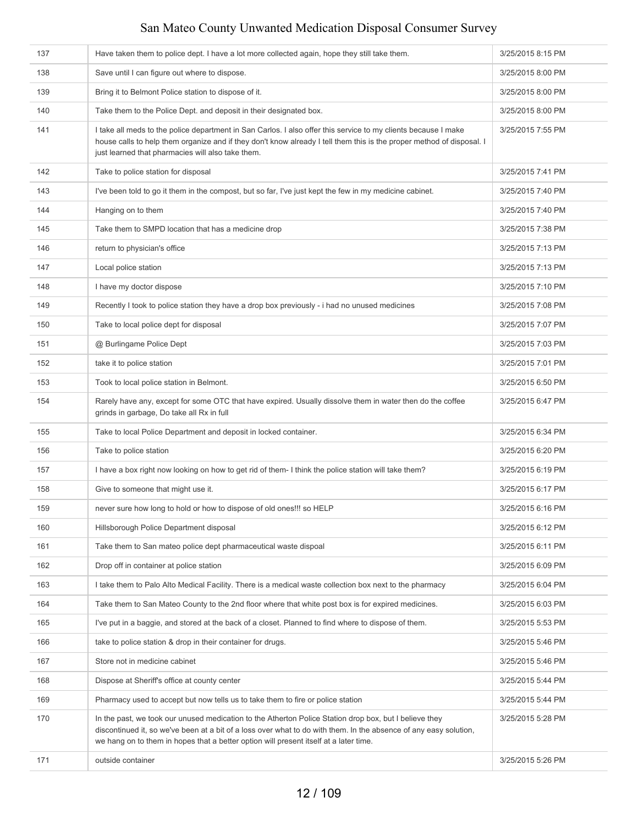| 137 | Have taken them to police dept. I have a lot more collected again, hope they still take them.                                                                                                                                                                                                                        | 3/25/2015 8:15 PM |
|-----|----------------------------------------------------------------------------------------------------------------------------------------------------------------------------------------------------------------------------------------------------------------------------------------------------------------------|-------------------|
| 138 | Save until I can figure out where to dispose.                                                                                                                                                                                                                                                                        | 3/25/2015 8:00 PM |
| 139 | Bring it to Belmont Police station to dispose of it.                                                                                                                                                                                                                                                                 | 3/25/2015 8:00 PM |
| 140 | Take them to the Police Dept. and deposit in their designated box.                                                                                                                                                                                                                                                   | 3/25/2015 8:00 PM |
| 141 | I take all meds to the police department in San Carlos. I also offer this service to my clients because I make<br>house calls to help them organize and if they don't know already I tell them this is the proper method of disposal. I<br>just learned that pharmacies will also take them.                         | 3/25/2015 7:55 PM |
| 142 | Take to police station for disposal                                                                                                                                                                                                                                                                                  | 3/25/2015 7:41 PM |
| 143 | I've been told to go it them in the compost, but so far, I've just kept the few in my medicine cabinet.                                                                                                                                                                                                              | 3/25/2015 7:40 PM |
| 144 | Hanging on to them                                                                                                                                                                                                                                                                                                   | 3/25/2015 7:40 PM |
| 145 | Take them to SMPD location that has a medicine drop                                                                                                                                                                                                                                                                  | 3/25/2015 7:38 PM |
| 146 | return to physician's office                                                                                                                                                                                                                                                                                         | 3/25/2015 7:13 PM |
| 147 | Local police station                                                                                                                                                                                                                                                                                                 | 3/25/2015 7:13 PM |
| 148 | I have my doctor dispose                                                                                                                                                                                                                                                                                             | 3/25/2015 7:10 PM |
| 149 | Recently I took to police station they have a drop box previously - i had no unused medicines                                                                                                                                                                                                                        | 3/25/2015 7:08 PM |
| 150 | Take to local police dept for disposal                                                                                                                                                                                                                                                                               | 3/25/2015 7:07 PM |
| 151 | @ Burlingame Police Dept                                                                                                                                                                                                                                                                                             | 3/25/2015 7:03 PM |
| 152 | take it to police station                                                                                                                                                                                                                                                                                            | 3/25/2015 7:01 PM |
| 153 | Took to local police station in Belmont.                                                                                                                                                                                                                                                                             | 3/25/2015 6:50 PM |
| 154 | Rarely have any, except for some OTC that have expired. Usually dissolve them in water then do the coffee<br>grinds in garbage, Do take all Rx in full                                                                                                                                                               | 3/25/2015 6:47 PM |
| 155 | Take to local Police Department and deposit in locked container.                                                                                                                                                                                                                                                     | 3/25/2015 6:34 PM |
| 156 | Take to police station                                                                                                                                                                                                                                                                                               | 3/25/2015 6:20 PM |
| 157 | I have a box right now looking on how to get rid of them- I think the police station will take them?                                                                                                                                                                                                                 | 3/25/2015 6:19 PM |
| 158 | Give to someone that might use it.                                                                                                                                                                                                                                                                                   | 3/25/2015 6:17 PM |
| 159 | never sure how long to hold or how to dispose of old ones!!! so HELP                                                                                                                                                                                                                                                 | 3/25/2015 6:16 PM |
| 160 | Hillsborough Police Department disposal                                                                                                                                                                                                                                                                              | 3/25/2015 6:12 PM |
| 161 | Take them to San mateo police dept pharmaceutical waste dispoal                                                                                                                                                                                                                                                      | 3/25/2015 6:11 PM |
| 162 | Drop off in container at police station                                                                                                                                                                                                                                                                              | 3/25/2015 6:09 PM |
| 163 | I take them to Palo Alto Medical Facility. There is a medical waste collection box next to the pharmacy                                                                                                                                                                                                              | 3/25/2015 6:04 PM |
| 164 | Take them to San Mateo County to the 2nd floor where that white post box is for expired medicines.                                                                                                                                                                                                                   | 3/25/2015 6:03 PM |
| 165 | I've put in a baggie, and stored at the back of a closet. Planned to find where to dispose of them.                                                                                                                                                                                                                  | 3/25/2015 5:53 PM |
| 166 | take to police station & drop in their container for drugs.                                                                                                                                                                                                                                                          | 3/25/2015 5:46 PM |
| 167 | Store not in medicine cabinet                                                                                                                                                                                                                                                                                        | 3/25/2015 5:46 PM |
| 168 | Dispose at Sheriff's office at county center                                                                                                                                                                                                                                                                         | 3/25/2015 5:44 PM |
| 169 | Pharmacy used to accept but now tells us to take them to fire or police station                                                                                                                                                                                                                                      | 3/25/2015 5:44 PM |
| 170 | In the past, we took our unused medication to the Atherton Police Station drop box, but I believe they<br>discontinued it, so we've been at a bit of a loss over what to do with them. In the absence of any easy solution,<br>we hang on to them in hopes that a better option will present itself at a later time. | 3/25/2015 5:28 PM |
| 171 | outside container                                                                                                                                                                                                                                                                                                    | 3/25/2015 5:26 PM |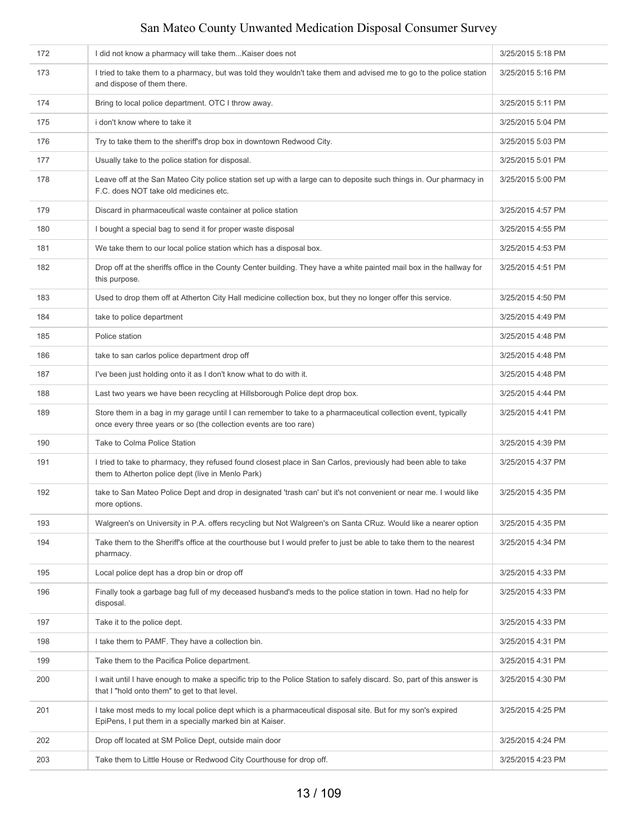| 172 | I did not know a pharmacy will take them Kaiser does not                                                                                                                           | 3/25/2015 5:18 PM |
|-----|------------------------------------------------------------------------------------------------------------------------------------------------------------------------------------|-------------------|
| 173 | I tried to take them to a pharmacy, but was told they wouldn't take them and advised me to go to the police station<br>and dispose of them there.                                  | 3/25/2015 5:16 PM |
| 174 | Bring to local police department. OTC I throw away.                                                                                                                                | 3/25/2015 5:11 PM |
| 175 | i don't know where to take it                                                                                                                                                      | 3/25/2015 5:04 PM |
| 176 | Try to take them to the sheriff's drop box in downtown Redwood City.                                                                                                               | 3/25/2015 5:03 PM |
| 177 | Usually take to the police station for disposal.                                                                                                                                   | 3/25/2015 5:01 PM |
| 178 | Leave off at the San Mateo City police station set up with a large can to deposite such things in. Our pharmacy in<br>F.C. does NOT take old medicines etc.                        | 3/25/2015 5:00 PM |
| 179 | Discard in pharmaceutical waste container at police station                                                                                                                        | 3/25/2015 4:57 PM |
| 180 | I bought a special bag to send it for proper waste disposal                                                                                                                        | 3/25/2015 4:55 PM |
| 181 | We take them to our local police station which has a disposal box.                                                                                                                 | 3/25/2015 4:53 PM |
| 182 | Drop off at the sheriffs office in the County Center building. They have a white painted mail box in the hallway for<br>this purpose.                                              | 3/25/2015 4:51 PM |
| 183 | Used to drop them off at Atherton City Hall medicine collection box, but they no longer offer this service.                                                                        | 3/25/2015 4:50 PM |
| 184 | take to police department                                                                                                                                                          | 3/25/2015 4:49 PM |
| 185 | Police station                                                                                                                                                                     | 3/25/2015 4:48 PM |
| 186 | take to san carlos police department drop off                                                                                                                                      | 3/25/2015 4:48 PM |
| 187 | I've been just holding onto it as I don't know what to do with it.                                                                                                                 | 3/25/2015 4:48 PM |
| 188 | Last two years we have been recycling at Hillsborough Police dept drop box.                                                                                                        | 3/25/2015 4:44 PM |
| 189 | Store them in a bag in my garage until I can remember to take to a pharmaceutical collection event, typically<br>once every three years or so (the collection events are too rare) | 3/25/2015 4:41 PM |
| 190 | Take to Colma Police Station                                                                                                                                                       | 3/25/2015 4:39 PM |
| 191 | I tried to take to pharmacy, they refused found closest place in San Carlos, previously had been able to take<br>them to Atherton police dept (live in Menlo Park)                 | 3/25/2015 4:37 PM |
| 192 | take to San Mateo Police Dept and drop in designated 'trash can' but it's not convenient or near me. I would like<br>more options.                                                 | 3/25/2015 4:35 PM |
| 193 | Walgreen's on University in P.A. offers recycling but Not Walgreen's on Santa CRuz. Would like a nearer option                                                                     | 3/25/2015 4:35 PM |
| 194 | Take them to the Sheriff's office at the courthouse but I would prefer to just be able to take them to the nearest<br>pharmacy.                                                    | 3/25/2015 4:34 PM |
| 195 | Local police dept has a drop bin or drop off                                                                                                                                       | 3/25/2015 4:33 PM |
| 196 | Finally took a garbage bag full of my deceased husband's meds to the police station in town. Had no help for<br>disposal.                                                          | 3/25/2015 4:33 PM |
| 197 | Take it to the police dept.                                                                                                                                                        | 3/25/2015 4:33 PM |
| 198 | I take them to PAMF. They have a collection bin.                                                                                                                                   | 3/25/2015 4:31 PM |
| 199 | Take them to the Pacifica Police department.                                                                                                                                       | 3/25/2015 4:31 PM |
| 200 | I wait until I have enough to make a specific trip to the Police Station to safely discard. So, part of this answer is<br>that I "hold onto them" to get to that level.            | 3/25/2015 4:30 PM |
| 201 | I take most meds to my local police dept which is a pharmaceutical disposal site. But for my son's expired<br>EpiPens, I put them in a specially marked bin at Kaiser.             | 3/25/2015 4:25 PM |
| 202 | Drop off located at SM Police Dept, outside main door                                                                                                                              | 3/25/2015 4:24 PM |
| 203 | Take them to Little House or Redwood City Courthouse for drop off.                                                                                                                 | 3/25/2015 4:23 PM |
|     |                                                                                                                                                                                    |                   |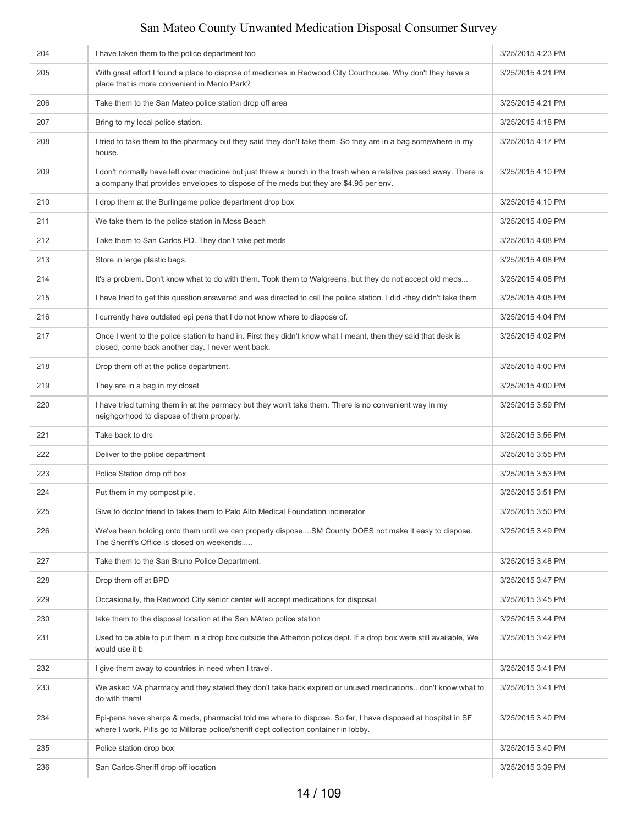| 204 | I have taken them to the police department too                                                                                                                                                              | 3/25/2015 4:23 PM |
|-----|-------------------------------------------------------------------------------------------------------------------------------------------------------------------------------------------------------------|-------------------|
| 205 | With great effort I found a place to dispose of medicines in Redwood City Courthouse. Why don't they have a<br>place that is more convenient in Menlo Park?                                                 | 3/25/2015 4:21 PM |
| 206 | Take them to the San Mateo police station drop off area                                                                                                                                                     | 3/25/2015 4:21 PM |
| 207 | Bring to my local police station.                                                                                                                                                                           | 3/25/2015 4:18 PM |
| 208 | I tried to take them to the pharmacy but they said they don't take them. So they are in a bag somewhere in my<br>house.                                                                                     | 3/25/2015 4:17 PM |
| 209 | I don't normally have left over medicine but just threw a bunch in the trash when a relative passed away. There is<br>a company that provides envelopes to dispose of the meds but they are \$4.95 per env. | 3/25/2015 4:10 PM |
| 210 | I drop them at the Burlingame police department drop box                                                                                                                                                    | 3/25/2015 4:10 PM |
| 211 | We take them to the police station in Moss Beach                                                                                                                                                            | 3/25/2015 4:09 PM |
| 212 | Take them to San Carlos PD. They don't take pet meds                                                                                                                                                        | 3/25/2015 4:08 PM |
| 213 | Store in large plastic bags.                                                                                                                                                                                | 3/25/2015 4:08 PM |
| 214 | It's a problem. Don't know what to do with them. Took them to Walgreens, but they do not accept old meds                                                                                                    | 3/25/2015 4:08 PM |
| 215 | I have tried to get this question answered and was directed to call the police station. I did -they didn't take them                                                                                        | 3/25/2015 4:05 PM |
| 216 | I currently have outdated epi pens that I do not know where to dispose of.                                                                                                                                  | 3/25/2015 4:04 PM |
| 217 | Once I went to the police station to hand in. First they didn't know what I meant, then they said that desk is<br>closed, come back another day. I never went back.                                         | 3/25/2015 4:02 PM |
| 218 | Drop them off at the police department.                                                                                                                                                                     | 3/25/2015 4:00 PM |
| 219 | They are in a bag in my closet                                                                                                                                                                              | 3/25/2015 4:00 PM |
| 220 | I have tried turning them in at the parmacy but they won't take them. There is no convenient way in my<br>neighgorhood to dispose of them properly.                                                         | 3/25/2015 3:59 PM |
| 221 | Take back to drs                                                                                                                                                                                            | 3/25/2015 3:56 PM |
| 222 | Deliver to the police department                                                                                                                                                                            | 3/25/2015 3:55 PM |
| 223 | Police Station drop off box                                                                                                                                                                                 | 3/25/2015 3:53 PM |
| 224 | Put them in my compost pile.                                                                                                                                                                                | 3/25/2015 3:51 PM |
| 225 | Give to doctor friend to takes them to Palo Alto Medical Foundation incinerator                                                                                                                             | 3/25/2015 3:50 PM |
| 226 | We've been holding onto them until we can properly disposeSM County DOES not make it easy to dispose.<br>The Sheriff's Office is closed on weekends                                                         | 3/25/2015 3:49 PM |
| 227 | Take them to the San Bruno Police Department.                                                                                                                                                               | 3/25/2015 3:48 PM |
| 228 | Drop them off at BPD                                                                                                                                                                                        | 3/25/2015 3:47 PM |
| 229 | Occasionally, the Redwood City senior center will accept medications for disposal.                                                                                                                          | 3/25/2015 3:45 PM |
| 230 | take them to the disposal location at the San MAteo police station                                                                                                                                          | 3/25/2015 3:44 PM |
| 231 | Used to be able to put them in a drop box outside the Atherton police dept. If a drop box were still available, We<br>would use it b                                                                        | 3/25/2015 3:42 PM |
| 232 | I give them away to countries in need when I travel.                                                                                                                                                        | 3/25/2015 3:41 PM |
| 233 | We asked VA pharmacy and they stated they don't take back expired or unused medicationsdon't know what to<br>do with them!                                                                                  | 3/25/2015 3:41 PM |
| 234 | Epi-pens have sharps & meds, pharmacist told me where to dispose. So far, I have disposed at hospital in SF<br>where I work. Pills go to Millbrae police/sheriff dept collection container in lobby.        | 3/25/2015 3:40 PM |
| 235 | Police station drop box                                                                                                                                                                                     | 3/25/2015 3:40 PM |
| 236 | San Carlos Sheriff drop off location                                                                                                                                                                        | 3/25/2015 3:39 PM |
|     |                                                                                                                                                                                                             |                   |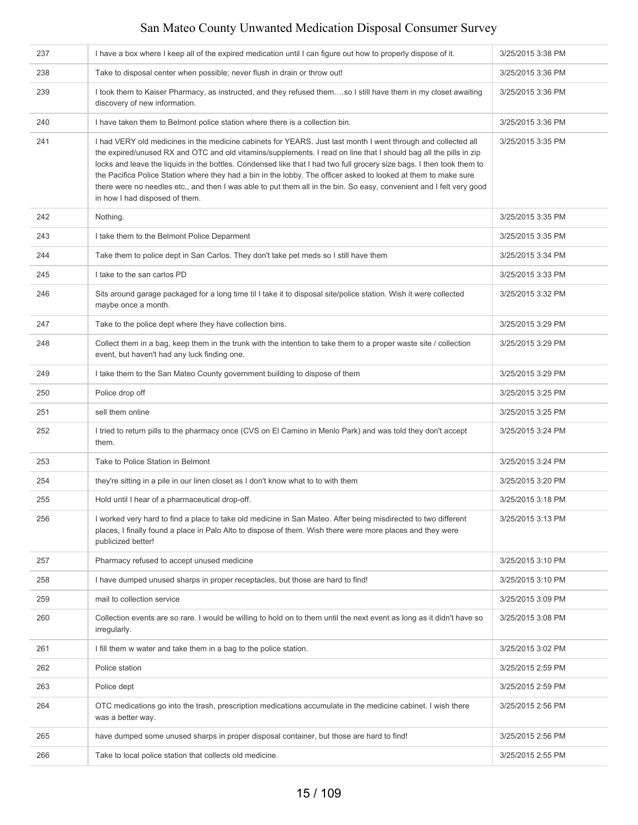| 237 | I have a box where I keep all of the expired medication until I can figure out how to properly dispose of it.                                                                                                                                                                                                                                                                                                                                                                                                                                                                                                                            | 3/25/2015 3:38 PM |
|-----|------------------------------------------------------------------------------------------------------------------------------------------------------------------------------------------------------------------------------------------------------------------------------------------------------------------------------------------------------------------------------------------------------------------------------------------------------------------------------------------------------------------------------------------------------------------------------------------------------------------------------------------|-------------------|
| 238 | Take to disposal center when possible; never flush in drain or throw out!                                                                                                                                                                                                                                                                                                                                                                                                                                                                                                                                                                | 3/25/2015 3:36 PM |
| 239 | I took them to Kaiser Pharmacy, as instructed, and they refused themso I still have them in my closet awaiting<br>discovery of new information.                                                                                                                                                                                                                                                                                                                                                                                                                                                                                          | 3/25/2015 3:36 PM |
| 240 | I have taken them to Belmont police station where there is a collection bin.                                                                                                                                                                                                                                                                                                                                                                                                                                                                                                                                                             | 3/25/2015 3:36 PM |
| 241 | I had VERY old medicines in the medicine cabinets for YEARS. Just last month I went through and collected all<br>the expired/unused RX and OTC and old vitamins/supplements. I read on line that I should bag all the pills in zip<br>locks and leave the liquids in the bottles. Condensed like that I had two full grocery size bags. I then took them to<br>the Pacifica Police Station where they had a bin in the lobby. The officer asked to looked at them to make sure<br>there were no needles etc., and then I was able to put them all in the bin. So easy, convenient and I felt very good<br>in how I had disposed of them. | 3/25/2015 3:35 PM |
| 242 | Nothing.                                                                                                                                                                                                                                                                                                                                                                                                                                                                                                                                                                                                                                 | 3/25/2015 3:35 PM |
| 243 | I take them to the Belmont Police Deparment                                                                                                                                                                                                                                                                                                                                                                                                                                                                                                                                                                                              | 3/25/2015 3:35 PM |
| 244 | Take them to police dept in San Carlos. They don't take pet meds so I still have them                                                                                                                                                                                                                                                                                                                                                                                                                                                                                                                                                    | 3/25/2015 3:34 PM |
| 245 | I take to the san carlos PD                                                                                                                                                                                                                                                                                                                                                                                                                                                                                                                                                                                                              | 3/25/2015 3:33 PM |
| 246 | Sits around garage packaged for a long time til I take it to disposal site/police station. Wish it were collected<br>maybe once a month.                                                                                                                                                                                                                                                                                                                                                                                                                                                                                                 | 3/25/2015 3:32 PM |
| 247 | Take to the police dept where they have collection bins.                                                                                                                                                                                                                                                                                                                                                                                                                                                                                                                                                                                 | 3/25/2015 3:29 PM |
| 248 | Collect them in a bag, keep them in the trunk with the intention to take them to a proper waste site / collection<br>event, but haven't had any luck finding one.                                                                                                                                                                                                                                                                                                                                                                                                                                                                        | 3/25/2015 3:29 PM |
| 249 | I take them to the San Mateo County government building to dispose of them                                                                                                                                                                                                                                                                                                                                                                                                                                                                                                                                                               | 3/25/2015 3:29 PM |
| 250 | Police drop off                                                                                                                                                                                                                                                                                                                                                                                                                                                                                                                                                                                                                          | 3/25/2015 3:25 PM |
| 251 | sell them online                                                                                                                                                                                                                                                                                                                                                                                                                                                                                                                                                                                                                         | 3/25/2015 3:25 PM |
| 252 | I tried to return pills to the pharmacy once (CVS on El Camino in Menlo Park) and was told they don't accept<br>them.                                                                                                                                                                                                                                                                                                                                                                                                                                                                                                                    | 3/25/2015 3:24 PM |
| 253 | Take to Police Station in Belmont                                                                                                                                                                                                                                                                                                                                                                                                                                                                                                                                                                                                        | 3/25/2015 3:24 PM |
| 254 | they're sitting in a pile in our linen closet as I don't know what to to with them                                                                                                                                                                                                                                                                                                                                                                                                                                                                                                                                                       | 3/25/2015 3:20 PM |
| 255 | Hold until I hear of a pharmaceutical drop-off.                                                                                                                                                                                                                                                                                                                                                                                                                                                                                                                                                                                          | 3/25/2015 3:18 PM |
| 256 | I worked very hard to find a place to take old medicine in San Mateo. After being misdirected to two different<br>places, I finally found a place in Palo Alto to dispose of them. Wish there were more places and they were<br>publicized better!                                                                                                                                                                                                                                                                                                                                                                                       | 3/25/2015 3:13 PM |
| 257 | Pharmacy refused to accept unused medicine                                                                                                                                                                                                                                                                                                                                                                                                                                                                                                                                                                                               | 3/25/2015 3:10 PM |
| 258 | I have dumped unused sharps in proper receptacles, but those are hard to find!                                                                                                                                                                                                                                                                                                                                                                                                                                                                                                                                                           | 3/25/2015 3:10 PM |
| 259 | mail to collection service                                                                                                                                                                                                                                                                                                                                                                                                                                                                                                                                                                                                               | 3/25/2015 3:09 PM |
| 260 | Collection events are so rare. I would be willing to hold on to them until the next event as long as it didn't have so<br>irregularly.                                                                                                                                                                                                                                                                                                                                                                                                                                                                                                   | 3/25/2015 3:08 PM |
| 261 | I fill them w water and take them in a bag to the police station.                                                                                                                                                                                                                                                                                                                                                                                                                                                                                                                                                                        | 3/25/2015 3:02 PM |
| 262 | Police station                                                                                                                                                                                                                                                                                                                                                                                                                                                                                                                                                                                                                           | 3/25/2015 2:59 PM |
| 263 | Police dept                                                                                                                                                                                                                                                                                                                                                                                                                                                                                                                                                                                                                              | 3/25/2015 2:59 PM |
| 264 | OTC medications go into the trash, prescription medications accumulate in the medicine cabinet. I wish there<br>was a better way.                                                                                                                                                                                                                                                                                                                                                                                                                                                                                                        | 3/25/2015 2:56 PM |
| 265 | have dumped some unused sharps in proper disposal container, but those are hard to find!                                                                                                                                                                                                                                                                                                                                                                                                                                                                                                                                                 | 3/25/2015 2:56 PM |
| 266 | Take to local police station that collects old medicine.                                                                                                                                                                                                                                                                                                                                                                                                                                                                                                                                                                                 | 3/25/2015 2:55 PM |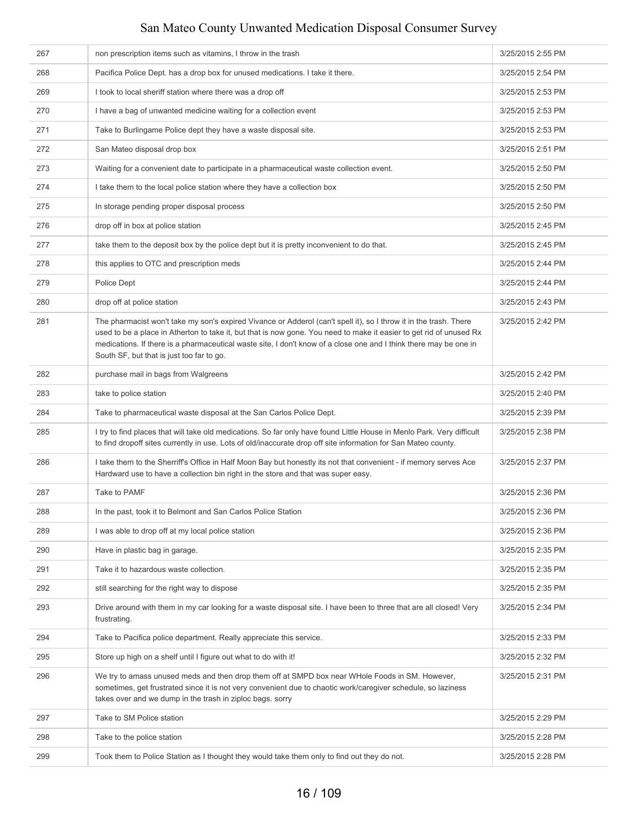| 267 | non prescription items such as vitamins, I throw in the trash                                                                                                                                                                                                                                                                                                                                              | 3/25/2015 2:55 PM |
|-----|------------------------------------------------------------------------------------------------------------------------------------------------------------------------------------------------------------------------------------------------------------------------------------------------------------------------------------------------------------------------------------------------------------|-------------------|
| 268 | Pacifica Police Dept. has a drop box for unused medications. I take it there.                                                                                                                                                                                                                                                                                                                              | 3/25/2015 2:54 PM |
| 269 | I took to local sheriff station where there was a drop off                                                                                                                                                                                                                                                                                                                                                 | 3/25/2015 2:53 PM |
| 270 | I have a bag of unwanted medicine waiting for a collection event                                                                                                                                                                                                                                                                                                                                           | 3/25/2015 2:53 PM |
| 271 | Take to Burlingame Police dept they have a waste disposal site.                                                                                                                                                                                                                                                                                                                                            | 3/25/2015 2:53 PM |
| 272 | San Mateo disposal drop box                                                                                                                                                                                                                                                                                                                                                                                | 3/25/2015 2:51 PM |
| 273 | Waiting for a convenient date to participate in a pharmaceutical waste collection event.                                                                                                                                                                                                                                                                                                                   | 3/25/2015 2:50 PM |
| 274 | I take them to the local police station where they have a collection box                                                                                                                                                                                                                                                                                                                                   | 3/25/2015 2:50 PM |
| 275 | In storage pending proper disposal process                                                                                                                                                                                                                                                                                                                                                                 | 3/25/2015 2:50 PM |
| 276 | drop off in box at police station                                                                                                                                                                                                                                                                                                                                                                          | 3/25/2015 2:45 PM |
| 277 | take them to the deposit box by the police dept but it is pretty inconvenient to do that.                                                                                                                                                                                                                                                                                                                  | 3/25/2015 2:45 PM |
| 278 | this applies to OTC and prescription meds                                                                                                                                                                                                                                                                                                                                                                  | 3/25/2015 2:44 PM |
| 279 | Police Dept                                                                                                                                                                                                                                                                                                                                                                                                | 3/25/2015 2:44 PM |
| 280 | drop off at police station                                                                                                                                                                                                                                                                                                                                                                                 | 3/25/2015 2:43 PM |
| 281 | The pharmacist won't take my son's expired Vivance or Adderol (can't spell it), so I throw it in the trash. There<br>used to be a place in Atherton to take it, but that is now gone. You need to make it easier to get rid of unused Rx<br>medications. If there is a pharmaceutical waste site, I don't know of a close one and I think there may be one in<br>South SF, but that is just too far to go. | 3/25/2015 2:42 PM |
| 282 | purchase mail in bags from Walgreens                                                                                                                                                                                                                                                                                                                                                                       | 3/25/2015 2:42 PM |
| 283 | take to police station                                                                                                                                                                                                                                                                                                                                                                                     | 3/25/2015 2:40 PM |
| 284 | Take to pharmaceutical waste disposal at the San Carlos Police Dept.                                                                                                                                                                                                                                                                                                                                       | 3/25/2015 2:39 PM |
| 285 | I try to find places that will take old medications. So far only have found Little House in Menlo Park. Very difficult<br>to find dropoff sites currently in use. Lots of old/inaccurate drop off site information for San Mateo county.                                                                                                                                                                   | 3/25/2015 2:38 PM |
| 286 | I take them to the Sherriff's Office in Half Moon Bay but honestly its not that convenient - if memory serves Ace<br>Hardward use to have a collection bin right in the store and that was super easy.                                                                                                                                                                                                     | 3/25/2015 2:37 PM |
| 287 | Take to PAMF                                                                                                                                                                                                                                                                                                                                                                                               | 3/25/2015 2:36 PM |
| 288 | In the past, took it to Belmont and San Carlos Police Station                                                                                                                                                                                                                                                                                                                                              |                   |
| 289 | I was able to drop off at my local police station                                                                                                                                                                                                                                                                                                                                                          | 3/25/2015 2:36 PM |
| 290 | Have in plastic bag in garage.                                                                                                                                                                                                                                                                                                                                                                             | 3/25/2015 2:35 PM |
| 291 | Take it to hazardous waste collection.                                                                                                                                                                                                                                                                                                                                                                     | 3/25/2015 2:35 PM |
| 292 | still searching for the right way to dispose                                                                                                                                                                                                                                                                                                                                                               | 3/25/2015 2:35 PM |
| 293 | Drive around with them in my car looking for a waste disposal site. I have been to three that are all closed! Very<br>frustrating.                                                                                                                                                                                                                                                                         | 3/25/2015 2:34 PM |
| 294 | Take to Pacifica police department. Really appreciate this service.                                                                                                                                                                                                                                                                                                                                        | 3/25/2015 2:33 PM |
| 295 | Store up high on a shelf until I figure out what to do with it!                                                                                                                                                                                                                                                                                                                                            | 3/25/2015 2:32 PM |
| 296 | We try to amass unused meds and then drop them off at SMPD box near WHole Foods in SM. However,<br>sometimes, get frustrated since it is not very convenient due to chaotic work/caregiver schedule, so laziness<br>takes over and we dump in the trash in ziploc bags. sorry                                                                                                                              | 3/25/2015 2:31 PM |
| 297 | Take to SM Police station                                                                                                                                                                                                                                                                                                                                                                                  | 3/25/2015 2:29 PM |
| 298 | Take to the police station                                                                                                                                                                                                                                                                                                                                                                                 | 3/25/2015 2:28 PM |
| 299 | Took them to Police Station as I thought they would take them only to find out they do not.                                                                                                                                                                                                                                                                                                                | 3/25/2015 2:28 PM |
|     |                                                                                                                                                                                                                                                                                                                                                                                                            |                   |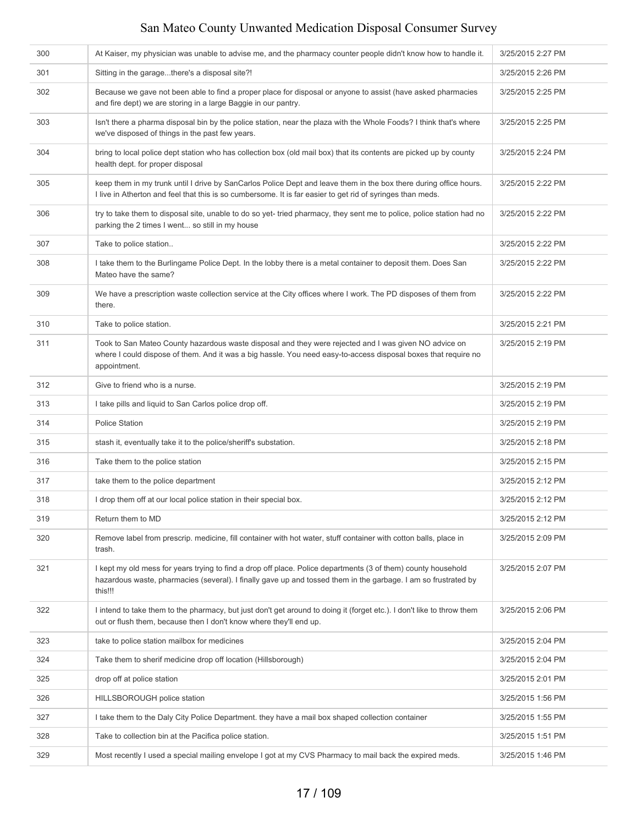| 300 | At Kaiser, my physician was unable to advise me, and the pharmacy counter people didn't know how to handle it.                                                                                                                             | 3/25/2015 2:27 PM |
|-----|--------------------------------------------------------------------------------------------------------------------------------------------------------------------------------------------------------------------------------------------|-------------------|
| 301 | Sitting in the garagethere's a disposal site?!                                                                                                                                                                                             | 3/25/2015 2:26 PM |
| 302 | Because we gave not been able to find a proper place for disposal or anyone to assist (have asked pharmacies<br>and fire dept) we are storing in a large Baggie in our pantry.                                                             | 3/25/2015 2:25 PM |
| 303 | Isn't there a pharma disposal bin by the police station, near the plaza with the Whole Foods? I think that's where<br>we've disposed of things in the past few years.                                                                      | 3/25/2015 2:25 PM |
| 304 | bring to local police dept station who has collection box (old mail box) that its contents are picked up by county<br>health dept. for proper disposal                                                                                     | 3/25/2015 2:24 PM |
| 305 | keep them in my trunk until I drive by SanCarlos Police Dept and leave them in the box there during office hours.<br>I live in Atherton and feel that this is so cumbersome. It is far easier to get rid of syringes than meds.            | 3/25/2015 2:22 PM |
| 306 | try to take them to disposal site, unable to do so yet-tried pharmacy, they sent me to police, police station had no<br>parking the 2 times I went so still in my house                                                                    | 3/25/2015 2:22 PM |
| 307 | Take to police station                                                                                                                                                                                                                     | 3/25/2015 2:22 PM |
| 308 | I take them to the Burlingame Police Dept. In the lobby there is a metal container to deposit them. Does San<br>Mateo have the same?                                                                                                       | 3/25/2015 2:22 PM |
| 309 | We have a prescription waste collection service at the City offices where I work. The PD disposes of them from<br>there.                                                                                                                   | 3/25/2015 2:22 PM |
| 310 | Take to police station.                                                                                                                                                                                                                    | 3/25/2015 2:21 PM |
| 311 | Took to San Mateo County hazardous waste disposal and they were rejected and I was given NO advice on<br>where I could dispose of them. And it was a big hassle. You need easy-to-access disposal boxes that require no<br>appointment.    | 3/25/2015 2:19 PM |
| 312 | Give to friend who is a nurse.                                                                                                                                                                                                             | 3/25/2015 2:19 PM |
| 313 | I take pills and liquid to San Carlos police drop off.                                                                                                                                                                                     | 3/25/2015 2:19 PM |
| 314 | <b>Police Station</b>                                                                                                                                                                                                                      | 3/25/2015 2:19 PM |
| 315 | stash it, eventually take it to the police/sheriff's substation.                                                                                                                                                                           | 3/25/2015 2:18 PM |
| 316 | Take them to the police station                                                                                                                                                                                                            | 3/25/2015 2:15 PM |
| 317 | take them to the police department                                                                                                                                                                                                         | 3/25/2015 2:12 PM |
| 318 | I drop them off at our local police station in their special box.                                                                                                                                                                          | 3/25/2015 2:12 PM |
| 319 | Return them to MD                                                                                                                                                                                                                          | 3/25/2015 2:12 PM |
| 320 | Remove label from prescrip. medicine, fill container with hot water, stuff container with cotton balls, place in<br>trash.                                                                                                                 | 3/25/2015 2:09 PM |
| 321 | I kept my old mess for years trying to find a drop off place. Police departments (3 of them) county household<br>hazardous waste, pharmacies (several). I finally gave up and tossed them in the garbage. I am so frustrated by<br>this!!! | 3/25/2015 2:07 PM |
| 322 | I intend to take them to the pharmacy, but just don't get around to doing it (forget etc.). I don't like to throw them<br>out or flush them, because then I don't know where they'll end up.                                               | 3/25/2015 2:06 PM |
| 323 | take to police station mailbox for medicines                                                                                                                                                                                               | 3/25/2015 2:04 PM |
| 324 | Take them to sherif medicine drop off location (Hillsborough)                                                                                                                                                                              | 3/25/2015 2:04 PM |
| 325 | drop off at police station                                                                                                                                                                                                                 | 3/25/2015 2:01 PM |
| 326 | HILLSBOROUGH police station                                                                                                                                                                                                                | 3/25/2015 1:56 PM |
| 327 | I take them to the Daly City Police Department. they have a mail box shaped collection container                                                                                                                                           | 3/25/2015 1:55 PM |
| 328 | Take to collection bin at the Pacifica police station.                                                                                                                                                                                     | 3/25/2015 1:51 PM |
| 329 | Most recently I used a special mailing envelope I got at my CVS Pharmacy to mail back the expired meds.                                                                                                                                    | 3/25/2015 1:46 PM |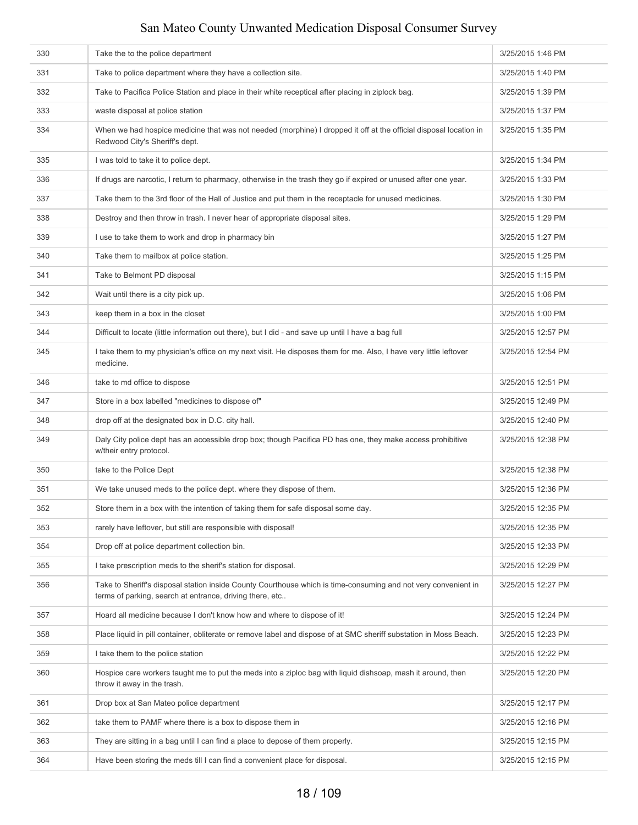| 330 | Take the to the police department                                                                                                                                          | 3/25/2015 1:46 PM  |
|-----|----------------------------------------------------------------------------------------------------------------------------------------------------------------------------|--------------------|
| 331 | Take to police department where they have a collection site.                                                                                                               | 3/25/2015 1:40 PM  |
| 332 | Take to Pacifica Police Station and place in their white receptical after placing in ziplock bag.                                                                          | 3/25/2015 1:39 PM  |
| 333 | waste disposal at police station                                                                                                                                           | 3/25/2015 1:37 PM  |
| 334 | When we had hospice medicine that was not needed (morphine) I dropped it off at the official disposal location in<br>Redwood City's Sheriff's dept.                        | 3/25/2015 1:35 PM  |
| 335 | I was told to take it to police dept.                                                                                                                                      | 3/25/2015 1:34 PM  |
| 336 | If drugs are narcotic, I return to pharmacy, otherwise in the trash they go if expired or unused after one year.                                                           | 3/25/2015 1:33 PM  |
| 337 | Take them to the 3rd floor of the Hall of Justice and put them in the receptacle for unused medicines.                                                                     | 3/25/2015 1:30 PM  |
| 338 | Destroy and then throw in trash. I never hear of appropriate disposal sites.                                                                                               | 3/25/2015 1:29 PM  |
| 339 | I use to take them to work and drop in pharmacy bin                                                                                                                        | 3/25/2015 1:27 PM  |
| 340 | Take them to mailbox at police station.                                                                                                                                    | 3/25/2015 1:25 PM  |
| 341 | Take to Belmont PD disposal                                                                                                                                                | 3/25/2015 1:15 PM  |
| 342 | Wait until there is a city pick up.                                                                                                                                        | 3/25/2015 1:06 PM  |
| 343 | keep them in a box in the closet                                                                                                                                           | 3/25/2015 1:00 PM  |
| 344 | Difficult to locate (little information out there), but I did - and save up until I have a bag full                                                                        | 3/25/2015 12:57 PM |
| 345 | I take them to my physician's office on my next visit. He disposes them for me. Also, I have very little leftover<br>medicine.                                             | 3/25/2015 12:54 PM |
| 346 | take to md office to dispose                                                                                                                                               | 3/25/2015 12:51 PM |
| 347 | Store in a box labelled "medicines to dispose of"                                                                                                                          | 3/25/2015 12:49 PM |
| 348 | drop off at the designated box in D.C. city hall.                                                                                                                          | 3/25/2015 12:40 PM |
| 349 | Daly City police dept has an accessible drop box; though Pacifica PD has one, they make access prohibitive<br>w/their entry protocol.                                      | 3/25/2015 12:38 PM |
| 350 | take to the Police Dept                                                                                                                                                    | 3/25/2015 12:38 PM |
| 351 | We take unused meds to the police dept. where they dispose of them.                                                                                                        | 3/25/2015 12:36 PM |
| 352 | Store them in a box with the intention of taking them for safe disposal some day.                                                                                          | 3/25/2015 12:35 PM |
| 353 | rarely have leftover, but still are responsible with disposal!                                                                                                             | 3/25/2015 12:35 PM |
| 354 | Drop off at police department collection bin.                                                                                                                              | 3/25/2015 12:33 PM |
| 355 | I take prescription meds to the sherif's station for disposal.                                                                                                             | 3/25/2015 12:29 PM |
| 356 | Take to Sheriff's disposal station inside County Courthouse which is time-consuming and not very convenient in<br>terms of parking, search at entrance, driving there, etc | 3/25/2015 12:27 PM |
| 357 | Hoard all medicine because I don't know how and where to dispose of it!                                                                                                    | 3/25/2015 12:24 PM |
| 358 | Place liquid in pill container, obliterate or remove label and dispose of at SMC sheriff substation in Moss Beach.                                                         | 3/25/2015 12:23 PM |
| 359 | I take them to the police station                                                                                                                                          | 3/25/2015 12:22 PM |
| 360 | Hospice care workers taught me to put the meds into a ziploc bag with liquid dishsoap, mash it around, then<br>throw it away in the trash.                                 | 3/25/2015 12:20 PM |
| 361 | Drop box at San Mateo police department                                                                                                                                    | 3/25/2015 12:17 PM |
| 362 | take them to PAMF where there is a box to dispose them in                                                                                                                  | 3/25/2015 12:16 PM |
| 363 | They are sitting in a bag until I can find a place to depose of them properly.                                                                                             | 3/25/2015 12:15 PM |
| 364 | Have been storing the meds till I can find a convenient place for disposal.                                                                                                | 3/25/2015 12:15 PM |
|     |                                                                                                                                                                            |                    |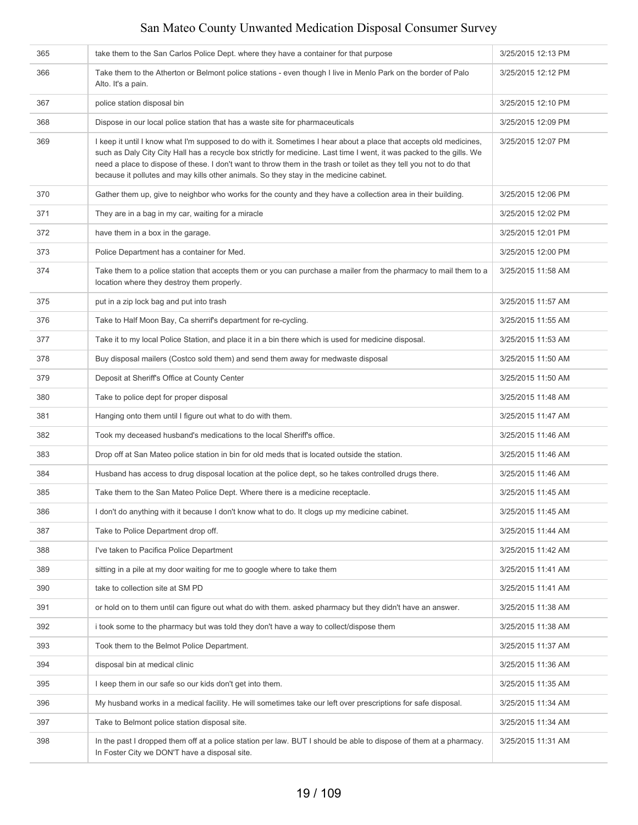| 365 | take them to the San Carlos Police Dept. where they have a container for that purpose                                                                                                                                                                                                                                                                                                                                                                        | 3/25/2015 12:13 PM |
|-----|--------------------------------------------------------------------------------------------------------------------------------------------------------------------------------------------------------------------------------------------------------------------------------------------------------------------------------------------------------------------------------------------------------------------------------------------------------------|--------------------|
| 366 | Take them to the Atherton or Belmont police stations - even though I live in Menlo Park on the border of Palo<br>Alto. It's a pain.                                                                                                                                                                                                                                                                                                                          | 3/25/2015 12:12 PM |
| 367 | police station disposal bin                                                                                                                                                                                                                                                                                                                                                                                                                                  | 3/25/2015 12:10 PM |
| 368 | Dispose in our local police station that has a waste site for pharmaceuticals                                                                                                                                                                                                                                                                                                                                                                                | 3/25/2015 12:09 PM |
| 369 | I keep it until I know what I'm supposed to do with it. Sometimes I hear about a place that accepts old medicines,<br>such as Daly City City Hall has a recycle box strictly for medicine. Last time I went, it was packed to the gills. We<br>need a place to dispose of these. I don't want to throw them in the trash or toilet as they tell you not to do that<br>because it pollutes and may kills other animals. So they stay in the medicine cabinet. | 3/25/2015 12:07 PM |
| 370 | Gather them up, give to neighbor who works for the county and they have a collection area in their building.                                                                                                                                                                                                                                                                                                                                                 | 3/25/2015 12:06 PM |
| 371 | They are in a bag in my car, waiting for a miracle                                                                                                                                                                                                                                                                                                                                                                                                           | 3/25/2015 12:02 PM |
| 372 | have them in a box in the garage.                                                                                                                                                                                                                                                                                                                                                                                                                            | 3/25/2015 12:01 PM |
| 373 | Police Department has a container for Med.                                                                                                                                                                                                                                                                                                                                                                                                                   | 3/25/2015 12:00 PM |
| 374 | Take them to a police station that accepts them or you can purchase a mailer from the pharmacy to mail them to a<br>location where they destroy them properly.                                                                                                                                                                                                                                                                                               | 3/25/2015 11:58 AM |
| 375 | put in a zip lock bag and put into trash                                                                                                                                                                                                                                                                                                                                                                                                                     | 3/25/2015 11:57 AM |
| 376 | Take to Half Moon Bay, Ca sherrif's department for re-cycling.                                                                                                                                                                                                                                                                                                                                                                                               | 3/25/2015 11:55 AM |
| 377 | Take it to my local Police Station, and place it in a bin there which is used for medicine disposal.                                                                                                                                                                                                                                                                                                                                                         | 3/25/2015 11:53 AM |
| 378 | Buy disposal mailers (Costco sold them) and send them away for medwaste disposal                                                                                                                                                                                                                                                                                                                                                                             | 3/25/2015 11:50 AM |
| 379 | Deposit at Sheriff's Office at County Center                                                                                                                                                                                                                                                                                                                                                                                                                 | 3/25/2015 11:50 AM |
| 380 | Take to police dept for proper disposal                                                                                                                                                                                                                                                                                                                                                                                                                      | 3/25/2015 11:48 AM |
| 381 | Hanging onto them until I figure out what to do with them.                                                                                                                                                                                                                                                                                                                                                                                                   | 3/25/2015 11:47 AM |
| 382 | Took my deceased husband's medications to the local Sheriff's office.                                                                                                                                                                                                                                                                                                                                                                                        | 3/25/2015 11:46 AM |
| 383 | Drop off at San Mateo police station in bin for old meds that is located outside the station.                                                                                                                                                                                                                                                                                                                                                                | 3/25/2015 11:46 AM |
| 384 | Husband has access to drug disposal location at the police dept, so he takes controlled drugs there.                                                                                                                                                                                                                                                                                                                                                         | 3/25/2015 11:46 AM |
| 385 | Take them to the San Mateo Police Dept. Where there is a medicine receptacle.                                                                                                                                                                                                                                                                                                                                                                                | 3/25/2015 11:45 AM |
| 386 | I don't do anything with it because I don't know what to do. It clogs up my medicine cabinet.                                                                                                                                                                                                                                                                                                                                                                | 3/25/2015 11:45 AM |
| 387 | Take to Police Department drop off.                                                                                                                                                                                                                                                                                                                                                                                                                          | 3/25/2015 11:44 AM |
| 388 | I've taken to Pacifica Police Department                                                                                                                                                                                                                                                                                                                                                                                                                     | 3/25/2015 11:42 AM |
| 389 | sitting in a pile at my door waiting for me to google where to take them                                                                                                                                                                                                                                                                                                                                                                                     | 3/25/2015 11:41 AM |
| 390 | take to collection site at SM PD                                                                                                                                                                                                                                                                                                                                                                                                                             | 3/25/2015 11:41 AM |
| 391 | or hold on to them until can figure out what do with them. asked pharmacy but they didn't have an answer.                                                                                                                                                                                                                                                                                                                                                    | 3/25/2015 11:38 AM |
| 392 | i took some to the pharmacy but was told they don't have a way to collect/dispose them                                                                                                                                                                                                                                                                                                                                                                       | 3/25/2015 11:38 AM |
| 393 | Took them to the Belmot Police Department.                                                                                                                                                                                                                                                                                                                                                                                                                   | 3/25/2015 11:37 AM |
| 394 | disposal bin at medical clinic                                                                                                                                                                                                                                                                                                                                                                                                                               | 3/25/2015 11:36 AM |
| 395 | I keep them in our safe so our kids don't get into them.                                                                                                                                                                                                                                                                                                                                                                                                     | 3/25/2015 11:35 AM |
| 396 | My husband works in a medical facility. He will sometimes take our left over prescriptions for safe disposal.                                                                                                                                                                                                                                                                                                                                                | 3/25/2015 11:34 AM |
| 397 | Take to Belmont police station disposal site.                                                                                                                                                                                                                                                                                                                                                                                                                | 3/25/2015 11:34 AM |
| 398 | In the past I dropped them off at a police station per law. BUT I should be able to dispose of them at a pharmacy.<br>In Foster City we DON'T have a disposal site.                                                                                                                                                                                                                                                                                          | 3/25/2015 11:31 AM |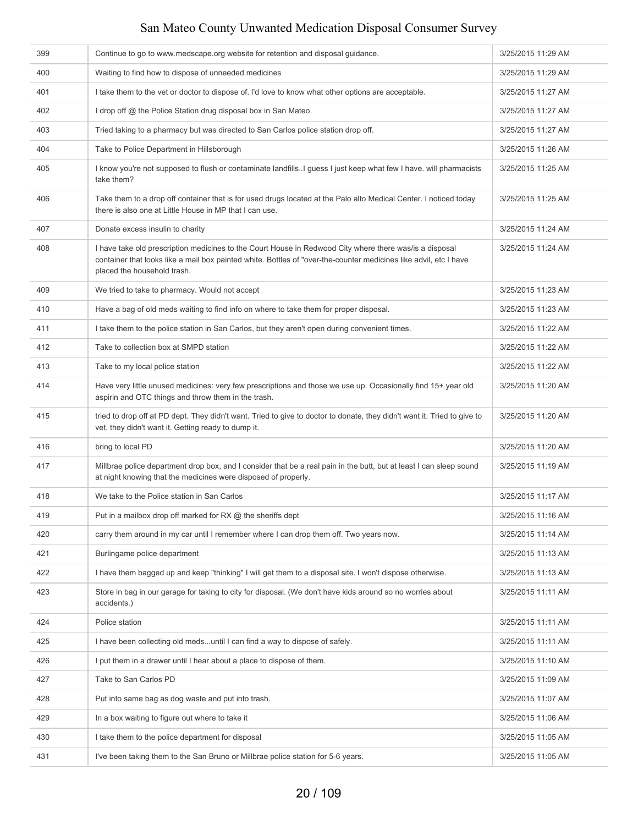| 399 | Continue to go to www.medscape.org website for retention and disposal quidance.                                                                                                                                                                             | 3/25/2015 11:29 AM |
|-----|-------------------------------------------------------------------------------------------------------------------------------------------------------------------------------------------------------------------------------------------------------------|--------------------|
| 400 | Waiting to find how to dispose of unneeded medicines                                                                                                                                                                                                        | 3/25/2015 11:29 AM |
| 401 | I take them to the vet or doctor to dispose of. I'd love to know what other options are acceptable.                                                                                                                                                         | 3/25/2015 11:27 AM |
| 402 | I drop off @ the Police Station drug disposal box in San Mateo.                                                                                                                                                                                             | 3/25/2015 11:27 AM |
| 403 | Tried taking to a pharmacy but was directed to San Carlos police station drop off.                                                                                                                                                                          | 3/25/2015 11:27 AM |
| 404 | Take to Police Department in Hillsborough                                                                                                                                                                                                                   | 3/25/2015 11:26 AM |
| 405 | I know you're not supposed to flush or contaminate landfills. I guess I just keep what few I have. will pharmacists<br>take them?                                                                                                                           | 3/25/2015 11:25 AM |
| 406 | Take them to a drop off container that is for used drugs located at the Palo alto Medical Center. I noticed today<br>there is also one at Little House in MP that I can use.                                                                                | 3/25/2015 11:25 AM |
| 407 | Donate excess insulin to charity                                                                                                                                                                                                                            | 3/25/2015 11:24 AM |
| 408 | I have take old prescription medicines to the Court House in Redwood City where there was/is a disposal<br>container that looks like a mail box painted white. Bottles of "over-the-counter medicines like advil, etc I have<br>placed the household trash. | 3/25/2015 11:24 AM |
| 409 | We tried to take to pharmacy. Would not accept                                                                                                                                                                                                              | 3/25/2015 11:23 AM |
| 410 | Have a bag of old meds waiting to find info on where to take them for proper disposal.                                                                                                                                                                      | 3/25/2015 11:23 AM |
| 411 | I take them to the police station in San Carlos, but they aren't open during convenient times.                                                                                                                                                              | 3/25/2015 11:22 AM |
| 412 | Take to collection box at SMPD station                                                                                                                                                                                                                      | 3/25/2015 11:22 AM |
| 413 | Take to my local police station                                                                                                                                                                                                                             | 3/25/2015 11:22 AM |
| 414 | Have very little unused medicines: very few prescriptions and those we use up. Occasionally find 15+ year old<br>aspirin and OTC things and throw them in the trash.                                                                                        | 3/25/2015 11:20 AM |
| 415 | tried to drop off at PD dept. They didn't want. Tried to give to doctor to donate, they didn't want it. Tried to give to<br>vet, they didn't want it. Getting ready to dump it.                                                                             | 3/25/2015 11:20 AM |
| 416 | bring to local PD                                                                                                                                                                                                                                           | 3/25/2015 11:20 AM |
| 417 | Millbrae police department drop box, and I consider that be a real pain in the butt, but at least I can sleep sound<br>at night knowing that the medicines were disposed of properly.                                                                       | 3/25/2015 11:19 AM |
| 418 | We take to the Police station in San Carlos                                                                                                                                                                                                                 | 3/25/2015 11:17 AM |
| 419 | Put in a mailbox drop off marked for RX $@$ the sheriffs dept                                                                                                                                                                                               | 3/25/2015 11:16 AM |
| 420 | carry them around in my car until I remember where I can drop them off. Two years now.                                                                                                                                                                      | 3/25/2015 11:14 AM |
| 421 | Burlingame police department                                                                                                                                                                                                                                | 3/25/2015 11:13 AM |
| 422 | I have them bagged up and keep "thinking" I will get them to a disposal site. I won't dispose otherwise.                                                                                                                                                    | 3/25/2015 11:13 AM |
| 423 | Store in bag in our garage for taking to city for disposal. (We don't have kids around so no worries about<br>accidents.)                                                                                                                                   | 3/25/2015 11:11 AM |
| 424 | Police station                                                                                                                                                                                                                                              | 3/25/2015 11:11 AM |
| 425 | I have been collecting old medsuntil I can find a way to dispose of safely.                                                                                                                                                                                 | 3/25/2015 11:11 AM |
| 426 | I put them in a drawer until I hear about a place to dispose of them.                                                                                                                                                                                       | 3/25/2015 11:10 AM |
| 427 | Take to San Carlos PD                                                                                                                                                                                                                                       | 3/25/2015 11:09 AM |
| 428 | Put into same bag as dog waste and put into trash.                                                                                                                                                                                                          | 3/25/2015 11:07 AM |
| 429 | In a box waiting to figure out where to take it                                                                                                                                                                                                             | 3/25/2015 11:06 AM |
| 430 | I take them to the police department for disposal                                                                                                                                                                                                           | 3/25/2015 11:05 AM |
| 431 | I've been taking them to the San Bruno or Millbrae police station for 5-6 years.                                                                                                                                                                            | 3/25/2015 11:05 AM |
|     |                                                                                                                                                                                                                                                             |                    |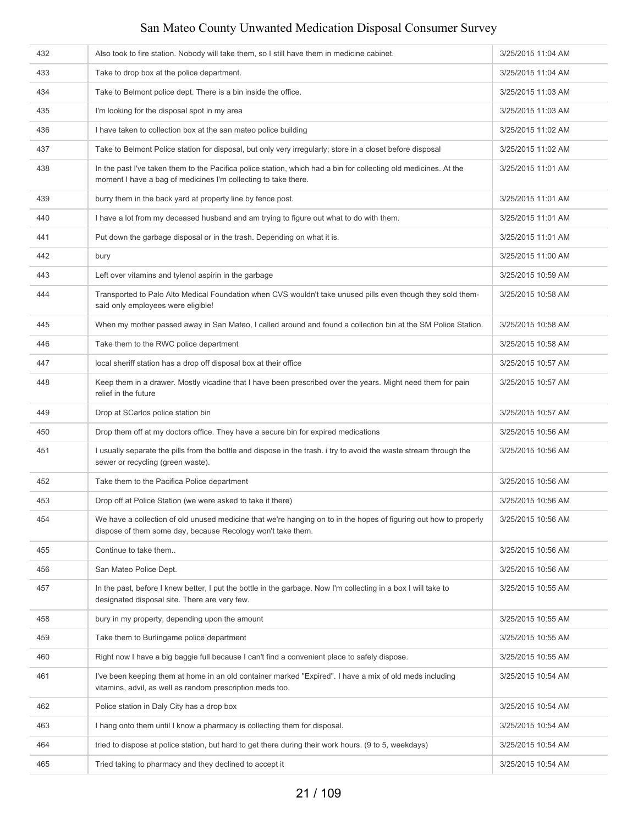| 432 | Also took to fire station. Nobody will take them, so I still have them in medicine cabinet.                                                                                        | 3/25/2015 11:04 AM |
|-----|------------------------------------------------------------------------------------------------------------------------------------------------------------------------------------|--------------------|
| 433 | Take to drop box at the police department.                                                                                                                                         | 3/25/2015 11:04 AM |
| 434 | Take to Belmont police dept. There is a bin inside the office.                                                                                                                     | 3/25/2015 11:03 AM |
| 435 | I'm looking for the disposal spot in my area                                                                                                                                       | 3/25/2015 11:03 AM |
| 436 | I have taken to collection box at the san mateo police building                                                                                                                    | 3/25/2015 11:02 AM |
| 437 | Take to Belmont Police station for disposal, but only very irregularly; store in a closet before disposal                                                                          | 3/25/2015 11:02 AM |
| 438 | In the past I've taken them to the Pacifica police station, which had a bin for collecting old medicines. At the<br>moment I have a bag of medicines I'm collecting to take there. | 3/25/2015 11:01 AM |
| 439 | burry them in the back yard at property line by fence post.                                                                                                                        | 3/25/2015 11:01 AM |
| 440 | I have a lot from my deceased husband and am trying to figure out what to do with them.                                                                                            | 3/25/2015 11:01 AM |
| 441 | Put down the garbage disposal or in the trash. Depending on what it is.                                                                                                            | 3/25/2015 11:01 AM |
| 442 | bury                                                                                                                                                                               | 3/25/2015 11:00 AM |
| 443 | Left over vitamins and tylenol aspirin in the garbage                                                                                                                              | 3/25/2015 10:59 AM |
| 444 | Transported to Palo Alto Medical Foundation when CVS wouldn't take unused pills even though they sold them-<br>said only employees were eligible!                                  | 3/25/2015 10:58 AM |
| 445 | When my mother passed away in San Mateo, I called around and found a collection bin at the SM Police Station.                                                                      | 3/25/2015 10:58 AM |
| 446 | Take them to the RWC police department                                                                                                                                             | 3/25/2015 10:58 AM |
| 447 | local sheriff station has a drop off disposal box at their office                                                                                                                  | 3/25/2015 10:57 AM |
| 448 | Keep them in a drawer. Mostly vicadine that I have been prescribed over the years. Might need them for pain<br>relief in the future                                                | 3/25/2015 10:57 AM |
| 449 | Drop at SCarlos police station bin                                                                                                                                                 | 3/25/2015 10:57 AM |
| 450 | Drop them off at my doctors office. They have a secure bin for expired medications                                                                                                 | 3/25/2015 10:56 AM |
| 451 | I usually separate the pills from the bottle and dispose in the trash. I try to avoid the waste stream through the<br>sewer or recycling (green waste).                            | 3/25/2015 10:56 AM |
| 452 | Take them to the Pacifica Police department                                                                                                                                        | 3/25/2015 10:56 AM |
| 453 | Drop off at Police Station (we were asked to take it there)                                                                                                                        | 3/25/2015 10:56 AM |
| 454 | We have a collection of old unused medicine that we're hanging on to in the hopes of figuring out how to properly<br>dispose of them some day, because Recology won't take them.   | 3/25/2015 10:56 AM |
| 455 | Continue to take them                                                                                                                                                              | 3/25/2015 10:56 AM |
| 456 | San Mateo Police Dept.                                                                                                                                                             | 3/25/2015 10:56 AM |
| 457 | In the past, before I knew better, I put the bottle in the garbage. Now I'm collecting in a box I will take to<br>designated disposal site. There are very few.                    | 3/25/2015 10:55 AM |
| 458 | bury in my property, depending upon the amount                                                                                                                                     | 3/25/2015 10:55 AM |
| 459 | Take them to Burlingame police department                                                                                                                                          | 3/25/2015 10:55 AM |
| 460 | Right now I have a big baggie full because I can't find a convenient place to safely dispose.                                                                                      | 3/25/2015 10:55 AM |
| 461 | I've been keeping them at home in an old container marked "Expired". I have a mix of old meds including<br>vitamins, advil, as well as random prescription meds too.               | 3/25/2015 10:54 AM |
| 462 | Police station in Daly City has a drop box                                                                                                                                         | 3/25/2015 10:54 AM |
| 463 | I hang onto them until I know a pharmacy is collecting them for disposal.                                                                                                          | 3/25/2015 10:54 AM |
| 464 | tried to dispose at police station, but hard to get there during their work hours. (9 to 5, weekdays)                                                                              | 3/25/2015 10:54 AM |
| 465 | Tried taking to pharmacy and they declined to accept it                                                                                                                            | 3/25/2015 10:54 AM |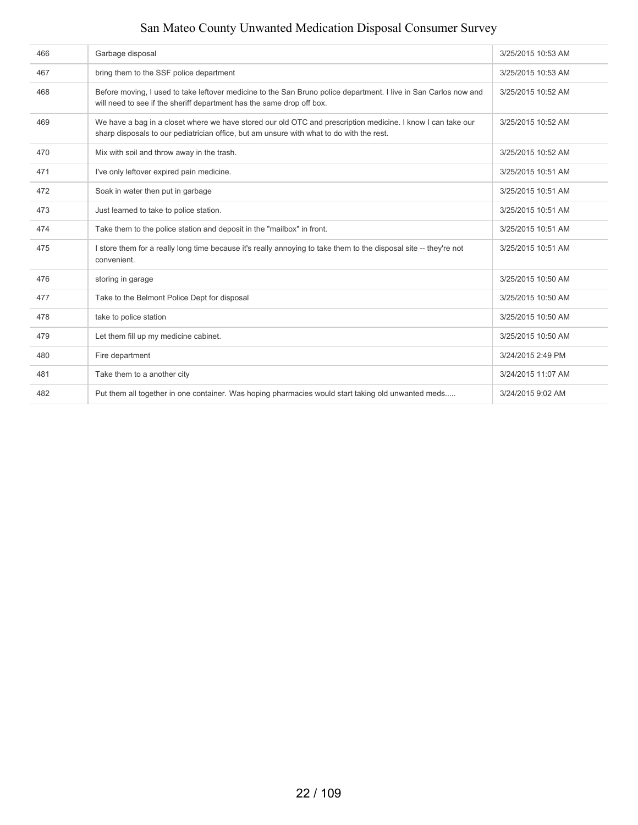| 466 | Garbage disposal                                                                                                                                                                                        | 3/25/2015 10:53 AM |
|-----|---------------------------------------------------------------------------------------------------------------------------------------------------------------------------------------------------------|--------------------|
| 467 | bring them to the SSF police department                                                                                                                                                                 | 3/25/2015 10:53 AM |
| 468 | Before moving, I used to take leftover medicine to the San Bruno police department. I live in San Carlos now and<br>will need to see if the sheriff department has the same drop off box.               | 3/25/2015 10:52 AM |
| 469 | We have a bag in a closet where we have stored our old OTC and prescription medicine. I know I can take our<br>sharp disposals to our pediatrician office, but am unsure with what to do with the rest. | 3/25/2015 10:52 AM |
| 470 | Mix with soil and throw away in the trash.                                                                                                                                                              | 3/25/2015 10:52 AM |
| 471 | I've only leftover expired pain medicine.                                                                                                                                                               | 3/25/2015 10:51 AM |
| 472 | Soak in water then put in garbage                                                                                                                                                                       | 3/25/2015 10:51 AM |
| 473 | Just learned to take to police station.                                                                                                                                                                 | 3/25/2015 10:51 AM |
| 474 | Take them to the police station and deposit in the "mailbox" in front.                                                                                                                                  | 3/25/2015 10:51 AM |
| 475 | I store them for a really long time because it's really annoying to take them to the disposal site -- they're not<br>convenient.                                                                        | 3/25/2015 10:51 AM |
| 476 | storing in garage                                                                                                                                                                                       | 3/25/2015 10:50 AM |
| 477 | Take to the Belmont Police Dept for disposal                                                                                                                                                            | 3/25/2015 10:50 AM |
| 478 | take to police station                                                                                                                                                                                  | 3/25/2015 10:50 AM |
| 479 | Let them fill up my medicine cabinet.                                                                                                                                                                   | 3/25/2015 10:50 AM |
| 480 | Fire department                                                                                                                                                                                         | 3/24/2015 2:49 PM  |
| 481 | Take them to a another city                                                                                                                                                                             | 3/24/2015 11:07 AM |
| 482 | Put them all together in one container. Was hoping pharmacies would start taking old unwanted meds                                                                                                      | 3/24/2015 9:02 AM  |
|     |                                                                                                                                                                                                         |                    |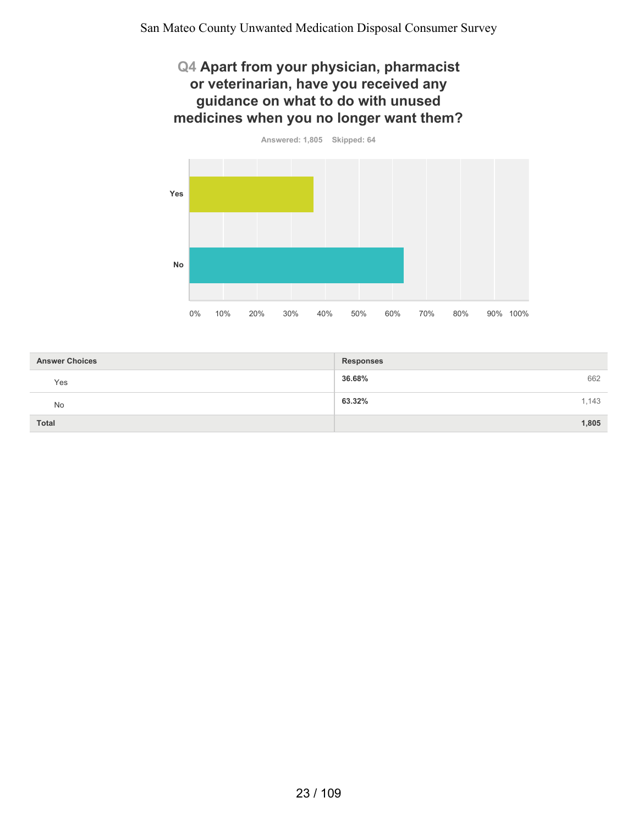#### **Q4 Apart from your physician, pharmacist or veterinarian, have you received any guidance on what to do with unused medicines when you no longer want them?**



| <b>Answer Choices</b> | <b>Responses</b> |
|-----------------------|------------------|
| Yes                   | 36.68%<br>662    |
| No                    | 63.32%<br>1,143  |
| <b>Total</b>          | 1,805            |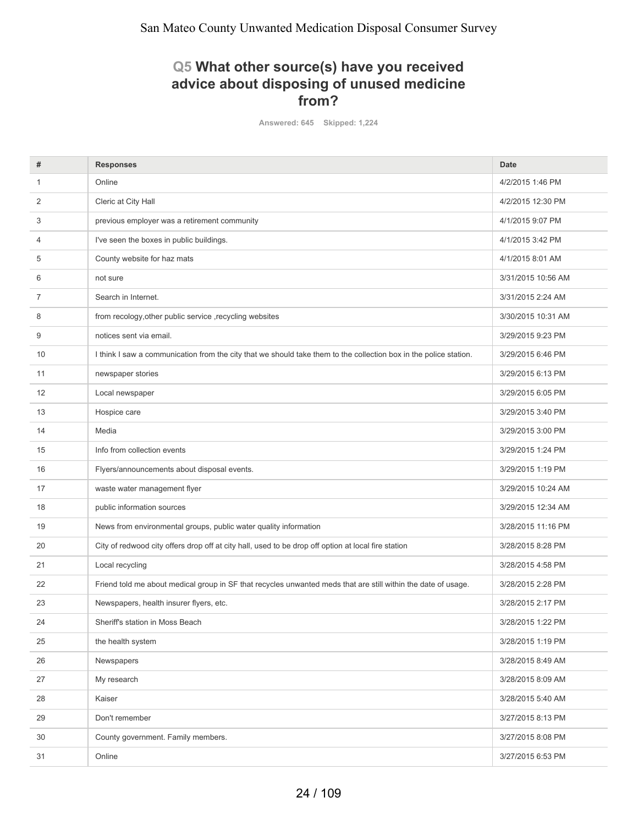#### **Q5 What other source(s) have you received advice about disposing of unused medicine from?**

**Answered: 645 Skipped: 1,224**

| #  | <b>Responses</b>                                                                                                  | <b>Date</b>        |
|----|-------------------------------------------------------------------------------------------------------------------|--------------------|
| 1  | Online                                                                                                            | 4/2/2015 1:46 PM   |
| 2  | Cleric at City Hall                                                                                               | 4/2/2015 12:30 PM  |
| 3  | previous employer was a retirement community                                                                      | 4/1/2015 9:07 PM   |
| 4  | I've seen the boxes in public buildings.                                                                          | 4/1/2015 3:42 PM   |
| 5  | County website for haz mats                                                                                       | 4/1/2015 8:01 AM   |
| 6  | not sure                                                                                                          | 3/31/2015 10:56 AM |
| 7  | Search in Internet.                                                                                               | 3/31/2015 2:24 AM  |
| 8  | from recology, other public service, recycling websites                                                           | 3/30/2015 10:31 AM |
| 9  | notices sent via email.                                                                                           | 3/29/2015 9:23 PM  |
| 10 | I think I saw a communication from the city that we should take them to the collection box in the police station. | 3/29/2015 6:46 PM  |
| 11 | newspaper stories                                                                                                 | 3/29/2015 6:13 PM  |
| 12 | Local newspaper                                                                                                   | 3/29/2015 6:05 PM  |
| 13 | Hospice care                                                                                                      | 3/29/2015 3:40 PM  |
| 14 | Media                                                                                                             | 3/29/2015 3:00 PM  |
| 15 | Info from collection events                                                                                       | 3/29/2015 1:24 PM  |
| 16 | Flyers/announcements about disposal events.                                                                       | 3/29/2015 1:19 PM  |
| 17 | waste water management flyer                                                                                      | 3/29/2015 10:24 AM |
| 18 | public information sources                                                                                        | 3/29/2015 12:34 AM |
| 19 | News from environmental groups, public water quality information                                                  | 3/28/2015 11:16 PM |
| 20 | City of redwood city offers drop off at city hall, used to be drop off option at local fire station               | 3/28/2015 8:28 PM  |
| 21 | Local recycling                                                                                                   | 3/28/2015 4:58 PM  |
| 22 | Friend told me about medical group in SF that recycles unwanted meds that are still within the date of usage.     | 3/28/2015 2:28 PM  |
| 23 | Newspapers, health insurer flyers, etc.                                                                           | 3/28/2015 2:17 PM  |
| 24 | Sheriff's station in Moss Beach                                                                                   | 3/28/2015 1:22 PM  |
| 25 | the health system                                                                                                 | 3/28/2015 1:19 PM  |
| 26 | Newspapers                                                                                                        | 3/28/2015 8:49 AM  |
| 27 | My research                                                                                                       | 3/28/2015 8:09 AM  |
| 28 | Kaiser                                                                                                            | 3/28/2015 5:40 AM  |
| 29 | Don't remember                                                                                                    | 3/27/2015 8:13 PM  |
| 30 | County government. Family members.                                                                                | 3/27/2015 8:08 PM  |
| 31 | Online                                                                                                            | 3/27/2015 6:53 PM  |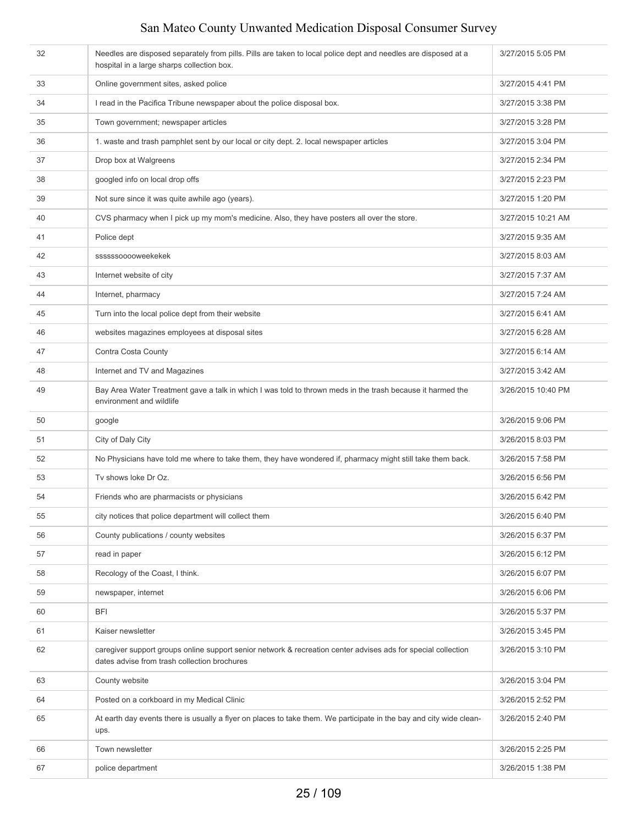| 32 | Needles are disposed separately from pills. Pills are taken to local police dept and needles are disposed at a<br>hospital in a large sharps collection box.  | 3/27/2015 5:05 PM  |
|----|---------------------------------------------------------------------------------------------------------------------------------------------------------------|--------------------|
| 33 | Online government sites, asked police                                                                                                                         | 3/27/2015 4:41 PM  |
| 34 | I read in the Pacifica Tribune newspaper about the police disposal box.                                                                                       | 3/27/2015 3:38 PM  |
| 35 | Town government; newspaper articles                                                                                                                           | 3/27/2015 3:28 PM  |
| 36 | 1. waste and trash pamphlet sent by our local or city dept. 2. local newspaper articles                                                                       | 3/27/2015 3:04 PM  |
| 37 | Drop box at Walgreens                                                                                                                                         | 3/27/2015 2:34 PM  |
| 38 | googled info on local drop offs                                                                                                                               | 3/27/2015 2:23 PM  |
| 39 | Not sure since it was quite awhile ago (years).                                                                                                               | 3/27/2015 1:20 PM  |
| 40 | CVS pharmacy when I pick up my mom's medicine. Also, they have posters all over the store.                                                                    | 3/27/2015 10:21 AM |
| 41 | Police dept                                                                                                                                                   | 3/27/2015 9:35 AM  |
| 42 | ssssssooooweekekek                                                                                                                                            | 3/27/2015 8:03 AM  |
| 43 | Internet website of city                                                                                                                                      | 3/27/2015 7:37 AM  |
| 44 | Internet, pharmacy                                                                                                                                            | 3/27/2015 7:24 AM  |
| 45 | Turn into the local police dept from their website                                                                                                            | 3/27/2015 6:41 AM  |
| 46 | websites magazines employees at disposal sites                                                                                                                | 3/27/2015 6:28 AM  |
| 47 | Contra Costa County                                                                                                                                           | 3/27/2015 6:14 AM  |
| 48 | Internet and TV and Magazines                                                                                                                                 | 3/27/2015 3:42 AM  |
| 49 | Bay Area Water Treatment gave a talk in which I was told to thrown meds in the trash because it harmed the<br>environment and wildlife                        | 3/26/2015 10:40 PM |
| 50 | google                                                                                                                                                        | 3/26/2015 9:06 PM  |
| 51 | City of Daly City                                                                                                                                             | 3/26/2015 8:03 PM  |
| 52 | No Physicians have told me where to take them, they have wondered if, pharmacy might still take them back.                                                    | 3/26/2015 7:58 PM  |
| 53 | Tv shows loke Dr Oz.                                                                                                                                          | 3/26/2015 6:56 PM  |
| 54 | Friends who are pharmacists or physicians                                                                                                                     | 3/26/2015 6:42 PM  |
| 55 | city notices that police department will collect them                                                                                                         | 3/26/2015 6:40 PM  |
| 56 | County publications / county websites                                                                                                                         | 3/26/2015 6:37 PM  |
| 57 | read in paper                                                                                                                                                 | 3/26/2015 6:12 PM  |
| 58 | Recology of the Coast, I think.                                                                                                                               | 3/26/2015 6:07 PM  |
| 59 | newspaper, internet                                                                                                                                           | 3/26/2015 6:06 PM  |
| 60 | <b>BFI</b>                                                                                                                                                    | 3/26/2015 5:37 PM  |
| 61 | Kaiser newsletter                                                                                                                                             | 3/26/2015 3:45 PM  |
| 62 | caregiver support groups online support senior network & recreation center advises ads for special collection<br>dates advise from trash collection brochures | 3/26/2015 3:10 PM  |
| 63 | County website                                                                                                                                                | 3/26/2015 3:04 PM  |
| 64 | Posted on a corkboard in my Medical Clinic                                                                                                                    | 3/26/2015 2:52 PM  |
| 65 | At earth day events there is usually a flyer on places to take them. We participate in the bay and city wide clean-<br>ups.                                   | 3/26/2015 2:40 PM  |
| 66 | Town newsletter                                                                                                                                               | 3/26/2015 2:25 PM  |
| 67 | police department                                                                                                                                             | 3/26/2015 1:38 PM  |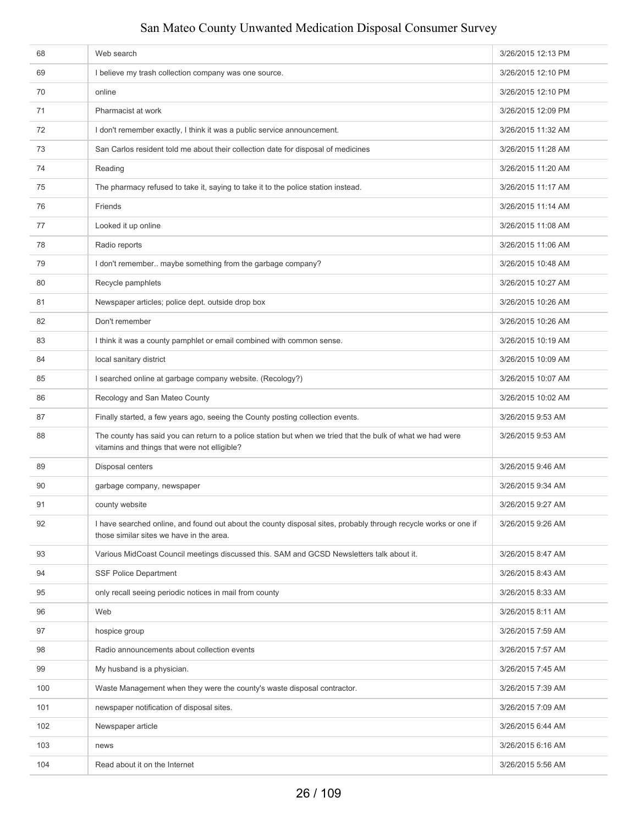| 68  | Web search                                                                                                                                                  | 3/26/2015 12:13 PM |
|-----|-------------------------------------------------------------------------------------------------------------------------------------------------------------|--------------------|
| 69  | I believe my trash collection company was one source.                                                                                                       | 3/26/2015 12:10 PM |
| 70  | online                                                                                                                                                      | 3/26/2015 12:10 PM |
| 71  | Pharmacist at work                                                                                                                                          | 3/26/2015 12:09 PM |
| 72  | I don't remember exactly, I think it was a public service announcement.                                                                                     | 3/26/2015 11:32 AM |
| 73  | San Carlos resident told me about their collection date for disposal of medicines                                                                           | 3/26/2015 11:28 AM |
| 74  | Reading                                                                                                                                                     | 3/26/2015 11:20 AM |
| 75  | The pharmacy refused to take it, saying to take it to the police station instead.                                                                           | 3/26/2015 11:17 AM |
| 76  | Friends                                                                                                                                                     | 3/26/2015 11:14 AM |
| 77  | Looked it up online                                                                                                                                         | 3/26/2015 11:08 AM |
| 78  | Radio reports                                                                                                                                               | 3/26/2015 11:06 AM |
| 79  | I don't remember maybe something from the garbage company?                                                                                                  | 3/26/2015 10:48 AM |
| 80  | Recycle pamphlets                                                                                                                                           | 3/26/2015 10:27 AM |
| 81  | Newspaper articles; police dept. outside drop box                                                                                                           | 3/26/2015 10:26 AM |
| 82  | Don't remember                                                                                                                                              | 3/26/2015 10:26 AM |
| 83  | I think it was a county pamphlet or email combined with common sense.                                                                                       | 3/26/2015 10:19 AM |
| 84  | local sanitary district                                                                                                                                     | 3/26/2015 10:09 AM |
| 85  | I searched online at garbage company website. (Recology?)                                                                                                   | 3/26/2015 10:07 AM |
| 86  | Recology and San Mateo County                                                                                                                               | 3/26/2015 10:02 AM |
| 87  | Finally started, a few years ago, seeing the County posting collection events.                                                                              | 3/26/2015 9:53 AM  |
| 88  | The county has said you can return to a police station but when we tried that the bulk of what we had were<br>vitamins and things that were not elligible?  | 3/26/2015 9:53 AM  |
| 89  | Disposal centers                                                                                                                                            | 3/26/2015 9:46 AM  |
| 90  | garbage company, newspaper                                                                                                                                  | 3/26/2015 9:34 AM  |
| 91  | county website                                                                                                                                              | 3/26/2015 9:27 AM  |
| 92  | I have searched online, and found out about the county disposal sites, probably through recycle works or one if<br>those similar sites we have in the area. | 3/26/2015 9:26 AM  |
| 93  | Various MidCoast Council meetings discussed this. SAM and GCSD Newsletters talk about it.                                                                   | 3/26/2015 8:47 AM  |
| 94  | <b>SSF Police Department</b>                                                                                                                                | 3/26/2015 8:43 AM  |
| 95  | only recall seeing periodic notices in mail from county                                                                                                     | 3/26/2015 8:33 AM  |
| 96  | Web                                                                                                                                                         | 3/26/2015 8:11 AM  |
| 97  | hospice group                                                                                                                                               | 3/26/2015 7:59 AM  |
| 98  | Radio announcements about collection events                                                                                                                 | 3/26/2015 7:57 AM  |
| 99  | My husband is a physician.                                                                                                                                  | 3/26/2015 7:45 AM  |
| 100 | Waste Management when they were the county's waste disposal contractor.                                                                                     | 3/26/2015 7:39 AM  |
| 101 | newspaper notification of disposal sites.                                                                                                                   | 3/26/2015 7:09 AM  |
| 102 | Newspaper article                                                                                                                                           | 3/26/2015 6:44 AM  |
| 103 | news                                                                                                                                                        | 3/26/2015 6:16 AM  |
| 104 | Read about it on the Internet                                                                                                                               | 3/26/2015 5:56 AM  |
|     |                                                                                                                                                             |                    |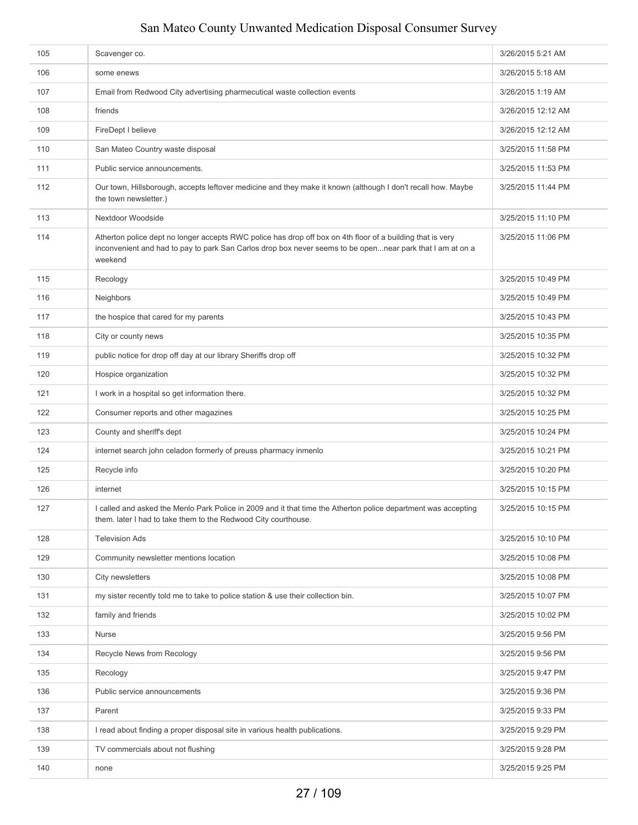| 105 | Scavenger co.                                                                                                                                                                                                                      | 3/26/2015 5:21 AM  |
|-----|------------------------------------------------------------------------------------------------------------------------------------------------------------------------------------------------------------------------------------|--------------------|
| 106 | some enews                                                                                                                                                                                                                         | 3/26/2015 5:18 AM  |
| 107 | Email from Redwood City advertising pharmecutical waste collection events                                                                                                                                                          | 3/26/2015 1:19 AM  |
| 108 | friends                                                                                                                                                                                                                            | 3/26/2015 12:12 AM |
| 109 | FireDept I believe                                                                                                                                                                                                                 | 3/26/2015 12:12 AM |
| 110 | San Mateo Country waste disposal                                                                                                                                                                                                   | 3/25/2015 11:58 PM |
| 111 | Public service announcements.                                                                                                                                                                                                      | 3/25/2015 11:53 PM |
| 112 | Our town, Hillsborough, accepts leftover medicine and they make it known (although I don't recall how. Maybe<br>the town newsletter.)                                                                                              | 3/25/2015 11:44 PM |
| 113 | Nextdoor Woodside                                                                                                                                                                                                                  | 3/25/2015 11:10 PM |
| 114 | Atherton police dept no longer accepts RWC police has drop off box on 4th floor of a building that is very<br>inconvenient and had to pay to park San Carlos drop box never seems to be opennear park that I am at on a<br>weekend | 3/25/2015 11:06 PM |
| 115 | Recology                                                                                                                                                                                                                           | 3/25/2015 10:49 PM |
| 116 | Neighbors                                                                                                                                                                                                                          | 3/25/2015 10:49 PM |
| 117 | the hospice that cared for my parents                                                                                                                                                                                              | 3/25/2015 10:43 PM |
| 118 | City or county news                                                                                                                                                                                                                | 3/25/2015 10:35 PM |
| 119 | public notice for drop off day at our library Sheriffs drop off                                                                                                                                                                    | 3/25/2015 10:32 PM |
| 120 | Hospice organization                                                                                                                                                                                                               | 3/25/2015 10:32 PM |
| 121 | I work in a hospital so get information there.                                                                                                                                                                                     | 3/25/2015 10:32 PM |
| 122 | Consumer reports and other magazines                                                                                                                                                                                               | 3/25/2015 10:25 PM |
| 123 | County and sheriff's dept                                                                                                                                                                                                          | 3/25/2015 10:24 PM |
| 124 | internet search john celadon formerly of preuss pharmacy inmenlo                                                                                                                                                                   | 3/25/2015 10:21 PM |
| 125 | Recycle info                                                                                                                                                                                                                       | 3/25/2015 10:20 PM |
| 126 | internet                                                                                                                                                                                                                           | 3/25/2015 10:15 PM |
| 127 | I called and asked the Menlo Park Police in 2009 and it that time the Atherton police department was accepting<br>them. later I had to take them to the Redwood City courthouse.                                                   | 3/25/2015 10:15 PM |
| 128 | <b>Television Ads</b>                                                                                                                                                                                                              | 3/25/2015 10:10 PM |
| 129 | Community newsletter mentions location                                                                                                                                                                                             | 3/25/2015 10:08 PM |
| 130 | City newsletters                                                                                                                                                                                                                   | 3/25/2015 10:08 PM |
| 131 | my sister recently told me to take to police station & use their collection bin.                                                                                                                                                   | 3/25/2015 10:07 PM |
| 132 | family and friends                                                                                                                                                                                                                 | 3/25/2015 10:02 PM |
| 133 | Nurse                                                                                                                                                                                                                              | 3/25/2015 9:56 PM  |
| 134 | Recycle News from Recology                                                                                                                                                                                                         | 3/25/2015 9:56 PM  |
| 135 | Recology                                                                                                                                                                                                                           | 3/25/2015 9:47 PM  |
| 136 | Public service announcements                                                                                                                                                                                                       | 3/25/2015 9:36 PM  |
| 137 | Parent                                                                                                                                                                                                                             | 3/25/2015 9:33 PM  |
| 138 | I read about finding a proper disposal site in various health publications.                                                                                                                                                        | 3/25/2015 9:29 PM  |
| 139 | TV commercials about not flushing                                                                                                                                                                                                  | 3/25/2015 9:28 PM  |
| 140 | none                                                                                                                                                                                                                               | 3/25/2015 9:25 PM  |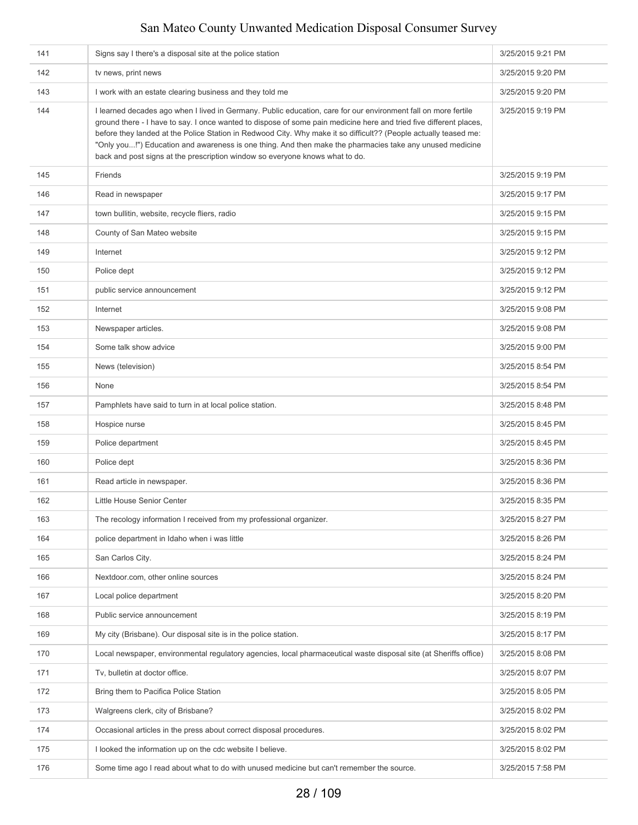| 141 | Signs say I there's a disposal site at the police station                                                                                                                                                                                                                                                                                                                                                                                                                                                                                            | 3/25/2015 9:21 PM |
|-----|------------------------------------------------------------------------------------------------------------------------------------------------------------------------------------------------------------------------------------------------------------------------------------------------------------------------------------------------------------------------------------------------------------------------------------------------------------------------------------------------------------------------------------------------------|-------------------|
| 142 | tv news, print news                                                                                                                                                                                                                                                                                                                                                                                                                                                                                                                                  | 3/25/2015 9:20 PM |
| 143 | I work with an estate clearing business and they told me                                                                                                                                                                                                                                                                                                                                                                                                                                                                                             | 3/25/2015 9:20 PM |
| 144 | I learned decades ago when I lived in Germany. Public education, care for our environment fall on more fertile<br>ground there - I have to say. I once wanted to dispose of some pain medicine here and tried five different places,<br>before they landed at the Police Station in Redwood City. Why make it so difficult?? (People actually teased me:<br>"Only you!") Education and awareness is one thing. And then make the pharmacies take any unused medicine<br>back and post signs at the prescription window so everyone knows what to do. | 3/25/2015 9:19 PM |
| 145 | Friends                                                                                                                                                                                                                                                                                                                                                                                                                                                                                                                                              | 3/25/2015 9:19 PM |
| 146 | Read in newspaper                                                                                                                                                                                                                                                                                                                                                                                                                                                                                                                                    | 3/25/2015 9:17 PM |
| 147 | town bullitin, website, recycle fliers, radio                                                                                                                                                                                                                                                                                                                                                                                                                                                                                                        | 3/25/2015 9:15 PM |
| 148 | County of San Mateo website                                                                                                                                                                                                                                                                                                                                                                                                                                                                                                                          | 3/25/2015 9:15 PM |
| 149 | Internet                                                                                                                                                                                                                                                                                                                                                                                                                                                                                                                                             | 3/25/2015 9:12 PM |
| 150 | Police dept                                                                                                                                                                                                                                                                                                                                                                                                                                                                                                                                          | 3/25/2015 9:12 PM |
| 151 | public service announcement                                                                                                                                                                                                                                                                                                                                                                                                                                                                                                                          | 3/25/2015 9:12 PM |
| 152 | Internet                                                                                                                                                                                                                                                                                                                                                                                                                                                                                                                                             | 3/25/2015 9:08 PM |
| 153 | Newspaper articles.                                                                                                                                                                                                                                                                                                                                                                                                                                                                                                                                  | 3/25/2015 9:08 PM |
| 154 | Some talk show advice                                                                                                                                                                                                                                                                                                                                                                                                                                                                                                                                | 3/25/2015 9:00 PM |
| 155 | News (television)                                                                                                                                                                                                                                                                                                                                                                                                                                                                                                                                    | 3/25/2015 8:54 PM |
| 156 | None                                                                                                                                                                                                                                                                                                                                                                                                                                                                                                                                                 | 3/25/2015 8:54 PM |
| 157 | Pamphlets have said to turn in at local police station.                                                                                                                                                                                                                                                                                                                                                                                                                                                                                              | 3/25/2015 8:48 PM |
| 158 | Hospice nurse                                                                                                                                                                                                                                                                                                                                                                                                                                                                                                                                        | 3/25/2015 8:45 PM |
| 159 | Police department                                                                                                                                                                                                                                                                                                                                                                                                                                                                                                                                    | 3/25/2015 8:45 PM |
| 160 | Police dept                                                                                                                                                                                                                                                                                                                                                                                                                                                                                                                                          | 3/25/2015 8:36 PM |
| 161 | Read article in newspaper.                                                                                                                                                                                                                                                                                                                                                                                                                                                                                                                           | 3/25/2015 8:36 PM |
| 162 | Little House Senior Center                                                                                                                                                                                                                                                                                                                                                                                                                                                                                                                           | 3/25/2015 8:35 PM |
| 163 | The recology information I received from my professional organizer.                                                                                                                                                                                                                                                                                                                                                                                                                                                                                  | 3/25/2015 8:27 PM |
| 164 | police department in Idaho when i was little                                                                                                                                                                                                                                                                                                                                                                                                                                                                                                         | 3/25/2015 8:26 PM |
| 165 | San Carlos City.                                                                                                                                                                                                                                                                                                                                                                                                                                                                                                                                     | 3/25/2015 8:24 PM |
| 166 | Nextdoor.com, other online sources                                                                                                                                                                                                                                                                                                                                                                                                                                                                                                                   | 3/25/2015 8:24 PM |
| 167 | Local police department                                                                                                                                                                                                                                                                                                                                                                                                                                                                                                                              | 3/25/2015 8:20 PM |
| 168 | Public service announcement                                                                                                                                                                                                                                                                                                                                                                                                                                                                                                                          | 3/25/2015 8:19 PM |
| 169 | My city (Brisbane). Our disposal site is in the police station.                                                                                                                                                                                                                                                                                                                                                                                                                                                                                      | 3/25/2015 8:17 PM |
| 170 | Local newspaper, environmental regulatory agencies, local pharmaceutical waste disposal site (at Sheriffs office)                                                                                                                                                                                                                                                                                                                                                                                                                                    | 3/25/2015 8:08 PM |
| 171 | Tv, bulletin at doctor office.                                                                                                                                                                                                                                                                                                                                                                                                                                                                                                                       | 3/25/2015 8:07 PM |
| 172 | Bring them to Pacifica Police Station                                                                                                                                                                                                                                                                                                                                                                                                                                                                                                                | 3/25/2015 8:05 PM |
| 173 | Walgreens clerk, city of Brisbane?                                                                                                                                                                                                                                                                                                                                                                                                                                                                                                                   | 3/25/2015 8:02 PM |
| 174 | Occasional articles in the press about correct disposal procedures.                                                                                                                                                                                                                                                                                                                                                                                                                                                                                  | 3/25/2015 8:02 PM |
| 175 | I looked the information up on the cdc website I believe.                                                                                                                                                                                                                                                                                                                                                                                                                                                                                            | 3/25/2015 8:02 PM |
| 176 | Some time ago I read about what to do with unused medicine but can't remember the source.                                                                                                                                                                                                                                                                                                                                                                                                                                                            | 3/25/2015 7:58 PM |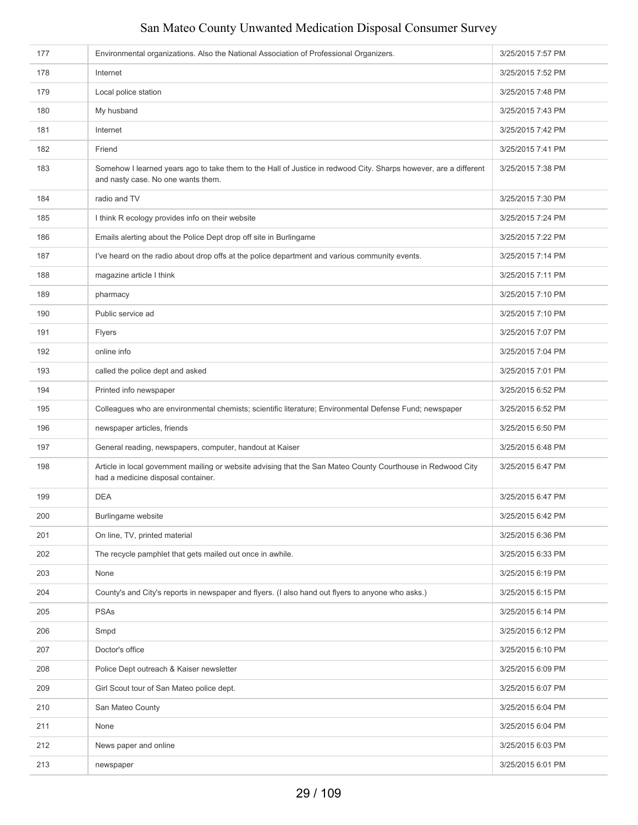| 177 | Environmental organizations. Also the National Association of Professional Organizers.                                                                 | 3/25/2015 7:57 PM |
|-----|--------------------------------------------------------------------------------------------------------------------------------------------------------|-------------------|
| 178 | Internet                                                                                                                                               | 3/25/2015 7:52 PM |
| 179 | Local police station                                                                                                                                   | 3/25/2015 7:48 PM |
| 180 | My husband                                                                                                                                             | 3/25/2015 7:43 PM |
| 181 | Internet                                                                                                                                               | 3/25/2015 7:42 PM |
| 182 | Friend                                                                                                                                                 | 3/25/2015 7:41 PM |
| 183 | Somehow I learned years ago to take them to the Hall of Justice in redwood City. Sharps however, are a different<br>and nasty case. No one wants them. | 3/25/2015 7:38 PM |
| 184 | radio and TV                                                                                                                                           | 3/25/2015 7:30 PM |
| 185 | I think R ecology provides info on their website                                                                                                       | 3/25/2015 7:24 PM |
| 186 | Emails alerting about the Police Dept drop off site in Burlingame                                                                                      | 3/25/2015 7:22 PM |
| 187 | I've heard on the radio about drop offs at the police department and various community events.                                                         | 3/25/2015 7:14 PM |
| 188 | magazine article I think                                                                                                                               | 3/25/2015 7:11 PM |
| 189 | pharmacy                                                                                                                                               | 3/25/2015 7:10 PM |
| 190 | Public service ad                                                                                                                                      | 3/25/2015 7:10 PM |
| 191 | Flyers                                                                                                                                                 | 3/25/2015 7:07 PM |
| 192 | online info                                                                                                                                            | 3/25/2015 7:04 PM |
| 193 | called the police dept and asked                                                                                                                       | 3/25/2015 7:01 PM |
| 194 | Printed info newspaper                                                                                                                                 | 3/25/2015 6:52 PM |
| 195 | Colleagues who are environmental chemists; scientific literature; Environmental Defense Fund; newspaper                                                | 3/25/2015 6:52 PM |
| 196 | newspaper articles, friends                                                                                                                            | 3/25/2015 6:50 PM |
| 197 | General reading, newspapers, computer, handout at Kaiser                                                                                               | 3/25/2015 6:48 PM |
| 198 | Article in local government mailing or website advising that the San Mateo County Courthouse in Redwood City<br>had a medicine disposal container.     | 3/25/2015 6:47 PM |
| 199 | <b>DEA</b>                                                                                                                                             | 3/25/2015 6:47 PM |
| 200 | Burlingame website                                                                                                                                     | 3/25/2015 6:42 PM |
| 201 | On line, TV, printed material                                                                                                                          | 3/25/2015 6:36 PM |
| 202 | The recycle pamphlet that gets mailed out once in awhile.                                                                                              | 3/25/2015 6:33 PM |
| 203 | None                                                                                                                                                   | 3/25/2015 6:19 PM |
| 204 | County's and City's reports in newspaper and flyers. (I also hand out flyers to anyone who asks.)                                                      | 3/25/2015 6:15 PM |
| 205 | <b>PSAs</b>                                                                                                                                            | 3/25/2015 6:14 PM |
| 206 | Smpd                                                                                                                                                   | 3/25/2015 6:12 PM |
| 207 | Doctor's office                                                                                                                                        | 3/25/2015 6:10 PM |
| 208 | Police Dept outreach & Kaiser newsletter                                                                                                               | 3/25/2015 6:09 PM |
| 209 | Girl Scout tour of San Mateo police dept.                                                                                                              | 3/25/2015 6:07 PM |
| 210 | San Mateo County                                                                                                                                       | 3/25/2015 6:04 PM |
| 211 | None                                                                                                                                                   | 3/25/2015 6:04 PM |
| 212 | News paper and online                                                                                                                                  | 3/25/2015 6:03 PM |
| 213 | newspaper                                                                                                                                              | 3/25/2015 6:01 PM |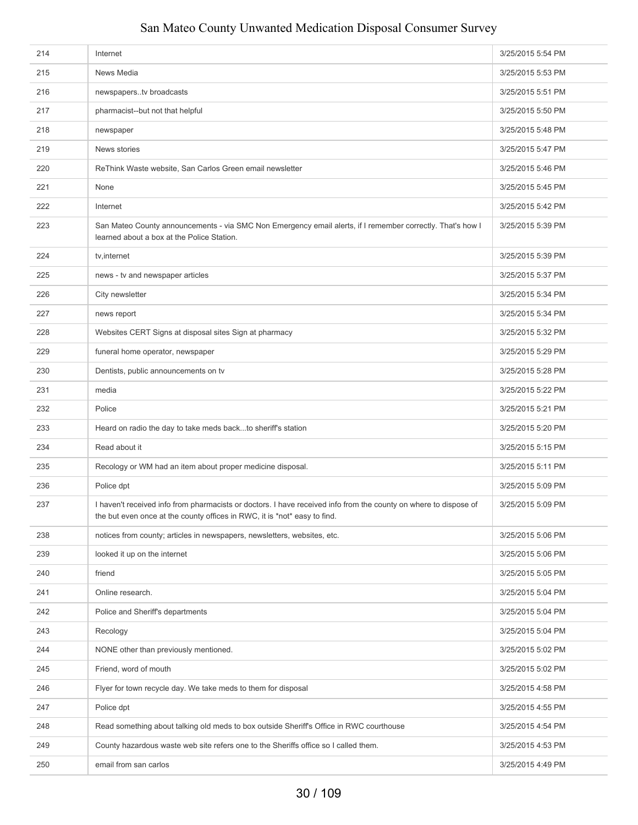| 214 | Internet                                                                                                                                                                                      | 3/25/2015 5:54 PM |
|-----|-----------------------------------------------------------------------------------------------------------------------------------------------------------------------------------------------|-------------------|
| 215 | News Media                                                                                                                                                                                    | 3/25/2015 5:53 PM |
| 216 | newspaperstv broadcasts                                                                                                                                                                       | 3/25/2015 5:51 PM |
| 217 | pharmacist--but not that helpful                                                                                                                                                              | 3/25/2015 5:50 PM |
| 218 | newspaper                                                                                                                                                                                     | 3/25/2015 5:48 PM |
| 219 | News stories                                                                                                                                                                                  | 3/25/2015 5:47 PM |
| 220 | ReThink Waste website, San Carlos Green email newsletter                                                                                                                                      | 3/25/2015 5:46 PM |
| 221 | None                                                                                                                                                                                          | 3/25/2015 5:45 PM |
| 222 | Internet                                                                                                                                                                                      | 3/25/2015 5:42 PM |
| 223 | San Mateo County announcements - via SMC Non Emergency email alerts, if I remember correctly. That's how I<br>learned about a box at the Police Station.                                      | 3/25/2015 5:39 PM |
| 224 | tv, internet                                                                                                                                                                                  | 3/25/2015 5:39 PM |
| 225 | news - tv and newspaper articles                                                                                                                                                              | 3/25/2015 5:37 PM |
| 226 | City newsletter                                                                                                                                                                               | 3/25/2015 5:34 PM |
| 227 | news report                                                                                                                                                                                   | 3/25/2015 5:34 PM |
| 228 | Websites CERT Signs at disposal sites Sign at pharmacy                                                                                                                                        | 3/25/2015 5:32 PM |
| 229 | funeral home operator, newspaper                                                                                                                                                              | 3/25/2015 5:29 PM |
| 230 | Dentists, public announcements on tv                                                                                                                                                          | 3/25/2015 5:28 PM |
| 231 | media                                                                                                                                                                                         | 3/25/2015 5:22 PM |
| 232 | Police                                                                                                                                                                                        | 3/25/2015 5:21 PM |
| 233 | Heard on radio the day to take meds backto sheriff's station                                                                                                                                  | 3/25/2015 5:20 PM |
| 234 | Read about it                                                                                                                                                                                 | 3/25/2015 5:15 PM |
| 235 | Recology or WM had an item about proper medicine disposal.                                                                                                                                    | 3/25/2015 5:11 PM |
| 236 | Police dpt                                                                                                                                                                                    | 3/25/2015 5:09 PM |
| 237 | I haven't received info from pharmacists or doctors. I have received info from the county on where to dispose of<br>the but even once at the county offices in RWC, it is *not* easy to find. | 3/25/2015 5:09 PM |
| 238 | notices from county; articles in newspapers, newsletters, websites, etc.                                                                                                                      | 3/25/2015 5:06 PM |
| 239 | looked it up on the internet                                                                                                                                                                  | 3/25/2015 5:06 PM |
| 240 | friend                                                                                                                                                                                        | 3/25/2015 5:05 PM |
| 241 | Online research.                                                                                                                                                                              | 3/25/2015 5:04 PM |
| 242 | Police and Sheriff's departments                                                                                                                                                              | 3/25/2015 5:04 PM |
| 243 | Recology                                                                                                                                                                                      | 3/25/2015 5:04 PM |
| 244 | NONE other than previously mentioned.                                                                                                                                                         | 3/25/2015 5:02 PM |
| 245 | Friend, word of mouth                                                                                                                                                                         | 3/25/2015 5:02 PM |
| 246 | Flyer for town recycle day. We take meds to them for disposal                                                                                                                                 | 3/25/2015 4:58 PM |
| 247 | Police dpt                                                                                                                                                                                    | 3/25/2015 4:55 PM |
| 248 | Read something about talking old meds to box outside Sheriff's Office in RWC courthouse                                                                                                       | 3/25/2015 4:54 PM |
| 249 | County hazardous waste web site refers one to the Sheriffs office so I called them.                                                                                                           | 3/25/2015 4:53 PM |
| 250 | email from san carlos                                                                                                                                                                         | 3/25/2015 4:49 PM |
|     |                                                                                                                                                                                               |                   |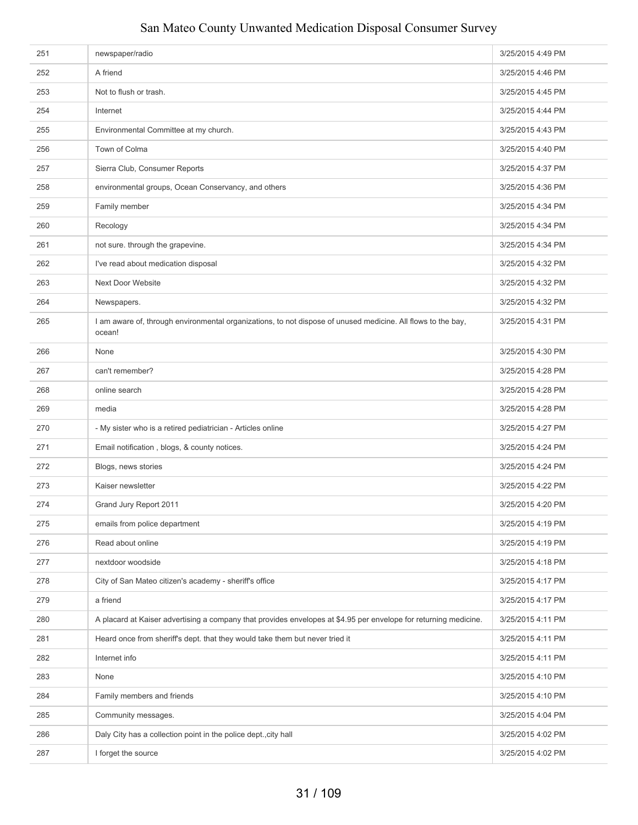| 252<br>A friend                                                                     |                                                                                                                  |                   |
|-------------------------------------------------------------------------------------|------------------------------------------------------------------------------------------------------------------|-------------------|
|                                                                                     |                                                                                                                  | 3/25/2015 4:46 PM |
| 253<br>Not to flush or trash.                                                       |                                                                                                                  | 3/25/2015 4:45 PM |
| 254<br>Internet                                                                     |                                                                                                                  | 3/25/2015 4:44 PM |
| 255<br>Environmental Committee at my church.                                        |                                                                                                                  | 3/25/2015 4:43 PM |
| Town of Colma<br>256                                                                |                                                                                                                  | 3/25/2015 4:40 PM |
| 257<br>Sierra Club, Consumer Reports                                                |                                                                                                                  | 3/25/2015 4:37 PM |
| environmental groups, Ocean Conservancy, and others<br>258                          |                                                                                                                  | 3/25/2015 4:36 PM |
| Family member<br>259                                                                |                                                                                                                  | 3/25/2015 4:34 PM |
| 260<br>Recology                                                                     |                                                                                                                  | 3/25/2015 4:34 PM |
| 261<br>not sure. through the grapevine.                                             |                                                                                                                  | 3/25/2015 4:34 PM |
| I've read about medication disposal<br>262                                          |                                                                                                                  | 3/25/2015 4:32 PM |
| Next Door Website<br>263                                                            |                                                                                                                  | 3/25/2015 4:32 PM |
| 264<br>Newspapers.                                                                  |                                                                                                                  | 3/25/2015 4:32 PM |
| 265<br>ocean!                                                                       | I am aware of, through environmental organizations, to not dispose of unused medicine. All flows to the bay,     | 3/25/2015 4:31 PM |
| 266<br>None                                                                         |                                                                                                                  | 3/25/2015 4:30 PM |
| can't remember?<br>267                                                              |                                                                                                                  | 3/25/2015 4:28 PM |
| 268<br>online search                                                                |                                                                                                                  | 3/25/2015 4:28 PM |
| 269<br>media                                                                        |                                                                                                                  | 3/25/2015 4:28 PM |
| - My sister who is a retired pediatrician - Articles online<br>270                  |                                                                                                                  | 3/25/2015 4:27 PM |
| Email notification, blogs, & county notices.<br>271                                 |                                                                                                                  | 3/25/2015 4:24 PM |
| 272<br>Blogs, news stories                                                          |                                                                                                                  | 3/25/2015 4:24 PM |
| 273<br>Kaiser newsletter                                                            |                                                                                                                  | 3/25/2015 4:22 PM |
| 274<br>Grand Jury Report 2011                                                       |                                                                                                                  | 3/25/2015 4:20 PM |
| 275<br>emails from police department                                                |                                                                                                                  | 3/25/2015 4:19 PM |
| 276<br>Read about online                                                            |                                                                                                                  | 3/25/2015 4:19 PM |
| 277<br>nextdoor woodside                                                            |                                                                                                                  | 3/25/2015 4:18 PM |
| 278<br>City of San Mateo citizen's academy - sheriff's office                       |                                                                                                                  | 3/25/2015 4:17 PM |
| 279<br>a friend                                                                     |                                                                                                                  | 3/25/2015 4:17 PM |
| 280                                                                                 | A placard at Kaiser advertising a company that provides envelopes at \$4.95 per envelope for returning medicine. | 3/25/2015 4:11 PM |
| 281<br>Heard once from sheriff's dept. that they would take them but never tried it |                                                                                                                  | 3/25/2015 4:11 PM |
| Internet info<br>282                                                                |                                                                                                                  | 3/25/2015 4:11 PM |
| 283<br>None                                                                         |                                                                                                                  | 3/25/2015 4:10 PM |
| 284<br>Family members and friends                                                   |                                                                                                                  | 3/25/2015 4:10 PM |
| 285<br>Community messages.                                                          |                                                                                                                  | 3/25/2015 4:04 PM |
| Daly City has a collection point in the police dept., city hall<br>286              |                                                                                                                  | 3/25/2015 4:02 PM |
| 287<br>I forget the source                                                          |                                                                                                                  | 3/25/2015 4:02 PM |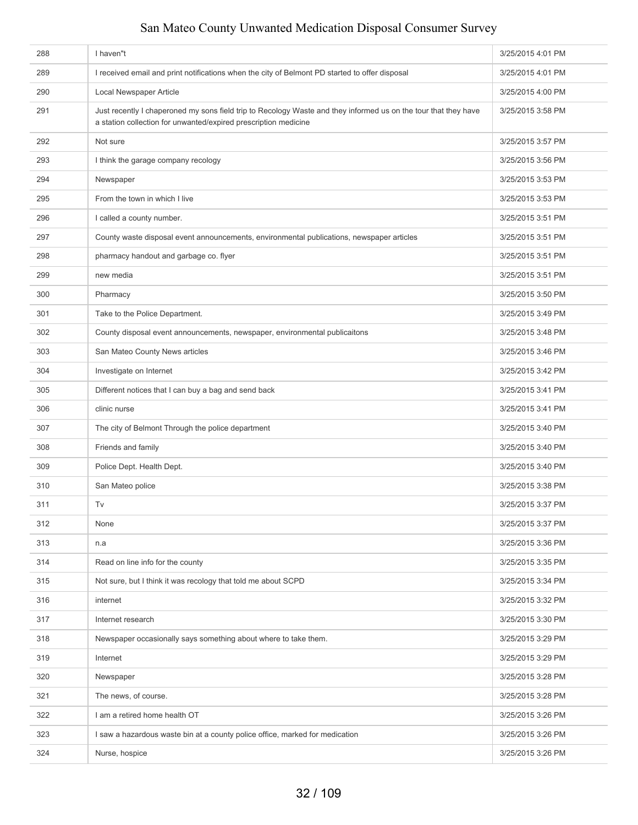| 288 | I haven"t                                                                                                                                                                          | 3/25/2015 4:01 PM |
|-----|------------------------------------------------------------------------------------------------------------------------------------------------------------------------------------|-------------------|
| 289 | I received email and print notifications when the city of Belmont PD started to offer disposal                                                                                     | 3/25/2015 4:01 PM |
| 290 | Local Newspaper Article                                                                                                                                                            | 3/25/2015 4:00 PM |
| 291 | Just recently I chaperoned my sons field trip to Recology Waste and they informed us on the tour that they have<br>a station collection for unwanted/expired prescription medicine | 3/25/2015 3:58 PM |
| 292 | Not sure                                                                                                                                                                           | 3/25/2015 3:57 PM |
| 293 | I think the garage company recology                                                                                                                                                | 3/25/2015 3:56 PM |
| 294 | Newspaper                                                                                                                                                                          | 3/25/2015 3:53 PM |
| 295 | From the town in which I live                                                                                                                                                      | 3/25/2015 3:53 PM |
| 296 | I called a county number.                                                                                                                                                          | 3/25/2015 3:51 PM |
| 297 | County waste disposal event announcements, environmental publications, newspaper articles                                                                                          | 3/25/2015 3:51 PM |
| 298 | pharmacy handout and garbage co. flyer                                                                                                                                             | 3/25/2015 3:51 PM |
| 299 | new media                                                                                                                                                                          | 3/25/2015 3:51 PM |
| 300 | Pharmacy                                                                                                                                                                           | 3/25/2015 3:50 PM |
| 301 | Take to the Police Department.                                                                                                                                                     | 3/25/2015 3:49 PM |
| 302 | County disposal event announcements, newspaper, environmental publicaitons                                                                                                         | 3/25/2015 3:48 PM |
| 303 | San Mateo County News articles                                                                                                                                                     | 3/25/2015 3:46 PM |
| 304 | Investigate on Internet                                                                                                                                                            | 3/25/2015 3:42 PM |
| 305 | Different notices that I can buy a bag and send back                                                                                                                               | 3/25/2015 3:41 PM |
| 306 | clinic nurse                                                                                                                                                                       | 3/25/2015 3:41 PM |
| 307 | The city of Belmont Through the police department                                                                                                                                  | 3/25/2015 3:40 PM |
| 308 | Friends and family                                                                                                                                                                 | 3/25/2015 3:40 PM |
| 309 | Police Dept. Health Dept.                                                                                                                                                          | 3/25/2015 3:40 PM |
| 310 | San Mateo police                                                                                                                                                                   | 3/25/2015 3:38 PM |
| 311 | Tv                                                                                                                                                                                 | 3/25/2015 3:37 PM |
| 312 | None                                                                                                                                                                               | 3/25/2015 3:37 PM |
| 313 | n.a                                                                                                                                                                                | 3/25/2015 3:36 PM |
| 314 | Read on line info for the county                                                                                                                                                   | 3/25/2015 3:35 PM |
| 315 | Not sure, but I think it was recology that told me about SCPD                                                                                                                      | 3/25/2015 3:34 PM |
| 316 | internet                                                                                                                                                                           | 3/25/2015 3:32 PM |
| 317 | Internet research                                                                                                                                                                  | 3/25/2015 3:30 PM |
| 318 | Newspaper occasionally says something about where to take them.                                                                                                                    | 3/25/2015 3:29 PM |
| 319 | Internet                                                                                                                                                                           | 3/25/2015 3:29 PM |
| 320 | Newspaper                                                                                                                                                                          | 3/25/2015 3:28 PM |
| 321 | The news, of course.                                                                                                                                                               | 3/25/2015 3:28 PM |
| 322 | I am a retired home health OT                                                                                                                                                      | 3/25/2015 3:26 PM |
| 323 | I saw a hazardous waste bin at a county police office, marked for medication                                                                                                       | 3/25/2015 3:26 PM |
| 324 | Nurse, hospice                                                                                                                                                                     | 3/25/2015 3:26 PM |
|     |                                                                                                                                                                                    |                   |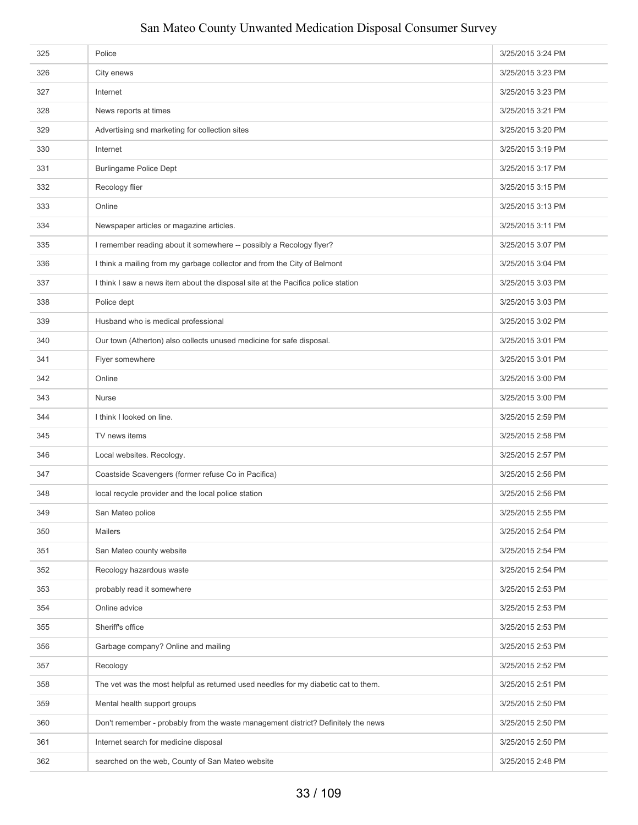| 325 | Police                                                                             | 3/25/2015 3:24 PM |
|-----|------------------------------------------------------------------------------------|-------------------|
| 326 | City enews                                                                         | 3/25/2015 3:23 PM |
| 327 | Internet                                                                           | 3/25/2015 3:23 PM |
| 328 | News reports at times                                                              | 3/25/2015 3:21 PM |
| 329 | Advertising snd marketing for collection sites                                     | 3/25/2015 3:20 PM |
| 330 | Internet                                                                           | 3/25/2015 3:19 PM |
| 331 | <b>Burlingame Police Dept</b>                                                      | 3/25/2015 3:17 PM |
| 332 | Recology flier                                                                     | 3/25/2015 3:15 PM |
| 333 | Online                                                                             | 3/25/2015 3:13 PM |
| 334 | Newspaper articles or magazine articles.                                           | 3/25/2015 3:11 PM |
| 335 | I remember reading about it somewhere -- possibly a Recology flyer?                | 3/25/2015 3:07 PM |
| 336 | I think a mailing from my garbage collector and from the City of Belmont           | 3/25/2015 3:04 PM |
| 337 | I think I saw a news item about the disposal site at the Pacifica police station   | 3/25/2015 3:03 PM |
| 338 | Police dept                                                                        | 3/25/2015 3:03 PM |
| 339 | Husband who is medical professional                                                | 3/25/2015 3:02 PM |
| 340 | Our town (Atherton) also collects unused medicine for safe disposal.               | 3/25/2015 3:01 PM |
| 341 | Flyer somewhere                                                                    | 3/25/2015 3:01 PM |
| 342 | Online                                                                             | 3/25/2015 3:00 PM |
| 343 | Nurse                                                                              | 3/25/2015 3:00 PM |
| 344 | I think I looked on line.                                                          | 3/25/2015 2:59 PM |
| 345 | TV news items                                                                      | 3/25/2015 2:58 PM |
| 346 | Local websites. Recology.                                                          | 3/25/2015 2:57 PM |
| 347 | Coastside Scavengers (former refuse Co in Pacifica)                                | 3/25/2015 2:56 PM |
| 348 | local recycle provider and the local police station                                | 3/25/2015 2:56 PM |
| 349 | San Mateo police                                                                   | 3/25/2015 2:55 PM |
| 350 | <b>Mailers</b>                                                                     | 3/25/2015 2:54 PM |
| 351 | San Mateo county website                                                           | 3/25/2015 2:54 PM |
| 352 | Recology hazardous waste                                                           | 3/25/2015 2:54 PM |
| 353 | probably read it somewhere                                                         | 3/25/2015 2:53 PM |
| 354 | Online advice                                                                      | 3/25/2015 2:53 PM |
| 355 | Sheriff's office                                                                   | 3/25/2015 2:53 PM |
| 356 | Garbage company? Online and mailing                                                | 3/25/2015 2:53 PM |
| 357 | Recology                                                                           | 3/25/2015 2:52 PM |
| 358 | The vet was the most helpful as returned used needles for my diabetic cat to them. | 3/25/2015 2:51 PM |
| 359 |                                                                                    |                   |
|     | Mental health support groups                                                       | 3/25/2015 2:50 PM |
| 360 | Don't remember - probably from the waste management district? Definitely the news  | 3/25/2015 2:50 PM |
| 361 | Internet search for medicine disposal                                              | 3/25/2015 2:50 PM |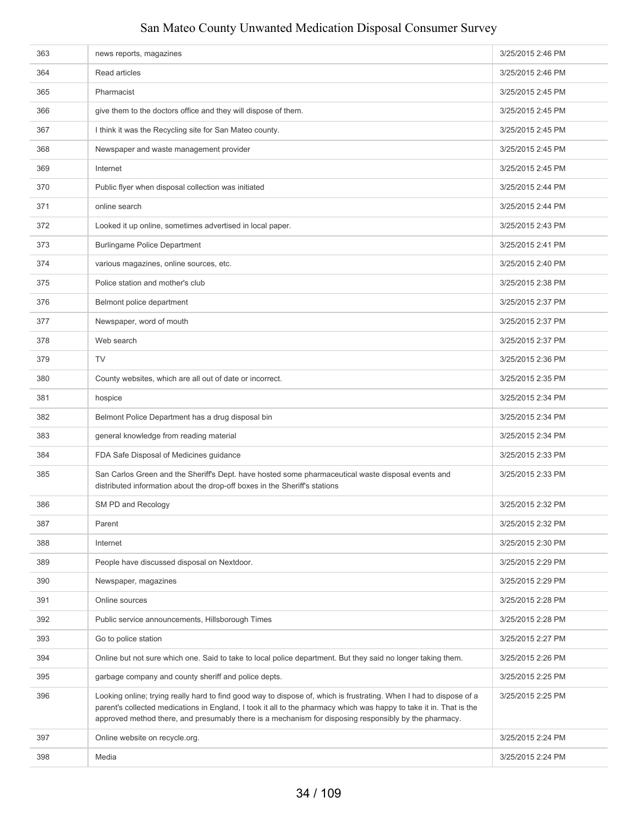| 363 |                                                                                                                                                                                                                                                                                                                                                     | 3/25/2015 2:46 PM |
|-----|-----------------------------------------------------------------------------------------------------------------------------------------------------------------------------------------------------------------------------------------------------------------------------------------------------------------------------------------------------|-------------------|
| 364 | news reports, magazines<br>Read articles                                                                                                                                                                                                                                                                                                            | 3/25/2015 2:46 PM |
| 365 | Pharmacist                                                                                                                                                                                                                                                                                                                                          | 3/25/2015 2:45 PM |
| 366 | give them to the doctors office and they will dispose of them.                                                                                                                                                                                                                                                                                      | 3/25/2015 2:45 PM |
|     |                                                                                                                                                                                                                                                                                                                                                     |                   |
| 367 | I think it was the Recycling site for San Mateo county.                                                                                                                                                                                                                                                                                             | 3/25/2015 2:45 PM |
| 368 | Newspaper and waste management provider                                                                                                                                                                                                                                                                                                             | 3/25/2015 2:45 PM |
| 369 | Internet                                                                                                                                                                                                                                                                                                                                            | 3/25/2015 2:45 PM |
| 370 | Public flyer when disposal collection was initiated                                                                                                                                                                                                                                                                                                 | 3/25/2015 2:44 PM |
| 371 | online search                                                                                                                                                                                                                                                                                                                                       | 3/25/2015 2:44 PM |
| 372 | Looked it up online, sometimes advertised in local paper.                                                                                                                                                                                                                                                                                           | 3/25/2015 2:43 PM |
| 373 | <b>Burlingame Police Department</b>                                                                                                                                                                                                                                                                                                                 | 3/25/2015 2:41 PM |
| 374 | various magazines, online sources, etc.                                                                                                                                                                                                                                                                                                             | 3/25/2015 2:40 PM |
| 375 | Police station and mother's club                                                                                                                                                                                                                                                                                                                    | 3/25/2015 2:38 PM |
| 376 | Belmont police department                                                                                                                                                                                                                                                                                                                           | 3/25/2015 2:37 PM |
| 377 | Newspaper, word of mouth                                                                                                                                                                                                                                                                                                                            | 3/25/2015 2:37 PM |
| 378 | Web search                                                                                                                                                                                                                                                                                                                                          | 3/25/2015 2:37 PM |
| 379 | <b>TV</b>                                                                                                                                                                                                                                                                                                                                           | 3/25/2015 2:36 PM |
| 380 | County websites, which are all out of date or incorrect.                                                                                                                                                                                                                                                                                            | 3/25/2015 2:35 PM |
| 381 | hospice                                                                                                                                                                                                                                                                                                                                             | 3/25/2015 2:34 PM |
| 382 | Belmont Police Department has a drug disposal bin                                                                                                                                                                                                                                                                                                   | 3/25/2015 2:34 PM |
| 383 | general knowledge from reading material                                                                                                                                                                                                                                                                                                             | 3/25/2015 2:34 PM |
| 384 | FDA Safe Disposal of Medicines guidance                                                                                                                                                                                                                                                                                                             | 3/25/2015 2:33 PM |
| 385 | San Carlos Green and the Sheriff's Dept. have hosted some pharmaceutical waste disposal events and<br>distributed information about the drop-off boxes in the Sheriff's stations                                                                                                                                                                    | 3/25/2015 2:33 PM |
| 386 | SM PD and Recology                                                                                                                                                                                                                                                                                                                                  | 3/25/2015 2:32 PM |
| 387 | Parent                                                                                                                                                                                                                                                                                                                                              | 3/25/2015 2:32 PM |
| 388 | Internet                                                                                                                                                                                                                                                                                                                                            | 3/25/2015 2:30 PM |
| 389 | People have discussed disposal on Nextdoor.                                                                                                                                                                                                                                                                                                         | 3/25/2015 2:29 PM |
| 390 | Newspaper, magazines                                                                                                                                                                                                                                                                                                                                | 3/25/2015 2:29 PM |
| 391 | Online sources                                                                                                                                                                                                                                                                                                                                      | 3/25/2015 2:28 PM |
| 392 | Public service announcements, Hillsborough Times                                                                                                                                                                                                                                                                                                    | 3/25/2015 2:28 PM |
| 393 | Go to police station                                                                                                                                                                                                                                                                                                                                | 3/25/2015 2:27 PM |
| 394 | Online but not sure which one. Said to take to local police department. But they said no longer taking them.                                                                                                                                                                                                                                        | 3/25/2015 2:26 PM |
| 395 | garbage company and county sheriff and police depts.                                                                                                                                                                                                                                                                                                | 3/25/2015 2:25 PM |
| 396 | Looking online; trying really hard to find good way to dispose of, which is frustrating. When I had to dispose of a<br>parent's collected medications in England, I took it all to the pharmacy which was happy to take it in. That is the<br>approved method there, and presumably there is a mechanism for disposing responsibly by the pharmacy. | 3/25/2015 2:25 PM |
| 397 | Online website on recycle.org.                                                                                                                                                                                                                                                                                                                      | 3/25/2015 2:24 PM |
| 398 | Media                                                                                                                                                                                                                                                                                                                                               | 3/25/2015 2:24 PM |
|     |                                                                                                                                                                                                                                                                                                                                                     |                   |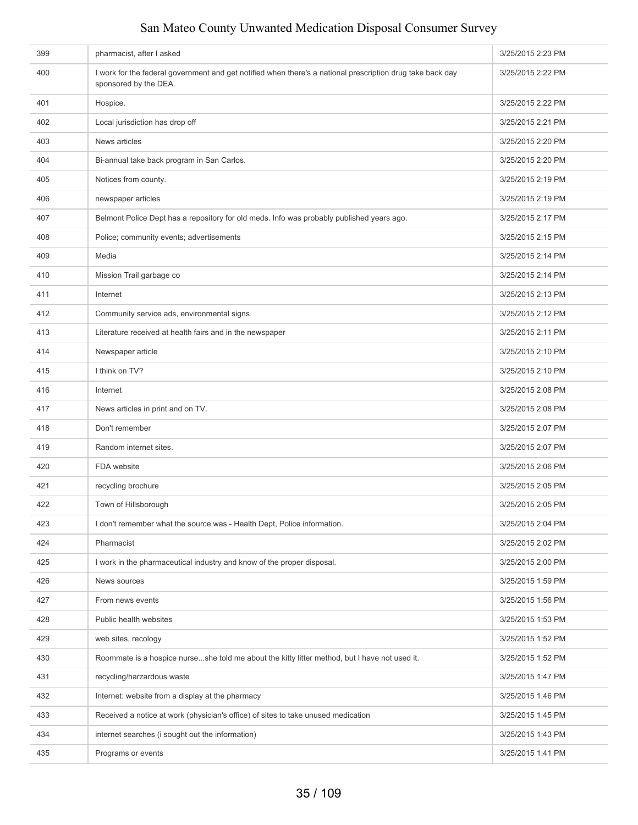| 399 | pharmacist, after I asked                                                                                                           | 3/25/2015 2:23 PM |
|-----|-------------------------------------------------------------------------------------------------------------------------------------|-------------------|
| 400 | I work for the federal government and get notified when there's a national prescription drug take back day<br>sponsored by the DEA. | 3/25/2015 2:22 PM |
| 401 | Hospice.                                                                                                                            | 3/25/2015 2:22 PM |
| 402 | Local jurisdiction has drop off                                                                                                     | 3/25/2015 2:21 PM |
| 403 | News articles                                                                                                                       | 3/25/2015 2:20 PM |
| 404 | Bi-annual take back program in San Carlos.                                                                                          | 3/25/2015 2:20 PM |
| 405 | Notices from county.                                                                                                                | 3/25/2015 2:19 PM |
| 406 | newspaper articles                                                                                                                  | 3/25/2015 2:19 PM |
| 407 | Belmont Police Dept has a repository for old meds. Info was probably published years ago.                                           | 3/25/2015 2:17 PM |
| 408 | Police; community events; advertisements                                                                                            | 3/25/2015 2:15 PM |
| 409 | Media                                                                                                                               | 3/25/2015 2:14 PM |
| 410 | Mission Trail garbage co                                                                                                            | 3/25/2015 2:14 PM |
| 411 | Internet                                                                                                                            | 3/25/2015 2:13 PM |
| 412 | Community service ads, environmental signs                                                                                          | 3/25/2015 2:12 PM |
| 413 | Literature received at health fairs and in the newspaper                                                                            | 3/25/2015 2:11 PM |
| 414 | Newspaper article                                                                                                                   | 3/25/2015 2:10 PM |
| 415 | I think on TV?                                                                                                                      | 3/25/2015 2:10 PM |
| 416 | Internet                                                                                                                            | 3/25/2015 2:08 PM |
| 417 | News articles in print and on TV.                                                                                                   | 3/25/2015 2:08 PM |
| 418 | Don't remember                                                                                                                      | 3/25/2015 2:07 PM |
| 419 | Random internet sites.                                                                                                              | 3/25/2015 2:07 PM |
| 420 | FDA website                                                                                                                         | 3/25/2015 2:06 PM |
| 421 | recycling brochure                                                                                                                  | 3/25/2015 2:05 PM |
| 422 | Town of Hillsborough                                                                                                                | 3/25/2015 2:05 PM |
| 423 | I don't remember what the source was - Health Dept, Police information.                                                             | 3/25/2015 2:04 PM |
| 424 | Pharmacist                                                                                                                          | 3/25/2015 2:02 PM |
| 425 | I work in the pharmaceutical industry and know of the proper disposal.                                                              | 3/25/2015 2:00 PM |
| 426 | News sources                                                                                                                        | 3/25/2015 1:59 PM |
| 427 | From news events                                                                                                                    | 3/25/2015 1:56 PM |
| 428 | Public health websites                                                                                                              | 3/25/2015 1:53 PM |
| 429 | web sites, recology                                                                                                                 | 3/25/2015 1:52 PM |
| 430 | Roommate is a hospice nurseshe told me about the kitty litter method, but I have not used it.                                       | 3/25/2015 1:52 PM |
| 431 | recycling/harzardous waste                                                                                                          | 3/25/2015 1:47 PM |
| 432 | Internet: website from a display at the pharmacy                                                                                    | 3/25/2015 1:46 PM |
| 433 | Received a notice at work (physician's office) of sites to take unused medication                                                   | 3/25/2015 1:45 PM |
| 434 | internet searches (i sought out the information)                                                                                    | 3/25/2015 1:43 PM |
| 435 | Programs or events                                                                                                                  | 3/25/2015 1:41 PM |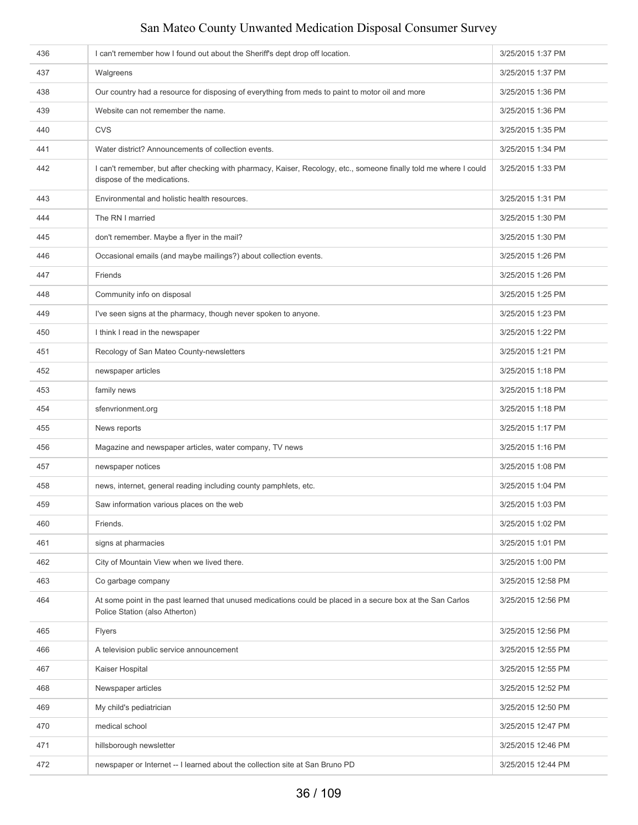| 436 | I can't remember how I found out about the Sheriff's dept drop off location.                                                                     | 3/25/2015 1:37 PM  |
|-----|--------------------------------------------------------------------------------------------------------------------------------------------------|--------------------|
| 437 | Walgreens                                                                                                                                        | 3/25/2015 1:37 PM  |
| 438 | Our country had a resource for disposing of everything from meds to paint to motor oil and more                                                  | 3/25/2015 1:36 PM  |
| 439 | Website can not remember the name.                                                                                                               | 3/25/2015 1:36 PM  |
| 440 | <b>CVS</b>                                                                                                                                       | 3/25/2015 1:35 PM  |
| 441 | Water district? Announcements of collection events.                                                                                              | 3/25/2015 1:34 PM  |
| 442 | I can't remember, but after checking with pharmacy, Kaiser, Recology, etc., someone finally told me where I could<br>dispose of the medications. | 3/25/2015 1:33 PM  |
| 443 | Environmental and holistic health resources.                                                                                                     | 3/25/2015 1:31 PM  |
| 444 | The RN I married                                                                                                                                 | 3/25/2015 1:30 PM  |
| 445 | don't remember. Maybe a flyer in the mail?                                                                                                       | 3/25/2015 1:30 PM  |
| 446 | Occasional emails (and maybe mailings?) about collection events.                                                                                 | 3/25/2015 1:26 PM  |
| 447 | Friends                                                                                                                                          | 3/25/2015 1:26 PM  |
| 448 | Community info on disposal                                                                                                                       | 3/25/2015 1:25 PM  |
| 449 | I've seen signs at the pharmacy, though never spoken to anyone.                                                                                  | 3/25/2015 1:23 PM  |
| 450 | I think I read in the newspaper                                                                                                                  | 3/25/2015 1:22 PM  |
| 451 | Recology of San Mateo County-newsletters                                                                                                         | 3/25/2015 1:21 PM  |
| 452 | newspaper articles                                                                                                                               | 3/25/2015 1:18 PM  |
| 453 | family news                                                                                                                                      | 3/25/2015 1:18 PM  |
| 454 | sfenvrionment.org                                                                                                                                | 3/25/2015 1:18 PM  |
| 455 | News reports                                                                                                                                     | 3/25/2015 1:17 PM  |
| 456 | Magazine and newspaper articles, water company, TV news                                                                                          | 3/25/2015 1:16 PM  |
| 457 | newspaper notices                                                                                                                                | 3/25/2015 1:08 PM  |
| 458 | news, internet, general reading including county pamphlets, etc.                                                                                 | 3/25/2015 1:04 PM  |
| 459 | Saw information various places on the web                                                                                                        | 3/25/2015 1:03 PM  |
| 460 | Friends.                                                                                                                                         | 3/25/2015 1:02 PM  |
| 461 | signs at pharmacies                                                                                                                              | 3/25/2015 1:01 PM  |
| 462 | City of Mountain View when we lived there.                                                                                                       | 3/25/2015 1:00 PM  |
| 463 | Co garbage company                                                                                                                               | 3/25/2015 12:58 PM |
| 464 | At some point in the past learned that unused medications could be placed in a secure box at the San Carlos<br>Police Station (also Atherton)    | 3/25/2015 12:56 PM |
| 465 | Flyers                                                                                                                                           | 3/25/2015 12:56 PM |
| 466 | A television public service announcement                                                                                                         | 3/25/2015 12:55 PM |
| 467 | Kaiser Hospital                                                                                                                                  | 3/25/2015 12:55 PM |
| 468 | Newspaper articles                                                                                                                               | 3/25/2015 12:52 PM |
| 469 | My child's pediatrician                                                                                                                          | 3/25/2015 12:50 PM |
| 470 | medical school                                                                                                                                   | 3/25/2015 12:47 PM |
| 471 | hillsborough newsletter                                                                                                                          | 3/25/2015 12:46 PM |
| 472 | newspaper or Internet -- I learned about the collection site at San Bruno PD                                                                     | 3/25/2015 12:44 PM |
|     |                                                                                                                                                  |                    |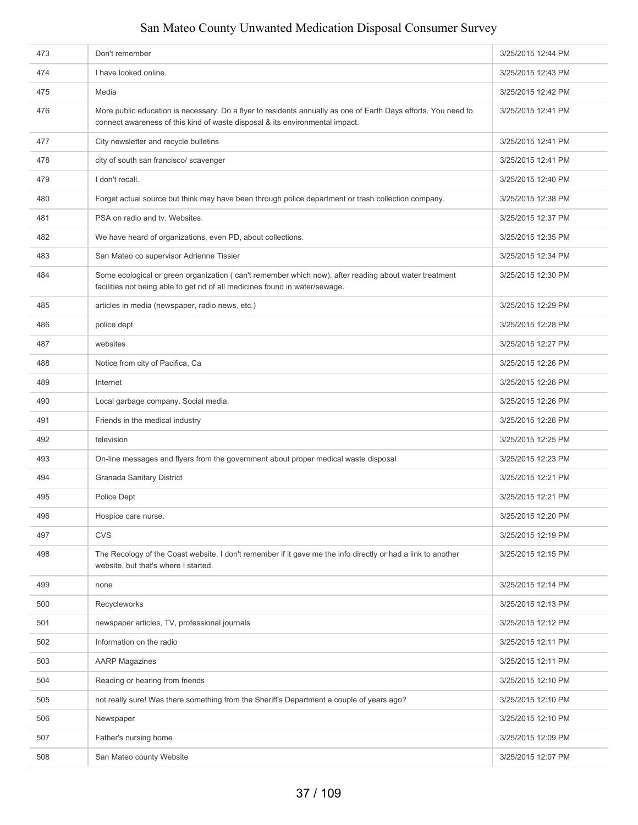| 473 | Don't remember                                                                                                                                                                                 | 3/25/2015 12:44 PM |
|-----|------------------------------------------------------------------------------------------------------------------------------------------------------------------------------------------------|--------------------|
| 474 | I have looked online.                                                                                                                                                                          | 3/25/2015 12:43 PM |
| 475 | Media                                                                                                                                                                                          | 3/25/2015 12:42 PM |
| 476 | More public education is necessary. Do a flyer to residents annually as one of Earth Days efforts. You need to<br>connect awareness of this kind of waste disposal & its environmental impact. | 3/25/2015 12:41 PM |
| 477 | City newsletter and recycle bulletins                                                                                                                                                          | 3/25/2015 12:41 PM |
| 478 | city of south san francisco/ scavenger                                                                                                                                                         | 3/25/2015 12:41 PM |
| 479 | I don't recall.                                                                                                                                                                                | 3/25/2015 12:40 PM |
| 480 | Forget actual source but think may have been through police department or trash collection company.                                                                                            | 3/25/2015 12:38 PM |
| 481 | PSA on radio and tv. Websites.                                                                                                                                                                 | 3/25/2015 12:37 PM |
| 482 | We have heard of organizations, even PD, about collections.                                                                                                                                    | 3/25/2015 12:35 PM |
| 483 | San Mateo co supervisor Adrienne Tissier                                                                                                                                                       | 3/25/2015 12:34 PM |
| 484 | Some ecological or green organization (can't remember which now), after reading about water treatment<br>facilities not being able to get rid of all medicines found in water/sewage.          | 3/25/2015 12:30 PM |
| 485 | articles in media (newspaper, radio news, etc.)                                                                                                                                                | 3/25/2015 12:29 PM |
| 486 | police dept                                                                                                                                                                                    | 3/25/2015 12:28 PM |
| 487 | websites                                                                                                                                                                                       | 3/25/2015 12:27 PM |
| 488 | Notice from city of Pacifica, Ca                                                                                                                                                               | 3/25/2015 12:26 PM |
| 489 | Internet                                                                                                                                                                                       | 3/25/2015 12:26 PM |
| 490 | Local garbage company. Social media.                                                                                                                                                           | 3/25/2015 12:26 PM |
| 491 | Friends in the medical industry                                                                                                                                                                | 3/25/2015 12:26 PM |
| 492 | television                                                                                                                                                                                     | 3/25/2015 12:25 PM |
| 493 | On-line messages and flyers from the government about proper medical waste disposal                                                                                                            | 3/25/2015 12:23 PM |
| 494 | Granada Sanitary District                                                                                                                                                                      | 3/25/2015 12:21 PM |
| 495 | Police Dept                                                                                                                                                                                    | 3/25/2015 12:21 PM |
| 496 | Hospice care nurse.                                                                                                                                                                            | 3/25/2015 12:20 PM |
| 497 | <b>CVS</b>                                                                                                                                                                                     | 3/25/2015 12:19 PM |
| 498 | The Recology of the Coast website. I don't remember if it gave me the info directly or had a link to another<br>website, but that's where I started.                                           | 3/25/2015 12:15 PM |
| 499 | none                                                                                                                                                                                           | 3/25/2015 12:14 PM |
| 500 | Recycleworks                                                                                                                                                                                   | 3/25/2015 12:13 PM |
| 501 | newspaper articles, TV, professional journals                                                                                                                                                  | 3/25/2015 12:12 PM |
| 502 | Information on the radio                                                                                                                                                                       | 3/25/2015 12:11 PM |
| 503 | <b>AARP Magazines</b>                                                                                                                                                                          | 3/25/2015 12:11 PM |
| 504 | Reading or hearing from friends                                                                                                                                                                | 3/25/2015 12:10 PM |
| 505 | not really sure! Was there something from the Sheriff's Department a couple of years ago?                                                                                                      | 3/25/2015 12:10 PM |
| 506 | Newspaper                                                                                                                                                                                      | 3/25/2015 12:10 PM |
| 507 | Father's nursing home                                                                                                                                                                          | 3/25/2015 12:09 PM |
| 508 | San Mateo county Website                                                                                                                                                                       | 3/25/2015 12:07 PM |
|     |                                                                                                                                                                                                |                    |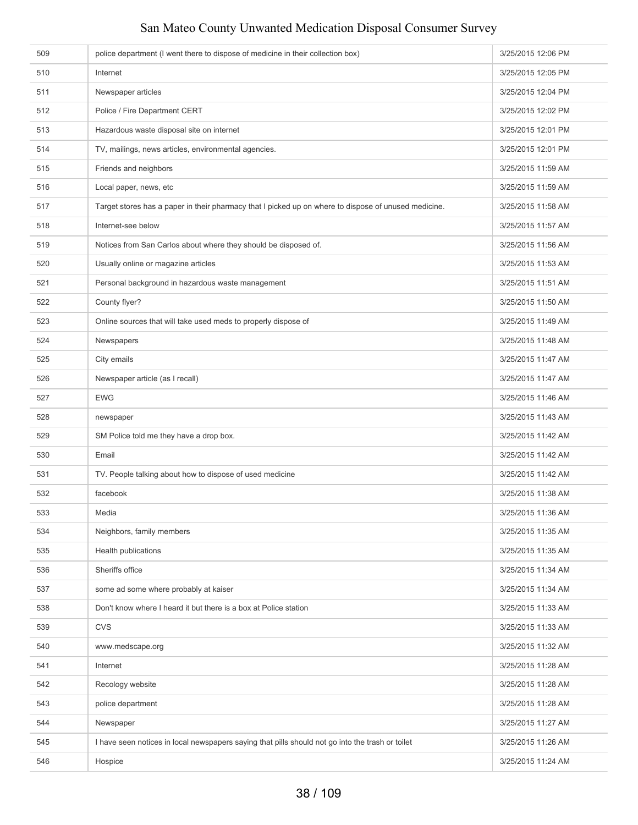| 510<br>Internet                                                                                             | 3/25/2015 12:05 PM |
|-------------------------------------------------------------------------------------------------------------|--------------------|
|                                                                                                             |                    |
| 511<br>Newspaper articles                                                                                   | 3/25/2015 12:04 PM |
| Police / Fire Department CERT<br>512                                                                        | 3/25/2015 12:02 PM |
| Hazardous waste disposal site on internet<br>513                                                            | 3/25/2015 12:01 PM |
| 514<br>TV, mailings, news articles, environmental agencies.                                                 | 3/25/2015 12:01 PM |
| 515<br>Friends and neighbors                                                                                | 3/25/2015 11:59 AM |
| 516<br>Local paper, news, etc                                                                               | 3/25/2015 11:59 AM |
| 517<br>Target stores has a paper in their pharmacy that I picked up on where to dispose of unused medicine. | 3/25/2015 11:58 AM |
| 518<br>Internet-see below                                                                                   | 3/25/2015 11:57 AM |
| Notices from San Carlos about where they should be disposed of.<br>519                                      | 3/25/2015 11:56 AM |
| Usually online or magazine articles<br>520                                                                  | 3/25/2015 11:53 AM |
| 521<br>Personal background in hazardous waste management                                                    | 3/25/2015 11:51 AM |
| County flyer?<br>522                                                                                        | 3/25/2015 11:50 AM |
| 523<br>Online sources that will take used meds to properly dispose of                                       | 3/25/2015 11:49 AM |
| 524<br>Newspapers                                                                                           | 3/25/2015 11:48 AM |
| 525<br>City emails                                                                                          | 3/25/2015 11:47 AM |
| 526<br>Newspaper article (as I recall)                                                                      | 3/25/2015 11:47 AM |
| 527<br><b>EWG</b>                                                                                           | 3/25/2015 11:46 AM |
| 528<br>newspaper                                                                                            | 3/25/2015 11:43 AM |
| 529<br>SM Police told me they have a drop box.                                                              | 3/25/2015 11:42 AM |
| 530<br>Email                                                                                                | 3/25/2015 11:42 AM |
| 531<br>TV. People talking about how to dispose of used medicine                                             | 3/25/2015 11:42 AM |
| 532<br>facebook                                                                                             | 3/25/2015 11:38 AM |
| 533<br>Media                                                                                                | 3/25/2015 11:36 AM |
| 534<br>Neighbors, family members                                                                            | 3/25/2015 11:35 AM |
| 535<br>Health publications                                                                                  | 3/25/2015 11:35 AM |
| Sheriffs office<br>536                                                                                      | 3/25/2015 11:34 AM |
| 537<br>some ad some where probably at kaiser                                                                | 3/25/2015 11:34 AM |
| Don't know where I heard it but there is a box at Police station<br>538                                     | 3/25/2015 11:33 AM |
| <b>CVS</b><br>539                                                                                           | 3/25/2015 11:33 AM |
| 540<br>www.medscape.org                                                                                     | 3/25/2015 11:32 AM |
| 541<br>Internet                                                                                             | 3/25/2015 11:28 AM |
| Recology website<br>542                                                                                     | 3/25/2015 11:28 AM |
| 543<br>police department                                                                                    | 3/25/2015 11:28 AM |
| 544<br>Newspaper                                                                                            | 3/25/2015 11:27 AM |
| 545<br>I have seen notices in local newspapers saying that pills should not go into the trash or toilet     | 3/25/2015 11:26 AM |
| 546<br>Hospice                                                                                              | 3/25/2015 11:24 AM |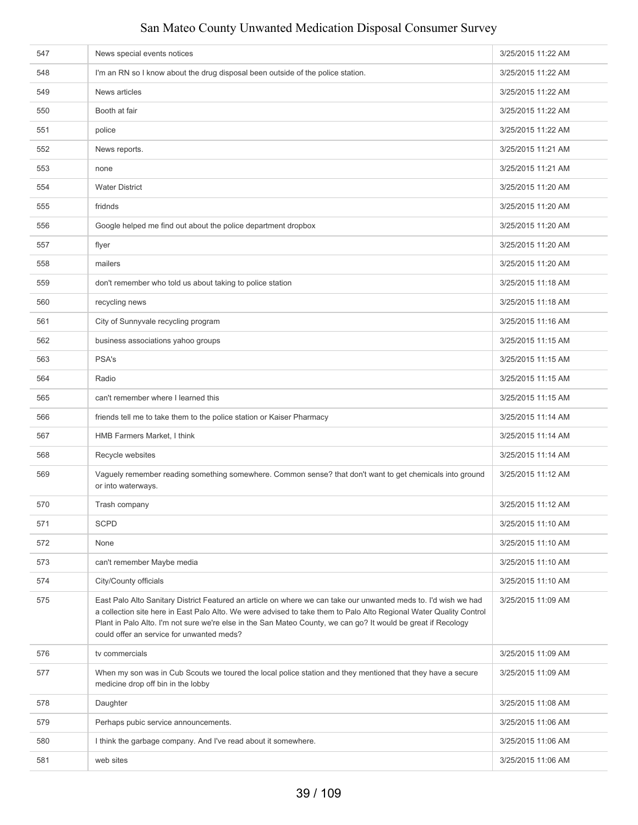| 547 | News special events notices                                                                                                                                                                                                                                                                                                                                                                         | 3/25/2015 11:22 AM |
|-----|-----------------------------------------------------------------------------------------------------------------------------------------------------------------------------------------------------------------------------------------------------------------------------------------------------------------------------------------------------------------------------------------------------|--------------------|
| 548 | I'm an RN so I know about the drug disposal been outside of the police station.                                                                                                                                                                                                                                                                                                                     | 3/25/2015 11:22 AM |
| 549 | News articles                                                                                                                                                                                                                                                                                                                                                                                       | 3/25/2015 11:22 AM |
| 550 | Booth at fair                                                                                                                                                                                                                                                                                                                                                                                       | 3/25/2015 11:22 AM |
| 551 | police                                                                                                                                                                                                                                                                                                                                                                                              | 3/25/2015 11:22 AM |
| 552 | News reports.                                                                                                                                                                                                                                                                                                                                                                                       | 3/25/2015 11:21 AM |
| 553 | none                                                                                                                                                                                                                                                                                                                                                                                                | 3/25/2015 11:21 AM |
| 554 | <b>Water District</b>                                                                                                                                                                                                                                                                                                                                                                               | 3/25/2015 11:20 AM |
| 555 | fridnds                                                                                                                                                                                                                                                                                                                                                                                             | 3/25/2015 11:20 AM |
| 556 | Google helped me find out about the police department dropbox                                                                                                                                                                                                                                                                                                                                       | 3/25/2015 11:20 AM |
| 557 | flyer                                                                                                                                                                                                                                                                                                                                                                                               | 3/25/2015 11:20 AM |
| 558 | mailers                                                                                                                                                                                                                                                                                                                                                                                             | 3/25/2015 11:20 AM |
| 559 | don't remember who told us about taking to police station                                                                                                                                                                                                                                                                                                                                           | 3/25/2015 11:18 AM |
| 560 | recycling news                                                                                                                                                                                                                                                                                                                                                                                      | 3/25/2015 11:18 AM |
| 561 | City of Sunnyvale recycling program                                                                                                                                                                                                                                                                                                                                                                 | 3/25/2015 11:16 AM |
| 562 | business associations yahoo groups                                                                                                                                                                                                                                                                                                                                                                  | 3/25/2015 11:15 AM |
| 563 | PSA's                                                                                                                                                                                                                                                                                                                                                                                               | 3/25/2015 11:15 AM |
| 564 | Radio                                                                                                                                                                                                                                                                                                                                                                                               | 3/25/2015 11:15 AM |
| 565 | can't remember where I learned this                                                                                                                                                                                                                                                                                                                                                                 | 3/25/2015 11:15 AM |
| 566 | friends tell me to take them to the police station or Kaiser Pharmacy                                                                                                                                                                                                                                                                                                                               | 3/25/2015 11:14 AM |
| 567 | HMB Farmers Market, I think                                                                                                                                                                                                                                                                                                                                                                         | 3/25/2015 11:14 AM |
| 568 | Recycle websites                                                                                                                                                                                                                                                                                                                                                                                    | 3/25/2015 11:14 AM |
| 569 | Vaguely remember reading something somewhere. Common sense? that don't want to get chemicals into ground<br>or into waterways.                                                                                                                                                                                                                                                                      | 3/25/2015 11:12 AM |
| 570 | Trash company                                                                                                                                                                                                                                                                                                                                                                                       | 3/25/2015 11:12 AM |
| 571 | <b>SCPD</b>                                                                                                                                                                                                                                                                                                                                                                                         | 3/25/2015 11:10 AM |
| 572 | None                                                                                                                                                                                                                                                                                                                                                                                                | 3/25/2015 11:10 AM |
| 573 | can't remember Maybe media                                                                                                                                                                                                                                                                                                                                                                          | 3/25/2015 11:10 AM |
| 574 | City/County officials                                                                                                                                                                                                                                                                                                                                                                               | 3/25/2015 11:10 AM |
| 575 | East Palo Alto Sanitary District Featured an article on where we can take our unwanted meds to. I'd wish we had<br>a collection site here in East Palo Alto. We were advised to take them to Palo Alto Regional Water Quality Control<br>Plant in Palo Alto. I'm not sure we're else in the San Mateo County, we can go? It would be great if Recology<br>could offer an service for unwanted meds? | 3/25/2015 11:09 AM |
| 576 | tv commercials                                                                                                                                                                                                                                                                                                                                                                                      | 3/25/2015 11:09 AM |
| 577 | When my son was in Cub Scouts we toured the local police station and they mentioned that they have a secure<br>medicine drop off bin in the lobby                                                                                                                                                                                                                                                   | 3/25/2015 11:09 AM |
| 578 | Daughter                                                                                                                                                                                                                                                                                                                                                                                            | 3/25/2015 11:08 AM |
| 579 | Perhaps pubic service announcements.                                                                                                                                                                                                                                                                                                                                                                | 3/25/2015 11:06 AM |
| 580 | I think the garbage company. And I've read about it somewhere.                                                                                                                                                                                                                                                                                                                                      | 3/25/2015 11:06 AM |
| 581 | web sites                                                                                                                                                                                                                                                                                                                                                                                           | 3/25/2015 11:06 AM |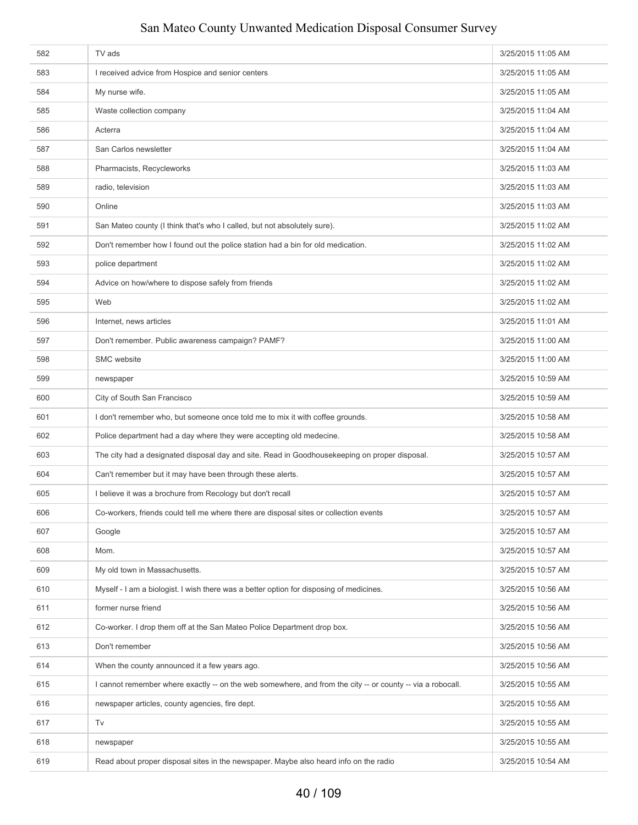| 583<br>I received advice from Hospice and senior centers<br>3/25/2015 11:05 AM<br>584<br>My nurse wife.<br>3/25/2015 11:05 AM<br>585<br>Waste collection company<br>3/25/2015 11:04 AM<br>586<br>3/25/2015 11:04 AM<br>Acterra<br>587<br>San Carlos newsletter<br>3/25/2015 11:04 AM<br>588<br>Pharmacists, Recycleworks<br>3/25/2015 11:03 AM<br>589<br>radio, television<br>3/25/2015 11:03 AM<br>590<br>Online<br>3/25/2015 11:03 AM<br>San Mateo county (I think that's who I called, but not absolutely sure).<br>3/25/2015 11:02 AM<br>591<br>592<br>Don't remember how I found out the police station had a bin for old medication.<br>3/25/2015 11:02 AM<br>593<br>police department<br>3/25/2015 11:02 AM<br>594<br>Advice on how/where to dispose safely from friends<br>3/25/2015 11:02 AM<br>595<br>Web<br>3/25/2015 11:02 AM<br>Internet, news articles<br>3/25/2015 11:01 AM<br>596<br>597<br>Don't remember. Public awareness campaign? PAMF?<br>3/25/2015 11:00 AM<br>598<br>SMC website<br>3/25/2015 11:00 AM<br>599<br>3/25/2015 10:59 AM<br>newspaper<br>600<br>City of South San Francisco<br>3/25/2015 10:59 AM<br>I don't remember who, but someone once told me to mix it with coffee grounds.<br>601<br>3/25/2015 10:58 AM<br>602<br>Police department had a day where they were accepting old medecine.<br>3/25/2015 10:58 AM<br>The city had a designated disposal day and site. Read in Goodhousekeeping on proper disposal.<br>603<br>3/25/2015 10:57 AM<br>604<br>Can't remember but it may have been through these alerts.<br>3/25/2015 10:57 AM<br>605<br>I believe it was a brochure from Recology but don't recall<br>3/25/2015 10:57 AM<br>Co-workers, friends could tell me where there are disposal sites or collection events<br>3/25/2015 10:57 AM<br>606<br>607<br>Google<br>3/25/2015 10:57 AM<br>608<br>Mom.<br>3/25/2015 10:57 AM<br>My old town in Massachusetts.<br>3/25/2015 10:57 AM<br>609<br>Myself - I am a biologist. I wish there was a better option for disposing of medicines.<br>610<br>3/25/2015 10:56 AM<br>former nurse friend<br>611<br>3/25/2015 10:56 AM<br>Co-worker. I drop them off at the San Mateo Police Department drop box.<br>612<br>3/25/2015 10:56 AM<br>613<br>Don't remember<br>3/25/2015 10:56 AM<br>614<br>When the county announced it a few years ago.<br>3/25/2015 10:56 AM<br>I cannot remember where exactly -- on the web somewhere, and from the city -- or county -- via a robocall.<br>615<br>3/25/2015 10:55 AM<br>616<br>newspaper articles, county agencies, fire dept.<br>3/25/2015 10:55 AM<br>617<br>Tv<br>3/25/2015 10:55 AM<br>618<br>3/25/2015 10:55 AM<br>newspaper<br>Read about proper disposal sites in the newspaper. Maybe also heard info on the radio<br>619<br>3/25/2015 10:54 AM | 582 | TV ads | 3/25/2015 11:05 AM |
|------------------------------------------------------------------------------------------------------------------------------------------------------------------------------------------------------------------------------------------------------------------------------------------------------------------------------------------------------------------------------------------------------------------------------------------------------------------------------------------------------------------------------------------------------------------------------------------------------------------------------------------------------------------------------------------------------------------------------------------------------------------------------------------------------------------------------------------------------------------------------------------------------------------------------------------------------------------------------------------------------------------------------------------------------------------------------------------------------------------------------------------------------------------------------------------------------------------------------------------------------------------------------------------------------------------------------------------------------------------------------------------------------------------------------------------------------------------------------------------------------------------------------------------------------------------------------------------------------------------------------------------------------------------------------------------------------------------------------------------------------------------------------------------------------------------------------------------------------------------------------------------------------------------------------------------------------------------------------------------------------------------------------------------------------------------------------------------------------------------------------------------------------------------------------------------------------------------------------------------------------------------------------------------------------------------------------------------------------------------------------------------------------------------------------------------------------------------------------------------------------------------------------------------------------------------------------------------------------------------------------------------------------------------------------------------------------------------------------------------------------------------------------------------|-----|--------|--------------------|
|                                                                                                                                                                                                                                                                                                                                                                                                                                                                                                                                                                                                                                                                                                                                                                                                                                                                                                                                                                                                                                                                                                                                                                                                                                                                                                                                                                                                                                                                                                                                                                                                                                                                                                                                                                                                                                                                                                                                                                                                                                                                                                                                                                                                                                                                                                                                                                                                                                                                                                                                                                                                                                                                                                                                                                                          |     |        |                    |
|                                                                                                                                                                                                                                                                                                                                                                                                                                                                                                                                                                                                                                                                                                                                                                                                                                                                                                                                                                                                                                                                                                                                                                                                                                                                                                                                                                                                                                                                                                                                                                                                                                                                                                                                                                                                                                                                                                                                                                                                                                                                                                                                                                                                                                                                                                                                                                                                                                                                                                                                                                                                                                                                                                                                                                                          |     |        |                    |
|                                                                                                                                                                                                                                                                                                                                                                                                                                                                                                                                                                                                                                                                                                                                                                                                                                                                                                                                                                                                                                                                                                                                                                                                                                                                                                                                                                                                                                                                                                                                                                                                                                                                                                                                                                                                                                                                                                                                                                                                                                                                                                                                                                                                                                                                                                                                                                                                                                                                                                                                                                                                                                                                                                                                                                                          |     |        |                    |
|                                                                                                                                                                                                                                                                                                                                                                                                                                                                                                                                                                                                                                                                                                                                                                                                                                                                                                                                                                                                                                                                                                                                                                                                                                                                                                                                                                                                                                                                                                                                                                                                                                                                                                                                                                                                                                                                                                                                                                                                                                                                                                                                                                                                                                                                                                                                                                                                                                                                                                                                                                                                                                                                                                                                                                                          |     |        |                    |
|                                                                                                                                                                                                                                                                                                                                                                                                                                                                                                                                                                                                                                                                                                                                                                                                                                                                                                                                                                                                                                                                                                                                                                                                                                                                                                                                                                                                                                                                                                                                                                                                                                                                                                                                                                                                                                                                                                                                                                                                                                                                                                                                                                                                                                                                                                                                                                                                                                                                                                                                                                                                                                                                                                                                                                                          |     |        |                    |
|                                                                                                                                                                                                                                                                                                                                                                                                                                                                                                                                                                                                                                                                                                                                                                                                                                                                                                                                                                                                                                                                                                                                                                                                                                                                                                                                                                                                                                                                                                                                                                                                                                                                                                                                                                                                                                                                                                                                                                                                                                                                                                                                                                                                                                                                                                                                                                                                                                                                                                                                                                                                                                                                                                                                                                                          |     |        |                    |
|                                                                                                                                                                                                                                                                                                                                                                                                                                                                                                                                                                                                                                                                                                                                                                                                                                                                                                                                                                                                                                                                                                                                                                                                                                                                                                                                                                                                                                                                                                                                                                                                                                                                                                                                                                                                                                                                                                                                                                                                                                                                                                                                                                                                                                                                                                                                                                                                                                                                                                                                                                                                                                                                                                                                                                                          |     |        |                    |
|                                                                                                                                                                                                                                                                                                                                                                                                                                                                                                                                                                                                                                                                                                                                                                                                                                                                                                                                                                                                                                                                                                                                                                                                                                                                                                                                                                                                                                                                                                                                                                                                                                                                                                                                                                                                                                                                                                                                                                                                                                                                                                                                                                                                                                                                                                                                                                                                                                                                                                                                                                                                                                                                                                                                                                                          |     |        |                    |
|                                                                                                                                                                                                                                                                                                                                                                                                                                                                                                                                                                                                                                                                                                                                                                                                                                                                                                                                                                                                                                                                                                                                                                                                                                                                                                                                                                                                                                                                                                                                                                                                                                                                                                                                                                                                                                                                                                                                                                                                                                                                                                                                                                                                                                                                                                                                                                                                                                                                                                                                                                                                                                                                                                                                                                                          |     |        |                    |
|                                                                                                                                                                                                                                                                                                                                                                                                                                                                                                                                                                                                                                                                                                                                                                                                                                                                                                                                                                                                                                                                                                                                                                                                                                                                                                                                                                                                                                                                                                                                                                                                                                                                                                                                                                                                                                                                                                                                                                                                                                                                                                                                                                                                                                                                                                                                                                                                                                                                                                                                                                                                                                                                                                                                                                                          |     |        |                    |
|                                                                                                                                                                                                                                                                                                                                                                                                                                                                                                                                                                                                                                                                                                                                                                                                                                                                                                                                                                                                                                                                                                                                                                                                                                                                                                                                                                                                                                                                                                                                                                                                                                                                                                                                                                                                                                                                                                                                                                                                                                                                                                                                                                                                                                                                                                                                                                                                                                                                                                                                                                                                                                                                                                                                                                                          |     |        |                    |
|                                                                                                                                                                                                                                                                                                                                                                                                                                                                                                                                                                                                                                                                                                                                                                                                                                                                                                                                                                                                                                                                                                                                                                                                                                                                                                                                                                                                                                                                                                                                                                                                                                                                                                                                                                                                                                                                                                                                                                                                                                                                                                                                                                                                                                                                                                                                                                                                                                                                                                                                                                                                                                                                                                                                                                                          |     |        |                    |
|                                                                                                                                                                                                                                                                                                                                                                                                                                                                                                                                                                                                                                                                                                                                                                                                                                                                                                                                                                                                                                                                                                                                                                                                                                                                                                                                                                                                                                                                                                                                                                                                                                                                                                                                                                                                                                                                                                                                                                                                                                                                                                                                                                                                                                                                                                                                                                                                                                                                                                                                                                                                                                                                                                                                                                                          |     |        |                    |
|                                                                                                                                                                                                                                                                                                                                                                                                                                                                                                                                                                                                                                                                                                                                                                                                                                                                                                                                                                                                                                                                                                                                                                                                                                                                                                                                                                                                                                                                                                                                                                                                                                                                                                                                                                                                                                                                                                                                                                                                                                                                                                                                                                                                                                                                                                                                                                                                                                                                                                                                                                                                                                                                                                                                                                                          |     |        |                    |
|                                                                                                                                                                                                                                                                                                                                                                                                                                                                                                                                                                                                                                                                                                                                                                                                                                                                                                                                                                                                                                                                                                                                                                                                                                                                                                                                                                                                                                                                                                                                                                                                                                                                                                                                                                                                                                                                                                                                                                                                                                                                                                                                                                                                                                                                                                                                                                                                                                                                                                                                                                                                                                                                                                                                                                                          |     |        |                    |
|                                                                                                                                                                                                                                                                                                                                                                                                                                                                                                                                                                                                                                                                                                                                                                                                                                                                                                                                                                                                                                                                                                                                                                                                                                                                                                                                                                                                                                                                                                                                                                                                                                                                                                                                                                                                                                                                                                                                                                                                                                                                                                                                                                                                                                                                                                                                                                                                                                                                                                                                                                                                                                                                                                                                                                                          |     |        |                    |
|                                                                                                                                                                                                                                                                                                                                                                                                                                                                                                                                                                                                                                                                                                                                                                                                                                                                                                                                                                                                                                                                                                                                                                                                                                                                                                                                                                                                                                                                                                                                                                                                                                                                                                                                                                                                                                                                                                                                                                                                                                                                                                                                                                                                                                                                                                                                                                                                                                                                                                                                                                                                                                                                                                                                                                                          |     |        |                    |
|                                                                                                                                                                                                                                                                                                                                                                                                                                                                                                                                                                                                                                                                                                                                                                                                                                                                                                                                                                                                                                                                                                                                                                                                                                                                                                                                                                                                                                                                                                                                                                                                                                                                                                                                                                                                                                                                                                                                                                                                                                                                                                                                                                                                                                                                                                                                                                                                                                                                                                                                                                                                                                                                                                                                                                                          |     |        |                    |
|                                                                                                                                                                                                                                                                                                                                                                                                                                                                                                                                                                                                                                                                                                                                                                                                                                                                                                                                                                                                                                                                                                                                                                                                                                                                                                                                                                                                                                                                                                                                                                                                                                                                                                                                                                                                                                                                                                                                                                                                                                                                                                                                                                                                                                                                                                                                                                                                                                                                                                                                                                                                                                                                                                                                                                                          |     |        |                    |
|                                                                                                                                                                                                                                                                                                                                                                                                                                                                                                                                                                                                                                                                                                                                                                                                                                                                                                                                                                                                                                                                                                                                                                                                                                                                                                                                                                                                                                                                                                                                                                                                                                                                                                                                                                                                                                                                                                                                                                                                                                                                                                                                                                                                                                                                                                                                                                                                                                                                                                                                                                                                                                                                                                                                                                                          |     |        |                    |
|                                                                                                                                                                                                                                                                                                                                                                                                                                                                                                                                                                                                                                                                                                                                                                                                                                                                                                                                                                                                                                                                                                                                                                                                                                                                                                                                                                                                                                                                                                                                                                                                                                                                                                                                                                                                                                                                                                                                                                                                                                                                                                                                                                                                                                                                                                                                                                                                                                                                                                                                                                                                                                                                                                                                                                                          |     |        |                    |
|                                                                                                                                                                                                                                                                                                                                                                                                                                                                                                                                                                                                                                                                                                                                                                                                                                                                                                                                                                                                                                                                                                                                                                                                                                                                                                                                                                                                                                                                                                                                                                                                                                                                                                                                                                                                                                                                                                                                                                                                                                                                                                                                                                                                                                                                                                                                                                                                                                                                                                                                                                                                                                                                                                                                                                                          |     |        |                    |
|                                                                                                                                                                                                                                                                                                                                                                                                                                                                                                                                                                                                                                                                                                                                                                                                                                                                                                                                                                                                                                                                                                                                                                                                                                                                                                                                                                                                                                                                                                                                                                                                                                                                                                                                                                                                                                                                                                                                                                                                                                                                                                                                                                                                                                                                                                                                                                                                                                                                                                                                                                                                                                                                                                                                                                                          |     |        |                    |
|                                                                                                                                                                                                                                                                                                                                                                                                                                                                                                                                                                                                                                                                                                                                                                                                                                                                                                                                                                                                                                                                                                                                                                                                                                                                                                                                                                                                                                                                                                                                                                                                                                                                                                                                                                                                                                                                                                                                                                                                                                                                                                                                                                                                                                                                                                                                                                                                                                                                                                                                                                                                                                                                                                                                                                                          |     |        |                    |
|                                                                                                                                                                                                                                                                                                                                                                                                                                                                                                                                                                                                                                                                                                                                                                                                                                                                                                                                                                                                                                                                                                                                                                                                                                                                                                                                                                                                                                                                                                                                                                                                                                                                                                                                                                                                                                                                                                                                                                                                                                                                                                                                                                                                                                                                                                                                                                                                                                                                                                                                                                                                                                                                                                                                                                                          |     |        |                    |
|                                                                                                                                                                                                                                                                                                                                                                                                                                                                                                                                                                                                                                                                                                                                                                                                                                                                                                                                                                                                                                                                                                                                                                                                                                                                                                                                                                                                                                                                                                                                                                                                                                                                                                                                                                                                                                                                                                                                                                                                                                                                                                                                                                                                                                                                                                                                                                                                                                                                                                                                                                                                                                                                                                                                                                                          |     |        |                    |
|                                                                                                                                                                                                                                                                                                                                                                                                                                                                                                                                                                                                                                                                                                                                                                                                                                                                                                                                                                                                                                                                                                                                                                                                                                                                                                                                                                                                                                                                                                                                                                                                                                                                                                                                                                                                                                                                                                                                                                                                                                                                                                                                                                                                                                                                                                                                                                                                                                                                                                                                                                                                                                                                                                                                                                                          |     |        |                    |
|                                                                                                                                                                                                                                                                                                                                                                                                                                                                                                                                                                                                                                                                                                                                                                                                                                                                                                                                                                                                                                                                                                                                                                                                                                                                                                                                                                                                                                                                                                                                                                                                                                                                                                                                                                                                                                                                                                                                                                                                                                                                                                                                                                                                                                                                                                                                                                                                                                                                                                                                                                                                                                                                                                                                                                                          |     |        |                    |
|                                                                                                                                                                                                                                                                                                                                                                                                                                                                                                                                                                                                                                                                                                                                                                                                                                                                                                                                                                                                                                                                                                                                                                                                                                                                                                                                                                                                                                                                                                                                                                                                                                                                                                                                                                                                                                                                                                                                                                                                                                                                                                                                                                                                                                                                                                                                                                                                                                                                                                                                                                                                                                                                                                                                                                                          |     |        |                    |
|                                                                                                                                                                                                                                                                                                                                                                                                                                                                                                                                                                                                                                                                                                                                                                                                                                                                                                                                                                                                                                                                                                                                                                                                                                                                                                                                                                                                                                                                                                                                                                                                                                                                                                                                                                                                                                                                                                                                                                                                                                                                                                                                                                                                                                                                                                                                                                                                                                                                                                                                                                                                                                                                                                                                                                                          |     |        |                    |
|                                                                                                                                                                                                                                                                                                                                                                                                                                                                                                                                                                                                                                                                                                                                                                                                                                                                                                                                                                                                                                                                                                                                                                                                                                                                                                                                                                                                                                                                                                                                                                                                                                                                                                                                                                                                                                                                                                                                                                                                                                                                                                                                                                                                                                                                                                                                                                                                                                                                                                                                                                                                                                                                                                                                                                                          |     |        |                    |
|                                                                                                                                                                                                                                                                                                                                                                                                                                                                                                                                                                                                                                                                                                                                                                                                                                                                                                                                                                                                                                                                                                                                                                                                                                                                                                                                                                                                                                                                                                                                                                                                                                                                                                                                                                                                                                                                                                                                                                                                                                                                                                                                                                                                                                                                                                                                                                                                                                                                                                                                                                                                                                                                                                                                                                                          |     |        |                    |
|                                                                                                                                                                                                                                                                                                                                                                                                                                                                                                                                                                                                                                                                                                                                                                                                                                                                                                                                                                                                                                                                                                                                                                                                                                                                                                                                                                                                                                                                                                                                                                                                                                                                                                                                                                                                                                                                                                                                                                                                                                                                                                                                                                                                                                                                                                                                                                                                                                                                                                                                                                                                                                                                                                                                                                                          |     |        |                    |
|                                                                                                                                                                                                                                                                                                                                                                                                                                                                                                                                                                                                                                                                                                                                                                                                                                                                                                                                                                                                                                                                                                                                                                                                                                                                                                                                                                                                                                                                                                                                                                                                                                                                                                                                                                                                                                                                                                                                                                                                                                                                                                                                                                                                                                                                                                                                                                                                                                                                                                                                                                                                                                                                                                                                                                                          |     |        |                    |
|                                                                                                                                                                                                                                                                                                                                                                                                                                                                                                                                                                                                                                                                                                                                                                                                                                                                                                                                                                                                                                                                                                                                                                                                                                                                                                                                                                                                                                                                                                                                                                                                                                                                                                                                                                                                                                                                                                                                                                                                                                                                                                                                                                                                                                                                                                                                                                                                                                                                                                                                                                                                                                                                                                                                                                                          |     |        |                    |
|                                                                                                                                                                                                                                                                                                                                                                                                                                                                                                                                                                                                                                                                                                                                                                                                                                                                                                                                                                                                                                                                                                                                                                                                                                                                                                                                                                                                                                                                                                                                                                                                                                                                                                                                                                                                                                                                                                                                                                                                                                                                                                                                                                                                                                                                                                                                                                                                                                                                                                                                                                                                                                                                                                                                                                                          |     |        |                    |
|                                                                                                                                                                                                                                                                                                                                                                                                                                                                                                                                                                                                                                                                                                                                                                                                                                                                                                                                                                                                                                                                                                                                                                                                                                                                                                                                                                                                                                                                                                                                                                                                                                                                                                                                                                                                                                                                                                                                                                                                                                                                                                                                                                                                                                                                                                                                                                                                                                                                                                                                                                                                                                                                                                                                                                                          |     |        |                    |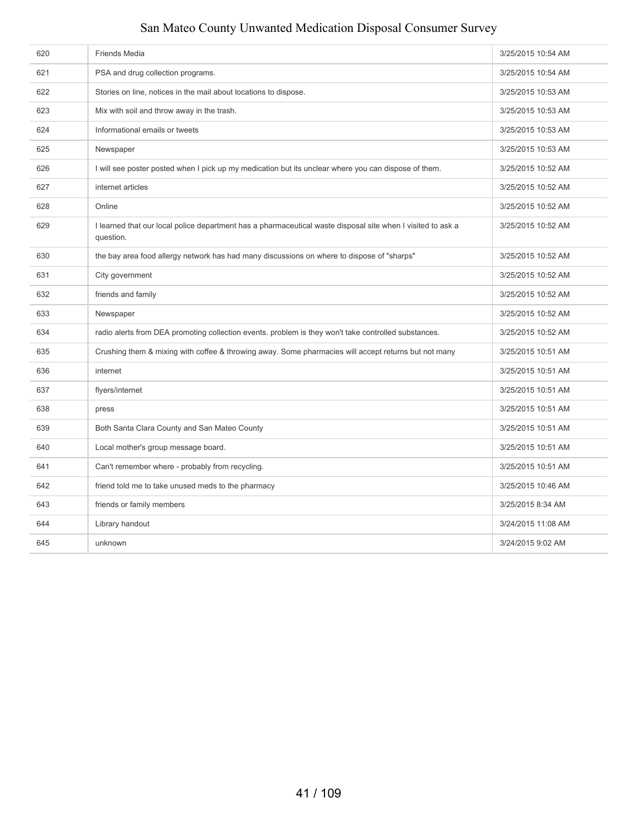| 620 | <b>Friends Media</b>                                                                                                     | 3/25/2015 10:54 AM |
|-----|--------------------------------------------------------------------------------------------------------------------------|--------------------|
| 621 | PSA and drug collection programs.                                                                                        | 3/25/2015 10:54 AM |
| 622 | Stories on line, notices in the mail about locations to dispose.                                                         | 3/25/2015 10:53 AM |
| 623 | Mix with soil and throw away in the trash.                                                                               | 3/25/2015 10:53 AM |
| 624 | Informational emails or tweets                                                                                           | 3/25/2015 10:53 AM |
| 625 | Newspaper                                                                                                                | 3/25/2015 10:53 AM |
| 626 | I will see poster posted when I pick up my medication but its unclear where you can dispose of them.                     | 3/25/2015 10:52 AM |
| 627 | internet articles                                                                                                        | 3/25/2015 10:52 AM |
| 628 | Online                                                                                                                   | 3/25/2015 10:52 AM |
| 629 | I learned that our local police department has a pharmaceutical waste disposal site when I visited to ask a<br>question. | 3/25/2015 10:52 AM |
| 630 | the bay area food allergy network has had many discussions on where to dispose of "sharps"                               | 3/25/2015 10:52 AM |
| 631 | City government                                                                                                          | 3/25/2015 10:52 AM |
| 632 | friends and family                                                                                                       | 3/25/2015 10:52 AM |
| 633 | Newspaper                                                                                                                | 3/25/2015 10:52 AM |
| 634 | radio alerts from DEA promoting collection events. problem is they won't take controlled substances.                     | 3/25/2015 10:52 AM |
| 635 | Crushing them & mixing with coffee & throwing away. Some pharmacies will accept returns but not many                     | 3/25/2015 10:51 AM |
| 636 | internet                                                                                                                 | 3/25/2015 10:51 AM |
| 637 | flyers/internet                                                                                                          | 3/25/2015 10:51 AM |
| 638 | press                                                                                                                    | 3/25/2015 10:51 AM |
| 639 | Both Santa Clara County and San Mateo County                                                                             | 3/25/2015 10:51 AM |
| 640 | Local mother's group message board.                                                                                      | 3/25/2015 10:51 AM |
| 641 | Can't remember where - probably from recycling.                                                                          | 3/25/2015 10:51 AM |
| 642 | friend told me to take unused meds to the pharmacy                                                                       | 3/25/2015 10:46 AM |
| 643 | friends or family members                                                                                                | 3/25/2015 8:34 AM  |
| 644 | Library handout                                                                                                          | 3/24/2015 11:08 AM |
| 645 | unknown                                                                                                                  | 3/24/2015 9:02 AM  |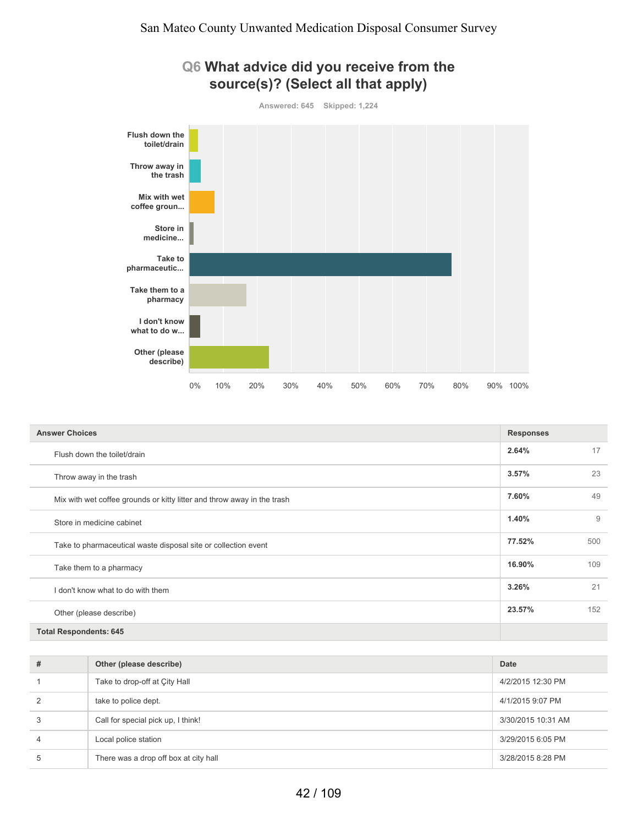

| <b>Answer Choices</b>                                                   | <b>Responses</b> |     |
|-------------------------------------------------------------------------|------------------|-----|
| Flush down the toilet/drain                                             | 2.64%            | 17  |
| Throw away in the trash                                                 | 3.57%            | 23  |
| Mix with wet coffee grounds or kitty litter and throw away in the trash | 7.60%            | 49  |
| Store in medicine cabinet                                               | 1.40%            | 9   |
| Take to pharmaceutical waste disposal site or collection event          | 77.52%           | 500 |
| Take them to a pharmacy                                                 | 16.90%           | 109 |
| I don't know what to do with them                                       | 3.26%            | 21  |
| Other (please describe)                                                 | 23.57%           | 152 |
| <b>Total Respondents: 645</b>                                           |                  |     |

| # | Other (please describe)               | Date               |
|---|---------------------------------------|--------------------|
|   | Take to drop-off at City Hall         | 4/2/2015 12:30 PM  |
| 2 | take to police dept.                  | 4/1/2015 9:07 PM   |
| 3 | Call for special pick up, I think!    | 3/30/2015 10:31 AM |
| 4 | Local police station                  | 3/29/2015 6:05 PM  |
| 5 | There was a drop off box at city hall | 3/28/2015 8:28 PM  |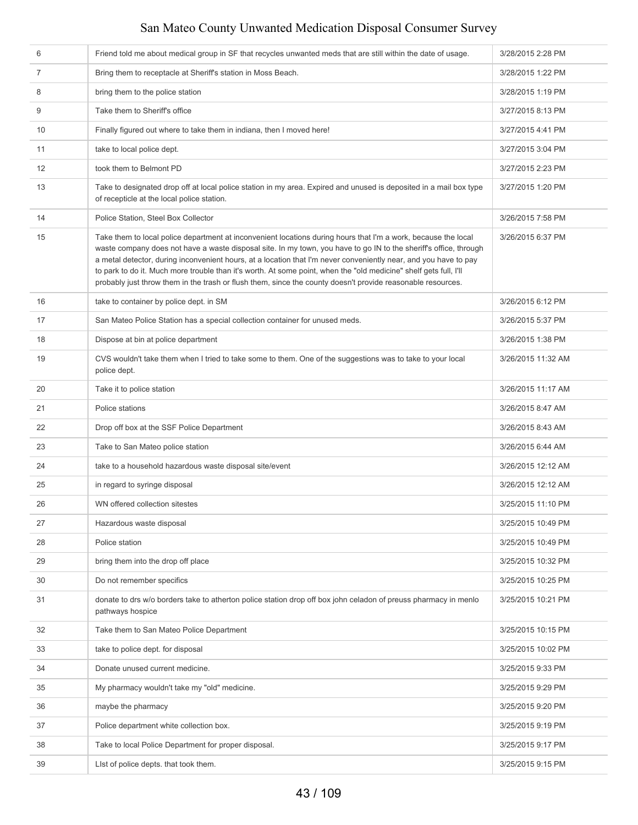| 6  | Friend told me about medical group in SF that recycles unwanted meds that are still within the date of usage.                                                                                                                                                                                                                                                                                                                                                                                                                                                                               | 3/28/2015 2:28 PM  |
|----|---------------------------------------------------------------------------------------------------------------------------------------------------------------------------------------------------------------------------------------------------------------------------------------------------------------------------------------------------------------------------------------------------------------------------------------------------------------------------------------------------------------------------------------------------------------------------------------------|--------------------|
| 7  | Bring them to receptacle at Sheriff's station in Moss Beach.                                                                                                                                                                                                                                                                                                                                                                                                                                                                                                                                | 3/28/2015 1:22 PM  |
| 8  | bring them to the police station                                                                                                                                                                                                                                                                                                                                                                                                                                                                                                                                                            | 3/28/2015 1:19 PM  |
| 9  | Take them to Sheriff's office                                                                                                                                                                                                                                                                                                                                                                                                                                                                                                                                                               | 3/27/2015 8:13 PM  |
| 10 | Finally figured out where to take them in indiana, then I moved here!                                                                                                                                                                                                                                                                                                                                                                                                                                                                                                                       | 3/27/2015 4:41 PM  |
| 11 | take to local police dept.                                                                                                                                                                                                                                                                                                                                                                                                                                                                                                                                                                  | 3/27/2015 3:04 PM  |
| 12 | took them to Belmont PD                                                                                                                                                                                                                                                                                                                                                                                                                                                                                                                                                                     | 3/27/2015 2:23 PM  |
| 13 | Take to designated drop off at local police station in my area. Expired and unused is deposited in a mail box type<br>of recepticle at the local police station.                                                                                                                                                                                                                                                                                                                                                                                                                            | 3/27/2015 1:20 PM  |
| 14 | Police Station, Steel Box Collector                                                                                                                                                                                                                                                                                                                                                                                                                                                                                                                                                         | 3/26/2015 7:58 PM  |
| 15 | Take them to local police department at inconvenient locations during hours that I'm a work, because the local<br>waste company does not have a waste disposal site. In my town, you have to go IN to the sheriff's office, through<br>a metal detector, during inconvenient hours, at a location that I'm never conveniently near, and you have to pay<br>to park to do it. Much more trouble than it's worth. At some point, when the "old medicine" shelf gets full, I'll<br>probably just throw them in the trash or flush them, since the county doesn't provide reasonable resources. | 3/26/2015 6:37 PM  |
| 16 | take to container by police dept. in SM                                                                                                                                                                                                                                                                                                                                                                                                                                                                                                                                                     | 3/26/2015 6:12 PM  |
| 17 | San Mateo Police Station has a special collection container for unused meds.                                                                                                                                                                                                                                                                                                                                                                                                                                                                                                                | 3/26/2015 5:37 PM  |
| 18 | Dispose at bin at police department                                                                                                                                                                                                                                                                                                                                                                                                                                                                                                                                                         | 3/26/2015 1:38 PM  |
| 19 | CVS wouldn't take them when I tried to take some to them. One of the suggestions was to take to your local<br>police dept.                                                                                                                                                                                                                                                                                                                                                                                                                                                                  | 3/26/2015 11:32 AM |
| 20 | Take it to police station                                                                                                                                                                                                                                                                                                                                                                                                                                                                                                                                                                   | 3/26/2015 11:17 AM |
| 21 | Police stations                                                                                                                                                                                                                                                                                                                                                                                                                                                                                                                                                                             | 3/26/2015 8:47 AM  |
| 22 | Drop off box at the SSF Police Department                                                                                                                                                                                                                                                                                                                                                                                                                                                                                                                                                   | 3/26/2015 8:43 AM  |
| 23 | Take to San Mateo police station                                                                                                                                                                                                                                                                                                                                                                                                                                                                                                                                                            | 3/26/2015 6:44 AM  |
| 24 | take to a household hazardous waste disposal site/event                                                                                                                                                                                                                                                                                                                                                                                                                                                                                                                                     | 3/26/2015 12:12 AM |
| 25 | in regard to syringe disposal                                                                                                                                                                                                                                                                                                                                                                                                                                                                                                                                                               | 3/26/2015 12:12 AM |
| 26 | WN offered collection sitestes                                                                                                                                                                                                                                                                                                                                                                                                                                                                                                                                                              | 3/25/2015 11:10 PM |
| 27 | Hazardous waste disposal                                                                                                                                                                                                                                                                                                                                                                                                                                                                                                                                                                    | 3/25/2015 10:49 PM |
| 28 | Police station                                                                                                                                                                                                                                                                                                                                                                                                                                                                                                                                                                              | 3/25/2015 10:49 PM |
| 29 | bring them into the drop off place                                                                                                                                                                                                                                                                                                                                                                                                                                                                                                                                                          | 3/25/2015 10:32 PM |
| 30 | Do not remember specifics                                                                                                                                                                                                                                                                                                                                                                                                                                                                                                                                                                   | 3/25/2015 10:25 PM |
| 31 | donate to drs w/o borders take to atherton police station drop off box john celadon of preuss pharmacy in menlo<br>pathways hospice                                                                                                                                                                                                                                                                                                                                                                                                                                                         | 3/25/2015 10:21 PM |
| 32 | Take them to San Mateo Police Department                                                                                                                                                                                                                                                                                                                                                                                                                                                                                                                                                    | 3/25/2015 10:15 PM |
| 33 | take to police dept. for disposal                                                                                                                                                                                                                                                                                                                                                                                                                                                                                                                                                           | 3/25/2015 10:02 PM |
| 34 | Donate unused current medicine.                                                                                                                                                                                                                                                                                                                                                                                                                                                                                                                                                             | 3/25/2015 9:33 PM  |
| 35 | My pharmacy wouldn't take my "old" medicine.                                                                                                                                                                                                                                                                                                                                                                                                                                                                                                                                                | 3/25/2015 9:29 PM  |
| 36 | maybe the pharmacy                                                                                                                                                                                                                                                                                                                                                                                                                                                                                                                                                                          | 3/25/2015 9:20 PM  |
| 37 | Police department white collection box.                                                                                                                                                                                                                                                                                                                                                                                                                                                                                                                                                     | 3/25/2015 9:19 PM  |
| 38 | Take to local Police Department for proper disposal.                                                                                                                                                                                                                                                                                                                                                                                                                                                                                                                                        | 3/25/2015 9:17 PM  |
| 39 | List of police depts. that took them.                                                                                                                                                                                                                                                                                                                                                                                                                                                                                                                                                       | 3/25/2015 9:15 PM  |
|    |                                                                                                                                                                                                                                                                                                                                                                                                                                                                                                                                                                                             |                    |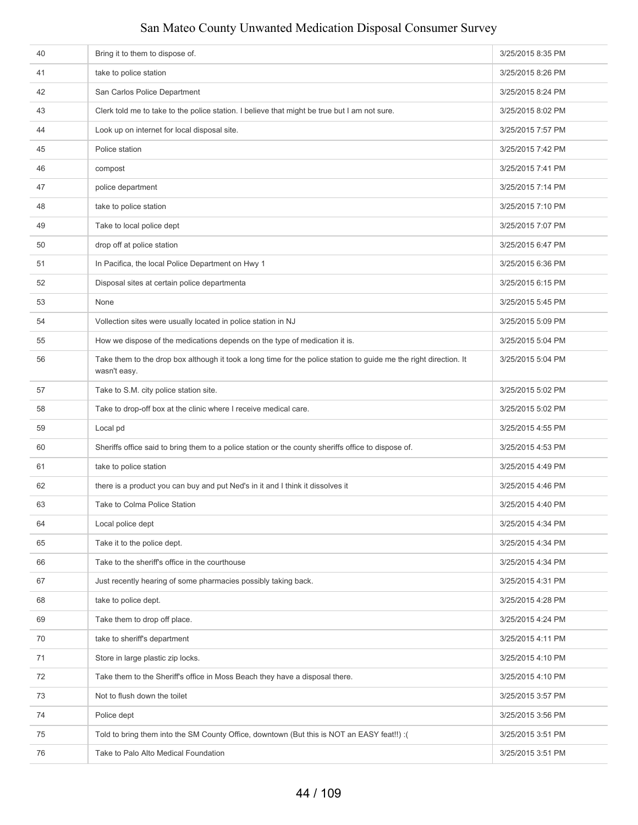| 41<br>take to police station<br>3/25/2015 8:26 PM<br>San Carlos Police Department<br>42<br>3/25/2015 8:24 PM<br>43<br>Clerk told me to take to the police station. I believe that might be true but I am not sure.<br>3/25/2015 8:02 PM<br>44<br>Look up on internet for local disposal site.<br>3/25/2015 7:57 PM<br>Police station<br>45<br>3/25/2015 7:42 PM<br>46<br>3/25/2015 7:41 PM<br>compost<br>police department<br>3/25/2015 7:14 PM<br>47<br>48<br>take to police station<br>3/25/2015 7:10 PM<br>Take to local police dept<br>3/25/2015 7:07 PM<br>49<br>drop off at police station<br>50<br>3/25/2015 6:47 PM<br>In Pacifica, the local Police Department on Hwy 1<br>3/25/2015 6:36 PM<br>51<br>52<br>Disposal sites at certain police departmenta<br>3/25/2015 6:15 PM<br>53<br>None<br>3/25/2015 5:45 PM<br>Vollection sites were usually located in police station in NJ<br>54<br>3/25/2015 5:09 PM<br>How we dispose of the medications depends on the type of medication it is.<br>55<br>3/25/2015 5:04 PM<br>Take them to the drop box although it took a long time for the police station to guide me the right direction. It<br>56<br>3/25/2015 5:04 PM<br>wasn't easy.<br>Take to S.M. city police station site.<br>57<br>3/25/2015 5:02 PM<br>58<br>Take to drop-off box at the clinic where I receive medical care.<br>3/25/2015 5:02 PM<br>59<br>Local pd<br>3/25/2015 4:55 PM<br>60<br>Sheriffs office said to bring them to a police station or the county sheriffs office to dispose of.<br>3/25/2015 4:53 PM<br>take to police station<br>61<br>3/25/2015 4:49 PM<br>there is a product you can buy and put Ned's in it and I think it dissolves it<br>62<br>3/25/2015 4:46 PM<br>Take to Colma Police Station<br>3/25/2015 4:40 PM<br>63<br>64<br>Local police dept<br>3/25/2015 4:34 PM<br>Take it to the police dept.<br>65<br>3/25/2015 4:34 PM<br>66<br>Take to the sheriff's office in the courthouse<br>3/25/2015 4:34 PM<br>Just recently hearing of some pharmacies possibly taking back.<br>3/25/2015 4:31 PM<br>67<br>68<br>take to police dept.<br>3/25/2015 4:28 PM<br>Take them to drop off place.<br>69<br>3/25/2015 4:24 PM<br>70<br>take to sheriff's department<br>3/25/2015 4:11 PM<br>71<br>Store in large plastic zip locks.<br>3/25/2015 4:10 PM<br>72<br>Take them to the Sheriff's office in Moss Beach they have a disposal there.<br>3/25/2015 4:10 PM | 40 | Bring it to them to dispose of. | 3/25/2015 8:35 PM |
|-----------------------------------------------------------------------------------------------------------------------------------------------------------------------------------------------------------------------------------------------------------------------------------------------------------------------------------------------------------------------------------------------------------------------------------------------------------------------------------------------------------------------------------------------------------------------------------------------------------------------------------------------------------------------------------------------------------------------------------------------------------------------------------------------------------------------------------------------------------------------------------------------------------------------------------------------------------------------------------------------------------------------------------------------------------------------------------------------------------------------------------------------------------------------------------------------------------------------------------------------------------------------------------------------------------------------------------------------------------------------------------------------------------------------------------------------------------------------------------------------------------------------------------------------------------------------------------------------------------------------------------------------------------------------------------------------------------------------------------------------------------------------------------------------------------------------------------------------------------------------------------------------------------------------------------------------------------------------------------------------------------------------------------------------------------------------------------------------------------------------------------------------------------------------------------------------------------------------------------------------------------------------------------------------------------------------------------------------------------------------------------------------------------------|----|---------------------------------|-------------------|
|                                                                                                                                                                                                                                                                                                                                                                                                                                                                                                                                                                                                                                                                                                                                                                                                                                                                                                                                                                                                                                                                                                                                                                                                                                                                                                                                                                                                                                                                                                                                                                                                                                                                                                                                                                                                                                                                                                                                                                                                                                                                                                                                                                                                                                                                                                                                                                                                                 |    |                                 |                   |
|                                                                                                                                                                                                                                                                                                                                                                                                                                                                                                                                                                                                                                                                                                                                                                                                                                                                                                                                                                                                                                                                                                                                                                                                                                                                                                                                                                                                                                                                                                                                                                                                                                                                                                                                                                                                                                                                                                                                                                                                                                                                                                                                                                                                                                                                                                                                                                                                                 |    |                                 |                   |
|                                                                                                                                                                                                                                                                                                                                                                                                                                                                                                                                                                                                                                                                                                                                                                                                                                                                                                                                                                                                                                                                                                                                                                                                                                                                                                                                                                                                                                                                                                                                                                                                                                                                                                                                                                                                                                                                                                                                                                                                                                                                                                                                                                                                                                                                                                                                                                                                                 |    |                                 |                   |
|                                                                                                                                                                                                                                                                                                                                                                                                                                                                                                                                                                                                                                                                                                                                                                                                                                                                                                                                                                                                                                                                                                                                                                                                                                                                                                                                                                                                                                                                                                                                                                                                                                                                                                                                                                                                                                                                                                                                                                                                                                                                                                                                                                                                                                                                                                                                                                                                                 |    |                                 |                   |
|                                                                                                                                                                                                                                                                                                                                                                                                                                                                                                                                                                                                                                                                                                                                                                                                                                                                                                                                                                                                                                                                                                                                                                                                                                                                                                                                                                                                                                                                                                                                                                                                                                                                                                                                                                                                                                                                                                                                                                                                                                                                                                                                                                                                                                                                                                                                                                                                                 |    |                                 |                   |
|                                                                                                                                                                                                                                                                                                                                                                                                                                                                                                                                                                                                                                                                                                                                                                                                                                                                                                                                                                                                                                                                                                                                                                                                                                                                                                                                                                                                                                                                                                                                                                                                                                                                                                                                                                                                                                                                                                                                                                                                                                                                                                                                                                                                                                                                                                                                                                                                                 |    |                                 |                   |
|                                                                                                                                                                                                                                                                                                                                                                                                                                                                                                                                                                                                                                                                                                                                                                                                                                                                                                                                                                                                                                                                                                                                                                                                                                                                                                                                                                                                                                                                                                                                                                                                                                                                                                                                                                                                                                                                                                                                                                                                                                                                                                                                                                                                                                                                                                                                                                                                                 |    |                                 |                   |
|                                                                                                                                                                                                                                                                                                                                                                                                                                                                                                                                                                                                                                                                                                                                                                                                                                                                                                                                                                                                                                                                                                                                                                                                                                                                                                                                                                                                                                                                                                                                                                                                                                                                                                                                                                                                                                                                                                                                                                                                                                                                                                                                                                                                                                                                                                                                                                                                                 |    |                                 |                   |
|                                                                                                                                                                                                                                                                                                                                                                                                                                                                                                                                                                                                                                                                                                                                                                                                                                                                                                                                                                                                                                                                                                                                                                                                                                                                                                                                                                                                                                                                                                                                                                                                                                                                                                                                                                                                                                                                                                                                                                                                                                                                                                                                                                                                                                                                                                                                                                                                                 |    |                                 |                   |
|                                                                                                                                                                                                                                                                                                                                                                                                                                                                                                                                                                                                                                                                                                                                                                                                                                                                                                                                                                                                                                                                                                                                                                                                                                                                                                                                                                                                                                                                                                                                                                                                                                                                                                                                                                                                                                                                                                                                                                                                                                                                                                                                                                                                                                                                                                                                                                                                                 |    |                                 |                   |
|                                                                                                                                                                                                                                                                                                                                                                                                                                                                                                                                                                                                                                                                                                                                                                                                                                                                                                                                                                                                                                                                                                                                                                                                                                                                                                                                                                                                                                                                                                                                                                                                                                                                                                                                                                                                                                                                                                                                                                                                                                                                                                                                                                                                                                                                                                                                                                                                                 |    |                                 |                   |
|                                                                                                                                                                                                                                                                                                                                                                                                                                                                                                                                                                                                                                                                                                                                                                                                                                                                                                                                                                                                                                                                                                                                                                                                                                                                                                                                                                                                                                                                                                                                                                                                                                                                                                                                                                                                                                                                                                                                                                                                                                                                                                                                                                                                                                                                                                                                                                                                                 |    |                                 |                   |
|                                                                                                                                                                                                                                                                                                                                                                                                                                                                                                                                                                                                                                                                                                                                                                                                                                                                                                                                                                                                                                                                                                                                                                                                                                                                                                                                                                                                                                                                                                                                                                                                                                                                                                                                                                                                                                                                                                                                                                                                                                                                                                                                                                                                                                                                                                                                                                                                                 |    |                                 |                   |
|                                                                                                                                                                                                                                                                                                                                                                                                                                                                                                                                                                                                                                                                                                                                                                                                                                                                                                                                                                                                                                                                                                                                                                                                                                                                                                                                                                                                                                                                                                                                                                                                                                                                                                                                                                                                                                                                                                                                                                                                                                                                                                                                                                                                                                                                                                                                                                                                                 |    |                                 |                   |
|                                                                                                                                                                                                                                                                                                                                                                                                                                                                                                                                                                                                                                                                                                                                                                                                                                                                                                                                                                                                                                                                                                                                                                                                                                                                                                                                                                                                                                                                                                                                                                                                                                                                                                                                                                                                                                                                                                                                                                                                                                                                                                                                                                                                                                                                                                                                                                                                                 |    |                                 |                   |
|                                                                                                                                                                                                                                                                                                                                                                                                                                                                                                                                                                                                                                                                                                                                                                                                                                                                                                                                                                                                                                                                                                                                                                                                                                                                                                                                                                                                                                                                                                                                                                                                                                                                                                                                                                                                                                                                                                                                                                                                                                                                                                                                                                                                                                                                                                                                                                                                                 |    |                                 |                   |
|                                                                                                                                                                                                                                                                                                                                                                                                                                                                                                                                                                                                                                                                                                                                                                                                                                                                                                                                                                                                                                                                                                                                                                                                                                                                                                                                                                                                                                                                                                                                                                                                                                                                                                                                                                                                                                                                                                                                                                                                                                                                                                                                                                                                                                                                                                                                                                                                                 |    |                                 |                   |
|                                                                                                                                                                                                                                                                                                                                                                                                                                                                                                                                                                                                                                                                                                                                                                                                                                                                                                                                                                                                                                                                                                                                                                                                                                                                                                                                                                                                                                                                                                                                                                                                                                                                                                                                                                                                                                                                                                                                                                                                                                                                                                                                                                                                                                                                                                                                                                                                                 |    |                                 |                   |
|                                                                                                                                                                                                                                                                                                                                                                                                                                                                                                                                                                                                                                                                                                                                                                                                                                                                                                                                                                                                                                                                                                                                                                                                                                                                                                                                                                                                                                                                                                                                                                                                                                                                                                                                                                                                                                                                                                                                                                                                                                                                                                                                                                                                                                                                                                                                                                                                                 |    |                                 |                   |
|                                                                                                                                                                                                                                                                                                                                                                                                                                                                                                                                                                                                                                                                                                                                                                                                                                                                                                                                                                                                                                                                                                                                                                                                                                                                                                                                                                                                                                                                                                                                                                                                                                                                                                                                                                                                                                                                                                                                                                                                                                                                                                                                                                                                                                                                                                                                                                                                                 |    |                                 |                   |
|                                                                                                                                                                                                                                                                                                                                                                                                                                                                                                                                                                                                                                                                                                                                                                                                                                                                                                                                                                                                                                                                                                                                                                                                                                                                                                                                                                                                                                                                                                                                                                                                                                                                                                                                                                                                                                                                                                                                                                                                                                                                                                                                                                                                                                                                                                                                                                                                                 |    |                                 |                   |
|                                                                                                                                                                                                                                                                                                                                                                                                                                                                                                                                                                                                                                                                                                                                                                                                                                                                                                                                                                                                                                                                                                                                                                                                                                                                                                                                                                                                                                                                                                                                                                                                                                                                                                                                                                                                                                                                                                                                                                                                                                                                                                                                                                                                                                                                                                                                                                                                                 |    |                                 |                   |
|                                                                                                                                                                                                                                                                                                                                                                                                                                                                                                                                                                                                                                                                                                                                                                                                                                                                                                                                                                                                                                                                                                                                                                                                                                                                                                                                                                                                                                                                                                                                                                                                                                                                                                                                                                                                                                                                                                                                                                                                                                                                                                                                                                                                                                                                                                                                                                                                                 |    |                                 |                   |
|                                                                                                                                                                                                                                                                                                                                                                                                                                                                                                                                                                                                                                                                                                                                                                                                                                                                                                                                                                                                                                                                                                                                                                                                                                                                                                                                                                                                                                                                                                                                                                                                                                                                                                                                                                                                                                                                                                                                                                                                                                                                                                                                                                                                                                                                                                                                                                                                                 |    |                                 |                   |
|                                                                                                                                                                                                                                                                                                                                                                                                                                                                                                                                                                                                                                                                                                                                                                                                                                                                                                                                                                                                                                                                                                                                                                                                                                                                                                                                                                                                                                                                                                                                                                                                                                                                                                                                                                                                                                                                                                                                                                                                                                                                                                                                                                                                                                                                                                                                                                                                                 |    |                                 |                   |
|                                                                                                                                                                                                                                                                                                                                                                                                                                                                                                                                                                                                                                                                                                                                                                                                                                                                                                                                                                                                                                                                                                                                                                                                                                                                                                                                                                                                                                                                                                                                                                                                                                                                                                                                                                                                                                                                                                                                                                                                                                                                                                                                                                                                                                                                                                                                                                                                                 |    |                                 |                   |
|                                                                                                                                                                                                                                                                                                                                                                                                                                                                                                                                                                                                                                                                                                                                                                                                                                                                                                                                                                                                                                                                                                                                                                                                                                                                                                                                                                                                                                                                                                                                                                                                                                                                                                                                                                                                                                                                                                                                                                                                                                                                                                                                                                                                                                                                                                                                                                                                                 |    |                                 |                   |
|                                                                                                                                                                                                                                                                                                                                                                                                                                                                                                                                                                                                                                                                                                                                                                                                                                                                                                                                                                                                                                                                                                                                                                                                                                                                                                                                                                                                                                                                                                                                                                                                                                                                                                                                                                                                                                                                                                                                                                                                                                                                                                                                                                                                                                                                                                                                                                                                                 |    |                                 |                   |
|                                                                                                                                                                                                                                                                                                                                                                                                                                                                                                                                                                                                                                                                                                                                                                                                                                                                                                                                                                                                                                                                                                                                                                                                                                                                                                                                                                                                                                                                                                                                                                                                                                                                                                                                                                                                                                                                                                                                                                                                                                                                                                                                                                                                                                                                                                                                                                                                                 |    |                                 |                   |
|                                                                                                                                                                                                                                                                                                                                                                                                                                                                                                                                                                                                                                                                                                                                                                                                                                                                                                                                                                                                                                                                                                                                                                                                                                                                                                                                                                                                                                                                                                                                                                                                                                                                                                                                                                                                                                                                                                                                                                                                                                                                                                                                                                                                                                                                                                                                                                                                                 |    |                                 |                   |
|                                                                                                                                                                                                                                                                                                                                                                                                                                                                                                                                                                                                                                                                                                                                                                                                                                                                                                                                                                                                                                                                                                                                                                                                                                                                                                                                                                                                                                                                                                                                                                                                                                                                                                                                                                                                                                                                                                                                                                                                                                                                                                                                                                                                                                                                                                                                                                                                                 |    |                                 |                   |
|                                                                                                                                                                                                                                                                                                                                                                                                                                                                                                                                                                                                                                                                                                                                                                                                                                                                                                                                                                                                                                                                                                                                                                                                                                                                                                                                                                                                                                                                                                                                                                                                                                                                                                                                                                                                                                                                                                                                                                                                                                                                                                                                                                                                                                                                                                                                                                                                                 |    |                                 |                   |
| 73<br>Not to flush down the toilet<br>3/25/2015 3:57 PM                                                                                                                                                                                                                                                                                                                                                                                                                                                                                                                                                                                                                                                                                                                                                                                                                                                                                                                                                                                                                                                                                                                                                                                                                                                                                                                                                                                                                                                                                                                                                                                                                                                                                                                                                                                                                                                                                                                                                                                                                                                                                                                                                                                                                                                                                                                                                         |    |                                 |                   |
| 74<br>Police dept<br>3/25/2015 3:56 PM                                                                                                                                                                                                                                                                                                                                                                                                                                                                                                                                                                                                                                                                                                                                                                                                                                                                                                                                                                                                                                                                                                                                                                                                                                                                                                                                                                                                                                                                                                                                                                                                                                                                                                                                                                                                                                                                                                                                                                                                                                                                                                                                                                                                                                                                                                                                                                          |    |                                 |                   |
| 75<br>Told to bring them into the SM County Office, downtown (But this is NOT an EASY feat!!) :(<br>3/25/2015 3:51 PM                                                                                                                                                                                                                                                                                                                                                                                                                                                                                                                                                                                                                                                                                                                                                                                                                                                                                                                                                                                                                                                                                                                                                                                                                                                                                                                                                                                                                                                                                                                                                                                                                                                                                                                                                                                                                                                                                                                                                                                                                                                                                                                                                                                                                                                                                           |    |                                 |                   |
| 76<br>Take to Palo Alto Medical Foundation<br>3/25/2015 3:51 PM                                                                                                                                                                                                                                                                                                                                                                                                                                                                                                                                                                                                                                                                                                                                                                                                                                                                                                                                                                                                                                                                                                                                                                                                                                                                                                                                                                                                                                                                                                                                                                                                                                                                                                                                                                                                                                                                                                                                                                                                                                                                                                                                                                                                                                                                                                                                                 |    |                                 |                   |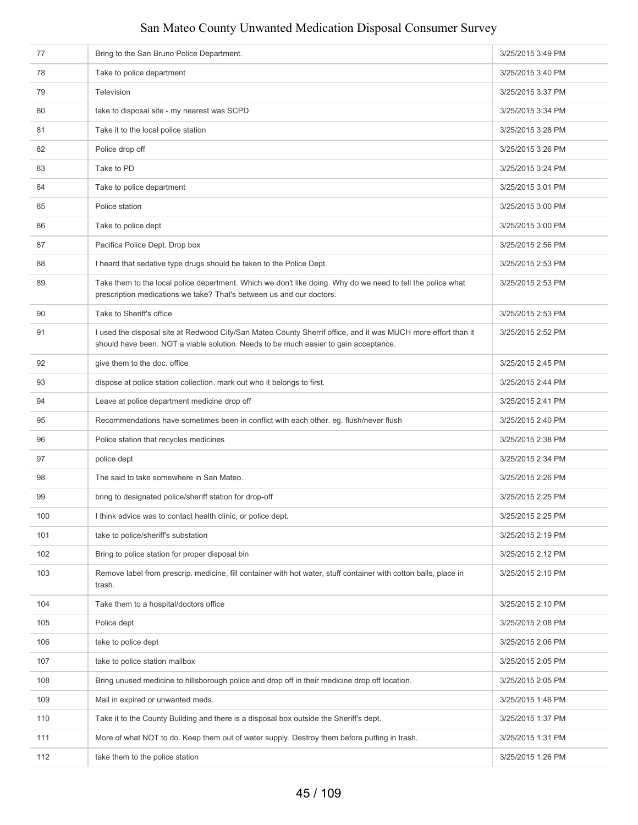| 77  | Bring to the San Bruno Police Department.                                                                                                                                                             | 3/25/2015 3:49 PM |
|-----|-------------------------------------------------------------------------------------------------------------------------------------------------------------------------------------------------------|-------------------|
| 78  | Take to police department                                                                                                                                                                             | 3/25/2015 3:40 PM |
| 79  | Television                                                                                                                                                                                            | 3/25/2015 3:37 PM |
| 80  | take to disposal site - my nearest was SCPD                                                                                                                                                           | 3/25/2015 3:34 PM |
| 81  | Take it to the local police station                                                                                                                                                                   | 3/25/2015 3:28 PM |
| 82  | Police drop off                                                                                                                                                                                       | 3/25/2015 3:26 PM |
| 83  | Take to PD                                                                                                                                                                                            | 3/25/2015 3:24 PM |
| 84  | Take to police department                                                                                                                                                                             | 3/25/2015 3:01 PM |
| 85  | Police station                                                                                                                                                                                        | 3/25/2015 3:00 PM |
| 86  | Take to police dept                                                                                                                                                                                   | 3/25/2015 3:00 PM |
| 87  | Pacifica Police Dept. Drop box                                                                                                                                                                        | 3/25/2015 2:56 PM |
| 88  | I heard that sedative type drugs should be taken to the Police Dept.                                                                                                                                  | 3/25/2015 2:53 PM |
| 89  | Take them to the local police department. Which we don't like doing. Why do we need to tell the police what<br>prescription medications we take? That's between us and our doctors.                   | 3/25/2015 2:53 PM |
| 90  | Take to Sheriff's office                                                                                                                                                                              | 3/25/2015 2:53 PM |
| 91  | I used the disposal site at Redwood City/San Mateo County Sherrif office, and it was MUCH more effort than it<br>should have been. NOT a viable solution. Needs to be much easier to gain acceptance. | 3/25/2015 2:52 PM |
| 92  | give them to the doc. office                                                                                                                                                                          | 3/25/2015 2:45 PM |
| 93  | dispose at police station collection. mark out who it belongs to first.                                                                                                                               | 3/25/2015 2:44 PM |
| 94  | Leave at police department medicine drop off                                                                                                                                                          | 3/25/2015 2:41 PM |
| 95  | Recommendations have sometimes been in conflict with each other, eg. flush/never flush                                                                                                                | 3/25/2015 2:40 PM |
| 96  | Police station that recycles medicines                                                                                                                                                                | 3/25/2015 2:38 PM |
| 97  | police dept                                                                                                                                                                                           | 3/25/2015 2:34 PM |
| 98  | The said to take somewhere in San Mateo.                                                                                                                                                              | 3/25/2015 2:26 PM |
| 99  | bring to designated police/sheriff station for drop-off                                                                                                                                               | 3/25/2015 2:25 PM |
| 100 | I think advice was to contact health clinic, or police dept.                                                                                                                                          | 3/25/2015 2:25 PM |
| 101 | take to police/sheriff's substation                                                                                                                                                                   | 3/25/2015 2:19 PM |
| 102 | Bring to police station for proper disposal bin                                                                                                                                                       | 3/25/2015 2:12 PM |
| 103 | Remove label from prescrip. medicine, fill container with hot water, stuff container with cotton balls, place in<br>trash.                                                                            | 3/25/2015 2:10 PM |
| 104 | Take them to a hospital/doctors office                                                                                                                                                                | 3/25/2015 2:10 PM |
| 105 | Police dept                                                                                                                                                                                           | 3/25/2015 2:08 PM |
| 106 | take to police dept                                                                                                                                                                                   | 3/25/2015 2:06 PM |
| 107 | take to police station mailbox                                                                                                                                                                        | 3/25/2015 2:05 PM |
| 108 | Bring unused medicine to hillsborough police and drop off in their medicine drop off location.                                                                                                        | 3/25/2015 2:05 PM |
| 109 | Mail in expired or unwanted meds.                                                                                                                                                                     | 3/25/2015 1:46 PM |
| 110 | Take it to the County Building and there is a disposal box outside the Sheriff's dept.                                                                                                                | 3/25/2015 1:37 PM |
| 111 | More of what NOT to do. Keep them out of water supply. Destroy them before putting in trash.                                                                                                          | 3/25/2015 1:31 PM |
| 112 | take them to the police station                                                                                                                                                                       | 3/25/2015 1:26 PM |
|     |                                                                                                                                                                                                       |                   |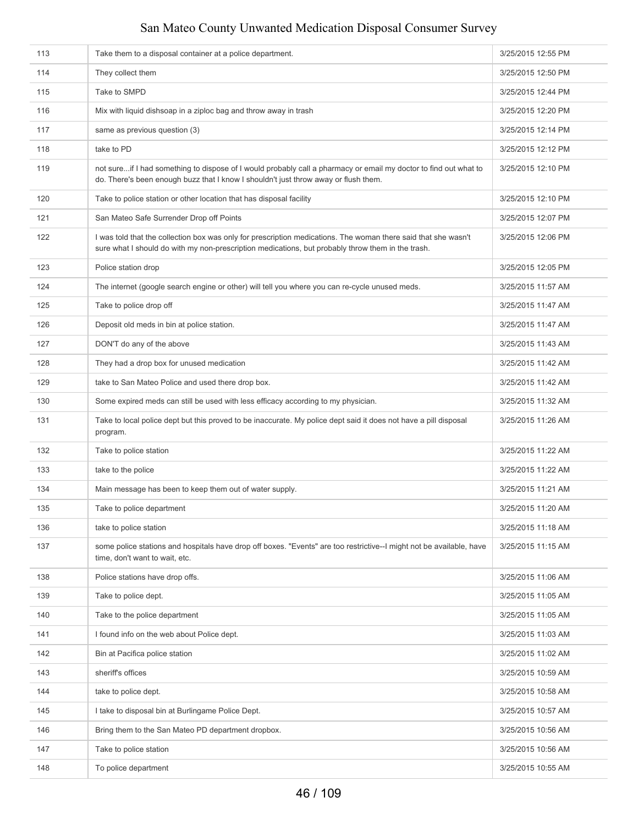| 113 | Take them to a disposal container at a police department.                                                                                                                                                           | 3/25/2015 12:55 PM |
|-----|---------------------------------------------------------------------------------------------------------------------------------------------------------------------------------------------------------------------|--------------------|
| 114 | They collect them                                                                                                                                                                                                   | 3/25/2015 12:50 PM |
| 115 | Take to SMPD                                                                                                                                                                                                        | 3/25/2015 12:44 PM |
| 116 | Mix with liquid dishsoap in a ziploc bag and throw away in trash                                                                                                                                                    | 3/25/2015 12:20 PM |
| 117 | same as previous question (3)                                                                                                                                                                                       | 3/25/2015 12:14 PM |
| 118 | take to PD                                                                                                                                                                                                          | 3/25/2015 12:12 PM |
| 119 | not sureif I had something to dispose of I would probably call a pharmacy or email my doctor to find out what to<br>do. There's been enough buzz that I know I shouldn't just throw away or flush them.             | 3/25/2015 12:10 PM |
| 120 | Take to police station or other location that has disposal facility                                                                                                                                                 | 3/25/2015 12:10 PM |
| 121 | San Mateo Safe Surrender Drop off Points                                                                                                                                                                            | 3/25/2015 12:07 PM |
| 122 | I was told that the collection box was only for prescription medications. The woman there said that she wasn't<br>sure what I should do with my non-prescription medications, but probably throw them in the trash. | 3/25/2015 12:06 PM |
| 123 | Police station drop                                                                                                                                                                                                 | 3/25/2015 12:05 PM |
| 124 | The internet (google search engine or other) will tell you where you can re-cycle unused meds.                                                                                                                      | 3/25/2015 11:57 AM |
| 125 | Take to police drop off                                                                                                                                                                                             | 3/25/2015 11:47 AM |
| 126 | Deposit old meds in bin at police station.                                                                                                                                                                          | 3/25/2015 11:47 AM |
| 127 | DON'T do any of the above                                                                                                                                                                                           | 3/25/2015 11:43 AM |
| 128 | They had a drop box for unused medication                                                                                                                                                                           | 3/25/2015 11:42 AM |
| 129 | take to San Mateo Police and used there drop box.                                                                                                                                                                   | 3/25/2015 11:42 AM |
| 130 | Some expired meds can still be used with less efficacy according to my physician.                                                                                                                                   | 3/25/2015 11:32 AM |
| 131 | Take to local police dept but this proved to be inaccurate. My police dept said it does not have a pill disposal<br>program.                                                                                        | 3/25/2015 11:26 AM |
| 132 | Take to police station                                                                                                                                                                                              | 3/25/2015 11:22 AM |
| 133 | take to the police                                                                                                                                                                                                  | 3/25/2015 11:22 AM |
| 134 | Main message has been to keep them out of water supply.                                                                                                                                                             | 3/25/2015 11:21 AM |
| 135 | Take to police department                                                                                                                                                                                           | 3/25/2015 11:20 AM |
| 136 | take to police station                                                                                                                                                                                              | 3/25/2015 11:18 AM |
| 137 | some police stations and hospitals have drop off boxes. "Events" are too restrictive--I might not be available, have<br>time, don't want to wait, etc.                                                              | 3/25/2015 11:15 AM |
| 138 | Police stations have drop offs.                                                                                                                                                                                     | 3/25/2015 11:06 AM |
| 139 | Take to police dept.                                                                                                                                                                                                | 3/25/2015 11:05 AM |
| 140 | Take to the police department                                                                                                                                                                                       | 3/25/2015 11:05 AM |
| 141 | I found info on the web about Police dept.                                                                                                                                                                          | 3/25/2015 11:03 AM |
| 142 | Bin at Pacifica police station                                                                                                                                                                                      | 3/25/2015 11:02 AM |
| 143 | sheriff's offices                                                                                                                                                                                                   | 3/25/2015 10:59 AM |
| 144 | take to police dept.                                                                                                                                                                                                | 3/25/2015 10:58 AM |
| 145 | I take to disposal bin at Burlingame Police Dept.                                                                                                                                                                   | 3/25/2015 10:57 AM |
| 146 | Bring them to the San Mateo PD department dropbox.                                                                                                                                                                  | 3/25/2015 10:56 AM |
| 147 | Take to police station                                                                                                                                                                                              | 3/25/2015 10:56 AM |
| 148 | To police department                                                                                                                                                                                                | 3/25/2015 10:55 AM |
|     |                                                                                                                                                                                                                     |                    |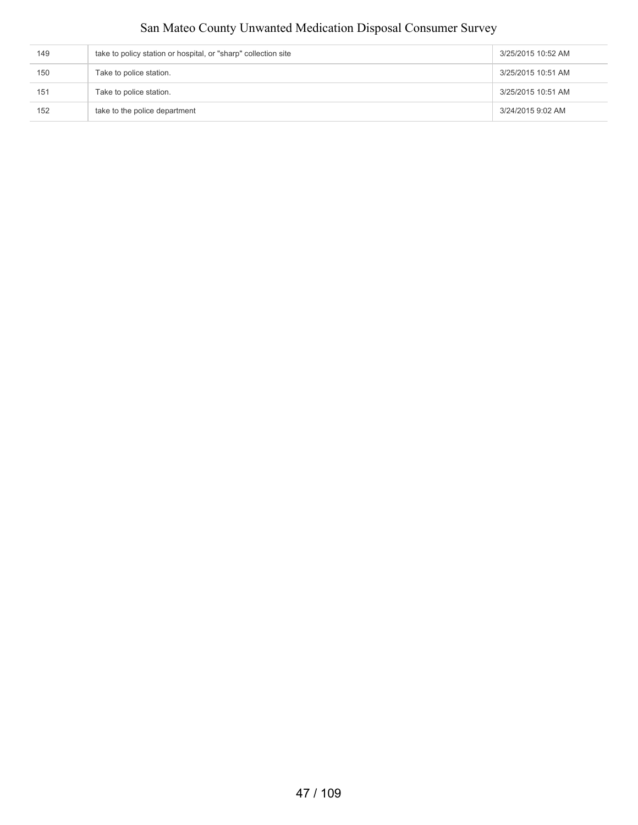| 149 | take to policy station or hospital, or "sharp" collection site | 3/25/2015 10:52 AM |
|-----|----------------------------------------------------------------|--------------------|
| 150 | Take to police station.                                        | 3/25/2015 10:51 AM |
| 151 | Take to police station.                                        | 3/25/2015 10:51 AM |
| 152 | take to the police department                                  | 3/24/2015 9:02 AM  |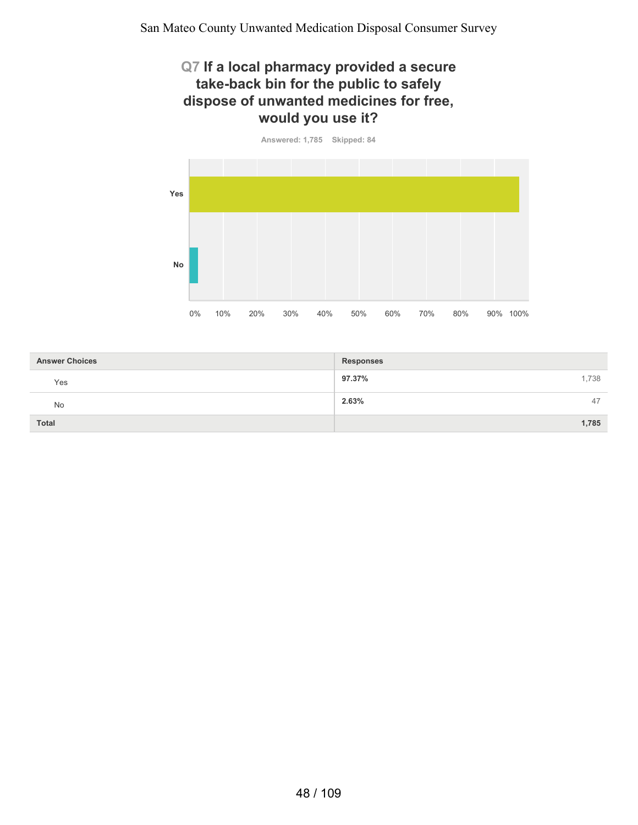#### **Q7 If a local pharmacy provided a secure take-back bin for the public to safely dispose of unwanted medicines for free, would you use it?**



| <b>Answer Choices</b> | <b>Responses</b> |
|-----------------------|------------------|
| Yes                   | 97.37%<br>1,738  |
| No                    | 2.63%<br>47      |
| <b>Total</b>          | 1,785            |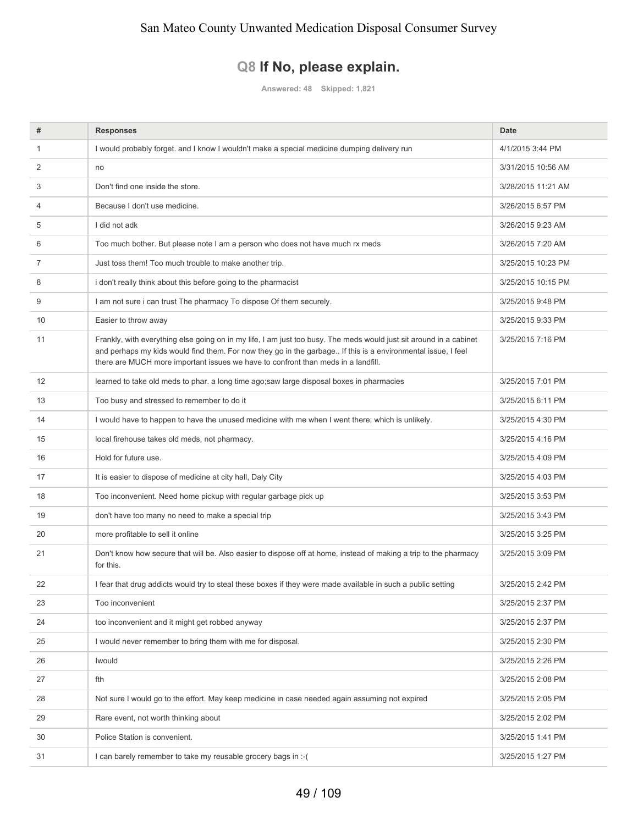#### **Q8 If No, please explain.**

**Answered: 48 Skipped: 1,821**

| #  | <b>Responses</b>                                                                                                                                                                                                                                                                                                        | <b>Date</b>        |
|----|-------------------------------------------------------------------------------------------------------------------------------------------------------------------------------------------------------------------------------------------------------------------------------------------------------------------------|--------------------|
| 1  | I would probably forget. and I know I wouldn't make a special medicine dumping delivery run                                                                                                                                                                                                                             | 4/1/2015 3:44 PM   |
| 2  | no                                                                                                                                                                                                                                                                                                                      | 3/31/2015 10:56 AM |
| 3  | Don't find one inside the store.                                                                                                                                                                                                                                                                                        | 3/28/2015 11:21 AM |
| 4  | Because I don't use medicine.                                                                                                                                                                                                                                                                                           | 3/26/2015 6:57 PM  |
| 5  | I did not adk                                                                                                                                                                                                                                                                                                           | 3/26/2015 9:23 AM  |
| 6  | Too much bother. But please note I am a person who does not have much rx meds                                                                                                                                                                                                                                           | 3/26/2015 7:20 AM  |
| 7  | Just toss them! Too much trouble to make another trip.                                                                                                                                                                                                                                                                  | 3/25/2015 10:23 PM |
| 8  | i don't really think about this before going to the pharmacist                                                                                                                                                                                                                                                          | 3/25/2015 10:15 PM |
| 9  | I am not sure i can trust The pharmacy To dispose Of them securely.                                                                                                                                                                                                                                                     | 3/25/2015 9:48 PM  |
| 10 | Easier to throw away                                                                                                                                                                                                                                                                                                    | 3/25/2015 9:33 PM  |
| 11 | Frankly, with everything else going on in my life, I am just too busy. The meds would just sit around in a cabinet<br>and perhaps my kids would find them. For now they go in the garbage If this is a environmental issue, I feel<br>there are MUCH more important issues we have to confront than meds in a landfill. | 3/25/2015 7:16 PM  |
| 12 | learned to take old meds to phar. a long time ago;saw large disposal boxes in pharmacies                                                                                                                                                                                                                                | 3/25/2015 7:01 PM  |
| 13 | Too busy and stressed to remember to do it                                                                                                                                                                                                                                                                              | 3/25/2015 6:11 PM  |
| 14 | I would have to happen to have the unused medicine with me when I went there; which is unlikely.                                                                                                                                                                                                                        | 3/25/2015 4:30 PM  |
| 15 | local firehouse takes old meds, not pharmacy.                                                                                                                                                                                                                                                                           | 3/25/2015 4:16 PM  |
| 16 | Hold for future use.                                                                                                                                                                                                                                                                                                    | 3/25/2015 4:09 PM  |
| 17 | It is easier to dispose of medicine at city hall, Daly City                                                                                                                                                                                                                                                             | 3/25/2015 4:03 PM  |
| 18 | Too inconvenient. Need home pickup with regular garbage pick up                                                                                                                                                                                                                                                         | 3/25/2015 3:53 PM  |
| 19 | don't have too many no need to make a special trip                                                                                                                                                                                                                                                                      | 3/25/2015 3:43 PM  |
| 20 | more profitable to sell it online                                                                                                                                                                                                                                                                                       | 3/25/2015 3:25 PM  |
| 21 | Don't know how secure that will be. Also easier to dispose off at home, instead of making a trip to the pharmacy<br>for this.                                                                                                                                                                                           | 3/25/2015 3:09 PM  |
| 22 | I fear that drug addicts would try to steal these boxes if they were made available in such a public setting                                                                                                                                                                                                            | 3/25/2015 2:42 PM  |
| 23 | Too inconvenient                                                                                                                                                                                                                                                                                                        | 3/25/2015 2:37 PM  |
| 24 | too inconvenient and it might get robbed anyway                                                                                                                                                                                                                                                                         | 3/25/2015 2:37 PM  |
| 25 | I would never remember to bring them with me for disposal.                                                                                                                                                                                                                                                              | 3/25/2015 2:30 PM  |
| 26 | Iwould                                                                                                                                                                                                                                                                                                                  | 3/25/2015 2:26 PM  |
| 27 | fth                                                                                                                                                                                                                                                                                                                     | 3/25/2015 2:08 PM  |
| 28 | Not sure I would go to the effort. May keep medicine in case needed again assuming not expired                                                                                                                                                                                                                          | 3/25/2015 2:05 PM  |
| 29 | Rare event, not worth thinking about                                                                                                                                                                                                                                                                                    | 3/25/2015 2:02 PM  |
| 30 | Police Station is convenient.                                                                                                                                                                                                                                                                                           | 3/25/2015 1:41 PM  |
| 31 | I can barely remember to take my reusable grocery bags in :- (                                                                                                                                                                                                                                                          | 3/25/2015 1:27 PM  |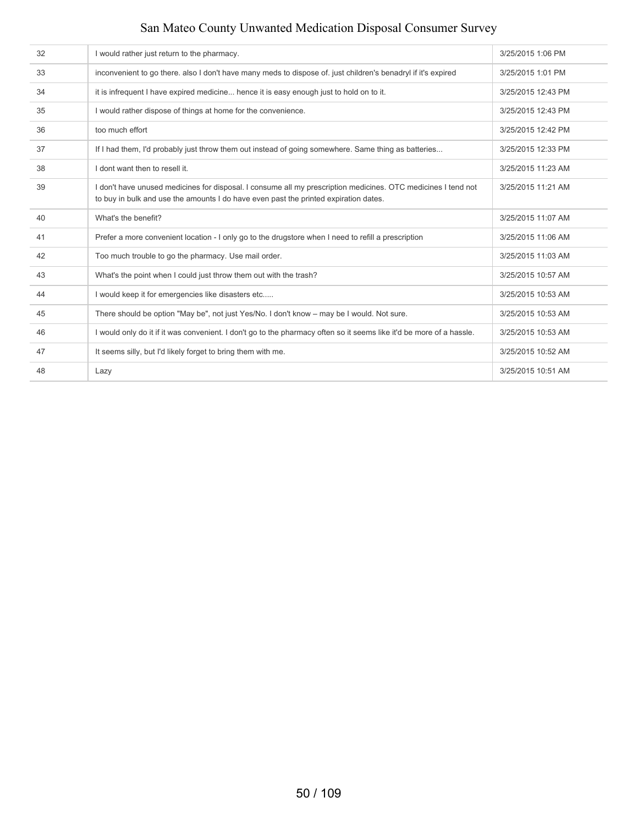| 32 | I would rather just return to the pharmacy.                                                                                                                                                           | 3/25/2015 1:06 PM  |
|----|-------------------------------------------------------------------------------------------------------------------------------------------------------------------------------------------------------|--------------------|
| 33 | inconvenient to go there. also I don't have many meds to dispose of. just children's benadryl if it's expired                                                                                         | 3/25/2015 1:01 PM  |
| 34 | it is infrequent I have expired medicine hence it is easy enough just to hold on to it.                                                                                                               | 3/25/2015 12:43 PM |
| 35 | I would rather dispose of things at home for the convenience.                                                                                                                                         | 3/25/2015 12:43 PM |
| 36 | too much effort                                                                                                                                                                                       | 3/25/2015 12:42 PM |
| 37 | If I had them, I'd probably just throw them out instead of going somewhere. Same thing as batteries                                                                                                   | 3/25/2015 12:33 PM |
| 38 | I dont want then to resell it.                                                                                                                                                                        | 3/25/2015 11:23 AM |
| 39 | I don't have unused medicines for disposal. I consume all my prescription medicines. OTC medicines I tend not<br>to buy in bulk and use the amounts I do have even past the printed expiration dates. | 3/25/2015 11:21 AM |
| 40 | What's the benefit?                                                                                                                                                                                   | 3/25/2015 11:07 AM |
| 41 | Prefer a more convenient location - I only go to the drugstore when I need to refill a prescription                                                                                                   | 3/25/2015 11:06 AM |
| 42 | Too much trouble to go the pharmacy. Use mail order.                                                                                                                                                  | 3/25/2015 11:03 AM |
| 43 | What's the point when I could just throw them out with the trash?                                                                                                                                     | 3/25/2015 10:57 AM |
| 44 | I would keep it for emergencies like disasters etc                                                                                                                                                    | 3/25/2015 10:53 AM |
| 45 | There should be option "May be", not just Yes/No. I don't know - may be I would. Not sure.                                                                                                            | 3/25/2015 10:53 AM |
| 46 | I would only do it if it was convenient. I don't go to the pharmacy often so it seems like it'd be more of a hassle.                                                                                  | 3/25/2015 10:53 AM |
| 47 | It seems silly, but I'd likely forget to bring them with me.                                                                                                                                          | 3/25/2015 10:52 AM |
| 48 | Lazy                                                                                                                                                                                                  | 3/25/2015 10:51 AM |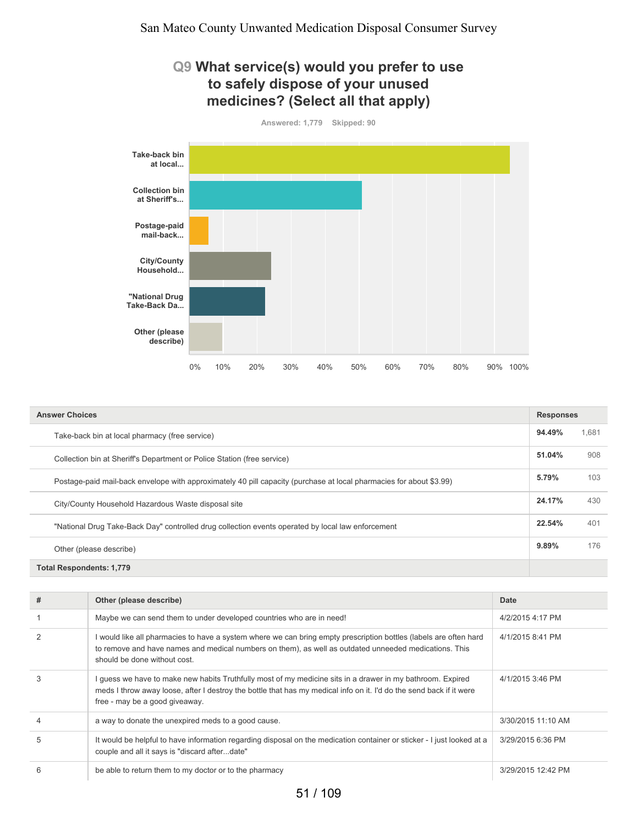#### **Q9 What service(s) would you prefer to use to safely dispose of your unused medicines? (Select all that apply)**



| <b>Answer Choices</b>                                                                                               |        |     |  |  |  |
|---------------------------------------------------------------------------------------------------------------------|--------|-----|--|--|--|
| Take-back bin at local pharmacy (free service)                                                                      |        |     |  |  |  |
| Collection bin at Sheriff's Department or Police Station (free service)                                             | 51.04% | 908 |  |  |  |
| Postage-paid mail-back envelope with approximately 40 pill capacity (purchase at local pharmacies for about \$3.99) |        |     |  |  |  |
| City/County Household Hazardous Waste disposal site                                                                 | 24.17% | 430 |  |  |  |
| "National Drug Take-Back Day" controlled drug collection events operated by local law enforcement                   | 22.54% | 401 |  |  |  |
| Other (please describe)                                                                                             | 9.89%  | 176 |  |  |  |
| <b>Total Respondents: 1,779</b>                                                                                     |        |     |  |  |  |

| #              | Other (please describe)                                                                                                                                                                                                                                           | Date               |
|----------------|-------------------------------------------------------------------------------------------------------------------------------------------------------------------------------------------------------------------------------------------------------------------|--------------------|
|                | Maybe we can send them to under developed countries who are in need!                                                                                                                                                                                              | 4/2/2015 4:17 PM   |
| $\overline{2}$ | would like all pharmacies to have a system where we can bring empty prescription bottles (labels are often hard<br>to remove and have names and medical numbers on them), as well as outdated unneeded medications. This<br>should be done without cost.          | 4/1/2015 8:41 PM   |
| 3              | guess we have to make new habits Truthfully most of my medicine sits in a drawer in my bathroom. Expired<br>meds I throw away loose, after I destroy the bottle that has my medical info on it. I'd do the send back if it were<br>free - may be a good giveaway. | 4/1/2015 3:46 PM   |
| $\overline{4}$ | a way to donate the unexpired meds to a good cause.                                                                                                                                                                                                               | 3/30/2015 11:10 AM |
| 5              | It would be helpful to have information regarding disposal on the medication container or sticker - I just looked at a<br>couple and all it says is "discard afterdate"                                                                                           | 3/29/2015 6:36 PM  |
| 6              | be able to return them to my doctor or to the pharmacy                                                                                                                                                                                                            | 3/29/2015 12:42 PM |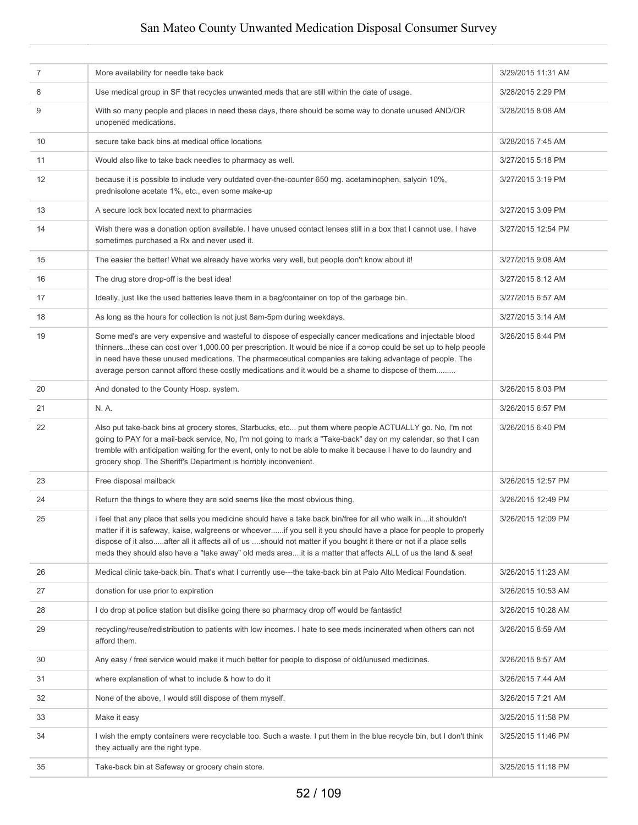| $\overline{7}$ | More availability for needle take back                                                                                                                                                                                                                                                                                                                                                                                                                                  | 3/29/2015 11:31 AM |
|----------------|-------------------------------------------------------------------------------------------------------------------------------------------------------------------------------------------------------------------------------------------------------------------------------------------------------------------------------------------------------------------------------------------------------------------------------------------------------------------------|--------------------|
| 8              | Use medical group in SF that recycles unwanted meds that are still within the date of usage.                                                                                                                                                                                                                                                                                                                                                                            | 3/28/2015 2:29 PM  |
| 9              | With so many people and places in need these days, there should be some way to donate unused AND/OR<br>unopened medications.                                                                                                                                                                                                                                                                                                                                            | 3/28/2015 8:08 AM  |
| 10             | secure take back bins at medical office locations                                                                                                                                                                                                                                                                                                                                                                                                                       | 3/28/2015 7:45 AM  |
| 11             | Would also like to take back needles to pharmacy as well.                                                                                                                                                                                                                                                                                                                                                                                                               | 3/27/2015 5:18 PM  |
| 12             | because it is possible to include very outdated over-the-counter 650 mg. acetaminophen, salycin 10%,<br>prednisolone acetate 1%, etc., even some make-up                                                                                                                                                                                                                                                                                                                | 3/27/2015 3:19 PM  |
| 13             | A secure lock box located next to pharmacies                                                                                                                                                                                                                                                                                                                                                                                                                            | 3/27/2015 3:09 PM  |
| 14             | Wish there was a donation option available. I have unused contact lenses still in a box that I cannot use. I have<br>sometimes purchased a Rx and never used it.                                                                                                                                                                                                                                                                                                        | 3/27/2015 12:54 PM |
| 15             | The easier the better! What we already have works very well, but people don't know about it!                                                                                                                                                                                                                                                                                                                                                                            | 3/27/2015 9:08 AM  |
| 16             | The drug store drop-off is the best idea!                                                                                                                                                                                                                                                                                                                                                                                                                               | 3/27/2015 8:12 AM  |
| 17             | Ideally, just like the used batteries leave them in a bag/container on top of the garbage bin.                                                                                                                                                                                                                                                                                                                                                                          | 3/27/2015 6:57 AM  |
| 18             | As long as the hours for collection is not just 8am-5pm during weekdays.                                                                                                                                                                                                                                                                                                                                                                                                | 3/27/2015 3:14 AM  |
| 19             | Some med's are very expensive and wasteful to dispose of especially cancer medications and injectable blood<br>thinnersthese can cost over 1,000.00 per prescription. It would be nice if a co=op could be set up to help people<br>in need have these unused medications. The pharmaceutical companies are taking advantage of people. The<br>average person cannot afford these costly medications and it would be a shame to dispose of them                         | 3/26/2015 8:44 PM  |
| 20             | And donated to the County Hosp. system.                                                                                                                                                                                                                                                                                                                                                                                                                                 | 3/26/2015 8:03 PM  |
| 21             | N. A.                                                                                                                                                                                                                                                                                                                                                                                                                                                                   | 3/26/2015 6:57 PM  |
| 22             | Also put take-back bins at grocery stores, Starbucks, etc put them where people ACTUALLY go. No, I'm not<br>going to PAY for a mail-back service, No, I'm not going to mark a "Take-back" day on my calendar, so that I can<br>tremble with anticipation waiting for the event, only to not be able to make it because I have to do laundry and<br>grocery shop. The Sheriff's Department is horribly inconvenient.                                                     | 3/26/2015 6:40 PM  |
| 23             | Free disposal mailback                                                                                                                                                                                                                                                                                                                                                                                                                                                  | 3/26/2015 12:57 PM |
| 24             | Return the things to where they are sold seems like the most obvious thing.                                                                                                                                                                                                                                                                                                                                                                                             | 3/26/2015 12:49 PM |
| 25             | i feel that any place that sells you medicine should have a take back bin/free for all who walk init shouldn't<br>matter if it is safeway, kaise, walgreens or whoeverif you sell it you should have a place for people to properly<br>dispose of it alsoafter all it affects all of us should not matter if you bought it there or not if a place sells<br>meds they should also have a "take away" old meds areait is a matter that affects ALL of us the land & sea! | 3/26/2015 12:09 PM |
| 26             | Medical clinic take-back bin. That's what I currently use---the take-back bin at Palo Alto Medical Foundation.                                                                                                                                                                                                                                                                                                                                                          | 3/26/2015 11:23 AM |
| 27             | donation for use prior to expiration                                                                                                                                                                                                                                                                                                                                                                                                                                    | 3/26/2015 10:53 AM |
| 28             | I do drop at police station but dislike going there so pharmacy drop off would be fantastic!                                                                                                                                                                                                                                                                                                                                                                            | 3/26/2015 10:28 AM |
| 29             | recycling/reuse/redistribution to patients with low incomes. I hate to see meds incinerated when others can not<br>afford them.                                                                                                                                                                                                                                                                                                                                         | 3/26/2015 8:59 AM  |
| 30             | Any easy / free service would make it much better for people to dispose of old/unused medicines.                                                                                                                                                                                                                                                                                                                                                                        | 3/26/2015 8:57 AM  |
| 31             | where explanation of what to include & how to do it                                                                                                                                                                                                                                                                                                                                                                                                                     | 3/26/2015 7:44 AM  |
| 32             | None of the above, I would still dispose of them myself.                                                                                                                                                                                                                                                                                                                                                                                                                | 3/26/2015 7:21 AM  |
| 33             | Make it easy                                                                                                                                                                                                                                                                                                                                                                                                                                                            | 3/25/2015 11:58 PM |
| 34             | I wish the empty containers were recyclable too. Such a waste. I put them in the blue recycle bin, but I don't think<br>they actually are the right type.                                                                                                                                                                                                                                                                                                               | 3/25/2015 11:46 PM |
| 35             | Take-back bin at Safeway or grocery chain store.                                                                                                                                                                                                                                                                                                                                                                                                                        | 3/25/2015 11:18 PM |
|                |                                                                                                                                                                                                                                                                                                                                                                                                                                                                         |                    |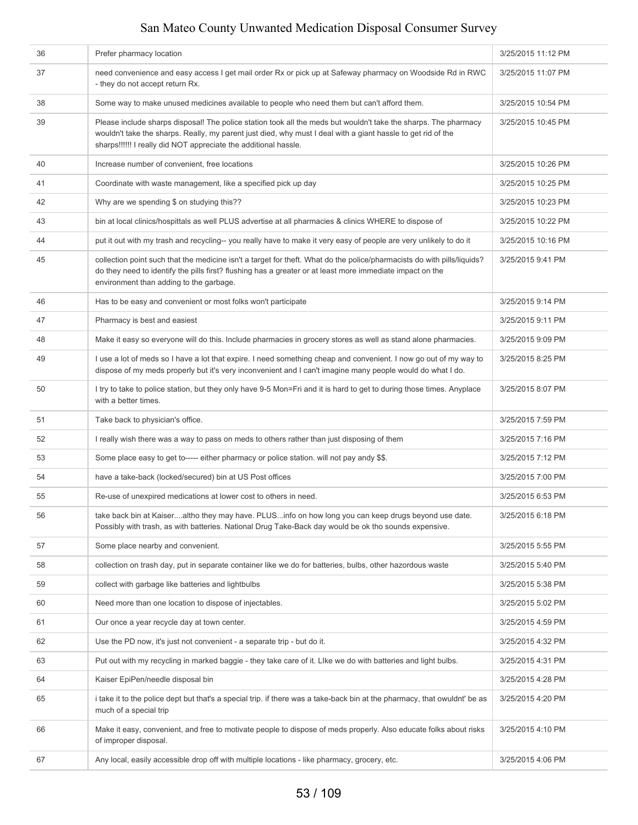| 36 | Prefer pharmacy location                                                                                                                                                                                                                                                                           | 3/25/2015 11:12 PM |
|----|----------------------------------------------------------------------------------------------------------------------------------------------------------------------------------------------------------------------------------------------------------------------------------------------------|--------------------|
| 37 | need convenience and easy access I get mail order Rx or pick up at Safeway pharmacy on Woodside Rd in RWC<br>- they do not accept return Rx.                                                                                                                                                       | 3/25/2015 11:07 PM |
| 38 | Some way to make unused medicines available to people who need them but can't afford them.                                                                                                                                                                                                         | 3/25/2015 10:54 PM |
| 39 | Please include sharps disposal! The police station took all the meds but wouldn't take the sharps. The pharmacy<br>wouldn't take the sharps. Really, my parent just died, why must I deal with a giant hassle to get rid of the<br>sharps!!!!!! I really did NOT appreciate the additional hassle. | 3/25/2015 10:45 PM |
| 40 | Increase number of convenient, free locations                                                                                                                                                                                                                                                      | 3/25/2015 10:26 PM |
| 41 | Coordinate with waste management, like a specified pick up day                                                                                                                                                                                                                                     | 3/25/2015 10:25 PM |
| 42 | Why are we spending \$ on studying this??                                                                                                                                                                                                                                                          | 3/25/2015 10:23 PM |
| 43 | bin at local clinics/hospittals as well PLUS advertise at all pharmacies & clinics WHERE to dispose of                                                                                                                                                                                             | 3/25/2015 10:22 PM |
| 44 | put it out with my trash and recycling-- you really have to make it very easy of people are very unlikely to do it                                                                                                                                                                                 | 3/25/2015 10:16 PM |
| 45 | collection point such that the medicine isn't a target for theft. What do the police/pharmacists do with pills/liquids?<br>do they need to identify the pills first? flushing has a greater or at least more immediate impact on the<br>environment than adding to the garbage.                    | 3/25/2015 9:41 PM  |
| 46 | Has to be easy and convenient or most folks won't participate                                                                                                                                                                                                                                      | 3/25/2015 9:14 PM  |
| 47 | Pharmacy is best and easiest                                                                                                                                                                                                                                                                       | 3/25/2015 9:11 PM  |
| 48 | Make it easy so everyone will do this. Include pharmacies in grocery stores as well as stand alone pharmacies.                                                                                                                                                                                     | 3/25/2015 9:09 PM  |
| 49 | I use a lot of meds so I have a lot that expire. I need something cheap and convenient. I now go out of my way to<br>dispose of my meds properly but it's very inconvenient and I can't imagine many people would do what I do.                                                                    | 3/25/2015 8:25 PM  |
| 50 | I try to take to police station, but they only have 9-5 Mon=Fri and it is hard to get to during those times. Anyplace<br>with a better times.                                                                                                                                                      | 3/25/2015 8:07 PM  |
| 51 | Take back to physician's office.                                                                                                                                                                                                                                                                   | 3/25/2015 7:59 PM  |
| 52 | I really wish there was a way to pass on meds to others rather than just disposing of them                                                                                                                                                                                                         | 3/25/2015 7:16 PM  |
| 53 | Some place easy to get to----- either pharmacy or police station. will not pay andy \$\$.                                                                                                                                                                                                          | 3/25/2015 7:12 PM  |
| 54 | have a take-back (locked/secured) bin at US Post offices                                                                                                                                                                                                                                           | 3/25/2015 7:00 PM  |
| 55 | Re-use of unexpired medications at lower cost to others in need.                                                                                                                                                                                                                                   | 3/25/2015 6:53 PM  |
| 56 | take back bin at Kaiseraltho they may have. PLUSinfo on how long you can keep drugs beyond use date.<br>Possibly with trash, as with batteries. National Drug Take-Back day would be ok tho sounds expensive.                                                                                      | 3/25/2015 6:18 PM  |
| 57 | Some place nearby and convenient.                                                                                                                                                                                                                                                                  | 3/25/2015 5:55 PM  |
| 58 | collection on trash day, put in separate container like we do for batteries, bulbs, other hazordous waste                                                                                                                                                                                          | 3/25/2015 5:40 PM  |
| 59 | collect with garbage like batteries and lightbulbs                                                                                                                                                                                                                                                 | 3/25/2015 5:38 PM  |
| 60 | Need more than one location to dispose of injectables.                                                                                                                                                                                                                                             | 3/25/2015 5:02 PM  |
| 61 | Our once a year recycle day at town center.                                                                                                                                                                                                                                                        | 3/25/2015 4:59 PM  |
| 62 | Use the PD now, it's just not convenient - a separate trip - but do it.                                                                                                                                                                                                                            | 3/25/2015 4:32 PM  |
| 63 | Put out with my recycling in marked baggie - they take care of it. Like we do with batteries and light bulbs.                                                                                                                                                                                      | 3/25/2015 4:31 PM  |
| 64 | Kaiser EpiPen/needle disposal bin                                                                                                                                                                                                                                                                  | 3/25/2015 4:28 PM  |
| 65 | i take it to the police dept but that's a special trip. if there was a take-back bin at the pharmacy, that owuldnt' be as<br>much of a special trip                                                                                                                                                | 3/25/2015 4:20 PM  |
| 66 | Make it easy, convenient, and free to motivate people to dispose of meds properly. Also educate folks about risks<br>of improper disposal.                                                                                                                                                         | 3/25/2015 4:10 PM  |
| 67 | Any local, easily accessible drop off with multiple locations - like pharmacy, grocery, etc.                                                                                                                                                                                                       | 3/25/2015 4:06 PM  |
|    |                                                                                                                                                                                                                                                                                                    |                    |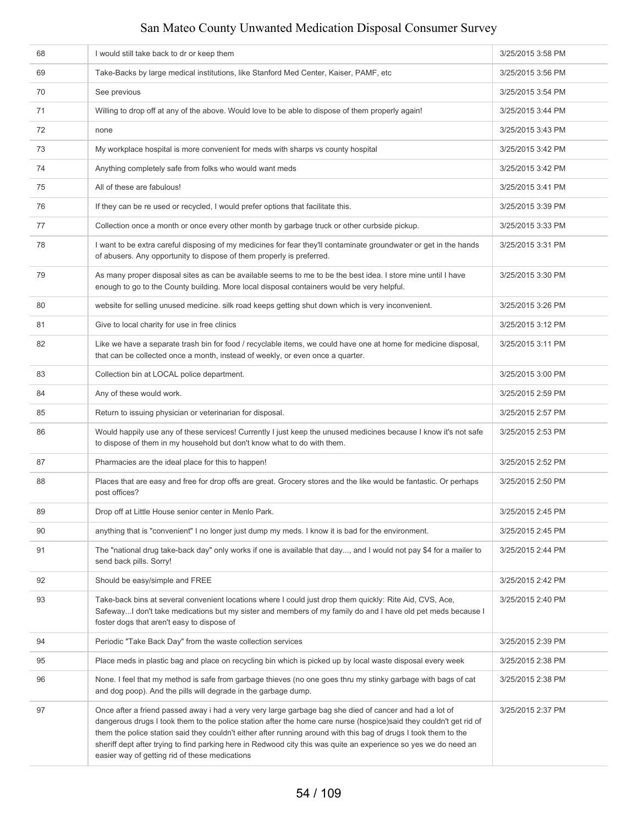| 68 | I would still take back to dr or keep them                                                                                                                                                                                                                                                                                                                                                                                                                                                                              | 3/25/2015 3:58 PM |
|----|-------------------------------------------------------------------------------------------------------------------------------------------------------------------------------------------------------------------------------------------------------------------------------------------------------------------------------------------------------------------------------------------------------------------------------------------------------------------------------------------------------------------------|-------------------|
| 69 | Take-Backs by large medical institutions, like Stanford Med Center, Kaiser, PAMF, etc                                                                                                                                                                                                                                                                                                                                                                                                                                   | 3/25/2015 3:56 PM |
| 70 | See previous                                                                                                                                                                                                                                                                                                                                                                                                                                                                                                            | 3/25/2015 3:54 PM |
| 71 | Willing to drop off at any of the above. Would love to be able to dispose of them properly again!                                                                                                                                                                                                                                                                                                                                                                                                                       | 3/25/2015 3:44 PM |
| 72 | none                                                                                                                                                                                                                                                                                                                                                                                                                                                                                                                    | 3/25/2015 3:43 PM |
| 73 | My workplace hospital is more convenient for meds with sharps vs county hospital                                                                                                                                                                                                                                                                                                                                                                                                                                        | 3/25/2015 3:42 PM |
| 74 | Anything completely safe from folks who would want meds                                                                                                                                                                                                                                                                                                                                                                                                                                                                 | 3/25/2015 3:42 PM |
| 75 | All of these are fabulous!                                                                                                                                                                                                                                                                                                                                                                                                                                                                                              | 3/25/2015 3:41 PM |
| 76 | If they can be re used or recycled, I would prefer options that facilitate this.                                                                                                                                                                                                                                                                                                                                                                                                                                        | 3/25/2015 3:39 PM |
| 77 | Collection once a month or once every other month by garbage truck or other curbside pickup.                                                                                                                                                                                                                                                                                                                                                                                                                            | 3/25/2015 3:33 PM |
| 78 | I want to be extra careful disposing of my medicines for fear they'll contaminate groundwater or get in the hands<br>of abusers. Any opportunity to dispose of them properly is preferred.                                                                                                                                                                                                                                                                                                                              | 3/25/2015 3:31 PM |
| 79 | As many proper disposal sites as can be available seems to me to be the best idea. I store mine until I have<br>enough to go to the County building. More local disposal containers would be very helpful.                                                                                                                                                                                                                                                                                                              | 3/25/2015 3:30 PM |
| 80 | website for selling unused medicine. silk road keeps getting shut down which is very inconvenient.                                                                                                                                                                                                                                                                                                                                                                                                                      | 3/25/2015 3:26 PM |
| 81 | Give to local charity for use in free clinics                                                                                                                                                                                                                                                                                                                                                                                                                                                                           | 3/25/2015 3:12 PM |
| 82 | Like we have a separate trash bin for food / recyclable items, we could have one at home for medicine disposal,<br>that can be collected once a month, instead of weekly, or even once a quarter.                                                                                                                                                                                                                                                                                                                       | 3/25/2015 3:11 PM |
| 83 | Collection bin at LOCAL police department.                                                                                                                                                                                                                                                                                                                                                                                                                                                                              | 3/25/2015 3:00 PM |
| 84 | Any of these would work.                                                                                                                                                                                                                                                                                                                                                                                                                                                                                                | 3/25/2015 2:59 PM |
| 85 | Return to issuing physician or veterinarian for disposal.                                                                                                                                                                                                                                                                                                                                                                                                                                                               | 3/25/2015 2:57 PM |
| 86 | Would happily use any of these services! Currently I just keep the unused medicines because I know it's not safe<br>to dispose of them in my household but don't know what to do with them.                                                                                                                                                                                                                                                                                                                             | 3/25/2015 2:53 PM |
| 87 | Pharmacies are the ideal place for this to happen!                                                                                                                                                                                                                                                                                                                                                                                                                                                                      | 3/25/2015 2:52 PM |
| 88 | Places that are easy and free for drop offs are great. Grocery stores and the like would be fantastic. Or perhaps<br>post offices?                                                                                                                                                                                                                                                                                                                                                                                      | 3/25/2015 2:50 PM |
| 89 | Drop off at Little House senior center in Menlo Park.                                                                                                                                                                                                                                                                                                                                                                                                                                                                   | 3/25/2015 2:45 PM |
| 90 | anything that is "convenient" I no longer just dump my meds. I know it is bad for the environment.                                                                                                                                                                                                                                                                                                                                                                                                                      | 3/25/2015 2:45 PM |
| 91 | The "national drug take-back day" only works if one is available that day, and I would not pay \$4 for a mailer to<br>send back pills. Sorry!                                                                                                                                                                                                                                                                                                                                                                           | 3/25/2015 2:44 PM |
| 92 | Should be easy/simple and FREE                                                                                                                                                                                                                                                                                                                                                                                                                                                                                          | 3/25/2015 2:42 PM |
| 93 | Take-back bins at several convenient locations where I could just drop them quickly: Rite Aid, CVS, Ace,<br>SafewayI don't take medications but my sister and members of my family do and I have old pet meds because I<br>foster dogs that aren't easy to dispose of                                                                                                                                                                                                                                                   | 3/25/2015 2:40 PM |
| 94 | Periodic "Take Back Day" from the waste collection services                                                                                                                                                                                                                                                                                                                                                                                                                                                             | 3/25/2015 2:39 PM |
| 95 | Place meds in plastic bag and place on recycling bin which is picked up by local waste disposal every week                                                                                                                                                                                                                                                                                                                                                                                                              | 3/25/2015 2:38 PM |
| 96 | None. I feel that my method is safe from garbage thieves (no one goes thru my stinky garbage with bags of cat<br>and dog poop). And the pills will degrade in the garbage dump.                                                                                                                                                                                                                                                                                                                                         | 3/25/2015 2:38 PM |
| 97 | Once after a friend passed away i had a very very large garbage bag she died of cancer and had a lot of<br>dangerous drugs I took them to the police station after the home care nurse (hospice)said they couldn't get rid of<br>them the police station said they couldn't either after running around with this bag of drugs I took them to the<br>sheriff dept after trying to find parking here in Redwood city this was quite an experience so yes we do need an<br>easier way of getting rid of these medications | 3/25/2015 2:37 PM |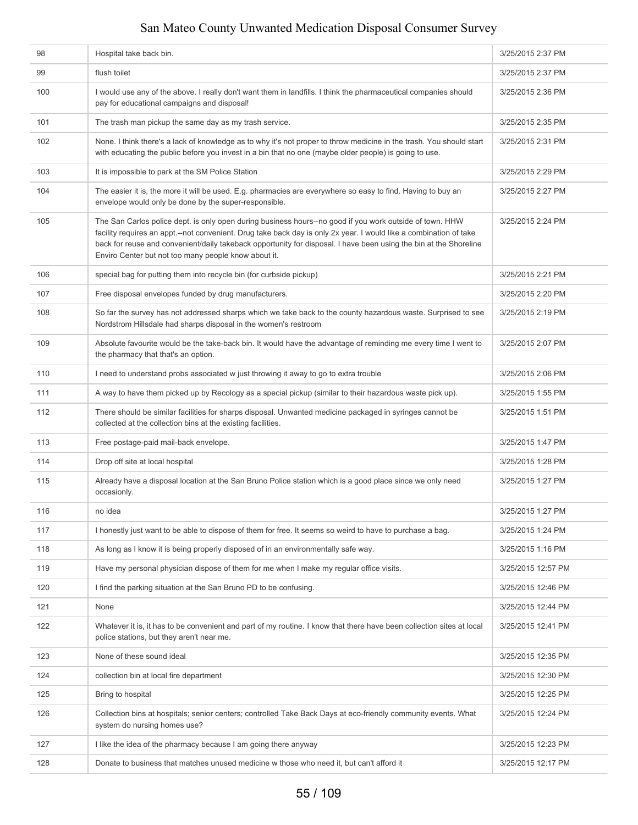| 98  | Hospital take back bin.                                                                                                                                                                                                                                                                                                                                                                                     | 3/25/2015 2:37 PM  |
|-----|-------------------------------------------------------------------------------------------------------------------------------------------------------------------------------------------------------------------------------------------------------------------------------------------------------------------------------------------------------------------------------------------------------------|--------------------|
| 99  | flush toilet                                                                                                                                                                                                                                                                                                                                                                                                | 3/25/2015 2:37 PM  |
| 100 | I would use any of the above. I really don't want them in landfills. I think the pharmaceutical companies should<br>pay for educational campaigns and disposal!                                                                                                                                                                                                                                             | 3/25/2015 2:36 PM  |
| 101 | The trash man pickup the same day as my trash service.                                                                                                                                                                                                                                                                                                                                                      | 3/25/2015 2:35 PM  |
| 102 | None. I think there's a lack of knowledge as to why it's not proper to throw medicine in the trash. You should start<br>with educating the public before you invest in a bin that no one (maybe older people) is going to use.                                                                                                                                                                              | 3/25/2015 2:31 PM  |
| 103 | It is impossible to park at the SM Police Station                                                                                                                                                                                                                                                                                                                                                           | 3/25/2015 2:29 PM  |
| 104 | The easier it is, the more it will be used. E.g. pharmacies are everywhere so easy to find. Having to buy an<br>envelope would only be done by the super-responsible.                                                                                                                                                                                                                                       | 3/25/2015 2:27 PM  |
| 105 | The San Carlos police dept. is only open during business hours--no good if you work outside of town. HHW<br>facility requires an appt.--not convenient. Drug take back day is only 2x year. I would like a combination of take<br>back for reuse and convenient/daily takeback opportunity for disposal. I have been using the bin at the Shoreline<br>Enviro Center but not too many people know about it. | 3/25/2015 2:24 PM  |
| 106 | special bag for putting them into recycle bin (for curbside pickup)                                                                                                                                                                                                                                                                                                                                         | 3/25/2015 2:21 PM  |
| 107 | Free disposal envelopes funded by drug manufacturers.                                                                                                                                                                                                                                                                                                                                                       | 3/25/2015 2:20 PM  |
| 108 | So far the survey has not addressed sharps which we take back to the county hazardous waste. Surprised to see<br>Nordstrom Hillsdale had sharps disposal in the women's restroom                                                                                                                                                                                                                            | 3/25/2015 2:19 PM  |
| 109 | Absolute favourite would be the take-back bin. It would have the advantage of reminding me every time I went to<br>the pharmacy that that's an option.                                                                                                                                                                                                                                                      | 3/25/2015 2:07 PM  |
| 110 | I need to understand probs associated w just throwing it away to go to extra trouble                                                                                                                                                                                                                                                                                                                        | 3/25/2015 2:06 PM  |
| 111 | A way to have them picked up by Recology as a special pickup (similar to their hazardous waste pick up).                                                                                                                                                                                                                                                                                                    | 3/25/2015 1:55 PM  |
| 112 | There should be similar facilities for sharps disposal. Unwanted medicine packaged in syringes cannot be<br>collected at the collection bins at the existing facilities.                                                                                                                                                                                                                                    | 3/25/2015 1:51 PM  |
| 113 | Free postage-paid mail-back envelope.                                                                                                                                                                                                                                                                                                                                                                       | 3/25/2015 1:47 PM  |
| 114 | Drop off site at local hospital                                                                                                                                                                                                                                                                                                                                                                             | 3/25/2015 1:28 PM  |
| 115 | Already have a disposal location at the San Bruno Police station which is a good place since we only need<br>occasionly.                                                                                                                                                                                                                                                                                    | 3/25/2015 1:27 PM  |
| 116 | no idea                                                                                                                                                                                                                                                                                                                                                                                                     | 3/25/2015 1:27 PM  |
| 117 | I honestly just want to be able to dispose of them for free. It seems so weird to have to purchase a bag.                                                                                                                                                                                                                                                                                                   | 3/25/2015 1:24 PM  |
| 118 | As long as I know it is being properly disposed of in an environmentally safe way.                                                                                                                                                                                                                                                                                                                          | 3/25/2015 1:16 PM  |
| 119 | Have my personal physician dispose of them for me when I make my regular office visits.                                                                                                                                                                                                                                                                                                                     | 3/25/2015 12:57 PM |
| 120 | I find the parking situation at the San Bruno PD to be confusing.                                                                                                                                                                                                                                                                                                                                           | 3/25/2015 12:46 PM |
| 121 | None                                                                                                                                                                                                                                                                                                                                                                                                        | 3/25/2015 12:44 PM |
| 122 | Whatever it is, it has to be convenient and part of my routine. I know that there have been collection sites at local<br>police stations, but they aren't near me.                                                                                                                                                                                                                                          | 3/25/2015 12:41 PM |
| 123 | None of these sound ideal                                                                                                                                                                                                                                                                                                                                                                                   | 3/25/2015 12:35 PM |
| 124 | collection bin at local fire department                                                                                                                                                                                                                                                                                                                                                                     | 3/25/2015 12:30 PM |
| 125 | Bring to hospital                                                                                                                                                                                                                                                                                                                                                                                           | 3/25/2015 12:25 PM |
| 126 | Collection bins at hospitals; senior centers; controlled Take Back Days at eco-friendly community events. What<br>system do nursing homes use?                                                                                                                                                                                                                                                              | 3/25/2015 12:24 PM |
| 127 | I like the idea of the pharmacy because I am going there anyway                                                                                                                                                                                                                                                                                                                                             | 3/25/2015 12:23 PM |
| 128 | Donate to business that matches unused medicine w those who need it, but can't afford it                                                                                                                                                                                                                                                                                                                    | 3/25/2015 12:17 PM |
|     |                                                                                                                                                                                                                                                                                                                                                                                                             |                    |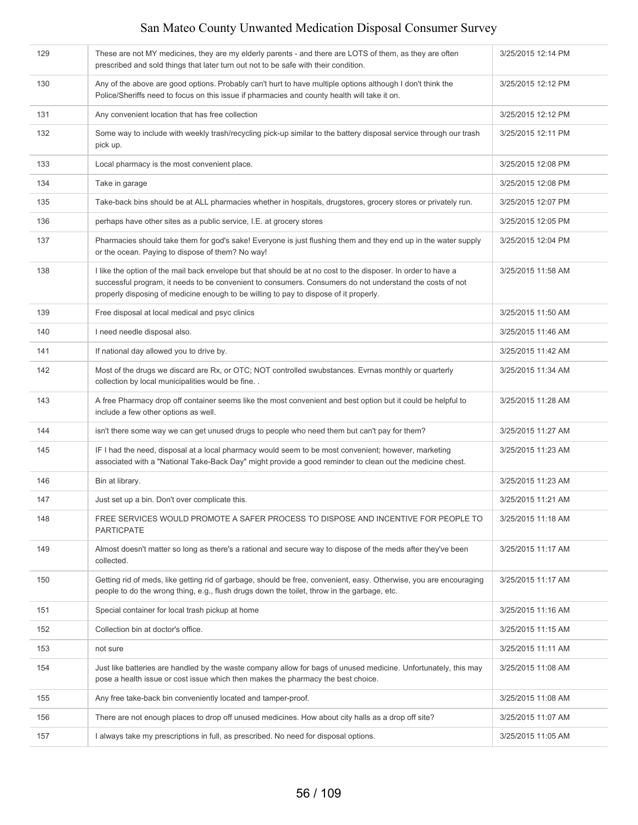| 129 | These are not MY medicines, they are my elderly parents - and there are LOTS of them, as they are often<br>prescribed and sold things that later turn out not to be safe with their condition.                                                                                                                     | 3/25/2015 12:14 PM |
|-----|--------------------------------------------------------------------------------------------------------------------------------------------------------------------------------------------------------------------------------------------------------------------------------------------------------------------|--------------------|
| 130 | Any of the above are good options. Probably can't hurt to have multiple options although I don't think the<br>Police/Sheriffs need to focus on this issue if pharmacies and county health will take it on.                                                                                                         | 3/25/2015 12:12 PM |
| 131 | Any convenient location that has free collection                                                                                                                                                                                                                                                                   | 3/25/2015 12:12 PM |
| 132 | Some way to include with weekly trash/recycling pick-up similar to the battery disposal service through our trash<br>pick up.                                                                                                                                                                                      | 3/25/2015 12:11 PM |
| 133 | Local pharmacy is the most convenient place.                                                                                                                                                                                                                                                                       | 3/25/2015 12:08 PM |
| 134 | Take in garage                                                                                                                                                                                                                                                                                                     | 3/25/2015 12:08 PM |
| 135 | Take-back bins should be at ALL pharmacies whether in hospitals, drugstores, grocery stores or privately run.                                                                                                                                                                                                      | 3/25/2015 12:07 PM |
| 136 | perhaps have other sites as a public service, I.E. at grocery stores                                                                                                                                                                                                                                               | 3/25/2015 12:05 PM |
| 137 | Pharmacies should take them for god's sake! Everyone is just flushing them and they end up in the water supply<br>or the ocean. Paying to dispose of them? No way!                                                                                                                                                 | 3/25/2015 12:04 PM |
| 138 | I like the option of the mail back envelope but that should be at no cost to the disposer. In order to have a<br>successful program, it needs to be convenient to consumers. Consumers do not understand the costs of not<br>properly disposing of medicine enough to be willing to pay to dispose of it properly. | 3/25/2015 11:58 AM |
| 139 | Free disposal at local medical and psyc clinics                                                                                                                                                                                                                                                                    | 3/25/2015 11:50 AM |
| 140 | I need needle disposal also.                                                                                                                                                                                                                                                                                       | 3/25/2015 11:46 AM |
| 141 | If national day allowed you to drive by.                                                                                                                                                                                                                                                                           | 3/25/2015 11:42 AM |
| 142 | Most of the drugs we discard are Rx, or OTC; NOT controlled swubstances. Evrnas monthly or quarterly<br>collection by local municipalities would be fine                                                                                                                                                           | 3/25/2015 11:34 AM |
| 143 | A free Pharmacy drop off container seems like the most convenient and best option but it could be helpful to<br>include a few other options as well.                                                                                                                                                               | 3/25/2015 11:28 AM |
| 144 | isn't there some way we can get unused drugs to people who need them but can't pay for them?                                                                                                                                                                                                                       | 3/25/2015 11:27 AM |
| 145 | IF I had the need, disposal at a local pharmacy would seem to be most convenient; however, marketing<br>associated with a "National Take-Back Day" might provide a good reminder to clean out the medicine chest.                                                                                                  | 3/25/2015 11:23 AM |
| 146 | Bin at library.                                                                                                                                                                                                                                                                                                    | 3/25/2015 11:23 AM |
| 147 | Just set up a bin. Don't over complicate this.                                                                                                                                                                                                                                                                     | 3/25/2015 11:21 AM |
| 148 | FREE SERVICES WOULD PROMOTE A SAFER PROCESS TO DISPOSE AND INCENTIVE FOR PEOPLE TO<br><b>PARTICPATE</b>                                                                                                                                                                                                            | 3/25/2015 11:18 AM |
| 149 | Almost doesn't matter so long as there's a rational and secure way to dispose of the meds after they've been<br>collected.                                                                                                                                                                                         | 3/25/2015 11:17 AM |
| 150 | Getting rid of meds, like getting rid of garbage, should be free, convenient, easy. Otherwise, you are encouraging<br>people to do the wrong thing, e.g., flush drugs down the toilet, throw in the garbage, etc.                                                                                                  | 3/25/2015 11:17 AM |
| 151 | Special container for local trash pickup at home                                                                                                                                                                                                                                                                   | 3/25/2015 11:16 AM |
| 152 | Collection bin at doctor's office.                                                                                                                                                                                                                                                                                 | 3/25/2015 11:15 AM |
| 153 | not sure                                                                                                                                                                                                                                                                                                           | 3/25/2015 11:11 AM |
| 154 | Just like batteries are handled by the waste company allow for bags of unused medicine. Unfortunately, this may<br>pose a health issue or cost issue which then makes the pharmacy the best choice.                                                                                                                | 3/25/2015 11:08 AM |
| 155 | Any free take-back bin conveniently located and tamper-proof.                                                                                                                                                                                                                                                      | 3/25/2015 11:08 AM |
| 156 | There are not enough places to drop off unused medicines. How about city halls as a drop off site?                                                                                                                                                                                                                 | 3/25/2015 11:07 AM |
| 157 | I always take my prescriptions in full, as prescribed. No need for disposal options.                                                                                                                                                                                                                               | 3/25/2015 11:05 AM |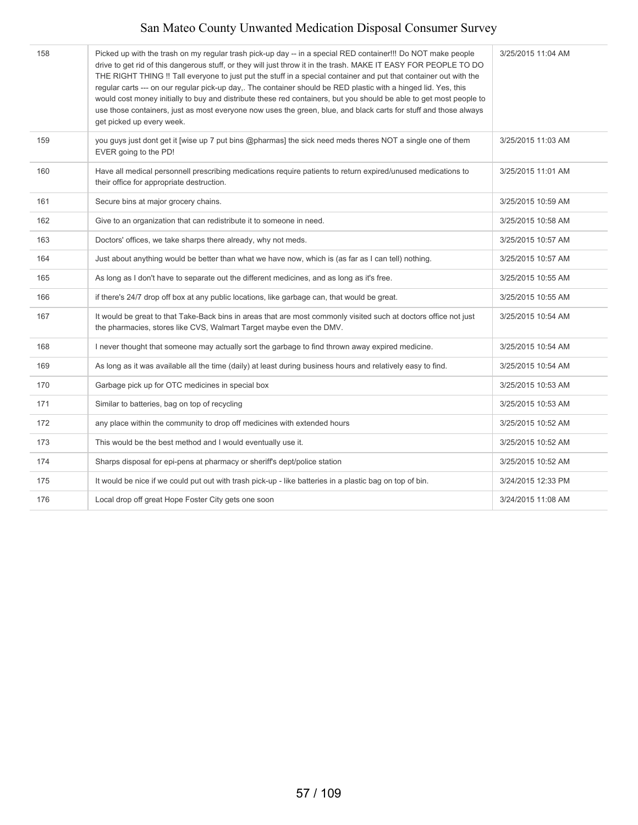| 158 | Picked up with the trash on my regular trash pick-up day -- in a special RED container!!! Do NOT make people<br>drive to get rid of this dangerous stuff, or they will just throw it in the trash. MAKE IT EASY FOR PEOPLE TO DO<br>THE RIGHT THING !! Tall everyone to just put the stuff in a special container and put that container out with the<br>regular carts --- on our regular pick-up day,. The container should be RED plastic with a hinged lid. Yes, this<br>would cost money initially to buy and distribute these red containers, but you should be able to get most people to<br>use those containers, just as most everyone now uses the green, blue, and black carts for stuff and those always<br>get picked up every week. | 3/25/2015 11:04 AM |
|-----|--------------------------------------------------------------------------------------------------------------------------------------------------------------------------------------------------------------------------------------------------------------------------------------------------------------------------------------------------------------------------------------------------------------------------------------------------------------------------------------------------------------------------------------------------------------------------------------------------------------------------------------------------------------------------------------------------------------------------------------------------|--------------------|
| 159 | you guys just dont get it [wise up 7 put bins @pharmas] the sick need meds theres NOT a single one of them<br>EVER going to the PD!                                                                                                                                                                                                                                                                                                                                                                                                                                                                                                                                                                                                              | 3/25/2015 11:03 AM |
| 160 | Have all medical personnell prescribing medications require patients to return expired/unused medications to<br>their office for appropriate destruction.                                                                                                                                                                                                                                                                                                                                                                                                                                                                                                                                                                                        | 3/25/2015 11:01 AM |
| 161 | Secure bins at major grocery chains.                                                                                                                                                                                                                                                                                                                                                                                                                                                                                                                                                                                                                                                                                                             | 3/25/2015 10:59 AM |
| 162 | Give to an organization that can redistribute it to someone in need.                                                                                                                                                                                                                                                                                                                                                                                                                                                                                                                                                                                                                                                                             | 3/25/2015 10:58 AM |
| 163 | Doctors' offices, we take sharps there already, why not meds.                                                                                                                                                                                                                                                                                                                                                                                                                                                                                                                                                                                                                                                                                    | 3/25/2015 10:57 AM |
| 164 | Just about anything would be better than what we have now, which is (as far as I can tell) nothing.                                                                                                                                                                                                                                                                                                                                                                                                                                                                                                                                                                                                                                              | 3/25/2015 10:57 AM |
| 165 | As long as I don't have to separate out the different medicines, and as long as it's free.                                                                                                                                                                                                                                                                                                                                                                                                                                                                                                                                                                                                                                                       | 3/25/2015 10:55 AM |
| 166 | if there's 24/7 drop off box at any public locations, like garbage can, that would be great.                                                                                                                                                                                                                                                                                                                                                                                                                                                                                                                                                                                                                                                     | 3/25/2015 10:55 AM |
| 167 | It would be great to that Take-Back bins in areas that are most commonly visited such at doctors office not just<br>the pharmacies, stores like CVS, Walmart Target maybe even the DMV.                                                                                                                                                                                                                                                                                                                                                                                                                                                                                                                                                          | 3/25/2015 10:54 AM |
| 168 | I never thought that someone may actually sort the garbage to find thrown away expired medicine.                                                                                                                                                                                                                                                                                                                                                                                                                                                                                                                                                                                                                                                 | 3/25/2015 10:54 AM |
| 169 | As long as it was available all the time (daily) at least during business hours and relatively easy to find.                                                                                                                                                                                                                                                                                                                                                                                                                                                                                                                                                                                                                                     | 3/25/2015 10:54 AM |
| 170 | Garbage pick up for OTC medicines in special box                                                                                                                                                                                                                                                                                                                                                                                                                                                                                                                                                                                                                                                                                                 | 3/25/2015 10:53 AM |
| 171 | Similar to batteries, bag on top of recycling                                                                                                                                                                                                                                                                                                                                                                                                                                                                                                                                                                                                                                                                                                    | 3/25/2015 10:53 AM |
| 172 | any place within the community to drop off medicines with extended hours                                                                                                                                                                                                                                                                                                                                                                                                                                                                                                                                                                                                                                                                         | 3/25/2015 10:52 AM |
| 173 | This would be the best method and I would eventually use it.                                                                                                                                                                                                                                                                                                                                                                                                                                                                                                                                                                                                                                                                                     | 3/25/2015 10:52 AM |
| 174 | Sharps disposal for epi-pens at pharmacy or sheriff's dept/police station                                                                                                                                                                                                                                                                                                                                                                                                                                                                                                                                                                                                                                                                        | 3/25/2015 10:52 AM |
| 175 | It would be nice if we could put out with trash pick-up - like batteries in a plastic bag on top of bin.                                                                                                                                                                                                                                                                                                                                                                                                                                                                                                                                                                                                                                         | 3/24/2015 12:33 PM |
| 176 | Local drop off great Hope Foster City gets one soon                                                                                                                                                                                                                                                                                                                                                                                                                                                                                                                                                                                                                                                                                              | 3/24/2015 11:08 AM |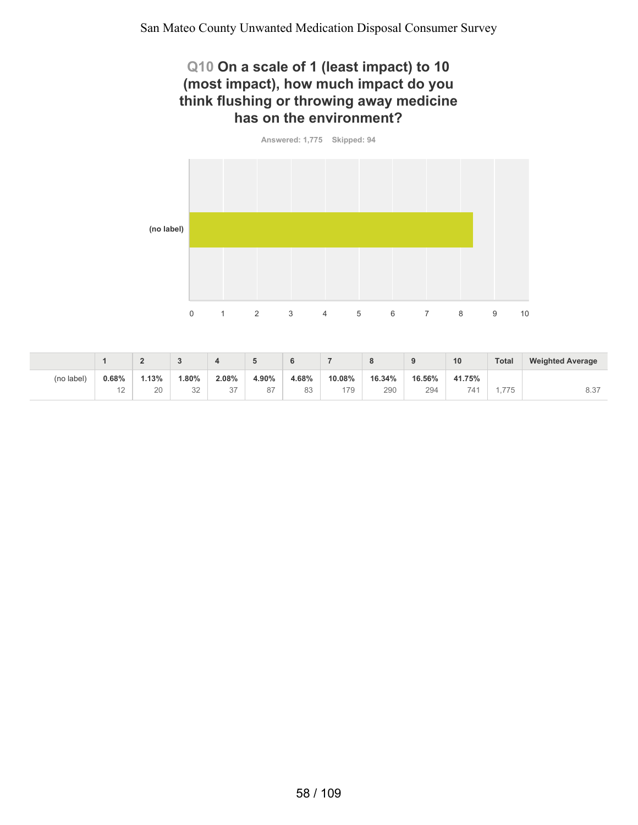#### **Q10 On a scale of 1 (least impact) to 10 (most impact), how much impact do you think flushing or throwing away medicine has on the environment?**

**Answered: 1,775 Skipped: 94**



|            |       | -     |           |               |       | 6     |        | o      |        | 10       | Total | <b>Weighted Average</b> |
|------------|-------|-------|-----------|---------------|-------|-------|--------|--------|--------|----------|-------|-------------------------|
| (no label) | 0.68% | 1.13% | 80%،      | 2.08%         | 4.90% | 4.68% | 10.08% | 16.34% | 16.56% | 41.75%   |       |                         |
|            | ⊢∠    | 20    | つつ<br>JZ. | $\sim$<br>، ت | 87    | 83    | 179    | 290    | 294    | 711<br>∸ | .775  | 8.37                    |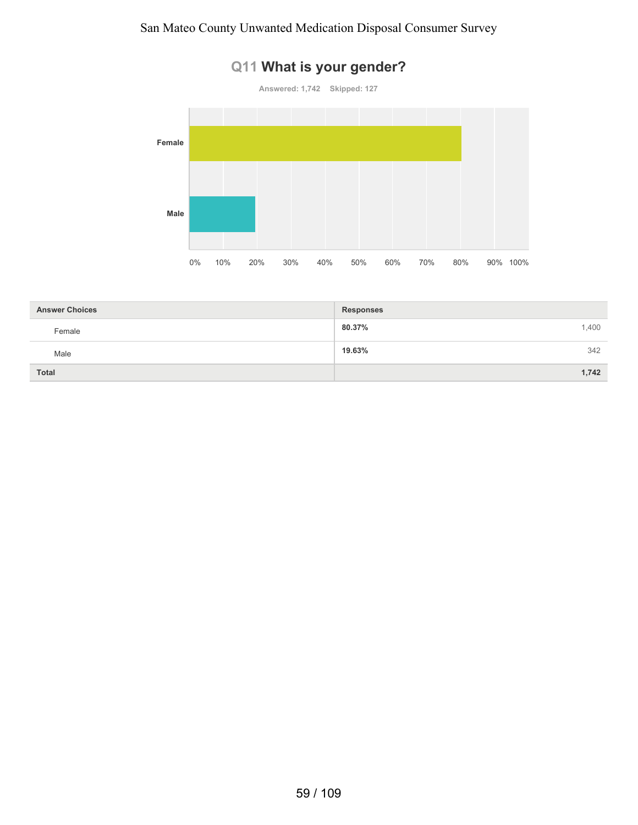

# **Q11 What is your gender?**

| <b>Answer Choices</b> | <b>Responses</b> |
|-----------------------|------------------|
| Female                | 80.37%<br>1,400  |
| Male                  | 19.63%<br>342    |
| <b>Total</b>          | 1,742            |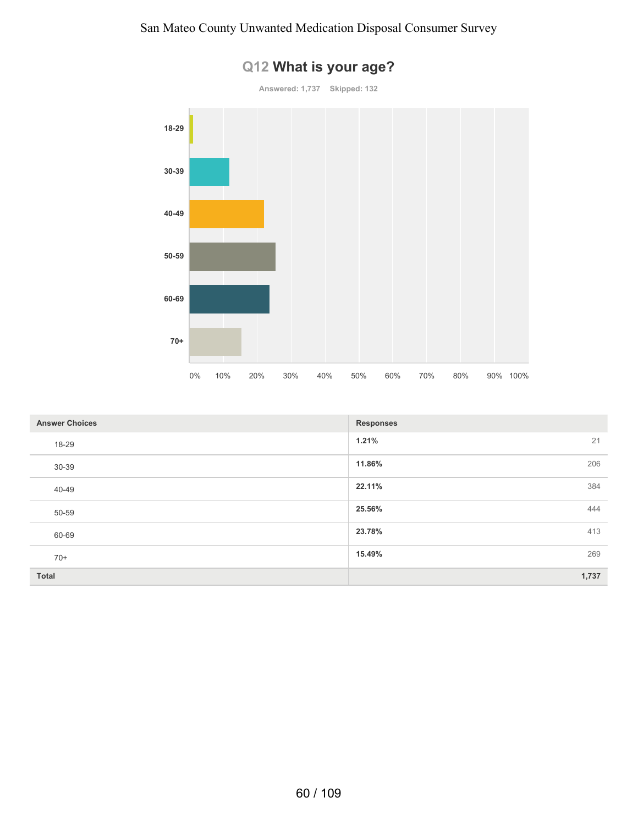

# **Q12 What is your age?**

| <b>Answer Choices</b> | <b>Responses</b> |
|-----------------------|------------------|
| 18-29                 | 1.21%<br>21      |
| 30-39                 | 11.86%<br>206    |
| 40-49                 | 22.11%<br>384    |
| 50-59                 | 25.56%<br>444    |
| 60-69                 | 23.78%<br>413    |
| $70+$                 | 15.49%<br>269    |
| <b>Total</b>          | 1,737            |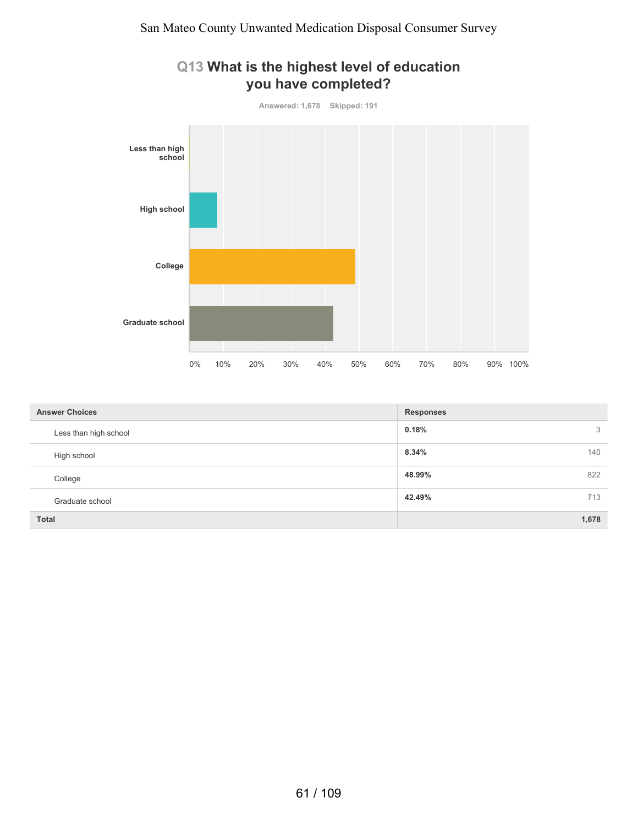

| <b>Answer Choices</b> | <b>Responses</b> |
|-----------------------|------------------|
| Less than high school | 3<br>0.18%       |
| High school           | 140<br>8.34%     |
| College               | 822<br>48.99%    |
| Graduate school       | 713<br>42.49%    |
| <b>Total</b>          | 1,678            |

#### 61 / 109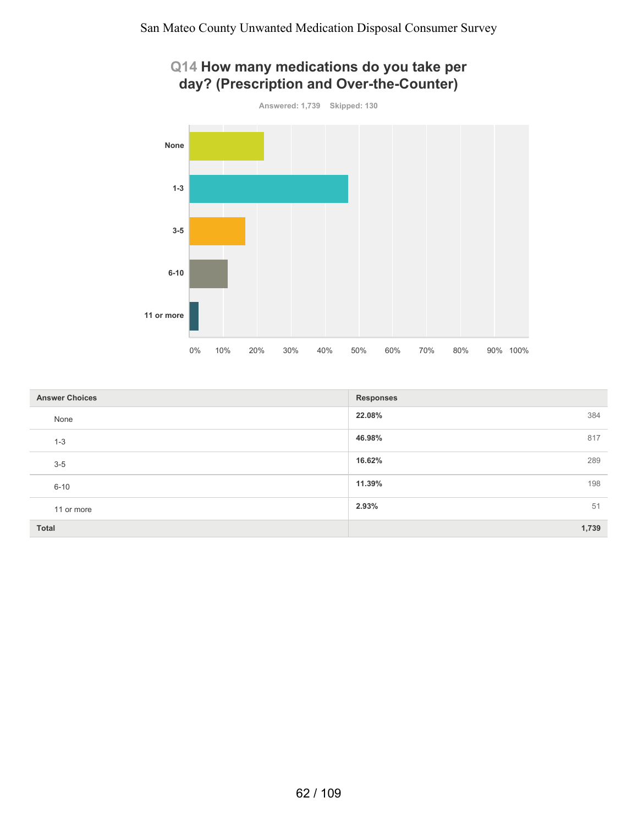

| Q14 How many medications do you take per |  |
|------------------------------------------|--|
| day? (Prescription and Over-the-Counter) |  |

| <b>Answer Choices</b> | <b>Responses</b> |
|-----------------------|------------------|
| None                  | 22.08%<br>384    |
| $1 - 3$               | 46.98%<br>817    |
| $3-5$                 | 16.62%<br>289    |
| $6 - 10$              | 11.39%<br>198    |
| 11 or more            | 51<br>2.93%      |
| Total                 | 1,739            |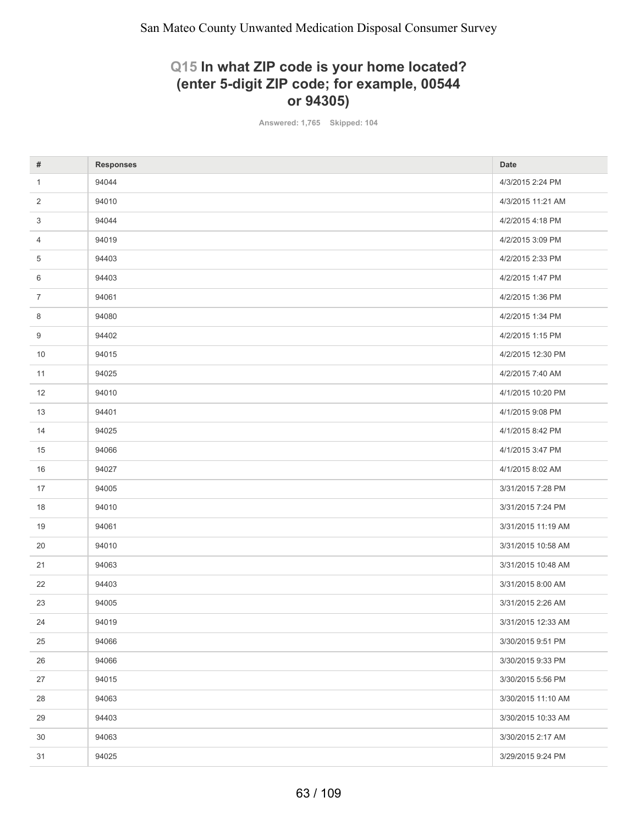### **Q15 In what ZIP code is your home located? (enter 5-digit ZIP code; for example, 00544 or 94305)**

**Answered: 1,765 Skipped: 104**

| #              | <b>Responses</b> | <b>Date</b>        |
|----------------|------------------|--------------------|
| $\mathbf{1}$   | 94044            | 4/3/2015 2:24 PM   |
| 2              | 94010            | 4/3/2015 11:21 AM  |
| 3              | 94044            | 4/2/2015 4:18 PM   |
| 4              | 94019            | 4/2/2015 3:09 PM   |
| 5              | 94403            | 4/2/2015 2:33 PM   |
| 6              | 94403            | 4/2/2015 1:47 PM   |
| $\overline{7}$ | 94061            | 4/2/2015 1:36 PM   |
| 8              | 94080            | 4/2/2015 1:34 PM   |
| 9              | 94402            | 4/2/2015 1:15 PM   |
| 10             | 94015            | 4/2/2015 12:30 PM  |
| 11             | 94025            | 4/2/2015 7:40 AM   |
| 12             | 94010            | 4/1/2015 10:20 PM  |
| 13             | 94401            | 4/1/2015 9:08 PM   |
| 14             | 94025            | 4/1/2015 8:42 PM   |
| 15             | 94066            | 4/1/2015 3:47 PM   |
| 16             | 94027            | 4/1/2015 8:02 AM   |
| 17             | 94005            | 3/31/2015 7:28 PM  |
| 18             | 94010            | 3/31/2015 7:24 PM  |
| 19             | 94061            | 3/31/2015 11:19 AM |
| 20             | 94010            | 3/31/2015 10:58 AM |
| 21             | 94063            | 3/31/2015 10:48 AM |
| 22             | 94403            | 3/31/2015 8:00 AM  |
| 23             | 94005            | 3/31/2015 2:26 AM  |
| 24             | 94019            | 3/31/2015 12:33 AM |
| 25             | 94066            | 3/30/2015 9:51 PM  |
| 26             | 94066            | 3/30/2015 9:33 PM  |
| 27             | 94015            | 3/30/2015 5:56 PM  |
| 28             | 94063            | 3/30/2015 11:10 AM |
| 29             | 94403            | 3/30/2015 10:33 AM |
| 30             | 94063            | 3/30/2015 2:17 AM  |
| 31             | 94025            | 3/29/2015 9:24 PM  |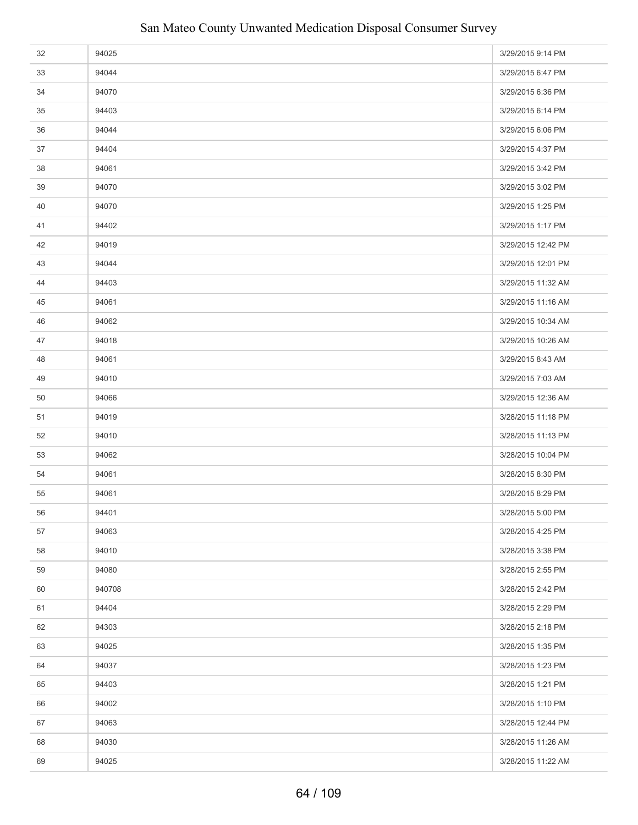| 32 | 94025  | 3/29/2015 9:14 PM  |
|----|--------|--------------------|
| 33 | 94044  | 3/29/2015 6:47 PM  |
| 34 | 94070  | 3/29/2015 6:36 PM  |
| 35 | 94403  | 3/29/2015 6:14 PM  |
| 36 | 94044  | 3/29/2015 6:06 PM  |
| 37 | 94404  | 3/29/2015 4:37 PM  |
| 38 | 94061  | 3/29/2015 3:42 PM  |
| 39 | 94070  | 3/29/2015 3:02 PM  |
| 40 | 94070  | 3/29/2015 1:25 PM  |
| 41 | 94402  | 3/29/2015 1:17 PM  |
| 42 | 94019  | 3/29/2015 12:42 PM |
| 43 | 94044  | 3/29/2015 12:01 PM |
| 44 | 94403  | 3/29/2015 11:32 AM |
| 45 | 94061  | 3/29/2015 11:16 AM |
| 46 | 94062  | 3/29/2015 10:34 AM |
| 47 | 94018  | 3/29/2015 10:26 AM |
| 48 | 94061  | 3/29/2015 8:43 AM  |
| 49 | 94010  | 3/29/2015 7:03 AM  |
| 50 | 94066  | 3/29/2015 12:36 AM |
| 51 | 94019  | 3/28/2015 11:18 PM |
| 52 | 94010  | 3/28/2015 11:13 PM |
| 53 | 94062  | 3/28/2015 10:04 PM |
| 54 | 94061  | 3/28/2015 8:30 PM  |
| 55 | 94061  | 3/28/2015 8:29 PM  |
| 56 | 94401  | 3/28/2015 5:00 PM  |
| 57 | 94063  | 3/28/2015 4:25 PM  |
| 58 | 94010  | 3/28/2015 3:38 PM  |
| 59 | 94080  | 3/28/2015 2:55 PM  |
| 60 | 940708 | 3/28/2015 2:42 PM  |
| 61 | 94404  | 3/28/2015 2:29 PM  |
| 62 | 94303  | 3/28/2015 2:18 PM  |
| 63 | 94025  | 3/28/2015 1:35 PM  |
| 64 | 94037  | 3/28/2015 1:23 PM  |
| 65 | 94403  | 3/28/2015 1:21 PM  |
| 66 | 94002  | 3/28/2015 1:10 PM  |
| 67 | 94063  | 3/28/2015 12:44 PM |
| 68 | 94030  | 3/28/2015 11:26 AM |
| 69 | 94025  | 3/28/2015 11:22 AM |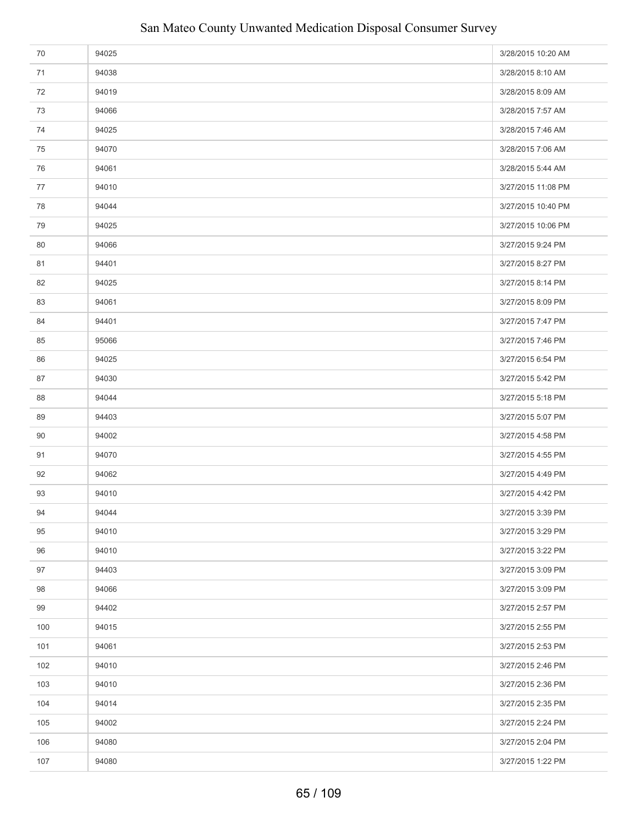| 70  | 94025 | 3/28/2015 10:20 AM |
|-----|-------|--------------------|
| 71  | 94038 | 3/28/2015 8:10 AM  |
| 72  | 94019 | 3/28/2015 8:09 AM  |
| 73  | 94066 | 3/28/2015 7:57 AM  |
| 74  | 94025 | 3/28/2015 7:46 AM  |
| 75  | 94070 | 3/28/2015 7:06 AM  |
| 76  | 94061 | 3/28/2015 5:44 AM  |
| 77  | 94010 | 3/27/2015 11:08 PM |
| 78  | 94044 | 3/27/2015 10:40 PM |
| 79  | 94025 | 3/27/2015 10:06 PM |
| 80  | 94066 | 3/27/2015 9:24 PM  |
| 81  | 94401 | 3/27/2015 8:27 PM  |
| 82  | 94025 | 3/27/2015 8:14 PM  |
| 83  | 94061 | 3/27/2015 8:09 PM  |
| 84  | 94401 | 3/27/2015 7:47 PM  |
| 85  | 95066 | 3/27/2015 7:46 PM  |
| 86  | 94025 | 3/27/2015 6:54 PM  |
| 87  | 94030 | 3/27/2015 5:42 PM  |
| 88  | 94044 | 3/27/2015 5:18 PM  |
| 89  | 94403 | 3/27/2015 5:07 PM  |
| 90  | 94002 | 3/27/2015 4:58 PM  |
| 91  | 94070 | 3/27/2015 4:55 PM  |
| 92  | 94062 | 3/27/2015 4:49 PM  |
| 93  | 94010 | 3/27/2015 4:42 PM  |
| 94  | 94044 | 3/27/2015 3:39 PM  |
| 95  | 94010 | 3/27/2015 3:29 PM  |
| 96  | 94010 | 3/27/2015 3:22 PM  |
| 97  | 94403 | 3/27/2015 3:09 PM  |
| 98  | 94066 | 3/27/2015 3:09 PM  |
| 99  | 94402 | 3/27/2015 2:57 PM  |
| 100 | 94015 | 3/27/2015 2:55 PM  |
| 101 | 94061 | 3/27/2015 2:53 PM  |
| 102 | 94010 | 3/27/2015 2:46 PM  |
| 103 | 94010 | 3/27/2015 2:36 PM  |
| 104 | 94014 | 3/27/2015 2:35 PM  |
| 105 | 94002 | 3/27/2015 2:24 PM  |
| 106 | 94080 | 3/27/2015 2:04 PM  |
| 107 | 94080 | 3/27/2015 1:22 PM  |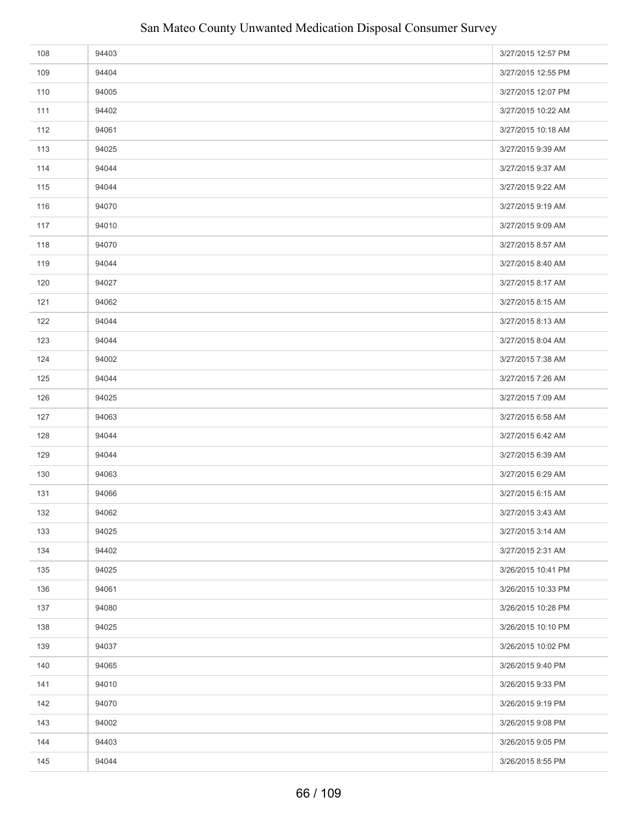| 108 | 94403 | 3/27/2015 12:57 PM |
|-----|-------|--------------------|
| 109 | 94404 | 3/27/2015 12:55 PM |
| 110 | 94005 | 3/27/2015 12:07 PM |
| 111 | 94402 | 3/27/2015 10:22 AM |
| 112 | 94061 | 3/27/2015 10:18 AM |
| 113 | 94025 | 3/27/2015 9:39 AM  |
| 114 | 94044 | 3/27/2015 9:37 AM  |
| 115 | 94044 | 3/27/2015 9:22 AM  |
| 116 | 94070 | 3/27/2015 9:19 AM  |
| 117 | 94010 | 3/27/2015 9:09 AM  |
| 118 | 94070 | 3/27/2015 8:57 AM  |
| 119 | 94044 | 3/27/2015 8:40 AM  |
| 120 | 94027 | 3/27/2015 8:17 AM  |
| 121 | 94062 | 3/27/2015 8:15 AM  |
| 122 | 94044 | 3/27/2015 8:13 AM  |
| 123 | 94044 | 3/27/2015 8:04 AM  |
| 124 | 94002 | 3/27/2015 7:38 AM  |
| 125 | 94044 | 3/27/2015 7:26 AM  |
| 126 | 94025 | 3/27/2015 7:09 AM  |
| 127 | 94063 | 3/27/2015 6:58 AM  |
| 128 | 94044 | 3/27/2015 6:42 AM  |
| 129 | 94044 | 3/27/2015 6:39 AM  |
| 130 | 94063 | 3/27/2015 6:29 AM  |
| 131 | 94066 | 3/27/2015 6:15 AM  |
| 132 | 94062 | 3/27/2015 3:43 AM  |
| 133 | 94025 | 3/27/2015 3:14 AM  |
| 134 | 94402 | 3/27/2015 2:31 AM  |
| 135 | 94025 | 3/26/2015 10:41 PM |
| 136 | 94061 | 3/26/2015 10:33 PM |
| 137 | 94080 | 3/26/2015 10:28 PM |
| 138 | 94025 | 3/26/2015 10:10 PM |
| 139 | 94037 | 3/26/2015 10:02 PM |
| 140 | 94065 | 3/26/2015 9:40 PM  |
| 141 | 94010 | 3/26/2015 9:33 PM  |
| 142 | 94070 | 3/26/2015 9:19 PM  |
| 143 | 94002 | 3/26/2015 9:08 PM  |
| 144 | 94403 | 3/26/2015 9:05 PM  |
| 145 | 94044 | 3/26/2015 8:55 PM  |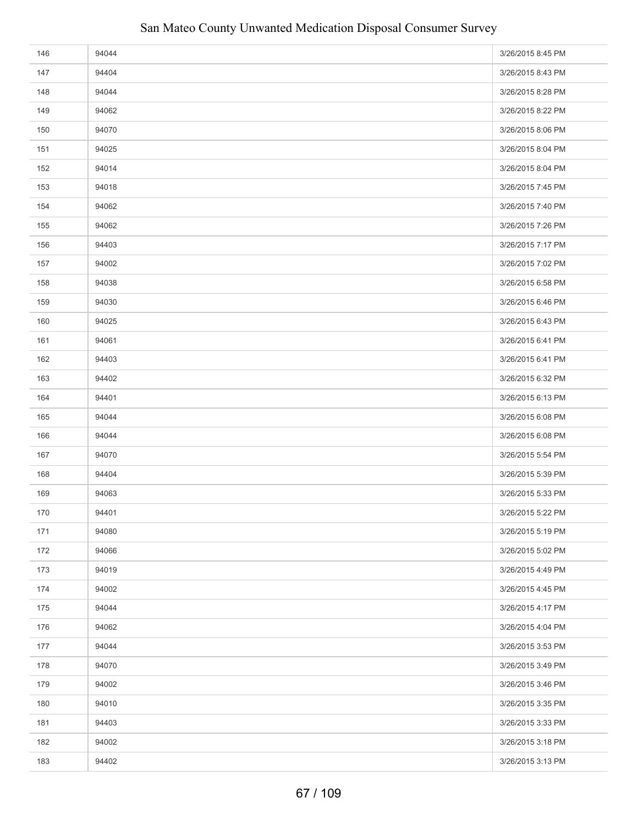| 146 | 94044 | 3/26/2015 8:45 PM |
|-----|-------|-------------------|
| 147 | 94404 | 3/26/2015 8:43 PM |
| 148 | 94044 | 3/26/2015 8:28 PM |
| 149 | 94062 | 3/26/2015 8:22 PM |
| 150 | 94070 | 3/26/2015 8:06 PM |
| 151 | 94025 | 3/26/2015 8:04 PM |
| 152 | 94014 | 3/26/2015 8:04 PM |
| 153 | 94018 | 3/26/2015 7:45 PM |
| 154 | 94062 | 3/26/2015 7:40 PM |
| 155 | 94062 | 3/26/2015 7:26 PM |
| 156 | 94403 | 3/26/2015 7:17 PM |
| 157 | 94002 | 3/26/2015 7:02 PM |
| 158 | 94038 | 3/26/2015 6:58 PM |
| 159 | 94030 | 3/26/2015 6:46 PM |
| 160 | 94025 | 3/26/2015 6:43 PM |
| 161 | 94061 | 3/26/2015 6:41 PM |
| 162 | 94403 | 3/26/2015 6:41 PM |
| 163 | 94402 | 3/26/2015 6:32 PM |
| 164 | 94401 | 3/26/2015 6:13 PM |
| 165 | 94044 | 3/26/2015 6:08 PM |
| 166 | 94044 | 3/26/2015 6:08 PM |
| 167 | 94070 | 3/26/2015 5:54 PM |
| 168 | 94404 | 3/26/2015 5:39 PM |
| 169 | 94063 | 3/26/2015 5:33 PM |
| 170 | 94401 | 3/26/2015 5:22 PM |
| 171 | 94080 | 3/26/2015 5:19 PM |
| 172 | 94066 | 3/26/2015 5:02 PM |
| 173 | 94019 | 3/26/2015 4:49 PM |
| 174 | 94002 | 3/26/2015 4:45 PM |
| 175 | 94044 | 3/26/2015 4:17 PM |
| 176 | 94062 | 3/26/2015 4:04 PM |
| 177 | 94044 | 3/26/2015 3:53 PM |
| 178 | 94070 | 3/26/2015 3:49 PM |
| 179 | 94002 | 3/26/2015 3:46 PM |
| 180 | 94010 | 3/26/2015 3:35 PM |
| 181 | 94403 | 3/26/2015 3:33 PM |
| 182 | 94002 | 3/26/2015 3:18 PM |
| 183 | 94402 | 3/26/2015 3:13 PM |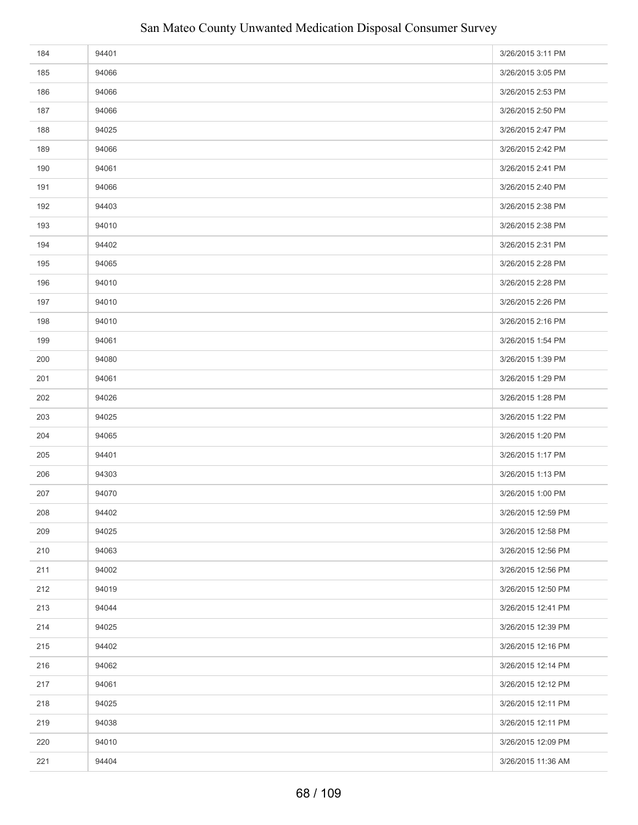| 184 | 94401 | 3/26/2015 3:11 PM  |
|-----|-------|--------------------|
| 185 | 94066 | 3/26/2015 3:05 PM  |
| 186 | 94066 | 3/26/2015 2:53 PM  |
| 187 | 94066 | 3/26/2015 2:50 PM  |
| 188 | 94025 | 3/26/2015 2:47 PM  |
| 189 | 94066 | 3/26/2015 2:42 PM  |
| 190 | 94061 | 3/26/2015 2:41 PM  |
| 191 | 94066 | 3/26/2015 2:40 PM  |
| 192 | 94403 | 3/26/2015 2:38 PM  |
| 193 | 94010 | 3/26/2015 2:38 PM  |
| 194 | 94402 | 3/26/2015 2:31 PM  |
| 195 | 94065 | 3/26/2015 2:28 PM  |
| 196 | 94010 | 3/26/2015 2:28 PM  |
| 197 | 94010 | 3/26/2015 2:26 PM  |
| 198 | 94010 | 3/26/2015 2:16 PM  |
| 199 | 94061 | 3/26/2015 1:54 PM  |
| 200 | 94080 | 3/26/2015 1:39 PM  |
| 201 | 94061 | 3/26/2015 1:29 PM  |
| 202 | 94026 | 3/26/2015 1:28 PM  |
| 203 | 94025 | 3/26/2015 1:22 PM  |
| 204 | 94065 | 3/26/2015 1:20 PM  |
| 205 | 94401 | 3/26/2015 1:17 PM  |
| 206 | 94303 | 3/26/2015 1:13 PM  |
| 207 | 94070 | 3/26/2015 1:00 PM  |
| 208 | 94402 | 3/26/2015 12:59 PM |
| 209 | 94025 | 3/26/2015 12:58 PM |
| 210 | 94063 | 3/26/2015 12:56 PM |
| 211 | 94002 | 3/26/2015 12:56 PM |
| 212 | 94019 | 3/26/2015 12:50 PM |
| 213 | 94044 | 3/26/2015 12:41 PM |
| 214 | 94025 | 3/26/2015 12:39 PM |
| 215 | 94402 | 3/26/2015 12:16 PM |
| 216 | 94062 | 3/26/2015 12:14 PM |
| 217 | 94061 | 3/26/2015 12:12 PM |
| 218 | 94025 | 3/26/2015 12:11 PM |
| 219 | 94038 | 3/26/2015 12:11 PM |
| 220 | 94010 | 3/26/2015 12:09 PM |
| 221 | 94404 | 3/26/2015 11:36 AM |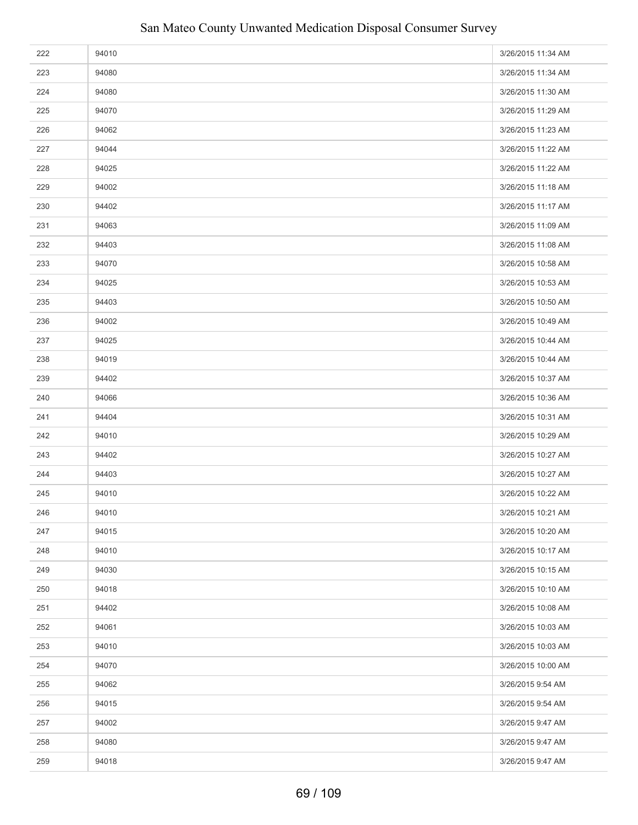| 222 | 94010 | 3/26/2015 11:34 AM |
|-----|-------|--------------------|
| 223 | 94080 | 3/26/2015 11:34 AM |
| 224 | 94080 | 3/26/2015 11:30 AM |
| 225 | 94070 | 3/26/2015 11:29 AM |
| 226 | 94062 | 3/26/2015 11:23 AM |
| 227 | 94044 | 3/26/2015 11:22 AM |
| 228 | 94025 | 3/26/2015 11:22 AM |
| 229 | 94002 | 3/26/2015 11:18 AM |
| 230 | 94402 | 3/26/2015 11:17 AM |
| 231 | 94063 | 3/26/2015 11:09 AM |
| 232 | 94403 | 3/26/2015 11:08 AM |
| 233 | 94070 | 3/26/2015 10:58 AM |
| 234 | 94025 | 3/26/2015 10:53 AM |
| 235 | 94403 | 3/26/2015 10:50 AM |
| 236 | 94002 | 3/26/2015 10:49 AM |
| 237 | 94025 | 3/26/2015 10:44 AM |
| 238 | 94019 | 3/26/2015 10:44 AM |
| 239 | 94402 | 3/26/2015 10:37 AM |
| 240 | 94066 | 3/26/2015 10:36 AM |
| 241 | 94404 | 3/26/2015 10:31 AM |
| 242 | 94010 | 3/26/2015 10:29 AM |
| 243 | 94402 | 3/26/2015 10:27 AM |
| 244 | 94403 | 3/26/2015 10:27 AM |
| 245 | 94010 | 3/26/2015 10:22 AM |
| 246 | 94010 | 3/26/2015 10:21 AM |
| 247 | 94015 | 3/26/2015 10:20 AM |
| 248 | 94010 | 3/26/2015 10:17 AM |
| 249 | 94030 | 3/26/2015 10:15 AM |
| 250 | 94018 | 3/26/2015 10:10 AM |
| 251 | 94402 | 3/26/2015 10:08 AM |
| 252 | 94061 | 3/26/2015 10:03 AM |
| 253 | 94010 | 3/26/2015 10:03 AM |
| 254 | 94070 | 3/26/2015 10:00 AM |
| 255 | 94062 | 3/26/2015 9:54 AM  |
| 256 | 94015 | 3/26/2015 9:54 AM  |
| 257 | 94002 | 3/26/2015 9:47 AM  |
| 258 | 94080 | 3/26/2015 9:47 AM  |
| 259 | 94018 | 3/26/2015 9:47 AM  |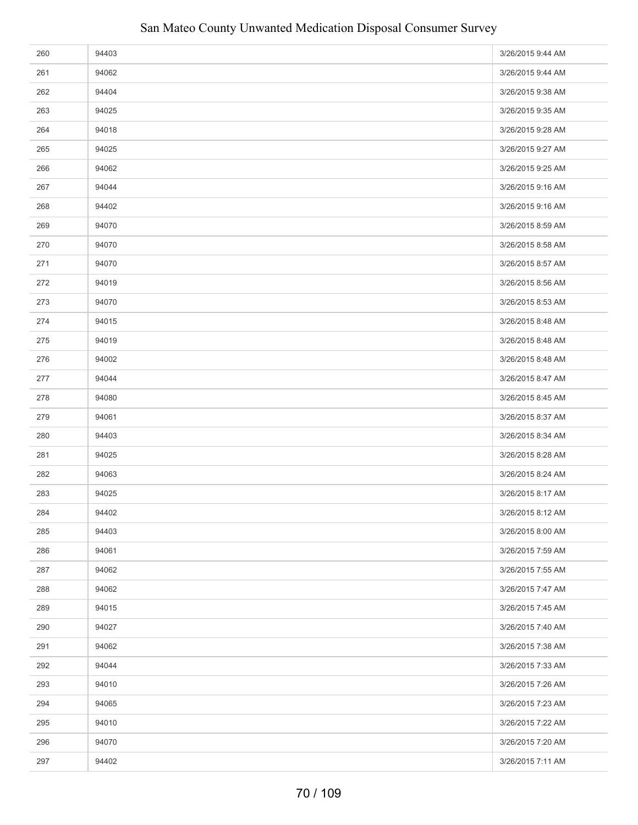| 260 | 94403 | 3/26/2015 9:44 AM |
|-----|-------|-------------------|
| 261 | 94062 | 3/26/2015 9:44 AM |
| 262 | 94404 | 3/26/2015 9:38 AM |
| 263 | 94025 | 3/26/2015 9:35 AM |
| 264 | 94018 | 3/26/2015 9:28 AM |
| 265 | 94025 | 3/26/2015 9:27 AM |
| 266 | 94062 | 3/26/2015 9:25 AM |
| 267 | 94044 | 3/26/2015 9:16 AM |
| 268 | 94402 | 3/26/2015 9:16 AM |
| 269 | 94070 | 3/26/2015 8:59 AM |
| 270 | 94070 | 3/26/2015 8:58 AM |
| 271 | 94070 | 3/26/2015 8:57 AM |
| 272 | 94019 | 3/26/2015 8:56 AM |
| 273 | 94070 | 3/26/2015 8:53 AM |
| 274 | 94015 | 3/26/2015 8:48 AM |
| 275 | 94019 | 3/26/2015 8:48 AM |
| 276 | 94002 | 3/26/2015 8:48 AM |
| 277 | 94044 | 3/26/2015 8:47 AM |
| 278 | 94080 | 3/26/2015 8:45 AM |
| 279 | 94061 | 3/26/2015 8:37 AM |
| 280 | 94403 | 3/26/2015 8:34 AM |
| 281 | 94025 | 3/26/2015 8:28 AM |
| 282 | 94063 | 3/26/2015 8:24 AM |
| 283 | 94025 | 3/26/2015 8:17 AM |
| 284 | 94402 | 3/26/2015 8:12 AM |
| 285 | 94403 | 3/26/2015 8:00 AM |
| 286 | 94061 | 3/26/2015 7:59 AM |
| 287 | 94062 | 3/26/2015 7:55 AM |
| 288 | 94062 | 3/26/2015 7:47 AM |
| 289 | 94015 | 3/26/2015 7:45 AM |
| 290 | 94027 | 3/26/2015 7:40 AM |
| 291 | 94062 | 3/26/2015 7:38 AM |
| 292 | 94044 | 3/26/2015 7:33 AM |
| 293 | 94010 | 3/26/2015 7:26 AM |
| 294 | 94065 | 3/26/2015 7:23 AM |
| 295 | 94010 | 3/26/2015 7:22 AM |
| 296 | 94070 | 3/26/2015 7:20 AM |
| 297 | 94402 | 3/26/2015 7:11 AM |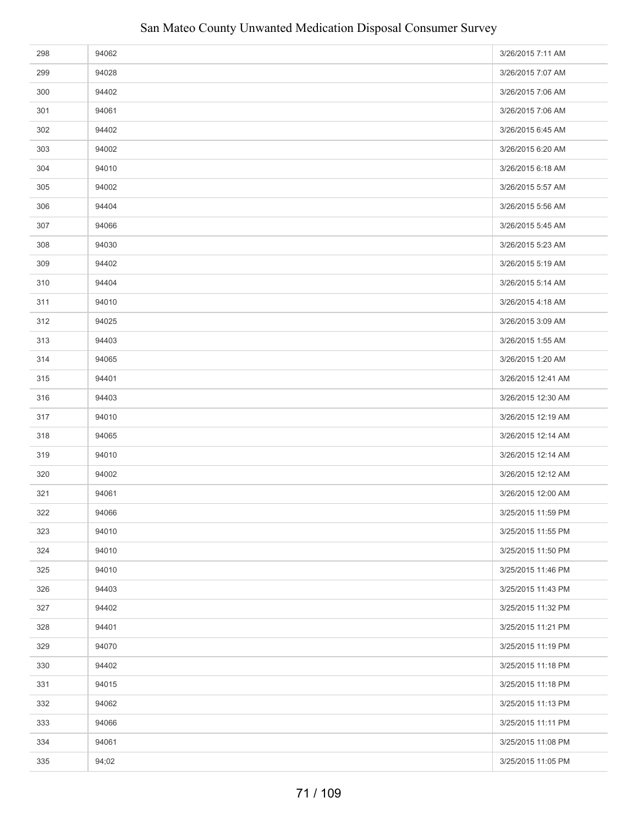| 298 | 94062 | 3/26/2015 7:11 AM  |
|-----|-------|--------------------|
| 299 | 94028 | 3/26/2015 7:07 AM  |
| 300 | 94402 | 3/26/2015 7:06 AM  |
| 301 | 94061 | 3/26/2015 7:06 AM  |
| 302 | 94402 | 3/26/2015 6:45 AM  |
| 303 | 94002 | 3/26/2015 6:20 AM  |
| 304 | 94010 | 3/26/2015 6:18 AM  |
| 305 | 94002 | 3/26/2015 5:57 AM  |
| 306 | 94404 | 3/26/2015 5:56 AM  |
| 307 | 94066 | 3/26/2015 5:45 AM  |
| 308 | 94030 | 3/26/2015 5:23 AM  |
| 309 | 94402 | 3/26/2015 5:19 AM  |
| 310 | 94404 | 3/26/2015 5:14 AM  |
| 311 | 94010 | 3/26/2015 4:18 AM  |
| 312 | 94025 | 3/26/2015 3:09 AM  |
| 313 | 94403 | 3/26/2015 1:55 AM  |
| 314 | 94065 | 3/26/2015 1:20 AM  |
| 315 | 94401 | 3/26/2015 12:41 AM |
| 316 | 94403 | 3/26/2015 12:30 AM |
| 317 | 94010 | 3/26/2015 12:19 AM |
| 318 | 94065 | 3/26/2015 12:14 AM |
| 319 | 94010 | 3/26/2015 12:14 AM |
| 320 | 94002 | 3/26/2015 12:12 AM |
| 321 | 94061 | 3/26/2015 12:00 AM |
| 322 | 94066 | 3/25/2015 11:59 PM |
| 323 | 94010 | 3/25/2015 11:55 PM |
| 324 | 94010 | 3/25/2015 11:50 PM |
| 325 | 94010 | 3/25/2015 11:46 PM |
| 326 | 94403 | 3/25/2015 11:43 PM |
| 327 | 94402 | 3/25/2015 11:32 PM |
| 328 | 94401 | 3/25/2015 11:21 PM |
| 329 | 94070 | 3/25/2015 11:19 PM |
| 330 | 94402 | 3/25/2015 11:18 PM |
| 331 | 94015 | 3/25/2015 11:18 PM |
| 332 | 94062 | 3/25/2015 11:13 PM |
| 333 | 94066 | 3/25/2015 11:11 PM |
| 334 | 94061 | 3/25/2015 11:08 PM |
| 335 | 94;02 | 3/25/2015 11:05 PM |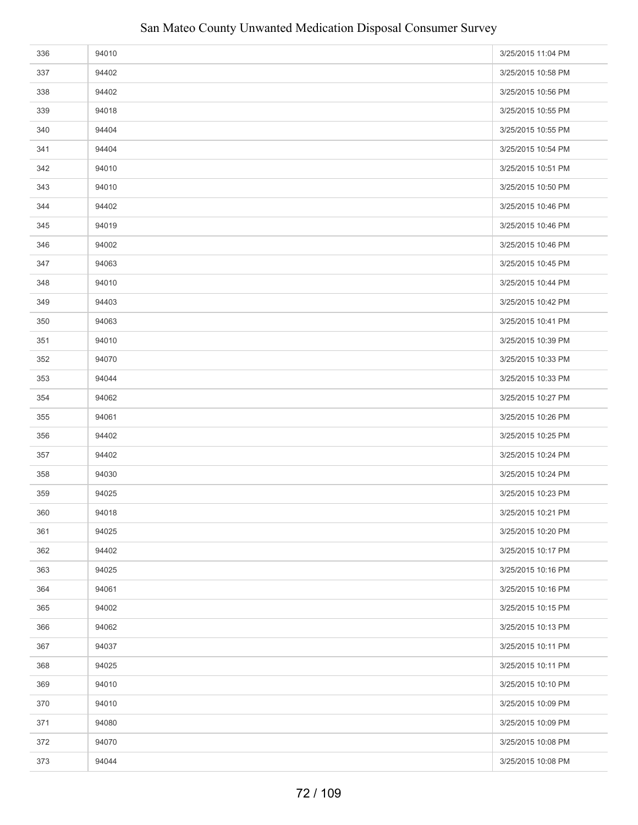| 336 | 94010 | 3/25/2015 11:04 PM |
|-----|-------|--------------------|
| 337 | 94402 | 3/25/2015 10:58 PM |
| 338 | 94402 | 3/25/2015 10:56 PM |
| 339 | 94018 | 3/25/2015 10:55 PM |
| 340 | 94404 | 3/25/2015 10:55 PM |
| 341 | 94404 | 3/25/2015 10:54 PM |
| 342 | 94010 | 3/25/2015 10:51 PM |
| 343 | 94010 | 3/25/2015 10:50 PM |
| 344 | 94402 | 3/25/2015 10:46 PM |
| 345 | 94019 | 3/25/2015 10:46 PM |
| 346 | 94002 | 3/25/2015 10:46 PM |
| 347 | 94063 | 3/25/2015 10:45 PM |
| 348 | 94010 | 3/25/2015 10:44 PM |
| 349 | 94403 | 3/25/2015 10:42 PM |
| 350 | 94063 | 3/25/2015 10:41 PM |
| 351 | 94010 | 3/25/2015 10:39 PM |
| 352 | 94070 | 3/25/2015 10:33 PM |
| 353 | 94044 | 3/25/2015 10:33 PM |
| 354 | 94062 | 3/25/2015 10:27 PM |
| 355 | 94061 | 3/25/2015 10:26 PM |
| 356 | 94402 | 3/25/2015 10:25 PM |
| 357 | 94402 | 3/25/2015 10:24 PM |
| 358 | 94030 | 3/25/2015 10:24 PM |
| 359 | 94025 | 3/25/2015 10:23 PM |
| 360 | 94018 | 3/25/2015 10:21 PM |
| 361 | 94025 | 3/25/2015 10:20 PM |
| 362 | 94402 | 3/25/2015 10:17 PM |
| 363 | 94025 | 3/25/2015 10:16 PM |
| 364 | 94061 | 3/25/2015 10:16 PM |
| 365 | 94002 | 3/25/2015 10:15 PM |
| 366 | 94062 | 3/25/2015 10:13 PM |
| 367 | 94037 | 3/25/2015 10:11 PM |
| 368 | 94025 | 3/25/2015 10:11 PM |
| 369 | 94010 | 3/25/2015 10:10 PM |
| 370 | 94010 | 3/25/2015 10:09 PM |
| 371 | 94080 | 3/25/2015 10:09 PM |
| 372 | 94070 | 3/25/2015 10:08 PM |
| 373 | 94044 | 3/25/2015 10:08 PM |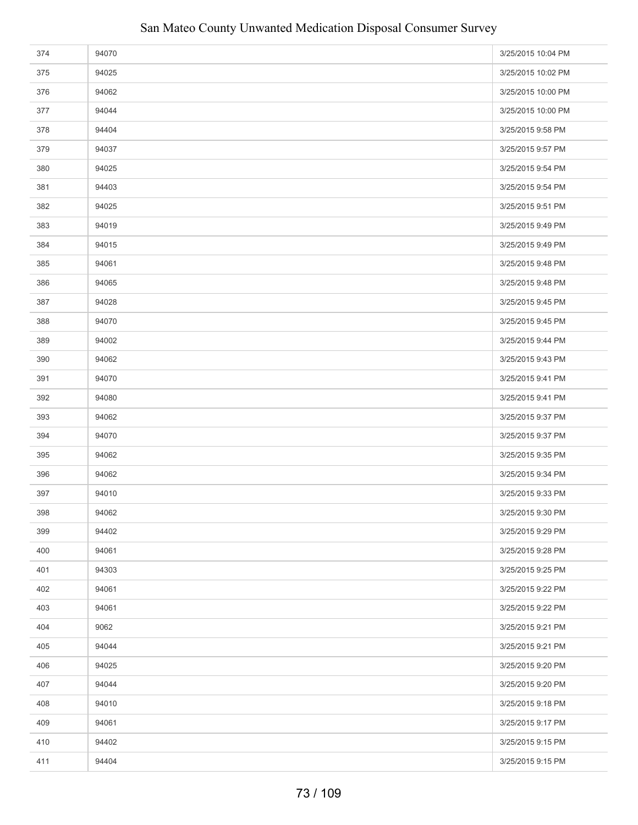| 374 | 94070 | 3/25/2015 10:04 PM |
|-----|-------|--------------------|
| 375 | 94025 | 3/25/2015 10:02 PM |
| 376 | 94062 | 3/25/2015 10:00 PM |
| 377 | 94044 | 3/25/2015 10:00 PM |
| 378 | 94404 | 3/25/2015 9:58 PM  |
| 379 | 94037 | 3/25/2015 9:57 PM  |
| 380 | 94025 | 3/25/2015 9:54 PM  |
| 381 | 94403 | 3/25/2015 9:54 PM  |
| 382 | 94025 | 3/25/2015 9:51 PM  |
| 383 | 94019 | 3/25/2015 9:49 PM  |
| 384 | 94015 | 3/25/2015 9:49 PM  |
| 385 | 94061 | 3/25/2015 9:48 PM  |
| 386 | 94065 | 3/25/2015 9:48 PM  |
| 387 | 94028 | 3/25/2015 9:45 PM  |
| 388 | 94070 | 3/25/2015 9:45 PM  |
| 389 | 94002 | 3/25/2015 9:44 PM  |
| 390 | 94062 | 3/25/2015 9:43 PM  |
| 391 | 94070 | 3/25/2015 9:41 PM  |
| 392 | 94080 | 3/25/2015 9:41 PM  |
| 393 | 94062 | 3/25/2015 9:37 PM  |
| 394 | 94070 | 3/25/2015 9:37 PM  |
| 395 | 94062 | 3/25/2015 9:35 PM  |
| 396 | 94062 | 3/25/2015 9:34 PM  |
| 397 | 94010 | 3/25/2015 9:33 PM  |
| 398 | 94062 | 3/25/2015 9:30 PM  |
| 399 | 94402 | 3/25/2015 9:29 PM  |
| 400 | 94061 | 3/25/2015 9:28 PM  |
| 401 | 94303 | 3/25/2015 9:25 PM  |
| 402 | 94061 | 3/25/2015 9:22 PM  |
| 403 | 94061 | 3/25/2015 9:22 PM  |
| 404 | 9062  | 3/25/2015 9:21 PM  |
| 405 | 94044 | 3/25/2015 9:21 PM  |
| 406 | 94025 | 3/25/2015 9:20 PM  |
| 407 | 94044 | 3/25/2015 9:20 PM  |
| 408 | 94010 | 3/25/2015 9:18 PM  |
| 409 | 94061 | 3/25/2015 9:17 PM  |
| 410 | 94402 | 3/25/2015 9:15 PM  |
| 411 | 94404 | 3/25/2015 9:15 PM  |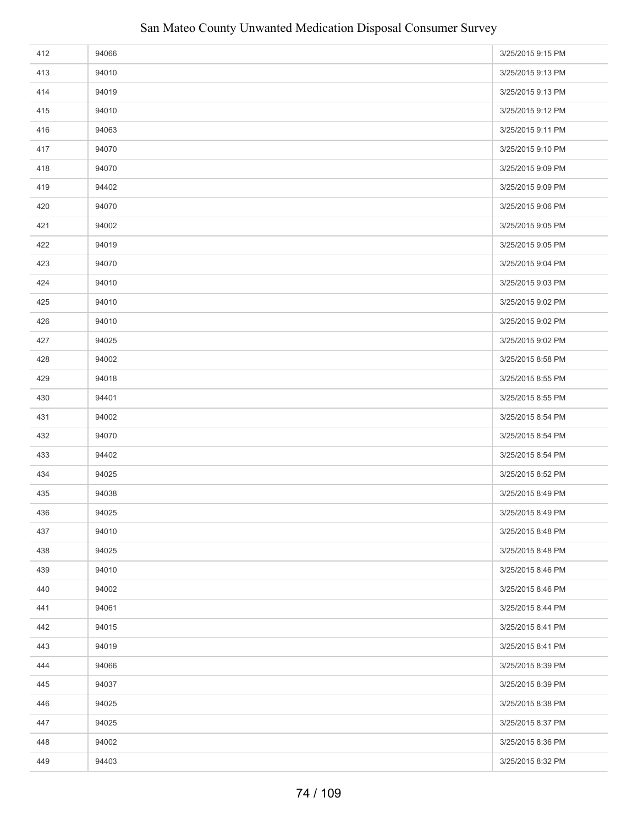| 412 | 94066 | 3/25/2015 9:15 PM |
|-----|-------|-------------------|
| 413 | 94010 | 3/25/2015 9:13 PM |
| 414 | 94019 | 3/25/2015 9:13 PM |
| 415 | 94010 | 3/25/2015 9:12 PM |
| 416 | 94063 | 3/25/2015 9:11 PM |
| 417 | 94070 | 3/25/2015 9:10 PM |
| 418 | 94070 | 3/25/2015 9:09 PM |
| 419 | 94402 | 3/25/2015 9:09 PM |
| 420 | 94070 | 3/25/2015 9:06 PM |
| 421 | 94002 | 3/25/2015 9:05 PM |
| 422 | 94019 | 3/25/2015 9:05 PM |
| 423 | 94070 | 3/25/2015 9:04 PM |
| 424 | 94010 | 3/25/2015 9:03 PM |
| 425 | 94010 | 3/25/2015 9:02 PM |
| 426 | 94010 | 3/25/2015 9:02 PM |
| 427 | 94025 | 3/25/2015 9:02 PM |
| 428 | 94002 | 3/25/2015 8:58 PM |
| 429 | 94018 | 3/25/2015 8:55 PM |
| 430 | 94401 | 3/25/2015 8:55 PM |
| 431 | 94002 | 3/25/2015 8:54 PM |
| 432 | 94070 | 3/25/2015 8:54 PM |
| 433 | 94402 | 3/25/2015 8:54 PM |
| 434 | 94025 | 3/25/2015 8:52 PM |
| 435 | 94038 | 3/25/2015 8:49 PM |
| 436 | 94025 | 3/25/2015 8:49 PM |
| 437 | 94010 | 3/25/2015 8:48 PM |
| 438 | 94025 | 3/25/2015 8:48 PM |
| 439 | 94010 | 3/25/2015 8:46 PM |
| 440 | 94002 | 3/25/2015 8:46 PM |
| 441 | 94061 | 3/25/2015 8:44 PM |
| 442 | 94015 | 3/25/2015 8:41 PM |
| 443 | 94019 | 3/25/2015 8:41 PM |
| 444 | 94066 | 3/25/2015 8:39 PM |
| 445 | 94037 | 3/25/2015 8:39 PM |
| 446 | 94025 | 3/25/2015 8:38 PM |
| 447 | 94025 | 3/25/2015 8:37 PM |
| 448 | 94002 | 3/25/2015 8:36 PM |
| 449 | 94403 | 3/25/2015 8:32 PM |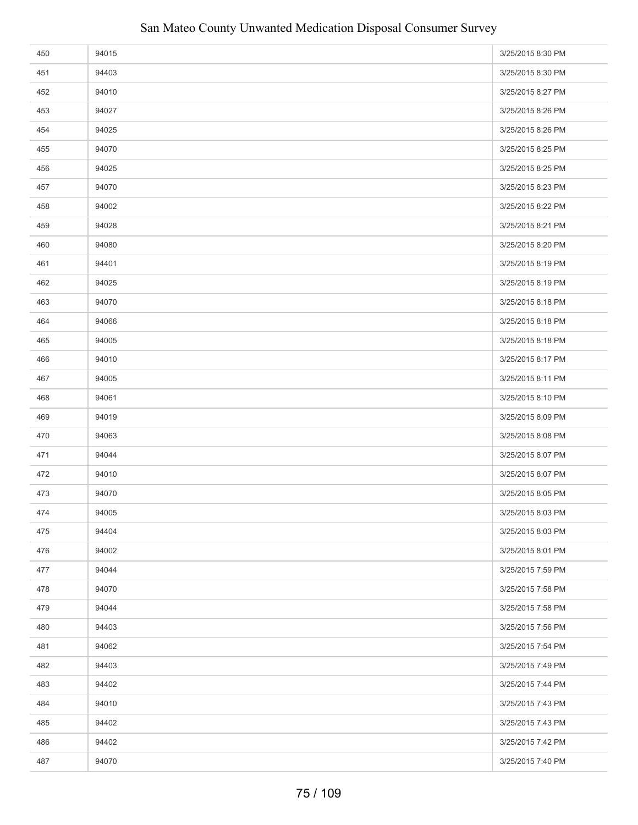| 450 | 94015 | 3/25/2015 8:30 PM |
|-----|-------|-------------------|
| 451 | 94403 | 3/25/2015 8:30 PM |
| 452 | 94010 | 3/25/2015 8:27 PM |
| 453 | 94027 | 3/25/2015 8:26 PM |
| 454 | 94025 | 3/25/2015 8:26 PM |
| 455 | 94070 | 3/25/2015 8:25 PM |
| 456 | 94025 | 3/25/2015 8:25 PM |
| 457 | 94070 | 3/25/2015 8:23 PM |
| 458 | 94002 | 3/25/2015 8:22 PM |
| 459 | 94028 | 3/25/2015 8:21 PM |
| 460 | 94080 | 3/25/2015 8:20 PM |
| 461 | 94401 | 3/25/2015 8:19 PM |
| 462 | 94025 | 3/25/2015 8:19 PM |
| 463 | 94070 | 3/25/2015 8:18 PM |
| 464 | 94066 | 3/25/2015 8:18 PM |
| 465 | 94005 | 3/25/2015 8:18 PM |
| 466 | 94010 | 3/25/2015 8:17 PM |
| 467 | 94005 | 3/25/2015 8:11 PM |
| 468 | 94061 | 3/25/2015 8:10 PM |
| 469 | 94019 | 3/25/2015 8:09 PM |
| 470 | 94063 | 3/25/2015 8:08 PM |
| 471 | 94044 | 3/25/2015 8:07 PM |
| 472 | 94010 | 3/25/2015 8:07 PM |
| 473 | 94070 | 3/25/2015 8:05 PM |
| 474 | 94005 | 3/25/2015 8:03 PM |
| 475 | 94404 | 3/25/2015 8:03 PM |
| 476 | 94002 | 3/25/2015 8:01 PM |
| 477 | 94044 | 3/25/2015 7:59 PM |
| 478 | 94070 | 3/25/2015 7:58 PM |
| 479 | 94044 | 3/25/2015 7:58 PM |
| 480 | 94403 | 3/25/2015 7:56 PM |
| 481 | 94062 | 3/25/2015 7:54 PM |
| 482 | 94403 | 3/25/2015 7:49 PM |
| 483 | 94402 | 3/25/2015 7:44 PM |
| 484 | 94010 | 3/25/2015 7:43 PM |
| 485 | 94402 | 3/25/2015 7:43 PM |
| 486 | 94402 | 3/25/2015 7:42 PM |
| 487 | 94070 | 3/25/2015 7:40 PM |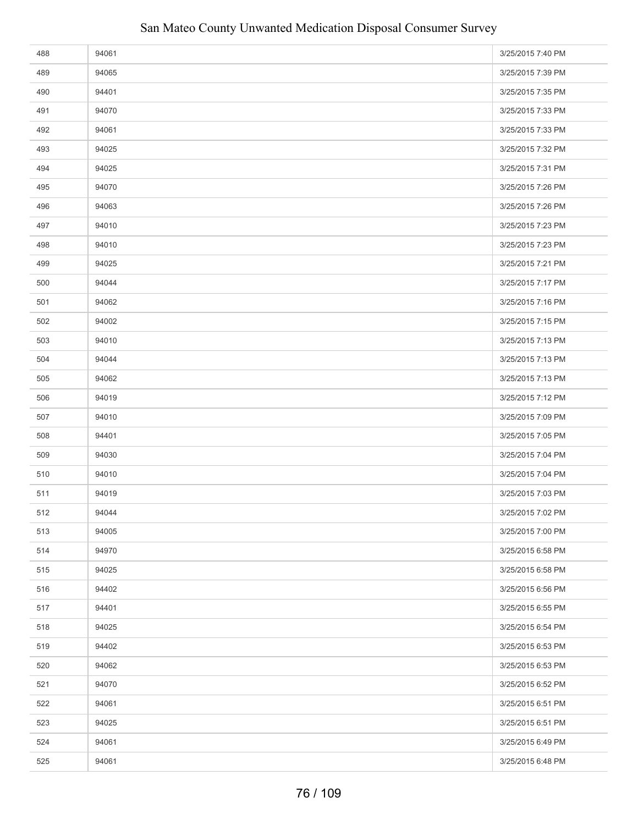| 488 | 94061 | 3/25/2015 7:40 PM |
|-----|-------|-------------------|
| 489 | 94065 | 3/25/2015 7:39 PM |
| 490 | 94401 | 3/25/2015 7:35 PM |
| 491 | 94070 | 3/25/2015 7:33 PM |
| 492 | 94061 | 3/25/2015 7:33 PM |
| 493 | 94025 | 3/25/2015 7:32 PM |
| 494 | 94025 | 3/25/2015 7:31 PM |
| 495 | 94070 | 3/25/2015 7:26 PM |
| 496 | 94063 | 3/25/2015 7:26 PM |
| 497 | 94010 | 3/25/2015 7:23 PM |
| 498 | 94010 | 3/25/2015 7:23 PM |
| 499 | 94025 | 3/25/2015 7:21 PM |
| 500 | 94044 | 3/25/2015 7:17 PM |
| 501 | 94062 | 3/25/2015 7:16 PM |
| 502 | 94002 | 3/25/2015 7:15 PM |
| 503 | 94010 | 3/25/2015 7:13 PM |
| 504 | 94044 | 3/25/2015 7:13 PM |
| 505 | 94062 | 3/25/2015 7:13 PM |
| 506 | 94019 | 3/25/2015 7:12 PM |
| 507 | 94010 | 3/25/2015 7:09 PM |
| 508 | 94401 | 3/25/2015 7:05 PM |
| 509 | 94030 | 3/25/2015 7:04 PM |
| 510 | 94010 | 3/25/2015 7:04 PM |
| 511 | 94019 | 3/25/2015 7:03 PM |
| 512 | 94044 | 3/25/2015 7:02 PM |
| 513 | 94005 | 3/25/2015 7:00 PM |
| 514 | 94970 | 3/25/2015 6:58 PM |
| 515 | 94025 | 3/25/2015 6:58 PM |
| 516 | 94402 | 3/25/2015 6:56 PM |
| 517 | 94401 | 3/25/2015 6:55 PM |
| 518 | 94025 | 3/25/2015 6:54 PM |
| 519 | 94402 | 3/25/2015 6:53 PM |
| 520 | 94062 | 3/25/2015 6:53 PM |
| 521 | 94070 | 3/25/2015 6:52 PM |
| 522 | 94061 | 3/25/2015 6:51 PM |
| 523 | 94025 | 3/25/2015 6:51 PM |
| 524 | 94061 | 3/25/2015 6:49 PM |
| 525 | 94061 | 3/25/2015 6:48 PM |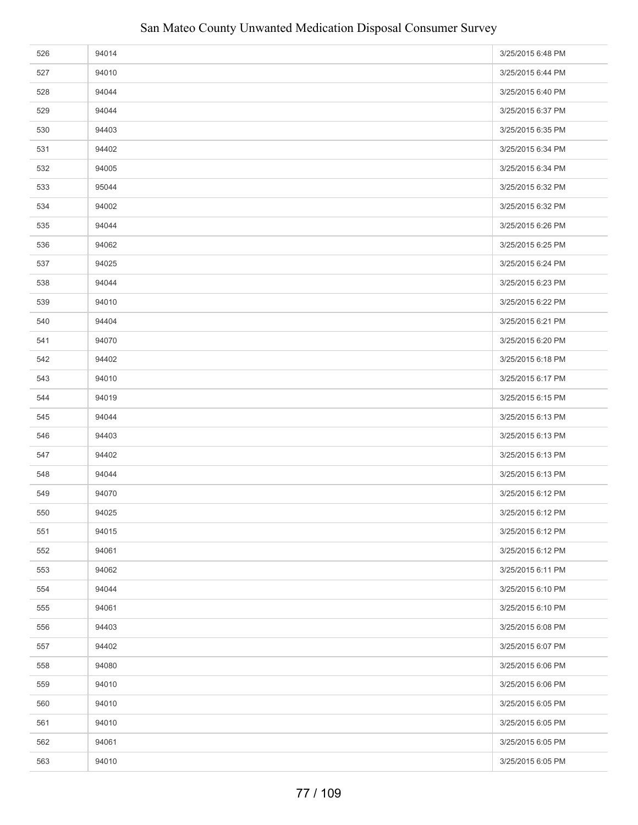| 526 | 94014 | 3/25/2015 6:48 PM |
|-----|-------|-------------------|
| 527 | 94010 | 3/25/2015 6:44 PM |
| 528 | 94044 | 3/25/2015 6:40 PM |
| 529 | 94044 | 3/25/2015 6:37 PM |
| 530 | 94403 | 3/25/2015 6:35 PM |
| 531 | 94402 | 3/25/2015 6:34 PM |
| 532 | 94005 | 3/25/2015 6:34 PM |
| 533 | 95044 | 3/25/2015 6:32 PM |
| 534 | 94002 | 3/25/2015 6:32 PM |
| 535 | 94044 | 3/25/2015 6:26 PM |
| 536 | 94062 | 3/25/2015 6:25 PM |
| 537 | 94025 | 3/25/2015 6:24 PM |
| 538 | 94044 | 3/25/2015 6:23 PM |
| 539 | 94010 | 3/25/2015 6:22 PM |
| 540 | 94404 | 3/25/2015 6:21 PM |
| 541 | 94070 | 3/25/2015 6:20 PM |
| 542 | 94402 | 3/25/2015 6:18 PM |
| 543 | 94010 | 3/25/2015 6:17 PM |
| 544 | 94019 | 3/25/2015 6:15 PM |
| 545 | 94044 | 3/25/2015 6:13 PM |
| 546 | 94403 | 3/25/2015 6:13 PM |
| 547 | 94402 | 3/25/2015 6:13 PM |
| 548 | 94044 | 3/25/2015 6:13 PM |
| 549 | 94070 | 3/25/2015 6:12 PM |
| 550 | 94025 | 3/25/2015 6:12 PM |
| 551 | 94015 | 3/25/2015 6:12 PM |
| 552 | 94061 | 3/25/2015 6:12 PM |
| 553 | 94062 | 3/25/2015 6:11 PM |
| 554 | 94044 | 3/25/2015 6:10 PM |
| 555 | 94061 | 3/25/2015 6:10 PM |
| 556 | 94403 | 3/25/2015 6:08 PM |
| 557 | 94402 | 3/25/2015 6:07 PM |
| 558 | 94080 | 3/25/2015 6:06 PM |
| 559 | 94010 | 3/25/2015 6:06 PM |
| 560 | 94010 | 3/25/2015 6:05 PM |
| 561 | 94010 | 3/25/2015 6:05 PM |
| 562 | 94061 | 3/25/2015 6:05 PM |
| 563 | 94010 | 3/25/2015 6:05 PM |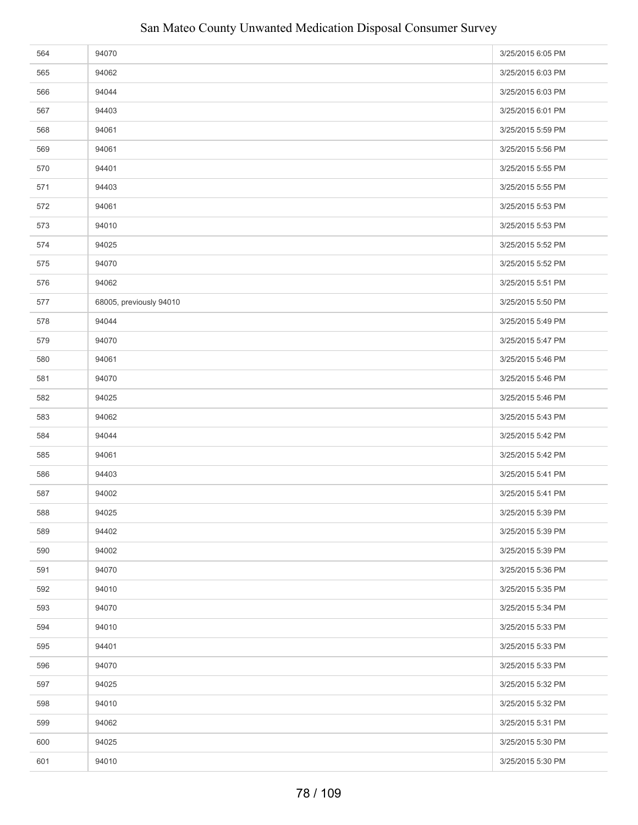| 564 | 94070                   | 3/25/2015 6:05 PM |
|-----|-------------------------|-------------------|
| 565 | 94062                   | 3/25/2015 6:03 PM |
| 566 | 94044                   | 3/25/2015 6:03 PM |
| 567 | 94403                   | 3/25/2015 6:01 PM |
| 568 | 94061                   | 3/25/2015 5:59 PM |
| 569 | 94061                   | 3/25/2015 5:56 PM |
| 570 | 94401                   | 3/25/2015 5:55 PM |
| 571 | 94403                   | 3/25/2015 5:55 PM |
| 572 | 94061                   | 3/25/2015 5:53 PM |
| 573 | 94010                   | 3/25/2015 5:53 PM |
| 574 | 94025                   | 3/25/2015 5:52 PM |
| 575 | 94070                   | 3/25/2015 5:52 PM |
| 576 | 94062                   | 3/25/2015 5:51 PM |
| 577 | 68005, previously 94010 | 3/25/2015 5:50 PM |
| 578 | 94044                   | 3/25/2015 5:49 PM |
| 579 | 94070                   | 3/25/2015 5:47 PM |
| 580 | 94061                   | 3/25/2015 5:46 PM |
| 581 | 94070                   | 3/25/2015 5:46 PM |
| 582 | 94025                   | 3/25/2015 5:46 PM |
| 583 | 94062                   | 3/25/2015 5:43 PM |
| 584 | 94044                   | 3/25/2015 5:42 PM |
| 585 | 94061                   | 3/25/2015 5:42 PM |
| 586 | 94403                   | 3/25/2015 5:41 PM |
| 587 | 94002                   | 3/25/2015 5:41 PM |
| 588 | 94025                   | 3/25/2015 5:39 PM |
| 589 | 94402                   | 3/25/2015 5:39 PM |
| 590 | 94002                   | 3/25/2015 5:39 PM |
| 591 | 94070                   | 3/25/2015 5:36 PM |
| 592 | 94010                   | 3/25/2015 5:35 PM |
| 593 | 94070                   | 3/25/2015 5:34 PM |
| 594 | 94010                   | 3/25/2015 5:33 PM |
| 595 | 94401                   | 3/25/2015 5:33 PM |
| 596 | 94070                   | 3/25/2015 5:33 PM |
| 597 | 94025                   | 3/25/2015 5:32 PM |
| 598 | 94010                   | 3/25/2015 5:32 PM |
| 599 | 94062                   | 3/25/2015 5:31 PM |
| 600 | 94025                   | 3/25/2015 5:30 PM |
| 601 | 94010                   | 3/25/2015 5:30 PM |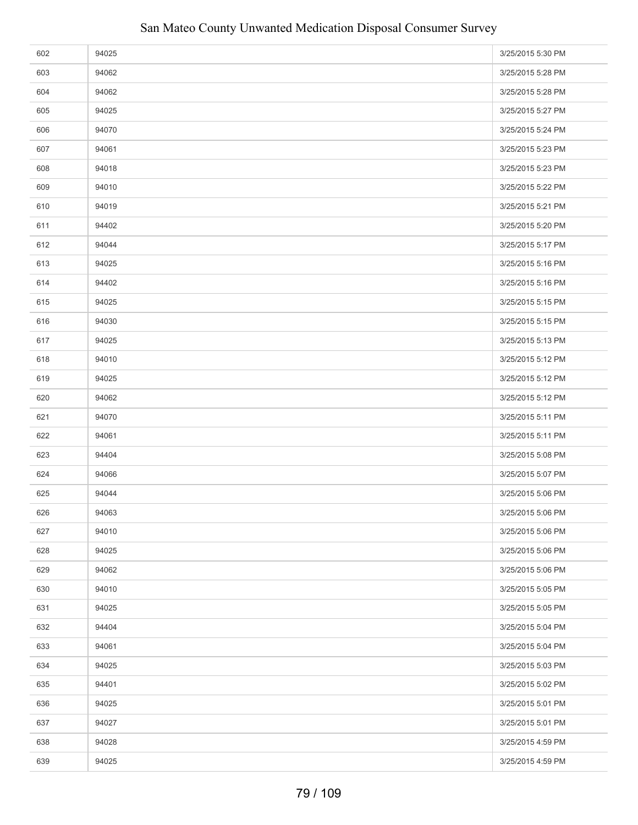| 602 | 94025 | 3/25/2015 5:30 PM |
|-----|-------|-------------------|
| 603 | 94062 | 3/25/2015 5:28 PM |
| 604 | 94062 | 3/25/2015 5:28 PM |
| 605 | 94025 | 3/25/2015 5:27 PM |
| 606 | 94070 | 3/25/2015 5:24 PM |
| 607 | 94061 | 3/25/2015 5:23 PM |
| 608 | 94018 | 3/25/2015 5:23 PM |
| 609 | 94010 | 3/25/2015 5:22 PM |
| 610 | 94019 | 3/25/2015 5:21 PM |
| 611 | 94402 | 3/25/2015 5:20 PM |
| 612 | 94044 | 3/25/2015 5:17 PM |
| 613 | 94025 | 3/25/2015 5:16 PM |
| 614 | 94402 | 3/25/2015 5:16 PM |
| 615 | 94025 | 3/25/2015 5:15 PM |
| 616 | 94030 | 3/25/2015 5:15 PM |
| 617 | 94025 | 3/25/2015 5:13 PM |
| 618 | 94010 | 3/25/2015 5:12 PM |
| 619 | 94025 | 3/25/2015 5:12 PM |
| 620 | 94062 | 3/25/2015 5:12 PM |
| 621 | 94070 | 3/25/2015 5:11 PM |
| 622 | 94061 | 3/25/2015 5:11 PM |
| 623 | 94404 | 3/25/2015 5:08 PM |
| 624 | 94066 | 3/25/2015 5:07 PM |
| 625 | 94044 | 3/25/2015 5:06 PM |
| 626 | 94063 | 3/25/2015 5:06 PM |
| 627 | 94010 | 3/25/2015 5:06 PM |
| 628 | 94025 | 3/25/2015 5:06 PM |
| 629 | 94062 | 3/25/2015 5:06 PM |
| 630 | 94010 | 3/25/2015 5:05 PM |
| 631 | 94025 | 3/25/2015 5:05 PM |
| 632 | 94404 | 3/25/2015 5:04 PM |
| 633 | 94061 | 3/25/2015 5:04 PM |
| 634 | 94025 | 3/25/2015 5:03 PM |
| 635 | 94401 | 3/25/2015 5:02 PM |
| 636 | 94025 | 3/25/2015 5:01 PM |
| 637 | 94027 | 3/25/2015 5:01 PM |
| 638 | 94028 | 3/25/2015 4:59 PM |
| 639 | 94025 | 3/25/2015 4:59 PM |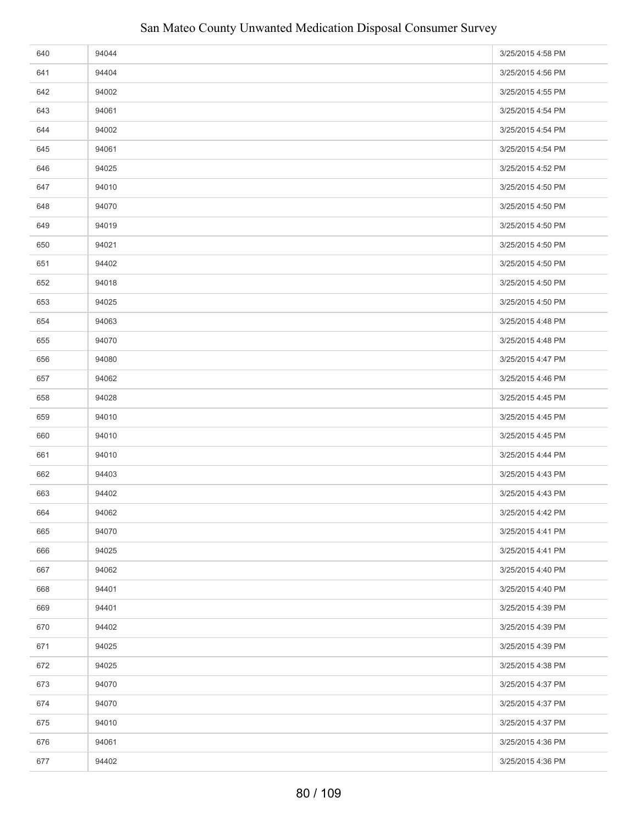| 640 | 94044 | 3/25/2015 4:58 PM |
|-----|-------|-------------------|
| 641 | 94404 | 3/25/2015 4:56 PM |
| 642 | 94002 | 3/25/2015 4:55 PM |
| 643 | 94061 | 3/25/2015 4:54 PM |
| 644 | 94002 | 3/25/2015 4:54 PM |
| 645 | 94061 | 3/25/2015 4:54 PM |
| 646 | 94025 | 3/25/2015 4:52 PM |
| 647 | 94010 | 3/25/2015 4:50 PM |
| 648 | 94070 | 3/25/2015 4:50 PM |
| 649 | 94019 | 3/25/2015 4:50 PM |
| 650 | 94021 | 3/25/2015 4:50 PM |
| 651 | 94402 | 3/25/2015 4:50 PM |
| 652 | 94018 | 3/25/2015 4:50 PM |
| 653 | 94025 | 3/25/2015 4:50 PM |
| 654 | 94063 | 3/25/2015 4:48 PM |
| 655 | 94070 | 3/25/2015 4:48 PM |
| 656 | 94080 | 3/25/2015 4:47 PM |
| 657 | 94062 | 3/25/2015 4:46 PM |
| 658 | 94028 | 3/25/2015 4:45 PM |
| 659 | 94010 | 3/25/2015 4:45 PM |
| 660 | 94010 | 3/25/2015 4:45 PM |
| 661 | 94010 | 3/25/2015 4:44 PM |
| 662 | 94403 | 3/25/2015 4:43 PM |
| 663 | 94402 | 3/25/2015 4:43 PM |
| 664 | 94062 | 3/25/2015 4:42 PM |
| 665 | 94070 | 3/25/2015 4:41 PM |
| 666 | 94025 | 3/25/2015 4:41 PM |
| 667 | 94062 | 3/25/2015 4:40 PM |
| 668 | 94401 | 3/25/2015 4:40 PM |
| 669 | 94401 | 3/25/2015 4:39 PM |
| 670 | 94402 | 3/25/2015 4:39 PM |
| 671 | 94025 | 3/25/2015 4:39 PM |
| 672 | 94025 | 3/25/2015 4:38 PM |
| 673 | 94070 | 3/25/2015 4:37 PM |
| 674 | 94070 | 3/25/2015 4:37 PM |
| 675 | 94010 | 3/25/2015 4:37 PM |
| 676 | 94061 | 3/25/2015 4:36 PM |
| 677 | 94402 | 3/25/2015 4:36 PM |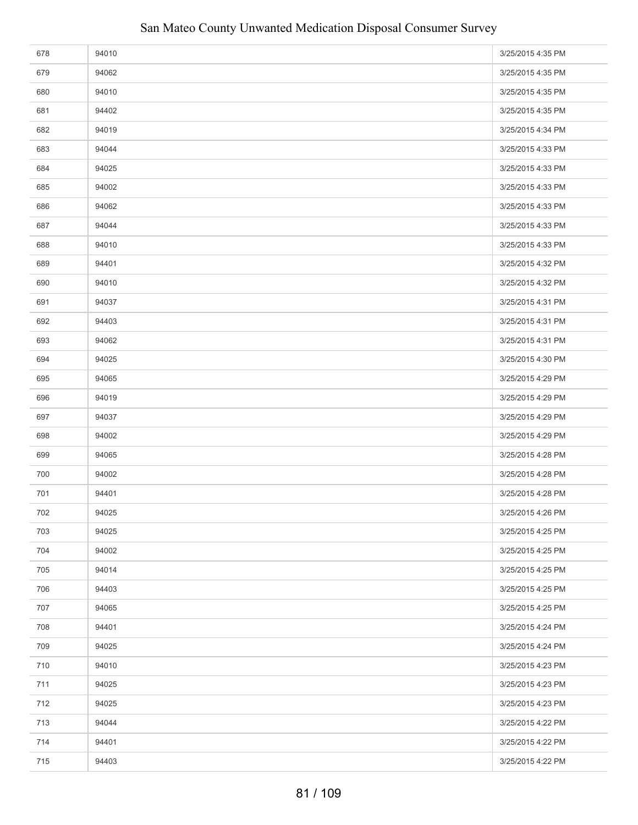| 678 | 94010 | 3/25/2015 4:35 PM |
|-----|-------|-------------------|
| 679 | 94062 | 3/25/2015 4:35 PM |
| 680 | 94010 | 3/25/2015 4:35 PM |
| 681 | 94402 | 3/25/2015 4:35 PM |
| 682 | 94019 | 3/25/2015 4:34 PM |
| 683 | 94044 | 3/25/2015 4:33 PM |
| 684 | 94025 | 3/25/2015 4:33 PM |
| 685 | 94002 | 3/25/2015 4:33 PM |
| 686 | 94062 | 3/25/2015 4:33 PM |
| 687 | 94044 | 3/25/2015 4:33 PM |
| 688 | 94010 | 3/25/2015 4:33 PM |
| 689 | 94401 | 3/25/2015 4:32 PM |
| 690 | 94010 | 3/25/2015 4:32 PM |
| 691 | 94037 | 3/25/2015 4:31 PM |
| 692 | 94403 | 3/25/2015 4:31 PM |
| 693 | 94062 | 3/25/2015 4:31 PM |
| 694 | 94025 | 3/25/2015 4:30 PM |
| 695 | 94065 | 3/25/2015 4:29 PM |
| 696 | 94019 | 3/25/2015 4:29 PM |
| 697 | 94037 | 3/25/2015 4:29 PM |
| 698 | 94002 | 3/25/2015 4:29 PM |
| 699 | 94065 | 3/25/2015 4:28 PM |
| 700 | 94002 | 3/25/2015 4:28 PM |
| 701 | 94401 | 3/25/2015 4:28 PM |
| 702 | 94025 | 3/25/2015 4:26 PM |
| 703 | 94025 | 3/25/2015 4:25 PM |
| 704 | 94002 | 3/25/2015 4:25 PM |
| 705 | 94014 | 3/25/2015 4:25 PM |
| 706 | 94403 | 3/25/2015 4:25 PM |
| 707 | 94065 | 3/25/2015 4:25 PM |
| 708 | 94401 | 3/25/2015 4:24 PM |
| 709 | 94025 | 3/25/2015 4:24 PM |
| 710 | 94010 | 3/25/2015 4:23 PM |
| 711 | 94025 | 3/25/2015 4:23 PM |
| 712 | 94025 | 3/25/2015 4:23 PM |
| 713 | 94044 | 3/25/2015 4:22 PM |
| 714 | 94401 | 3/25/2015 4:22 PM |
| 715 | 94403 | 3/25/2015 4:22 PM |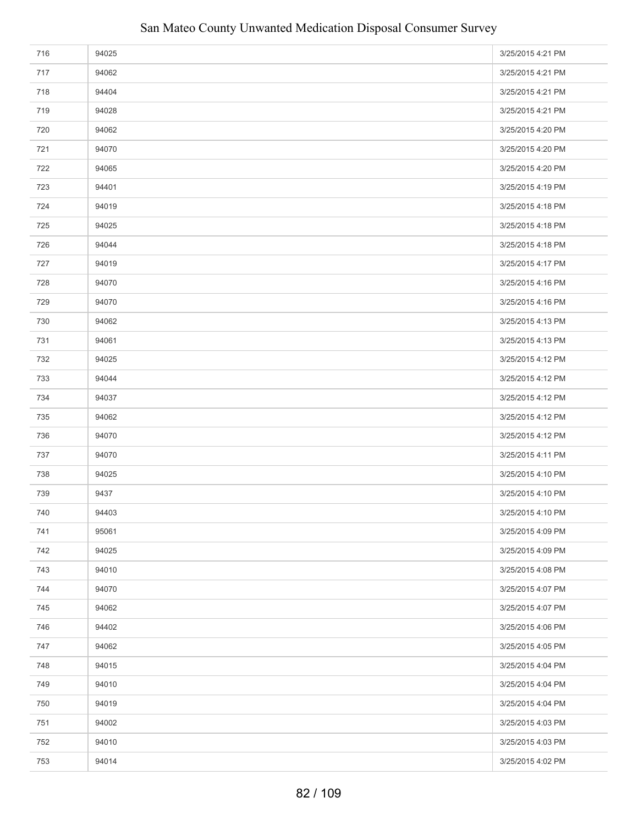| 716 | 94025 | 3/25/2015 4:21 PM |
|-----|-------|-------------------|
| 717 | 94062 | 3/25/2015 4:21 PM |
| 718 | 94404 | 3/25/2015 4:21 PM |
| 719 | 94028 | 3/25/2015 4:21 PM |
| 720 | 94062 | 3/25/2015 4:20 PM |
| 721 | 94070 | 3/25/2015 4:20 PM |
| 722 | 94065 | 3/25/2015 4:20 PM |
| 723 | 94401 | 3/25/2015 4:19 PM |
| 724 | 94019 | 3/25/2015 4:18 PM |
| 725 | 94025 | 3/25/2015 4:18 PM |
| 726 | 94044 | 3/25/2015 4:18 PM |
| 727 | 94019 | 3/25/2015 4:17 PM |
| 728 | 94070 | 3/25/2015 4:16 PM |
| 729 | 94070 | 3/25/2015 4:16 PM |
| 730 | 94062 | 3/25/2015 4:13 PM |
| 731 | 94061 | 3/25/2015 4:13 PM |
| 732 | 94025 | 3/25/2015 4:12 PM |
| 733 | 94044 | 3/25/2015 4:12 PM |
| 734 | 94037 | 3/25/2015 4:12 PM |
| 735 | 94062 | 3/25/2015 4:12 PM |
| 736 | 94070 | 3/25/2015 4:12 PM |
| 737 | 94070 | 3/25/2015 4:11 PM |
| 738 | 94025 | 3/25/2015 4:10 PM |
| 739 | 9437  | 3/25/2015 4:10 PM |
| 740 | 94403 | 3/25/2015 4:10 PM |
| 741 | 95061 | 3/25/2015 4:09 PM |
| 742 | 94025 | 3/25/2015 4:09 PM |
| 743 | 94010 | 3/25/2015 4:08 PM |
| 744 | 94070 | 3/25/2015 4:07 PM |
| 745 | 94062 | 3/25/2015 4:07 PM |
| 746 | 94402 | 3/25/2015 4:06 PM |
| 747 | 94062 | 3/25/2015 4:05 PM |
| 748 | 94015 | 3/25/2015 4:04 PM |
| 749 | 94010 | 3/25/2015 4:04 PM |
| 750 | 94019 | 3/25/2015 4:04 PM |
| 751 | 94002 | 3/25/2015 4:03 PM |
| 752 | 94010 | 3/25/2015 4:03 PM |
| 753 | 94014 | 3/25/2015 4:02 PM |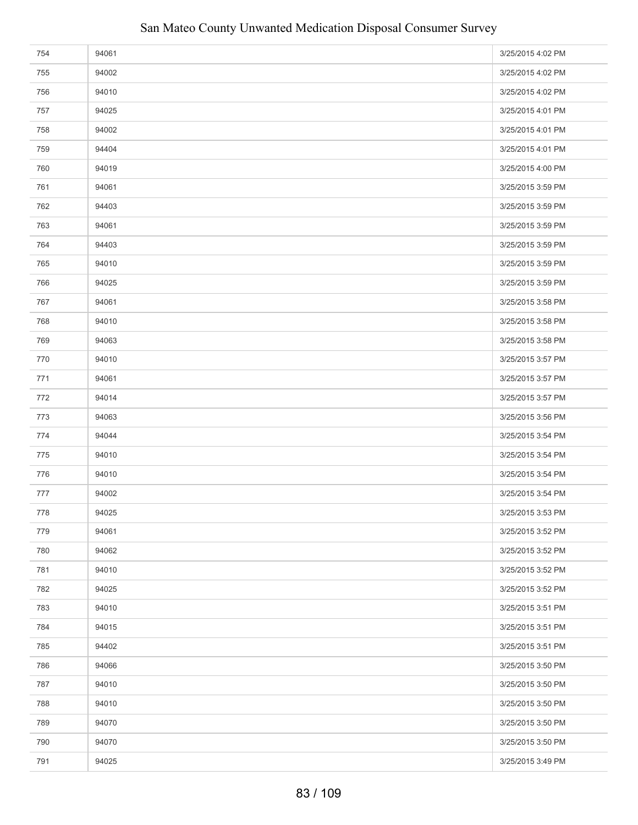| 754 | 94061 | 3/25/2015 4:02 PM |
|-----|-------|-------------------|
| 755 | 94002 | 3/25/2015 4:02 PM |
| 756 | 94010 | 3/25/2015 4:02 PM |
| 757 | 94025 | 3/25/2015 4:01 PM |
| 758 | 94002 | 3/25/2015 4:01 PM |
| 759 | 94404 | 3/25/2015 4:01 PM |
| 760 | 94019 | 3/25/2015 4:00 PM |
| 761 | 94061 | 3/25/2015 3:59 PM |
| 762 | 94403 | 3/25/2015 3:59 PM |
| 763 | 94061 | 3/25/2015 3:59 PM |
| 764 | 94403 | 3/25/2015 3:59 PM |
| 765 | 94010 | 3/25/2015 3:59 PM |
| 766 | 94025 | 3/25/2015 3:59 PM |
| 767 | 94061 | 3/25/2015 3:58 PM |
| 768 | 94010 | 3/25/2015 3:58 PM |
| 769 | 94063 | 3/25/2015 3:58 PM |
| 770 | 94010 | 3/25/2015 3:57 PM |
| 771 | 94061 | 3/25/2015 3:57 PM |
| 772 | 94014 | 3/25/2015 3:57 PM |
| 773 | 94063 | 3/25/2015 3:56 PM |
| 774 | 94044 | 3/25/2015 3:54 PM |
| 775 | 94010 | 3/25/2015 3:54 PM |
| 776 | 94010 | 3/25/2015 3:54 PM |
| 777 | 94002 | 3/25/2015 3:54 PM |
| 778 | 94025 | 3/25/2015 3:53 PM |
| 779 | 94061 | 3/25/2015 3:52 PM |
| 780 | 94062 | 3/25/2015 3:52 PM |
| 781 | 94010 | 3/25/2015 3:52 PM |
| 782 | 94025 | 3/25/2015 3:52 PM |
| 783 | 94010 | 3/25/2015 3:51 PM |
| 784 | 94015 | 3/25/2015 3:51 PM |
| 785 | 94402 | 3/25/2015 3:51 PM |
| 786 | 94066 | 3/25/2015 3:50 PM |
| 787 | 94010 | 3/25/2015 3:50 PM |
| 788 | 94010 | 3/25/2015 3:50 PM |
| 789 | 94070 | 3/25/2015 3:50 PM |
| 790 | 94070 | 3/25/2015 3:50 PM |
| 791 | 94025 | 3/25/2015 3:49 PM |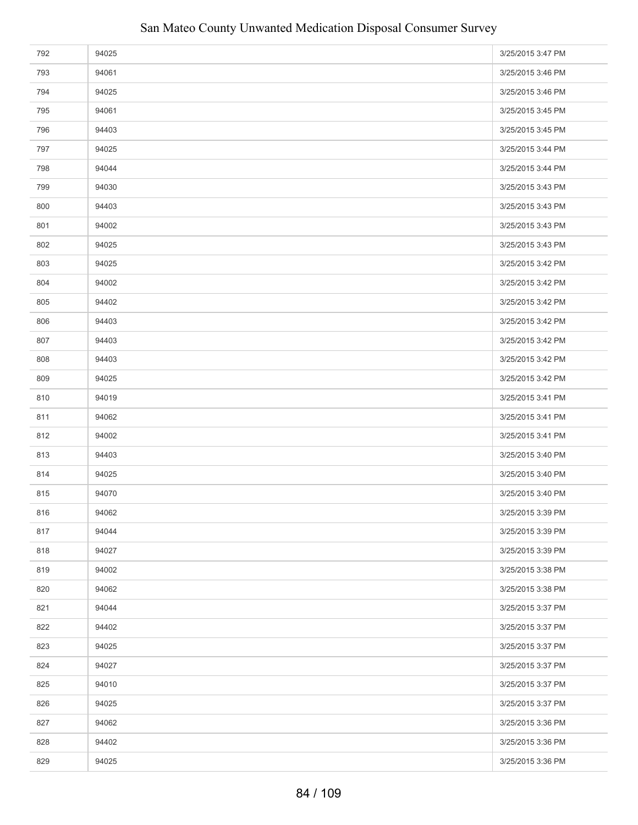| 792 | 94025 | 3/25/2015 3:47 PM |
|-----|-------|-------------------|
| 793 | 94061 | 3/25/2015 3:46 PM |
| 794 | 94025 | 3/25/2015 3:46 PM |
| 795 | 94061 | 3/25/2015 3:45 PM |
| 796 | 94403 | 3/25/2015 3:45 PM |
| 797 | 94025 | 3/25/2015 3:44 PM |
| 798 | 94044 | 3/25/2015 3:44 PM |
| 799 | 94030 | 3/25/2015 3:43 PM |
| 800 | 94403 | 3/25/2015 3:43 PM |
| 801 | 94002 | 3/25/2015 3:43 PM |
| 802 | 94025 | 3/25/2015 3:43 PM |
| 803 | 94025 | 3/25/2015 3:42 PM |
| 804 | 94002 | 3/25/2015 3:42 PM |
| 805 | 94402 | 3/25/2015 3:42 PM |
| 806 | 94403 | 3/25/2015 3:42 PM |
| 807 | 94403 | 3/25/2015 3:42 PM |
| 808 | 94403 | 3/25/2015 3:42 PM |
| 809 | 94025 | 3/25/2015 3:42 PM |
| 810 | 94019 | 3/25/2015 3:41 PM |
| 811 | 94062 | 3/25/2015 3:41 PM |
| 812 | 94002 | 3/25/2015 3:41 PM |
| 813 | 94403 | 3/25/2015 3:40 PM |
| 814 | 94025 | 3/25/2015 3:40 PM |
| 815 | 94070 | 3/25/2015 3:40 PM |
| 816 | 94062 | 3/25/2015 3:39 PM |
| 817 | 94044 | 3/25/2015 3:39 PM |
| 818 | 94027 | 3/25/2015 3:39 PM |
| 819 | 94002 | 3/25/2015 3:38 PM |
| 820 | 94062 | 3/25/2015 3:38 PM |
| 821 | 94044 | 3/25/2015 3:37 PM |
| 822 | 94402 | 3/25/2015 3:37 PM |
| 823 | 94025 | 3/25/2015 3:37 PM |
| 824 | 94027 | 3/25/2015 3:37 PM |
| 825 | 94010 | 3/25/2015 3:37 PM |
| 826 | 94025 | 3/25/2015 3:37 PM |
| 827 | 94062 | 3/25/2015 3:36 PM |
| 828 | 94402 | 3/25/2015 3:36 PM |
| 829 | 94025 | 3/25/2015 3:36 PM |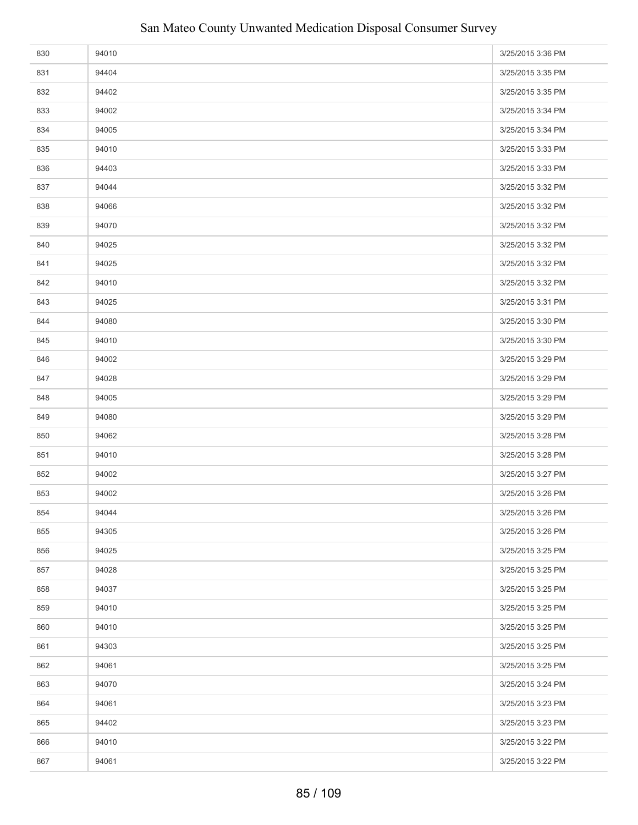| 830 | 94010 | 3/25/2015 3:36 PM |
|-----|-------|-------------------|
| 831 | 94404 | 3/25/2015 3:35 PM |
| 832 | 94402 | 3/25/2015 3:35 PM |
| 833 | 94002 | 3/25/2015 3:34 PM |
| 834 | 94005 | 3/25/2015 3:34 PM |
| 835 | 94010 | 3/25/2015 3:33 PM |
| 836 | 94403 | 3/25/2015 3:33 PM |
| 837 | 94044 | 3/25/2015 3:32 PM |
| 838 | 94066 | 3/25/2015 3:32 PM |
| 839 | 94070 | 3/25/2015 3:32 PM |
| 840 | 94025 | 3/25/2015 3:32 PM |
| 841 | 94025 | 3/25/2015 3:32 PM |
| 842 | 94010 | 3/25/2015 3:32 PM |
| 843 | 94025 | 3/25/2015 3:31 PM |
| 844 | 94080 | 3/25/2015 3:30 PM |
| 845 | 94010 | 3/25/2015 3:30 PM |
| 846 | 94002 | 3/25/2015 3:29 PM |
| 847 | 94028 | 3/25/2015 3:29 PM |
| 848 | 94005 | 3/25/2015 3:29 PM |
| 849 | 94080 | 3/25/2015 3:29 PM |
| 850 | 94062 | 3/25/2015 3:28 PM |
| 851 | 94010 | 3/25/2015 3:28 PM |
| 852 | 94002 | 3/25/2015 3:27 PM |
| 853 | 94002 | 3/25/2015 3:26 PM |
| 854 | 94044 | 3/25/2015 3:26 PM |
| 855 | 94305 | 3/25/2015 3:26 PM |
| 856 | 94025 | 3/25/2015 3:25 PM |
| 857 | 94028 | 3/25/2015 3:25 PM |
| 858 | 94037 | 3/25/2015 3:25 PM |
| 859 | 94010 | 3/25/2015 3:25 PM |
| 860 | 94010 | 3/25/2015 3:25 PM |
| 861 | 94303 | 3/25/2015 3:25 PM |
| 862 | 94061 | 3/25/2015 3:25 PM |
| 863 | 94070 | 3/25/2015 3:24 PM |
| 864 | 94061 | 3/25/2015 3:23 PM |
| 865 | 94402 | 3/25/2015 3:23 PM |
| 866 | 94010 | 3/25/2015 3:22 PM |
| 867 | 94061 | 3/25/2015 3:22 PM |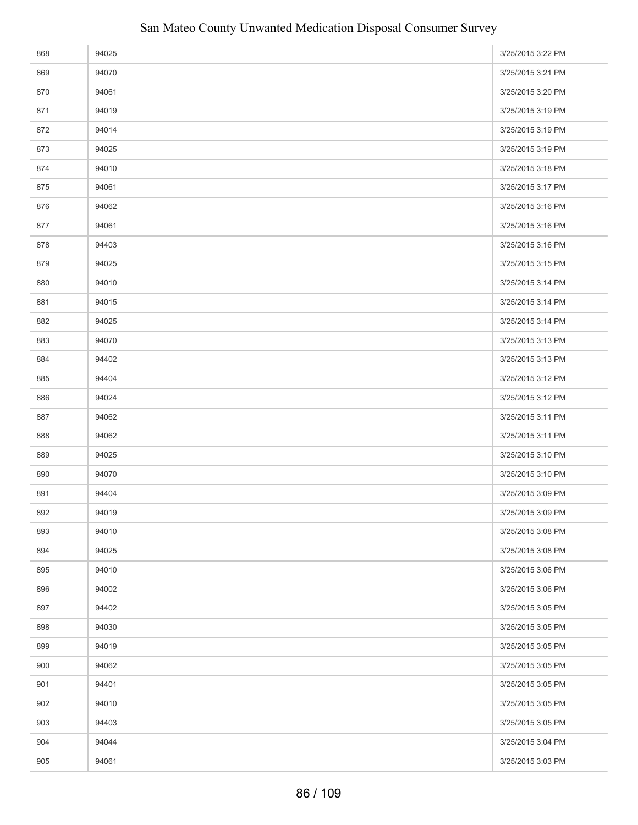| 868 | 94025 | 3/25/2015 3:22 PM |
|-----|-------|-------------------|
| 869 | 94070 | 3/25/2015 3:21 PM |
| 870 | 94061 | 3/25/2015 3:20 PM |
| 871 | 94019 | 3/25/2015 3:19 PM |
| 872 | 94014 | 3/25/2015 3:19 PM |
| 873 | 94025 | 3/25/2015 3:19 PM |
| 874 | 94010 | 3/25/2015 3:18 PM |
| 875 | 94061 | 3/25/2015 3:17 PM |
| 876 | 94062 | 3/25/2015 3:16 PM |
| 877 | 94061 | 3/25/2015 3:16 PM |
| 878 | 94403 | 3/25/2015 3:16 PM |
| 879 | 94025 | 3/25/2015 3:15 PM |
| 880 | 94010 | 3/25/2015 3:14 PM |
| 881 | 94015 | 3/25/2015 3:14 PM |
| 882 | 94025 | 3/25/2015 3:14 PM |
| 883 | 94070 | 3/25/2015 3:13 PM |
| 884 | 94402 | 3/25/2015 3:13 PM |
| 885 | 94404 | 3/25/2015 3:12 PM |
| 886 | 94024 | 3/25/2015 3:12 PM |
| 887 | 94062 | 3/25/2015 3:11 PM |
| 888 | 94062 | 3/25/2015 3:11 PM |
| 889 | 94025 | 3/25/2015 3:10 PM |
| 890 | 94070 | 3/25/2015 3:10 PM |
| 891 | 94404 | 3/25/2015 3:09 PM |
| 892 | 94019 | 3/25/2015 3:09 PM |
| 893 | 94010 | 3/25/2015 3:08 PM |
| 894 | 94025 | 3/25/2015 3:08 PM |
| 895 | 94010 | 3/25/2015 3:06 PM |
| 896 | 94002 | 3/25/2015 3:06 PM |
| 897 | 94402 | 3/25/2015 3:05 PM |
| 898 | 94030 | 3/25/2015 3:05 PM |
| 899 | 94019 | 3/25/2015 3:05 PM |
| 900 | 94062 | 3/25/2015 3:05 PM |
| 901 | 94401 | 3/25/2015 3:05 PM |
| 902 | 94010 | 3/25/2015 3:05 PM |
| 903 | 94403 | 3/25/2015 3:05 PM |
| 904 | 94044 | 3/25/2015 3:04 PM |
| 905 | 94061 | 3/25/2015 3:03 PM |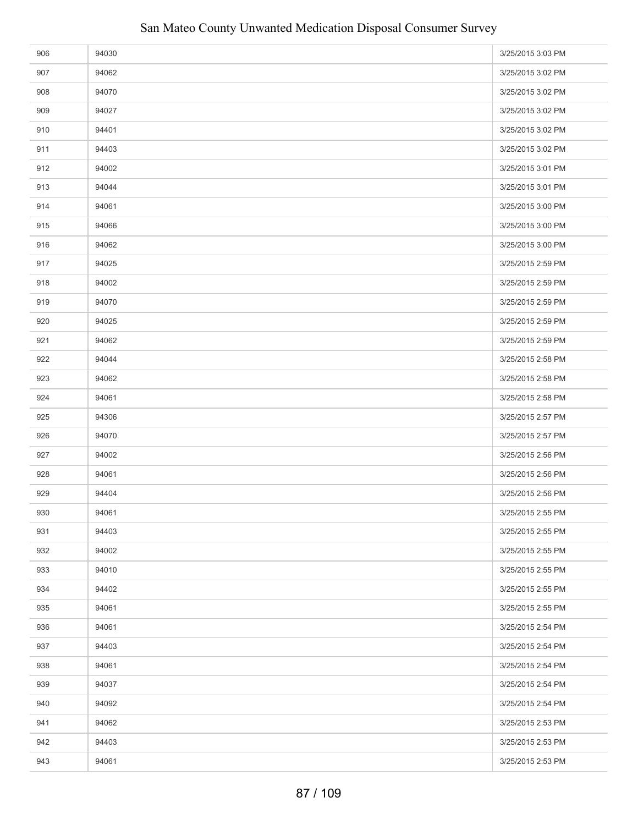| 906 | 94030 | 3/25/2015 3:03 PM |
|-----|-------|-------------------|
| 907 | 94062 | 3/25/2015 3:02 PM |
| 908 | 94070 | 3/25/2015 3:02 PM |
| 909 | 94027 | 3/25/2015 3:02 PM |
| 910 | 94401 | 3/25/2015 3:02 PM |
| 911 | 94403 | 3/25/2015 3:02 PM |
| 912 | 94002 | 3/25/2015 3:01 PM |
| 913 | 94044 | 3/25/2015 3:01 PM |
| 914 | 94061 | 3/25/2015 3:00 PM |
| 915 | 94066 | 3/25/2015 3:00 PM |
| 916 | 94062 | 3/25/2015 3:00 PM |
| 917 | 94025 | 3/25/2015 2:59 PM |
| 918 | 94002 | 3/25/2015 2:59 PM |
| 919 | 94070 | 3/25/2015 2:59 PM |
| 920 | 94025 | 3/25/2015 2:59 PM |
| 921 | 94062 | 3/25/2015 2:59 PM |
| 922 | 94044 | 3/25/2015 2:58 PM |
| 923 | 94062 | 3/25/2015 2:58 PM |
| 924 | 94061 | 3/25/2015 2:58 PM |
| 925 | 94306 | 3/25/2015 2:57 PM |
| 926 | 94070 | 3/25/2015 2:57 PM |
| 927 | 94002 | 3/25/2015 2:56 PM |
| 928 | 94061 | 3/25/2015 2:56 PM |
| 929 | 94404 | 3/25/2015 2:56 PM |
| 930 | 94061 | 3/25/2015 2:55 PM |
| 931 | 94403 | 3/25/2015 2:55 PM |
| 932 | 94002 | 3/25/2015 2:55 PM |
| 933 | 94010 | 3/25/2015 2:55 PM |
| 934 | 94402 | 3/25/2015 2:55 PM |
| 935 | 94061 | 3/25/2015 2:55 PM |
| 936 | 94061 | 3/25/2015 2:54 PM |
| 937 | 94403 | 3/25/2015 2:54 PM |
| 938 | 94061 | 3/25/2015 2:54 PM |
| 939 | 94037 | 3/25/2015 2:54 PM |
| 940 | 94092 | 3/25/2015 2:54 PM |
| 941 | 94062 | 3/25/2015 2:53 PM |
| 942 | 94403 | 3/25/2015 2:53 PM |
| 943 | 94061 | 3/25/2015 2:53 PM |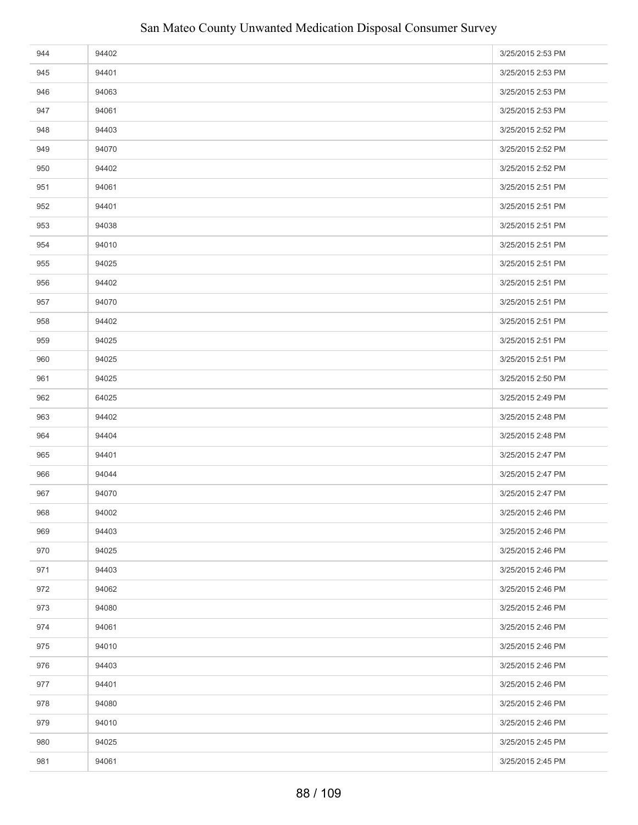| 944 | 94402 | 3/25/2015 2:53 PM |
|-----|-------|-------------------|
| 945 | 94401 | 3/25/2015 2:53 PM |
| 946 | 94063 | 3/25/2015 2:53 PM |
| 947 | 94061 | 3/25/2015 2:53 PM |
| 948 | 94403 | 3/25/2015 2:52 PM |
| 949 | 94070 | 3/25/2015 2:52 PM |
| 950 | 94402 | 3/25/2015 2:52 PM |
| 951 | 94061 | 3/25/2015 2:51 PM |
| 952 | 94401 | 3/25/2015 2:51 PM |
| 953 | 94038 | 3/25/2015 2:51 PM |
| 954 | 94010 | 3/25/2015 2:51 PM |
| 955 | 94025 | 3/25/2015 2:51 PM |
| 956 | 94402 | 3/25/2015 2:51 PM |
| 957 | 94070 | 3/25/2015 2:51 PM |
| 958 | 94402 | 3/25/2015 2:51 PM |
| 959 | 94025 | 3/25/2015 2:51 PM |
| 960 | 94025 | 3/25/2015 2:51 PM |
| 961 | 94025 | 3/25/2015 2:50 PM |
| 962 | 64025 | 3/25/2015 2:49 PM |
| 963 | 94402 | 3/25/2015 2:48 PM |
| 964 | 94404 | 3/25/2015 2:48 PM |
| 965 | 94401 | 3/25/2015 2:47 PM |
| 966 | 94044 | 3/25/2015 2:47 PM |
| 967 | 94070 | 3/25/2015 2:47 PM |
| 968 | 94002 | 3/25/2015 2:46 PM |
| 969 | 94403 | 3/25/2015 2:46 PM |
| 970 | 94025 | 3/25/2015 2:46 PM |
| 971 | 94403 | 3/25/2015 2:46 PM |
| 972 | 94062 | 3/25/2015 2:46 PM |
| 973 | 94080 | 3/25/2015 2:46 PM |
| 974 | 94061 | 3/25/2015 2:46 PM |
| 975 | 94010 | 3/25/2015 2:46 PM |
| 976 | 94403 | 3/25/2015 2:46 PM |
| 977 | 94401 | 3/25/2015 2:46 PM |
| 978 | 94080 | 3/25/2015 2:46 PM |
| 979 | 94010 | 3/25/2015 2:46 PM |
| 980 | 94025 | 3/25/2015 2:45 PM |
| 981 | 94061 | 3/25/2015 2:45 PM |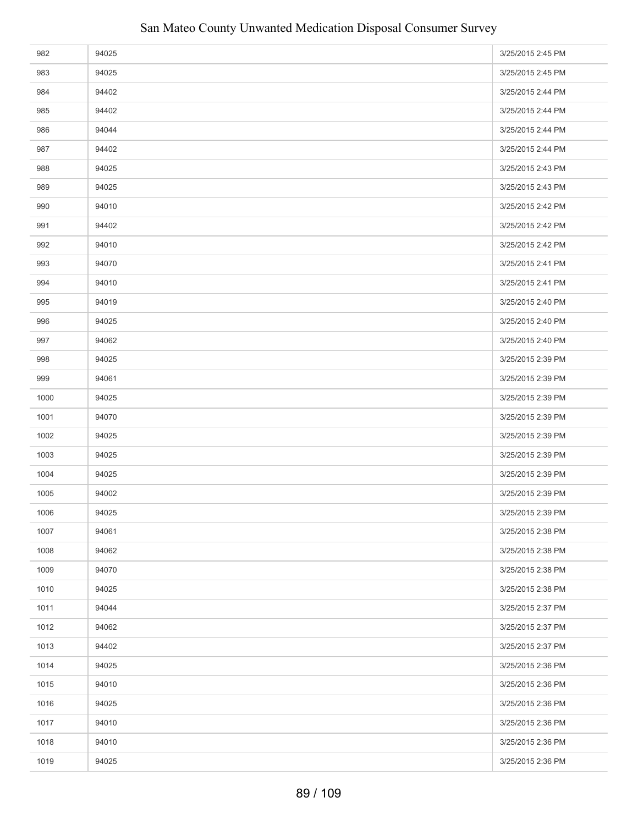| 982  | 94025 | 3/25/2015 2:45 PM |
|------|-------|-------------------|
| 983  | 94025 | 3/25/2015 2:45 PM |
| 984  | 94402 | 3/25/2015 2:44 PM |
| 985  | 94402 | 3/25/2015 2:44 PM |
| 986  | 94044 | 3/25/2015 2:44 PM |
| 987  | 94402 | 3/25/2015 2:44 PM |
| 988  | 94025 | 3/25/2015 2:43 PM |
| 989  | 94025 | 3/25/2015 2:43 PM |
| 990  | 94010 | 3/25/2015 2:42 PM |
| 991  | 94402 | 3/25/2015 2:42 PM |
| 992  | 94010 | 3/25/2015 2:42 PM |
| 993  | 94070 | 3/25/2015 2:41 PM |
| 994  | 94010 | 3/25/2015 2:41 PM |
| 995  | 94019 | 3/25/2015 2:40 PM |
| 996  | 94025 | 3/25/2015 2:40 PM |
| 997  | 94062 | 3/25/2015 2:40 PM |
| 998  | 94025 | 3/25/2015 2:39 PM |
| 999  | 94061 | 3/25/2015 2:39 PM |
| 1000 | 94025 | 3/25/2015 2:39 PM |
| 1001 | 94070 | 3/25/2015 2:39 PM |
| 1002 | 94025 | 3/25/2015 2:39 PM |
| 1003 | 94025 | 3/25/2015 2:39 PM |
| 1004 | 94025 | 3/25/2015 2:39 PM |
| 1005 | 94002 | 3/25/2015 2:39 PM |
| 1006 | 94025 | 3/25/2015 2:39 PM |
| 1007 | 94061 | 3/25/2015 2:38 PM |
| 1008 | 94062 | 3/25/2015 2:38 PM |
| 1009 | 94070 | 3/25/2015 2:38 PM |
| 1010 | 94025 | 3/25/2015 2:38 PM |
| 1011 | 94044 | 3/25/2015 2:37 PM |
| 1012 | 94062 | 3/25/2015 2:37 PM |
| 1013 | 94402 | 3/25/2015 2:37 PM |
| 1014 | 94025 | 3/25/2015 2:36 PM |
| 1015 | 94010 | 3/25/2015 2:36 PM |
| 1016 | 94025 | 3/25/2015 2:36 PM |
| 1017 | 94010 | 3/25/2015 2:36 PM |
| 1018 | 94010 | 3/25/2015 2:36 PM |
| 1019 | 94025 | 3/25/2015 2:36 PM |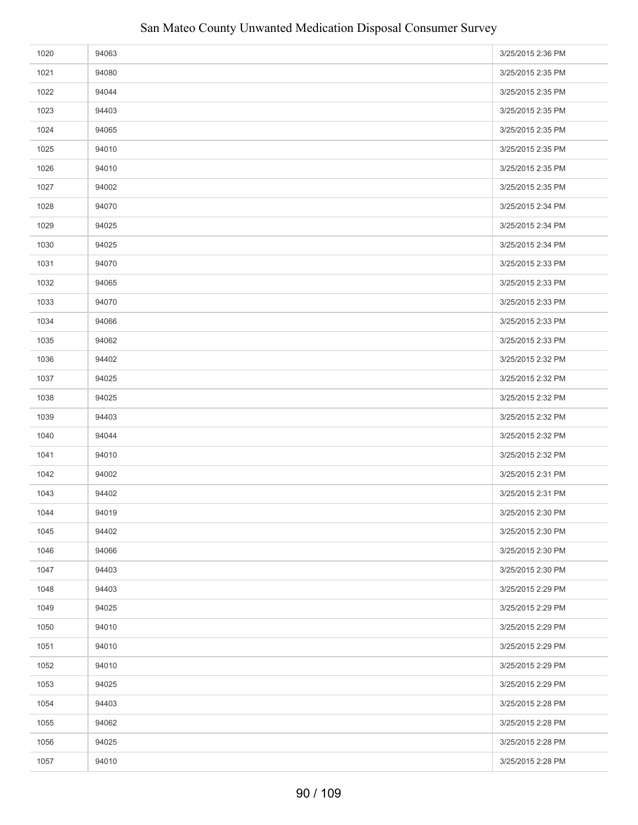| 1020 | 94063 | 3/25/2015 2:36 PM |
|------|-------|-------------------|
| 1021 | 94080 | 3/25/2015 2:35 PM |
| 1022 | 94044 | 3/25/2015 2:35 PM |
| 1023 | 94403 | 3/25/2015 2:35 PM |
| 1024 | 94065 | 3/25/2015 2:35 PM |
| 1025 | 94010 | 3/25/2015 2:35 PM |
| 1026 | 94010 | 3/25/2015 2:35 PM |
| 1027 | 94002 | 3/25/2015 2:35 PM |
| 1028 | 94070 | 3/25/2015 2:34 PM |
| 1029 | 94025 | 3/25/2015 2:34 PM |
| 1030 | 94025 | 3/25/2015 2:34 PM |
| 1031 | 94070 | 3/25/2015 2:33 PM |
| 1032 | 94065 | 3/25/2015 2:33 PM |
| 1033 | 94070 | 3/25/2015 2:33 PM |
| 1034 | 94066 | 3/25/2015 2:33 PM |
| 1035 | 94062 | 3/25/2015 2:33 PM |
| 1036 | 94402 | 3/25/2015 2:32 PM |
| 1037 | 94025 | 3/25/2015 2:32 PM |
| 1038 | 94025 | 3/25/2015 2:32 PM |
| 1039 | 94403 | 3/25/2015 2:32 PM |
| 1040 | 94044 | 3/25/2015 2:32 PM |
| 1041 | 94010 | 3/25/2015 2:32 PM |
| 1042 | 94002 | 3/25/2015 2:31 PM |
| 1043 | 94402 | 3/25/2015 2:31 PM |
| 1044 | 94019 | 3/25/2015 2:30 PM |
| 1045 | 94402 | 3/25/2015 2:30 PM |
| 1046 | 94066 | 3/25/2015 2:30 PM |
| 1047 | 94403 | 3/25/2015 2:30 PM |
| 1048 | 94403 | 3/25/2015 2:29 PM |
| 1049 | 94025 | 3/25/2015 2:29 PM |
| 1050 | 94010 | 3/25/2015 2:29 PM |
| 1051 | 94010 | 3/25/2015 2:29 PM |
| 1052 | 94010 | 3/25/2015 2:29 PM |
| 1053 | 94025 | 3/25/2015 2:29 PM |
| 1054 | 94403 | 3/25/2015 2:28 PM |
| 1055 | 94062 | 3/25/2015 2:28 PM |
| 1056 | 94025 | 3/25/2015 2:28 PM |
| 1057 | 94010 | 3/25/2015 2:28 PM |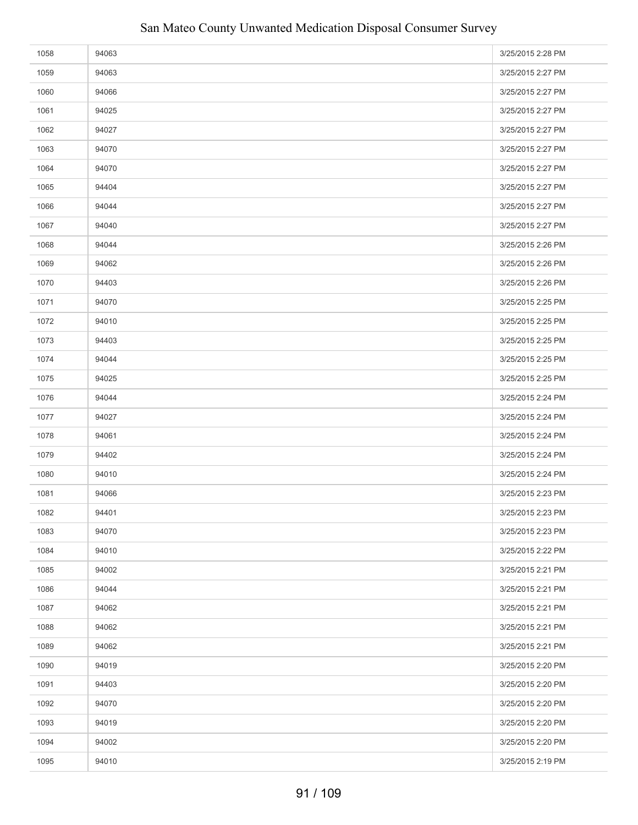| 1058 | 94063 | 3/25/2015 2:28 PM |
|------|-------|-------------------|
| 1059 | 94063 | 3/25/2015 2:27 PM |
| 1060 | 94066 | 3/25/2015 2:27 PM |
| 1061 | 94025 | 3/25/2015 2:27 PM |
| 1062 | 94027 | 3/25/2015 2:27 PM |
| 1063 | 94070 | 3/25/2015 2:27 PM |
| 1064 | 94070 | 3/25/2015 2:27 PM |
| 1065 | 94404 | 3/25/2015 2:27 PM |
| 1066 | 94044 | 3/25/2015 2:27 PM |
| 1067 | 94040 | 3/25/2015 2:27 PM |
| 1068 | 94044 | 3/25/2015 2:26 PM |
| 1069 | 94062 | 3/25/2015 2:26 PM |
| 1070 | 94403 | 3/25/2015 2:26 PM |
| 1071 | 94070 | 3/25/2015 2:25 PM |
| 1072 | 94010 | 3/25/2015 2:25 PM |
| 1073 | 94403 | 3/25/2015 2:25 PM |
| 1074 | 94044 | 3/25/2015 2:25 PM |
| 1075 | 94025 | 3/25/2015 2:25 PM |
| 1076 | 94044 | 3/25/2015 2:24 PM |
| 1077 | 94027 | 3/25/2015 2:24 PM |
| 1078 | 94061 | 3/25/2015 2:24 PM |
| 1079 | 94402 | 3/25/2015 2:24 PM |
| 1080 | 94010 | 3/25/2015 2:24 PM |
| 1081 | 94066 | 3/25/2015 2:23 PM |
| 1082 | 94401 | 3/25/2015 2:23 PM |
| 1083 | 94070 | 3/25/2015 2:23 PM |
| 1084 | 94010 | 3/25/2015 2:22 PM |
| 1085 | 94002 | 3/25/2015 2:21 PM |
| 1086 | 94044 | 3/25/2015 2:21 PM |
| 1087 | 94062 | 3/25/2015 2:21 PM |
| 1088 | 94062 | 3/25/2015 2:21 PM |
| 1089 | 94062 | 3/25/2015 2:21 PM |
| 1090 | 94019 | 3/25/2015 2:20 PM |
| 1091 | 94403 | 3/25/2015 2:20 PM |
| 1092 | 94070 | 3/25/2015 2:20 PM |
| 1093 | 94019 | 3/25/2015 2:20 PM |
| 1094 | 94002 | 3/25/2015 2:20 PM |
| 1095 | 94010 | 3/25/2015 2:19 PM |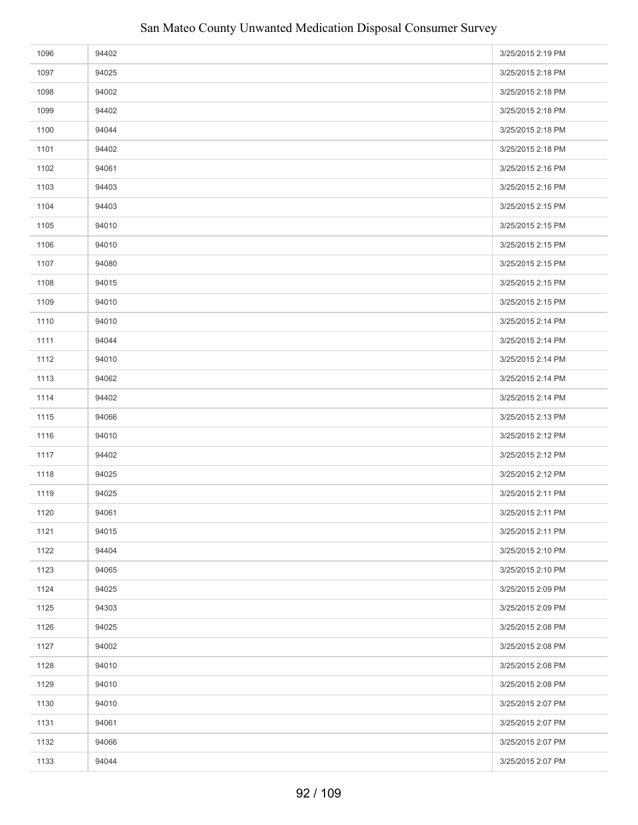| 1096 | 94402 | 3/25/2015 2:19 PM |
|------|-------|-------------------|
| 1097 | 94025 | 3/25/2015 2:18 PM |
| 1098 | 94002 | 3/25/2015 2:18 PM |
| 1099 | 94402 | 3/25/2015 2:18 PM |
| 1100 | 94044 | 3/25/2015 2:18 PM |
| 1101 | 94402 | 3/25/2015 2:18 PM |
| 1102 | 94061 | 3/25/2015 2:16 PM |
| 1103 | 94403 | 3/25/2015 2:16 PM |
| 1104 | 94403 | 3/25/2015 2:15 PM |
| 1105 | 94010 | 3/25/2015 2:15 PM |
| 1106 | 94010 | 3/25/2015 2:15 PM |
| 1107 | 94080 | 3/25/2015 2:15 PM |
| 1108 | 94015 | 3/25/2015 2:15 PM |
| 1109 | 94010 | 3/25/2015 2:15 PM |
| 1110 | 94010 | 3/25/2015 2:14 PM |
| 1111 | 94044 | 3/25/2015 2:14 PM |
| 1112 | 94010 | 3/25/2015 2:14 PM |
| 1113 | 94062 | 3/25/2015 2:14 PM |
| 1114 | 94402 | 3/25/2015 2:14 PM |
| 1115 | 94066 | 3/25/2015 2:13 PM |
| 1116 | 94010 | 3/25/2015 2:12 PM |
| 1117 | 94402 | 3/25/2015 2:12 PM |
| 1118 | 94025 | 3/25/2015 2:12 PM |
| 1119 | 94025 | 3/25/2015 2:11 PM |
| 1120 | 94061 | 3/25/2015 2:11 PM |
| 1121 | 94015 | 3/25/2015 2:11 PM |
| 1122 | 94404 | 3/25/2015 2:10 PM |
| 1123 | 94065 | 3/25/2015 2:10 PM |
| 1124 | 94025 | 3/25/2015 2:09 PM |
| 1125 | 94303 | 3/25/2015 2:09 PM |
| 1126 | 94025 | 3/25/2015 2:08 PM |
| 1127 | 94002 | 3/25/2015 2:08 PM |
| 1128 | 94010 | 3/25/2015 2:08 PM |
| 1129 | 94010 | 3/25/2015 2:08 PM |
| 1130 | 94010 | 3/25/2015 2:07 PM |
| 1131 | 94061 | 3/25/2015 2:07 PM |
| 1132 | 94066 | 3/25/2015 2:07 PM |
| 1133 | 94044 | 3/25/2015 2:07 PM |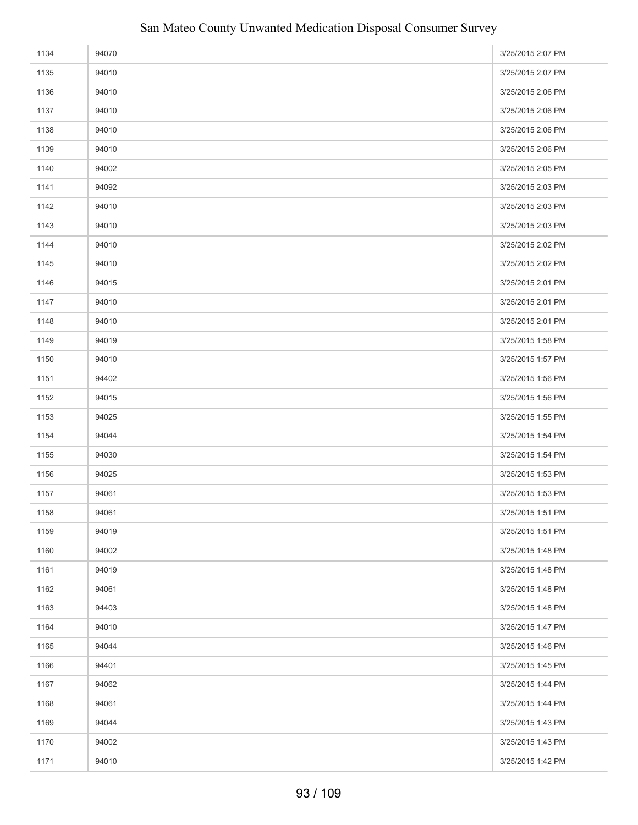| 1134 | 94070 | 3/25/2015 2:07 PM |
|------|-------|-------------------|
| 1135 | 94010 | 3/25/2015 2:07 PM |
| 1136 | 94010 | 3/25/2015 2:06 PM |
| 1137 | 94010 | 3/25/2015 2:06 PM |
| 1138 | 94010 | 3/25/2015 2:06 PM |
| 1139 | 94010 | 3/25/2015 2:06 PM |
| 1140 | 94002 | 3/25/2015 2:05 PM |
| 1141 | 94092 | 3/25/2015 2:03 PM |
| 1142 | 94010 | 3/25/2015 2:03 PM |
| 1143 | 94010 | 3/25/2015 2:03 PM |
| 1144 | 94010 | 3/25/2015 2:02 PM |
| 1145 | 94010 | 3/25/2015 2:02 PM |
| 1146 | 94015 | 3/25/2015 2:01 PM |
| 1147 | 94010 | 3/25/2015 2:01 PM |
| 1148 | 94010 | 3/25/2015 2:01 PM |
| 1149 | 94019 | 3/25/2015 1:58 PM |
| 1150 | 94010 | 3/25/2015 1:57 PM |
| 1151 | 94402 | 3/25/2015 1:56 PM |
| 1152 | 94015 | 3/25/2015 1:56 PM |
| 1153 | 94025 | 3/25/2015 1:55 PM |
| 1154 | 94044 | 3/25/2015 1:54 PM |
| 1155 | 94030 | 3/25/2015 1:54 PM |
| 1156 | 94025 | 3/25/2015 1:53 PM |
| 1157 | 94061 | 3/25/2015 1:53 PM |
| 1158 | 94061 | 3/25/2015 1:51 PM |
| 1159 | 94019 | 3/25/2015 1:51 PM |
| 1160 | 94002 | 3/25/2015 1:48 PM |
| 1161 | 94019 | 3/25/2015 1:48 PM |
| 1162 | 94061 | 3/25/2015 1:48 PM |
| 1163 | 94403 | 3/25/2015 1:48 PM |
| 1164 | 94010 | 3/25/2015 1:47 PM |
| 1165 | 94044 | 3/25/2015 1:46 PM |
| 1166 | 94401 | 3/25/2015 1:45 PM |
| 1167 | 94062 | 3/25/2015 1:44 PM |
| 1168 | 94061 | 3/25/2015 1:44 PM |
| 1169 | 94044 | 3/25/2015 1:43 PM |
| 1170 | 94002 | 3/25/2015 1:43 PM |
| 1171 | 94010 | 3/25/2015 1:42 PM |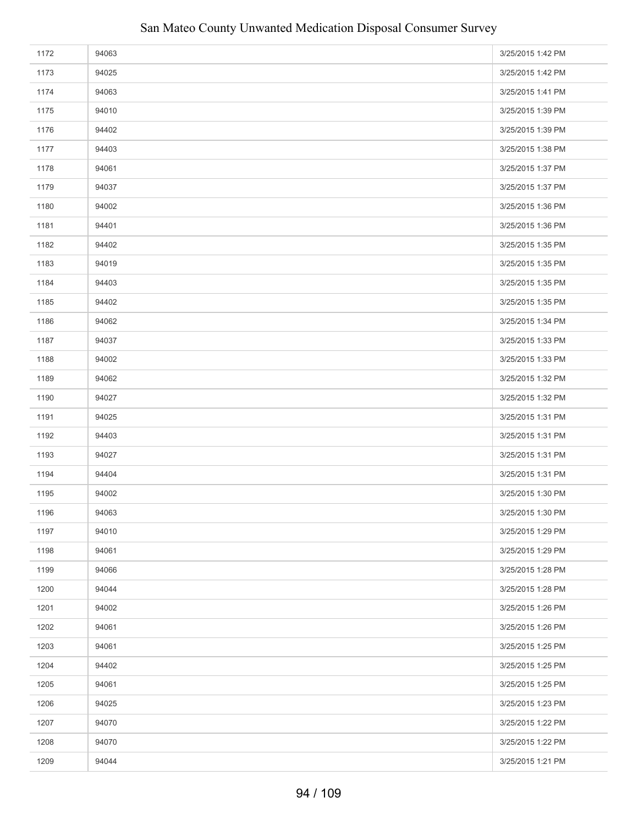| 1172 | 94063 | 3/25/2015 1:42 PM |
|------|-------|-------------------|
| 1173 | 94025 | 3/25/2015 1:42 PM |
| 1174 | 94063 | 3/25/2015 1:41 PM |
| 1175 | 94010 | 3/25/2015 1:39 PM |
| 1176 | 94402 | 3/25/2015 1:39 PM |
| 1177 | 94403 | 3/25/2015 1:38 PM |
| 1178 | 94061 | 3/25/2015 1:37 PM |
| 1179 | 94037 | 3/25/2015 1:37 PM |
| 1180 | 94002 | 3/25/2015 1:36 PM |
| 1181 | 94401 | 3/25/2015 1:36 PM |
| 1182 | 94402 | 3/25/2015 1:35 PM |
| 1183 | 94019 | 3/25/2015 1:35 PM |
| 1184 | 94403 | 3/25/2015 1:35 PM |
| 1185 | 94402 | 3/25/2015 1:35 PM |
| 1186 | 94062 | 3/25/2015 1:34 PM |
| 1187 | 94037 | 3/25/2015 1:33 PM |
| 1188 | 94002 | 3/25/2015 1:33 PM |
| 1189 | 94062 | 3/25/2015 1:32 PM |
| 1190 | 94027 | 3/25/2015 1:32 PM |
| 1191 | 94025 | 3/25/2015 1:31 PM |
| 1192 | 94403 | 3/25/2015 1:31 PM |
| 1193 | 94027 | 3/25/2015 1:31 PM |
| 1194 | 94404 | 3/25/2015 1:31 PM |
| 1195 | 94002 | 3/25/2015 1:30 PM |
| 1196 | 94063 | 3/25/2015 1:30 PM |
| 1197 | 94010 | 3/25/2015 1:29 PM |
| 1198 | 94061 | 3/25/2015 1:29 PM |
| 1199 | 94066 | 3/25/2015 1:28 PM |
| 1200 | 94044 | 3/25/2015 1:28 PM |
| 1201 | 94002 | 3/25/2015 1:26 PM |
| 1202 | 94061 | 3/25/2015 1:26 PM |
| 1203 | 94061 | 3/25/2015 1:25 PM |
| 1204 | 94402 | 3/25/2015 1:25 PM |
| 1205 | 94061 | 3/25/2015 1:25 PM |
| 1206 | 94025 | 3/25/2015 1:23 PM |
| 1207 | 94070 | 3/25/2015 1:22 PM |
| 1208 | 94070 | 3/25/2015 1:22 PM |
| 1209 | 94044 | 3/25/2015 1:21 PM |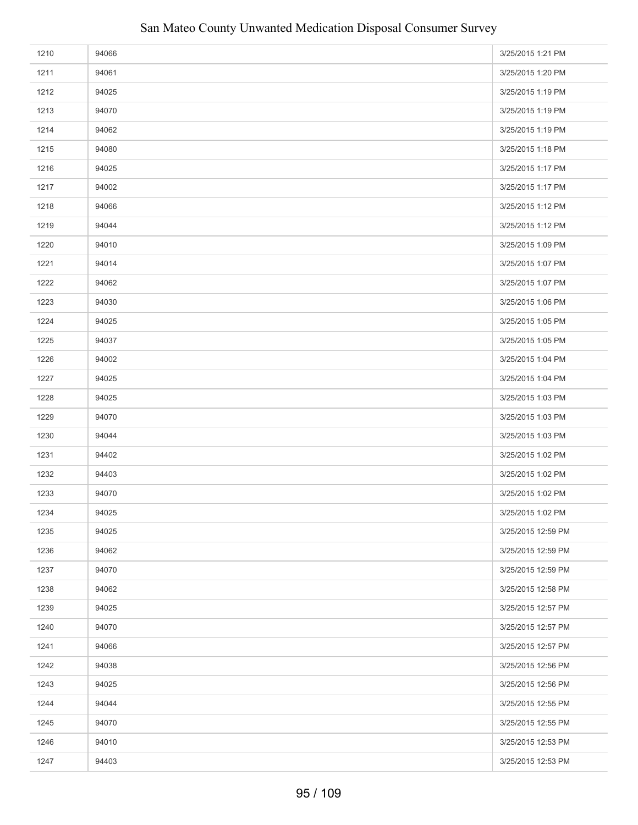| 1210 | 94066 | 3/25/2015 1:21 PM  |
|------|-------|--------------------|
| 1211 | 94061 | 3/25/2015 1:20 PM  |
| 1212 | 94025 | 3/25/2015 1:19 PM  |
| 1213 | 94070 | 3/25/2015 1:19 PM  |
| 1214 | 94062 | 3/25/2015 1:19 PM  |
| 1215 | 94080 | 3/25/2015 1:18 PM  |
| 1216 | 94025 | 3/25/2015 1:17 PM  |
| 1217 | 94002 | 3/25/2015 1:17 PM  |
| 1218 | 94066 | 3/25/2015 1:12 PM  |
| 1219 | 94044 | 3/25/2015 1:12 PM  |
| 1220 | 94010 | 3/25/2015 1:09 PM  |
| 1221 | 94014 | 3/25/2015 1:07 PM  |
| 1222 | 94062 | 3/25/2015 1:07 PM  |
| 1223 | 94030 | 3/25/2015 1:06 PM  |
| 1224 | 94025 | 3/25/2015 1:05 PM  |
| 1225 | 94037 | 3/25/2015 1:05 PM  |
| 1226 | 94002 | 3/25/2015 1:04 PM  |
| 1227 | 94025 | 3/25/2015 1:04 PM  |
| 1228 | 94025 | 3/25/2015 1:03 PM  |
| 1229 | 94070 | 3/25/2015 1:03 PM  |
| 1230 | 94044 | 3/25/2015 1:03 PM  |
| 1231 | 94402 | 3/25/2015 1:02 PM  |
| 1232 | 94403 | 3/25/2015 1:02 PM  |
| 1233 | 94070 | 3/25/2015 1:02 PM  |
| 1234 | 94025 | 3/25/2015 1:02 PM  |
| 1235 | 94025 | 3/25/2015 12:59 PM |
| 1236 | 94062 | 3/25/2015 12:59 PM |
| 1237 | 94070 | 3/25/2015 12:59 PM |
| 1238 | 94062 | 3/25/2015 12:58 PM |
| 1239 | 94025 | 3/25/2015 12:57 PM |
| 1240 | 94070 | 3/25/2015 12:57 PM |
| 1241 | 94066 | 3/25/2015 12:57 PM |
| 1242 | 94038 | 3/25/2015 12:56 PM |
| 1243 | 94025 | 3/25/2015 12:56 PM |
| 1244 | 94044 | 3/25/2015 12:55 PM |
| 1245 | 94070 | 3/25/2015 12:55 PM |
| 1246 | 94010 | 3/25/2015 12:53 PM |
| 1247 | 94403 | 3/25/2015 12:53 PM |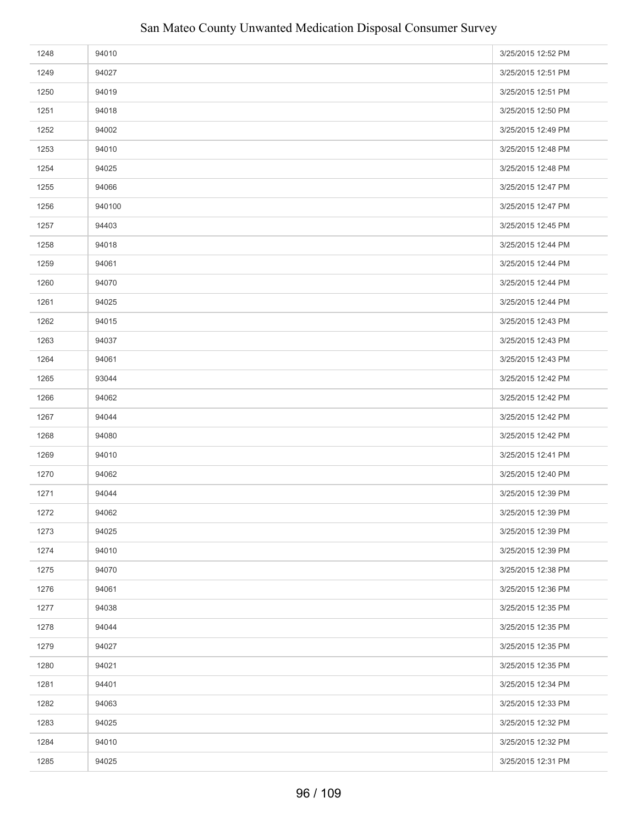| 1248 | 94010  | 3/25/2015 12:52 PM |
|------|--------|--------------------|
| 1249 | 94027  | 3/25/2015 12:51 PM |
| 1250 | 94019  | 3/25/2015 12:51 PM |
| 1251 | 94018  | 3/25/2015 12:50 PM |
| 1252 | 94002  | 3/25/2015 12:49 PM |
| 1253 | 94010  | 3/25/2015 12:48 PM |
| 1254 | 94025  | 3/25/2015 12:48 PM |
| 1255 | 94066  | 3/25/2015 12:47 PM |
| 1256 | 940100 | 3/25/2015 12:47 PM |
| 1257 | 94403  | 3/25/2015 12:45 PM |
| 1258 | 94018  | 3/25/2015 12:44 PM |
| 1259 | 94061  | 3/25/2015 12:44 PM |
| 1260 | 94070  | 3/25/2015 12:44 PM |
| 1261 | 94025  | 3/25/2015 12:44 PM |
| 1262 | 94015  | 3/25/2015 12:43 PM |
| 1263 | 94037  | 3/25/2015 12:43 PM |
| 1264 | 94061  | 3/25/2015 12:43 PM |
| 1265 | 93044  | 3/25/2015 12:42 PM |
| 1266 | 94062  | 3/25/2015 12:42 PM |
| 1267 | 94044  | 3/25/2015 12:42 PM |
| 1268 | 94080  | 3/25/2015 12:42 PM |
| 1269 | 94010  | 3/25/2015 12:41 PM |
| 1270 | 94062  | 3/25/2015 12:40 PM |
| 1271 | 94044  | 3/25/2015 12:39 PM |
| 1272 | 94062  | 3/25/2015 12:39 PM |
| 1273 | 94025  | 3/25/2015 12:39 PM |
| 1274 | 94010  | 3/25/2015 12:39 PM |
| 1275 | 94070  | 3/25/2015 12:38 PM |
| 1276 | 94061  | 3/25/2015 12:36 PM |
| 1277 | 94038  | 3/25/2015 12:35 PM |
| 1278 | 94044  | 3/25/2015 12:35 PM |
| 1279 | 94027  | 3/25/2015 12:35 PM |
| 1280 | 94021  | 3/25/2015 12:35 PM |
| 1281 | 94401  | 3/25/2015 12:34 PM |
| 1282 | 94063  | 3/25/2015 12:33 PM |
| 1283 | 94025  | 3/25/2015 12:32 PM |
| 1284 | 94010  | 3/25/2015 12:32 PM |
| 1285 | 94025  | 3/25/2015 12:31 PM |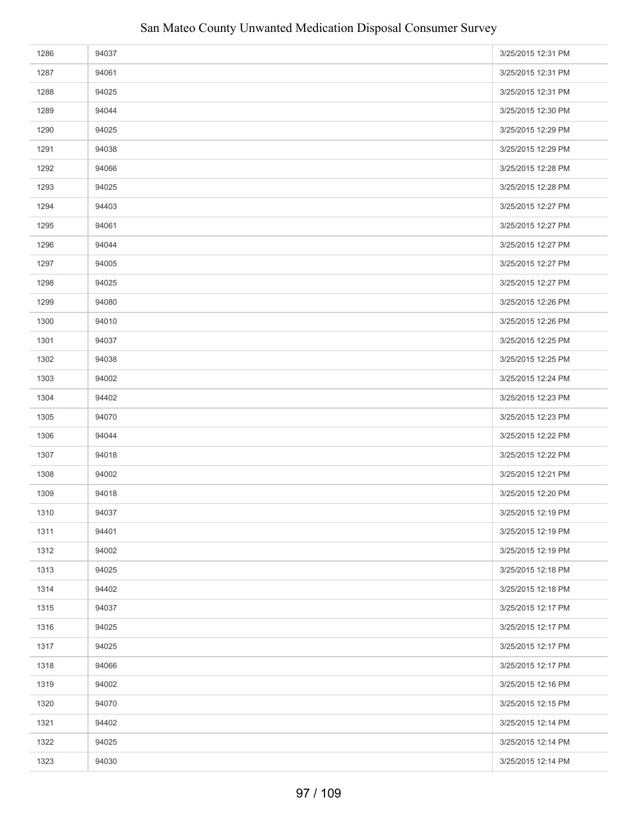| 1286 | 94037 | 3/25/2015 12:31 PM |
|------|-------|--------------------|
| 1287 | 94061 | 3/25/2015 12:31 PM |
| 1288 | 94025 | 3/25/2015 12:31 PM |
| 1289 | 94044 | 3/25/2015 12:30 PM |
| 1290 | 94025 | 3/25/2015 12:29 PM |
| 1291 | 94038 | 3/25/2015 12:29 PM |
| 1292 | 94066 | 3/25/2015 12:28 PM |
| 1293 | 94025 | 3/25/2015 12:28 PM |
| 1294 | 94403 | 3/25/2015 12:27 PM |
| 1295 | 94061 | 3/25/2015 12:27 PM |
| 1296 | 94044 | 3/25/2015 12:27 PM |
| 1297 | 94005 | 3/25/2015 12:27 PM |
| 1298 | 94025 | 3/25/2015 12:27 PM |
| 1299 | 94080 | 3/25/2015 12:26 PM |
| 1300 | 94010 | 3/25/2015 12:26 PM |
| 1301 | 94037 | 3/25/2015 12:25 PM |
| 1302 | 94038 | 3/25/2015 12:25 PM |
| 1303 | 94002 | 3/25/2015 12:24 PM |
| 1304 | 94402 | 3/25/2015 12:23 PM |
| 1305 | 94070 | 3/25/2015 12:23 PM |
| 1306 | 94044 | 3/25/2015 12:22 PM |
| 1307 | 94018 | 3/25/2015 12:22 PM |
| 1308 | 94002 | 3/25/2015 12:21 PM |
| 1309 | 94018 | 3/25/2015 12:20 PM |
| 1310 | 94037 | 3/25/2015 12:19 PM |
| 1311 | 94401 | 3/25/2015 12:19 PM |
| 1312 | 94002 | 3/25/2015 12:19 PM |
| 1313 | 94025 | 3/25/2015 12:18 PM |
| 1314 | 94402 | 3/25/2015 12:18 PM |
| 1315 | 94037 | 3/25/2015 12:17 PM |
| 1316 | 94025 | 3/25/2015 12:17 PM |
| 1317 | 94025 | 3/25/2015 12:17 PM |
| 1318 | 94066 | 3/25/2015 12:17 PM |
| 1319 | 94002 | 3/25/2015 12:16 PM |
| 1320 | 94070 | 3/25/2015 12:15 PM |
| 1321 | 94402 | 3/25/2015 12:14 PM |
| 1322 | 94025 | 3/25/2015 12:14 PM |
| 1323 | 94030 | 3/25/2015 12:14 PM |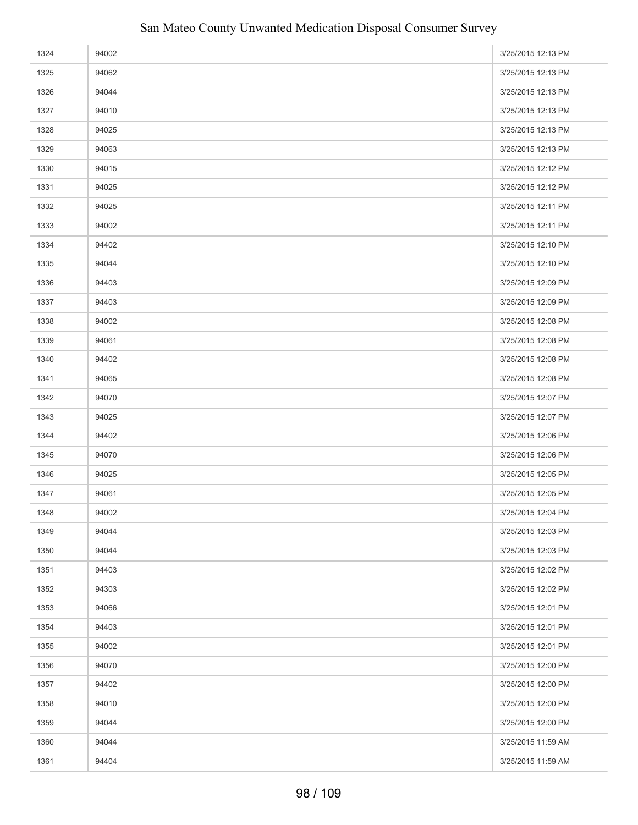| 1324 | 94002 | 3/25/2015 12:13 PM |
|------|-------|--------------------|
| 1325 | 94062 | 3/25/2015 12:13 PM |
| 1326 | 94044 | 3/25/2015 12:13 PM |
| 1327 | 94010 | 3/25/2015 12:13 PM |
| 1328 | 94025 | 3/25/2015 12:13 PM |
| 1329 | 94063 | 3/25/2015 12:13 PM |
| 1330 | 94015 | 3/25/2015 12:12 PM |
| 1331 | 94025 | 3/25/2015 12:12 PM |
| 1332 | 94025 | 3/25/2015 12:11 PM |
| 1333 | 94002 | 3/25/2015 12:11 PM |
| 1334 | 94402 | 3/25/2015 12:10 PM |
| 1335 | 94044 | 3/25/2015 12:10 PM |
| 1336 | 94403 | 3/25/2015 12:09 PM |
| 1337 | 94403 | 3/25/2015 12:09 PM |
| 1338 | 94002 | 3/25/2015 12:08 PM |
| 1339 | 94061 | 3/25/2015 12:08 PM |
| 1340 | 94402 | 3/25/2015 12:08 PM |
| 1341 | 94065 | 3/25/2015 12:08 PM |
| 1342 | 94070 | 3/25/2015 12:07 PM |
| 1343 | 94025 | 3/25/2015 12:07 PM |
| 1344 | 94402 | 3/25/2015 12:06 PM |
| 1345 | 94070 | 3/25/2015 12:06 PM |
| 1346 | 94025 | 3/25/2015 12:05 PM |
| 1347 | 94061 | 3/25/2015 12:05 PM |
| 1348 | 94002 | 3/25/2015 12:04 PM |
| 1349 | 94044 | 3/25/2015 12:03 PM |
| 1350 | 94044 | 3/25/2015 12:03 PM |
| 1351 | 94403 | 3/25/2015 12:02 PM |
| 1352 | 94303 | 3/25/2015 12:02 PM |
| 1353 | 94066 | 3/25/2015 12:01 PM |
| 1354 | 94403 | 3/25/2015 12:01 PM |
| 1355 | 94002 | 3/25/2015 12:01 PM |
| 1356 | 94070 | 3/25/2015 12:00 PM |
| 1357 | 94402 | 3/25/2015 12:00 PM |
| 1358 | 94010 | 3/25/2015 12:00 PM |
| 1359 | 94044 | 3/25/2015 12:00 PM |
| 1360 | 94044 | 3/25/2015 11:59 AM |
| 1361 | 94404 | 3/25/2015 11:59 AM |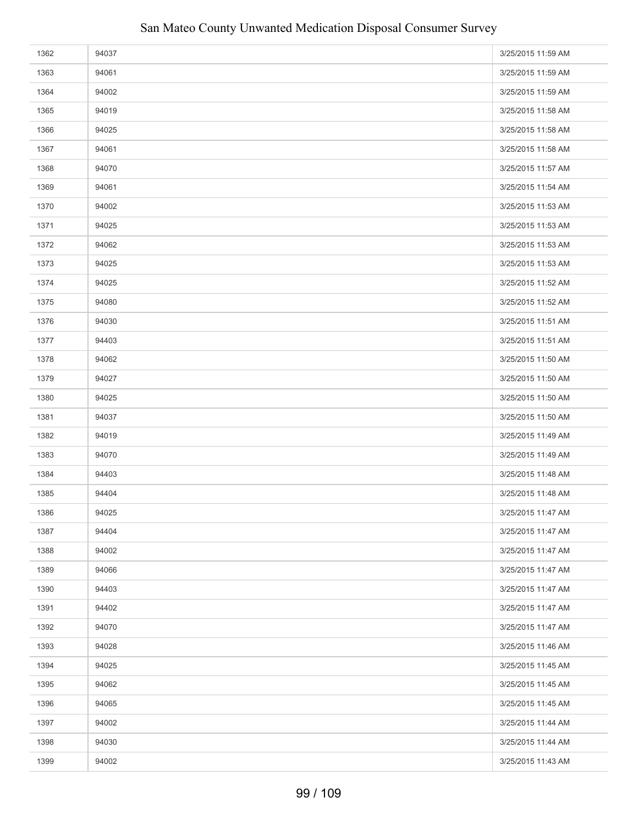| 1362 | 94037 | 3/25/2015 11:59 AM |
|------|-------|--------------------|
| 1363 | 94061 | 3/25/2015 11:59 AM |
| 1364 | 94002 | 3/25/2015 11:59 AM |
| 1365 | 94019 | 3/25/2015 11:58 AM |
| 1366 | 94025 | 3/25/2015 11:58 AM |
| 1367 | 94061 | 3/25/2015 11:58 AM |
| 1368 | 94070 | 3/25/2015 11:57 AM |
| 1369 | 94061 | 3/25/2015 11:54 AM |
| 1370 | 94002 | 3/25/2015 11:53 AM |
| 1371 | 94025 | 3/25/2015 11:53 AM |
| 1372 | 94062 | 3/25/2015 11:53 AM |
| 1373 | 94025 | 3/25/2015 11:53 AM |
| 1374 | 94025 | 3/25/2015 11:52 AM |
| 1375 | 94080 | 3/25/2015 11:52 AM |
| 1376 | 94030 | 3/25/2015 11:51 AM |
| 1377 | 94403 | 3/25/2015 11:51 AM |
| 1378 | 94062 | 3/25/2015 11:50 AM |
| 1379 | 94027 | 3/25/2015 11:50 AM |
| 1380 | 94025 | 3/25/2015 11:50 AM |
| 1381 | 94037 | 3/25/2015 11:50 AM |
| 1382 | 94019 | 3/25/2015 11:49 AM |
| 1383 | 94070 | 3/25/2015 11:49 AM |
| 1384 | 94403 | 3/25/2015 11:48 AM |
| 1385 | 94404 | 3/25/2015 11:48 AM |
| 1386 | 94025 | 3/25/2015 11:47 AM |
| 1387 | 94404 | 3/25/2015 11:47 AM |
| 1388 | 94002 | 3/25/2015 11:47 AM |
| 1389 | 94066 | 3/25/2015 11:47 AM |
| 1390 | 94403 | 3/25/2015 11:47 AM |
| 1391 | 94402 | 3/25/2015 11:47 AM |
| 1392 | 94070 | 3/25/2015 11:47 AM |
| 1393 | 94028 | 3/25/2015 11:46 AM |
| 1394 | 94025 | 3/25/2015 11:45 AM |
| 1395 | 94062 | 3/25/2015 11:45 AM |
| 1396 | 94065 | 3/25/2015 11:45 AM |
| 1397 | 94002 | 3/25/2015 11:44 AM |
| 1398 | 94030 | 3/25/2015 11:44 AM |
| 1399 | 94002 | 3/25/2015 11:43 AM |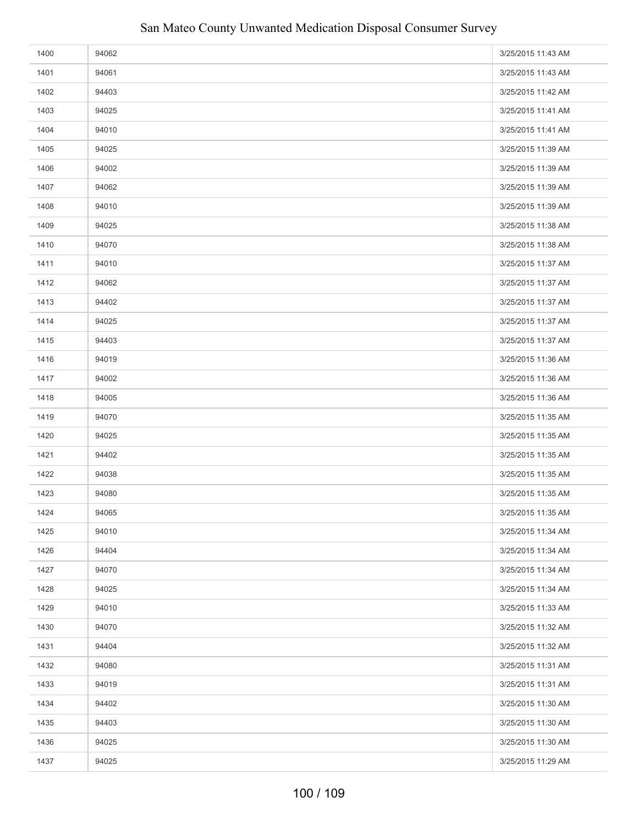| 1400 | 94062 | 3/25/2015 11:43 AM |
|------|-------|--------------------|
| 1401 | 94061 | 3/25/2015 11:43 AM |
| 1402 | 94403 | 3/25/2015 11:42 AM |
| 1403 | 94025 | 3/25/2015 11:41 AM |
| 1404 | 94010 | 3/25/2015 11:41 AM |
| 1405 | 94025 | 3/25/2015 11:39 AM |
| 1406 | 94002 | 3/25/2015 11:39 AM |
| 1407 | 94062 | 3/25/2015 11:39 AM |
| 1408 | 94010 | 3/25/2015 11:39 AM |
| 1409 | 94025 | 3/25/2015 11:38 AM |
| 1410 | 94070 | 3/25/2015 11:38 AM |
| 1411 | 94010 | 3/25/2015 11:37 AM |
| 1412 | 94062 | 3/25/2015 11:37 AM |
| 1413 | 94402 | 3/25/2015 11:37 AM |
| 1414 | 94025 | 3/25/2015 11:37 AM |
| 1415 | 94403 | 3/25/2015 11:37 AM |
| 1416 | 94019 | 3/25/2015 11:36 AM |
| 1417 | 94002 | 3/25/2015 11:36 AM |
| 1418 | 94005 | 3/25/2015 11:36 AM |
| 1419 | 94070 | 3/25/2015 11:35 AM |
| 1420 | 94025 | 3/25/2015 11:35 AM |
| 1421 | 94402 | 3/25/2015 11:35 AM |
| 1422 | 94038 | 3/25/2015 11:35 AM |
| 1423 | 94080 | 3/25/2015 11:35 AM |
| 1424 | 94065 | 3/25/2015 11:35 AM |
| 1425 | 94010 | 3/25/2015 11:34 AM |
| 1426 | 94404 | 3/25/2015 11:34 AM |
| 1427 | 94070 | 3/25/2015 11:34 AM |
| 1428 | 94025 | 3/25/2015 11:34 AM |
| 1429 | 94010 | 3/25/2015 11:33 AM |
| 1430 | 94070 | 3/25/2015 11:32 AM |
| 1431 | 94404 | 3/25/2015 11:32 AM |
| 1432 | 94080 | 3/25/2015 11:31 AM |
| 1433 | 94019 | 3/25/2015 11:31 AM |
| 1434 | 94402 | 3/25/2015 11:30 AM |
| 1435 | 94403 | 3/25/2015 11:30 AM |
| 1436 | 94025 | 3/25/2015 11:30 AM |
| 1437 | 94025 | 3/25/2015 11:29 AM |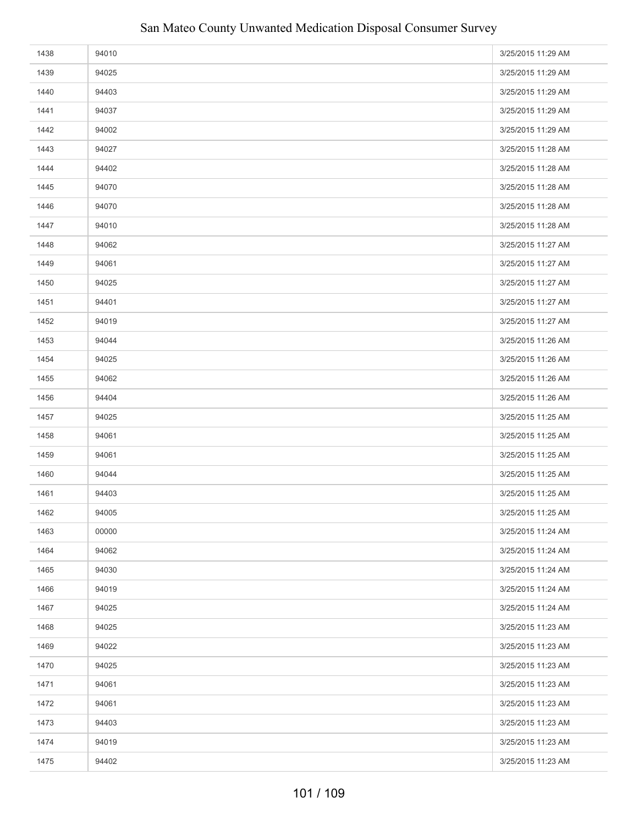| 1438 | 94010 | 3/25/2015 11:29 AM |
|------|-------|--------------------|
| 1439 | 94025 | 3/25/2015 11:29 AM |
| 1440 | 94403 | 3/25/2015 11:29 AM |
| 1441 | 94037 | 3/25/2015 11:29 AM |
| 1442 | 94002 | 3/25/2015 11:29 AM |
| 1443 | 94027 | 3/25/2015 11:28 AM |
| 1444 | 94402 | 3/25/2015 11:28 AM |
| 1445 | 94070 | 3/25/2015 11:28 AM |
| 1446 | 94070 | 3/25/2015 11:28 AM |
| 1447 | 94010 | 3/25/2015 11:28 AM |
| 1448 | 94062 | 3/25/2015 11:27 AM |
| 1449 | 94061 | 3/25/2015 11:27 AM |
| 1450 | 94025 | 3/25/2015 11:27 AM |
| 1451 | 94401 | 3/25/2015 11:27 AM |
| 1452 | 94019 | 3/25/2015 11:27 AM |
| 1453 | 94044 | 3/25/2015 11:26 AM |
| 1454 | 94025 | 3/25/2015 11:26 AM |
| 1455 | 94062 | 3/25/2015 11:26 AM |
| 1456 | 94404 | 3/25/2015 11:26 AM |
| 1457 | 94025 | 3/25/2015 11:25 AM |
| 1458 | 94061 | 3/25/2015 11:25 AM |
| 1459 | 94061 | 3/25/2015 11:25 AM |
| 1460 | 94044 | 3/25/2015 11:25 AM |
| 1461 | 94403 | 3/25/2015 11:25 AM |
| 1462 | 94005 | 3/25/2015 11:25 AM |
| 1463 | 00000 | 3/25/2015 11:24 AM |
| 1464 | 94062 | 3/25/2015 11:24 AM |
| 1465 | 94030 | 3/25/2015 11:24 AM |
| 1466 | 94019 | 3/25/2015 11:24 AM |
| 1467 | 94025 | 3/25/2015 11:24 AM |
| 1468 | 94025 | 3/25/2015 11:23 AM |
| 1469 | 94022 | 3/25/2015 11:23 AM |
| 1470 | 94025 | 3/25/2015 11:23 AM |
| 1471 | 94061 | 3/25/2015 11:23 AM |
| 1472 | 94061 | 3/25/2015 11:23 AM |
| 1473 | 94403 | 3/25/2015 11:23 AM |
| 1474 | 94019 | 3/25/2015 11:23 AM |
| 1475 | 94402 | 3/25/2015 11:23 AM |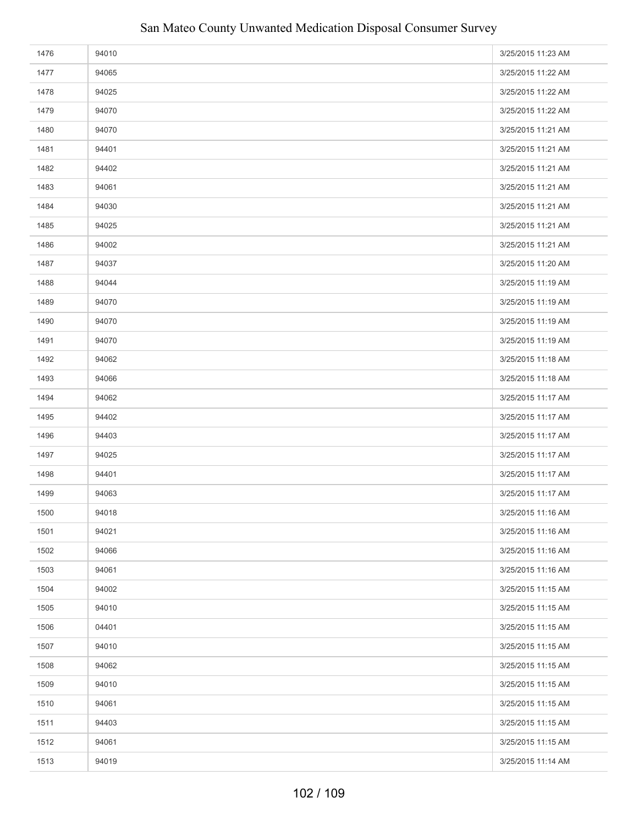| 1476 | 94010 | 3/25/2015 11:23 AM |
|------|-------|--------------------|
| 1477 | 94065 | 3/25/2015 11:22 AM |
| 1478 | 94025 | 3/25/2015 11:22 AM |
| 1479 | 94070 | 3/25/2015 11:22 AM |
| 1480 | 94070 | 3/25/2015 11:21 AM |
| 1481 | 94401 | 3/25/2015 11:21 AM |
| 1482 | 94402 | 3/25/2015 11:21 AM |
| 1483 | 94061 | 3/25/2015 11:21 AM |
| 1484 | 94030 | 3/25/2015 11:21 AM |
| 1485 | 94025 | 3/25/2015 11:21 AM |
| 1486 | 94002 | 3/25/2015 11:21 AM |
| 1487 | 94037 | 3/25/2015 11:20 AM |
| 1488 | 94044 | 3/25/2015 11:19 AM |
| 1489 | 94070 | 3/25/2015 11:19 AM |
| 1490 | 94070 | 3/25/2015 11:19 AM |
| 1491 | 94070 | 3/25/2015 11:19 AM |
| 1492 | 94062 | 3/25/2015 11:18 AM |
| 1493 | 94066 | 3/25/2015 11:18 AM |
| 1494 | 94062 | 3/25/2015 11:17 AM |
| 1495 | 94402 | 3/25/2015 11:17 AM |
| 1496 | 94403 | 3/25/2015 11:17 AM |
| 1497 | 94025 | 3/25/2015 11:17 AM |
| 1498 | 94401 | 3/25/2015 11:17 AM |
| 1499 | 94063 | 3/25/2015 11:17 AM |
| 1500 | 94018 | 3/25/2015 11:16 AM |
| 1501 | 94021 | 3/25/2015 11:16 AM |
| 1502 | 94066 | 3/25/2015 11:16 AM |
| 1503 | 94061 | 3/25/2015 11:16 AM |
| 1504 | 94002 | 3/25/2015 11:15 AM |
| 1505 | 94010 | 3/25/2015 11:15 AM |
| 1506 | 04401 | 3/25/2015 11:15 AM |
| 1507 | 94010 | 3/25/2015 11:15 AM |
| 1508 | 94062 | 3/25/2015 11:15 AM |
| 1509 | 94010 | 3/25/2015 11:15 AM |
| 1510 | 94061 | 3/25/2015 11:15 AM |
| 1511 | 94403 | 3/25/2015 11:15 AM |
| 1512 | 94061 | 3/25/2015 11:15 AM |
| 1513 | 94019 | 3/25/2015 11:14 AM |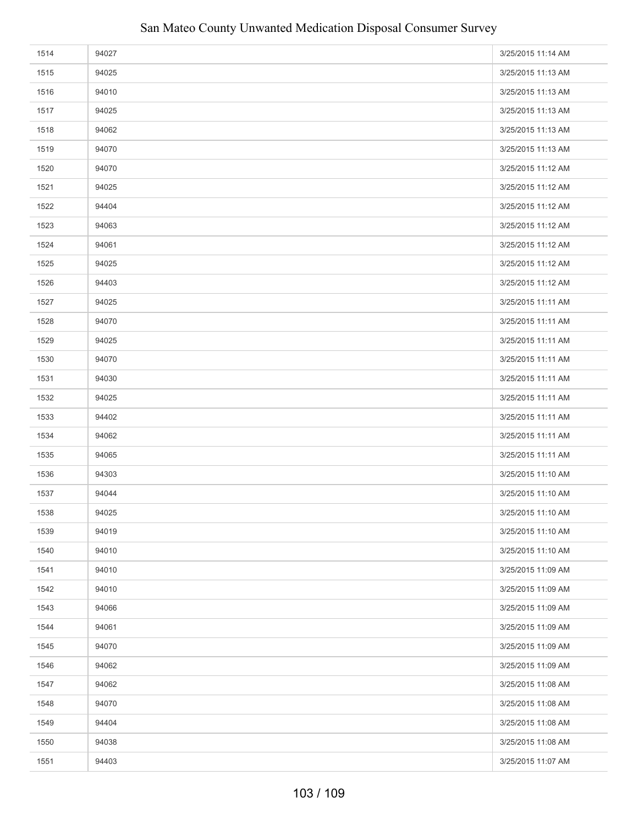| 1514 | 94027 | 3/25/2015 11:14 AM |
|------|-------|--------------------|
| 1515 | 94025 | 3/25/2015 11:13 AM |
| 1516 | 94010 | 3/25/2015 11:13 AM |
| 1517 | 94025 | 3/25/2015 11:13 AM |
| 1518 | 94062 | 3/25/2015 11:13 AM |
| 1519 | 94070 | 3/25/2015 11:13 AM |
| 1520 | 94070 | 3/25/2015 11:12 AM |
| 1521 | 94025 | 3/25/2015 11:12 AM |
| 1522 | 94404 | 3/25/2015 11:12 AM |
| 1523 | 94063 | 3/25/2015 11:12 AM |
| 1524 | 94061 | 3/25/2015 11:12 AM |
| 1525 | 94025 | 3/25/2015 11:12 AM |
| 1526 | 94403 | 3/25/2015 11:12 AM |
| 1527 | 94025 | 3/25/2015 11:11 AM |
| 1528 | 94070 | 3/25/2015 11:11 AM |
| 1529 | 94025 | 3/25/2015 11:11 AM |
| 1530 | 94070 | 3/25/2015 11:11 AM |
| 1531 | 94030 | 3/25/2015 11:11 AM |
| 1532 | 94025 | 3/25/2015 11:11 AM |
| 1533 | 94402 | 3/25/2015 11:11 AM |
| 1534 | 94062 | 3/25/2015 11:11 AM |
| 1535 | 94065 | 3/25/2015 11:11 AM |
| 1536 | 94303 | 3/25/2015 11:10 AM |
| 1537 | 94044 | 3/25/2015 11:10 AM |
| 1538 | 94025 | 3/25/2015 11:10 AM |
| 1539 | 94019 | 3/25/2015 11:10 AM |
| 1540 | 94010 | 3/25/2015 11:10 AM |
| 1541 | 94010 | 3/25/2015 11:09 AM |
| 1542 | 94010 | 3/25/2015 11:09 AM |
| 1543 | 94066 | 3/25/2015 11:09 AM |
| 1544 | 94061 | 3/25/2015 11:09 AM |
| 1545 | 94070 | 3/25/2015 11:09 AM |
| 1546 | 94062 | 3/25/2015 11:09 AM |
| 1547 | 94062 | 3/25/2015 11:08 AM |
| 1548 | 94070 | 3/25/2015 11:08 AM |
| 1549 | 94404 | 3/25/2015 11:08 AM |
| 1550 | 94038 | 3/25/2015 11:08 AM |
| 1551 | 94403 | 3/25/2015 11:07 AM |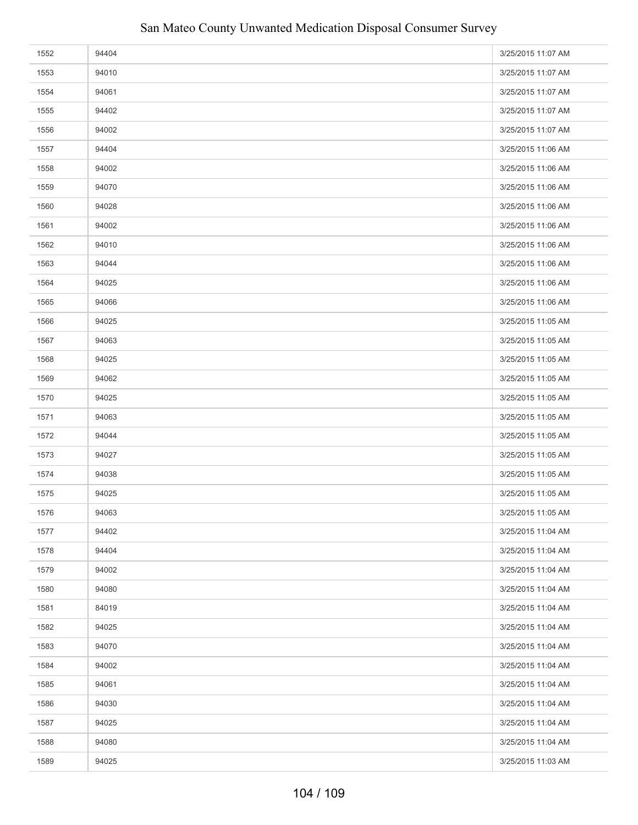| 1552 | 94404 | 3/25/2015 11:07 AM |
|------|-------|--------------------|
| 1553 | 94010 | 3/25/2015 11:07 AM |
| 1554 | 94061 | 3/25/2015 11:07 AM |
| 1555 | 94402 | 3/25/2015 11:07 AM |
| 1556 | 94002 | 3/25/2015 11:07 AM |
| 1557 | 94404 | 3/25/2015 11:06 AM |
| 1558 | 94002 | 3/25/2015 11:06 AM |
| 1559 | 94070 | 3/25/2015 11:06 AM |
| 1560 | 94028 | 3/25/2015 11:06 AM |
| 1561 | 94002 | 3/25/2015 11:06 AM |
| 1562 | 94010 | 3/25/2015 11:06 AM |
| 1563 | 94044 | 3/25/2015 11:06 AM |
| 1564 | 94025 | 3/25/2015 11:06 AM |
| 1565 | 94066 | 3/25/2015 11:06 AM |
| 1566 | 94025 | 3/25/2015 11:05 AM |
| 1567 | 94063 | 3/25/2015 11:05 AM |
| 1568 | 94025 | 3/25/2015 11:05 AM |
| 1569 | 94062 | 3/25/2015 11:05 AM |
| 1570 | 94025 | 3/25/2015 11:05 AM |
| 1571 | 94063 | 3/25/2015 11:05 AM |
| 1572 | 94044 | 3/25/2015 11:05 AM |
| 1573 | 94027 | 3/25/2015 11:05 AM |
| 1574 | 94038 | 3/25/2015 11:05 AM |
| 1575 | 94025 | 3/25/2015 11:05 AM |
| 1576 | 94063 | 3/25/2015 11:05 AM |
| 1577 | 94402 | 3/25/2015 11:04 AM |
| 1578 | 94404 | 3/25/2015 11:04 AM |
| 1579 | 94002 | 3/25/2015 11:04 AM |
| 1580 | 94080 | 3/25/2015 11:04 AM |
| 1581 | 84019 | 3/25/2015 11:04 AM |
| 1582 | 94025 | 3/25/2015 11:04 AM |
| 1583 | 94070 | 3/25/2015 11:04 AM |
| 1584 | 94002 | 3/25/2015 11:04 AM |
| 1585 | 94061 | 3/25/2015 11:04 AM |
| 1586 | 94030 | 3/25/2015 11:04 AM |
| 1587 | 94025 | 3/25/2015 11:04 AM |
| 1588 | 94080 | 3/25/2015 11:04 AM |
| 1589 | 94025 | 3/25/2015 11:03 AM |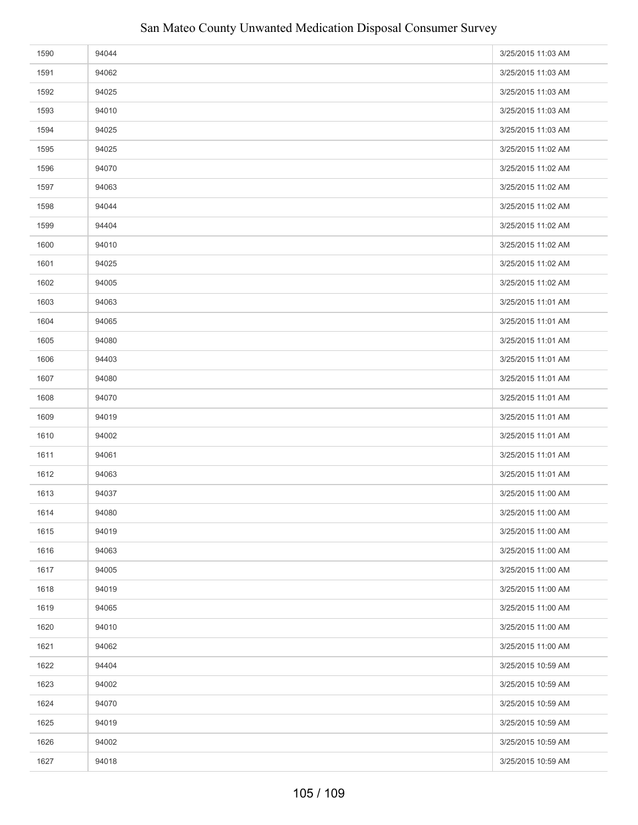| 1590 | 94044 | 3/25/2015 11:03 AM |
|------|-------|--------------------|
| 1591 | 94062 | 3/25/2015 11:03 AM |
| 1592 | 94025 | 3/25/2015 11:03 AM |
| 1593 | 94010 | 3/25/2015 11:03 AM |
| 1594 | 94025 | 3/25/2015 11:03 AM |
| 1595 | 94025 | 3/25/2015 11:02 AM |
| 1596 | 94070 | 3/25/2015 11:02 AM |
| 1597 | 94063 | 3/25/2015 11:02 AM |
| 1598 | 94044 | 3/25/2015 11:02 AM |
| 1599 | 94404 | 3/25/2015 11:02 AM |
| 1600 | 94010 | 3/25/2015 11:02 AM |
| 1601 | 94025 | 3/25/2015 11:02 AM |
| 1602 | 94005 | 3/25/2015 11:02 AM |
| 1603 | 94063 | 3/25/2015 11:01 AM |
| 1604 | 94065 | 3/25/2015 11:01 AM |
| 1605 | 94080 | 3/25/2015 11:01 AM |
| 1606 | 94403 | 3/25/2015 11:01 AM |
| 1607 | 94080 | 3/25/2015 11:01 AM |
| 1608 | 94070 | 3/25/2015 11:01 AM |
| 1609 | 94019 | 3/25/2015 11:01 AM |
| 1610 | 94002 | 3/25/2015 11:01 AM |
| 1611 | 94061 | 3/25/2015 11:01 AM |
| 1612 | 94063 | 3/25/2015 11:01 AM |
| 1613 | 94037 | 3/25/2015 11:00 AM |
| 1614 | 94080 | 3/25/2015 11:00 AM |
| 1615 | 94019 | 3/25/2015 11:00 AM |
| 1616 | 94063 | 3/25/2015 11:00 AM |
| 1617 | 94005 | 3/25/2015 11:00 AM |
| 1618 | 94019 | 3/25/2015 11:00 AM |
| 1619 | 94065 | 3/25/2015 11:00 AM |
| 1620 | 94010 | 3/25/2015 11:00 AM |
| 1621 | 94062 | 3/25/2015 11:00 AM |
| 1622 | 94404 | 3/25/2015 10:59 AM |
| 1623 | 94002 | 3/25/2015 10:59 AM |
| 1624 | 94070 | 3/25/2015 10:59 AM |
| 1625 | 94019 | 3/25/2015 10:59 AM |
| 1626 | 94002 | 3/25/2015 10:59 AM |
| 1627 | 94018 | 3/25/2015 10:59 AM |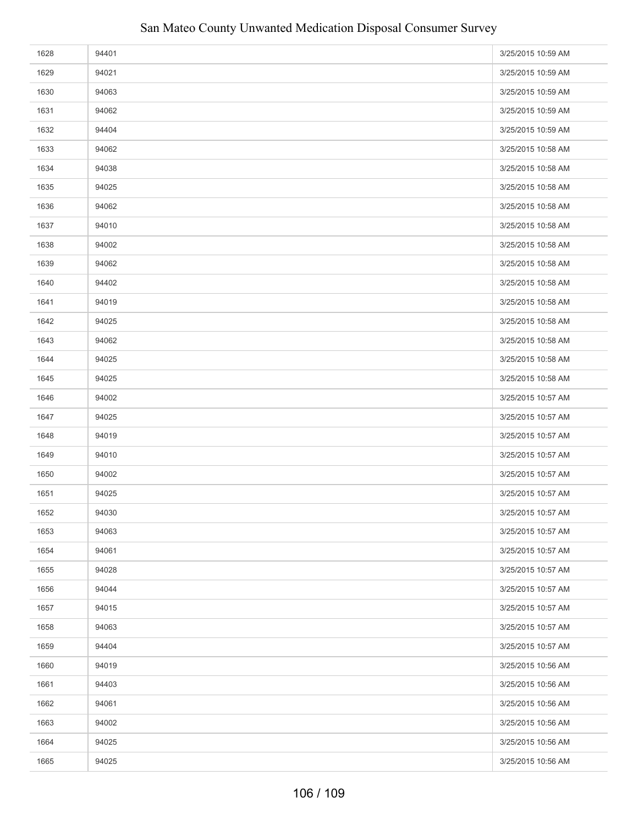| 1628 | 94401 | 3/25/2015 10:59 AM |
|------|-------|--------------------|
| 1629 | 94021 | 3/25/2015 10:59 AM |
| 1630 | 94063 | 3/25/2015 10:59 AM |
| 1631 | 94062 | 3/25/2015 10:59 AM |
| 1632 | 94404 | 3/25/2015 10:59 AM |
| 1633 | 94062 | 3/25/2015 10:58 AM |
| 1634 | 94038 | 3/25/2015 10:58 AM |
| 1635 | 94025 | 3/25/2015 10:58 AM |
| 1636 | 94062 | 3/25/2015 10:58 AM |
| 1637 | 94010 | 3/25/2015 10:58 AM |
| 1638 | 94002 | 3/25/2015 10:58 AM |
| 1639 | 94062 | 3/25/2015 10:58 AM |
| 1640 | 94402 | 3/25/2015 10:58 AM |
| 1641 | 94019 | 3/25/2015 10:58 AM |
| 1642 | 94025 | 3/25/2015 10:58 AM |
| 1643 | 94062 | 3/25/2015 10:58 AM |
| 1644 | 94025 | 3/25/2015 10:58 AM |
| 1645 | 94025 | 3/25/2015 10:58 AM |
| 1646 | 94002 | 3/25/2015 10:57 AM |
| 1647 | 94025 | 3/25/2015 10:57 AM |
| 1648 | 94019 | 3/25/2015 10:57 AM |
| 1649 | 94010 | 3/25/2015 10:57 AM |
| 1650 | 94002 | 3/25/2015 10:57 AM |
| 1651 | 94025 | 3/25/2015 10:57 AM |
| 1652 | 94030 | 3/25/2015 10:57 AM |
| 1653 | 94063 | 3/25/2015 10:57 AM |
| 1654 | 94061 | 3/25/2015 10:57 AM |
| 1655 | 94028 | 3/25/2015 10:57 AM |
| 1656 | 94044 | 3/25/2015 10:57 AM |
| 1657 | 94015 | 3/25/2015 10:57 AM |
| 1658 | 94063 | 3/25/2015 10:57 AM |
| 1659 | 94404 | 3/25/2015 10:57 AM |
| 1660 | 94019 | 3/25/2015 10:56 AM |
| 1661 | 94403 | 3/25/2015 10:56 AM |
| 1662 | 94061 | 3/25/2015 10:56 AM |
| 1663 | 94002 | 3/25/2015 10:56 AM |
| 1664 | 94025 | 3/25/2015 10:56 AM |
| 1665 | 94025 | 3/25/2015 10:56 AM |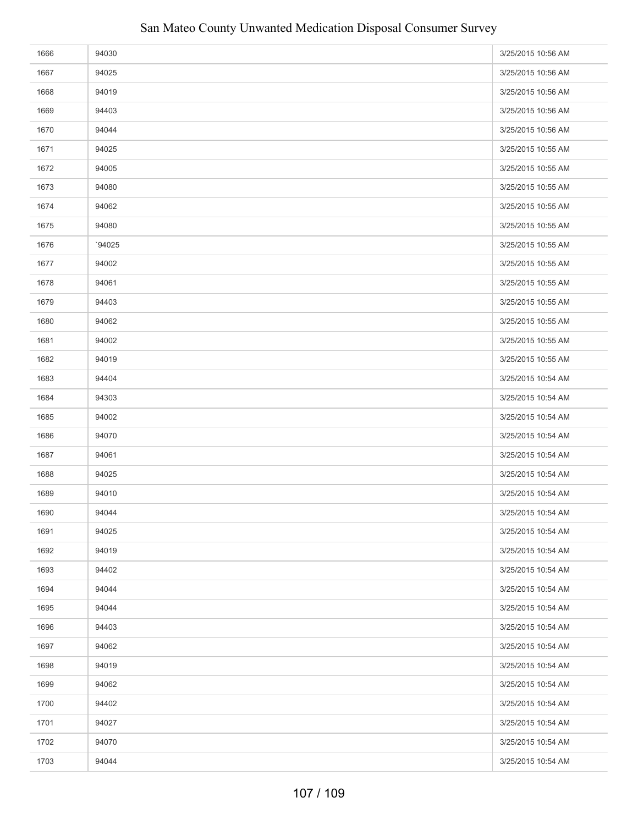| 1666 | 94030  | 3/25/2015 10:56 AM |
|------|--------|--------------------|
| 1667 | 94025  | 3/25/2015 10:56 AM |
| 1668 | 94019  | 3/25/2015 10:56 AM |
| 1669 | 94403  | 3/25/2015 10:56 AM |
| 1670 | 94044  | 3/25/2015 10:56 AM |
| 1671 | 94025  | 3/25/2015 10:55 AM |
| 1672 | 94005  | 3/25/2015 10:55 AM |
| 1673 | 94080  | 3/25/2015 10:55 AM |
| 1674 | 94062  | 3/25/2015 10:55 AM |
| 1675 | 94080  | 3/25/2015 10:55 AM |
| 1676 | `94025 | 3/25/2015 10:55 AM |
| 1677 | 94002  | 3/25/2015 10:55 AM |
| 1678 | 94061  | 3/25/2015 10:55 AM |
| 1679 | 94403  | 3/25/2015 10:55 AM |
| 1680 | 94062  | 3/25/2015 10:55 AM |
| 1681 | 94002  | 3/25/2015 10:55 AM |
| 1682 | 94019  | 3/25/2015 10:55 AM |
| 1683 | 94404  | 3/25/2015 10:54 AM |
| 1684 | 94303  | 3/25/2015 10:54 AM |
| 1685 | 94002  | 3/25/2015 10:54 AM |
| 1686 | 94070  | 3/25/2015 10:54 AM |
| 1687 | 94061  | 3/25/2015 10:54 AM |
| 1688 | 94025  | 3/25/2015 10:54 AM |
| 1689 | 94010  | 3/25/2015 10:54 AM |
| 1690 | 94044  | 3/25/2015 10:54 AM |
| 1691 | 94025  | 3/25/2015 10:54 AM |
| 1692 | 94019  | 3/25/2015 10:54 AM |
| 1693 | 94402  | 3/25/2015 10:54 AM |
| 1694 | 94044  | 3/25/2015 10:54 AM |
| 1695 | 94044  | 3/25/2015 10:54 AM |
| 1696 | 94403  | 3/25/2015 10:54 AM |
| 1697 | 94062  | 3/25/2015 10:54 AM |
| 1698 | 94019  | 3/25/2015 10:54 AM |
| 1699 | 94062  | 3/25/2015 10:54 AM |
| 1700 | 94402  | 3/25/2015 10:54 AM |
| 1701 | 94027  | 3/25/2015 10:54 AM |
| 1702 | 94070  | 3/25/2015 10:54 AM |
| 1703 | 94044  | 3/25/2015 10:54 AM |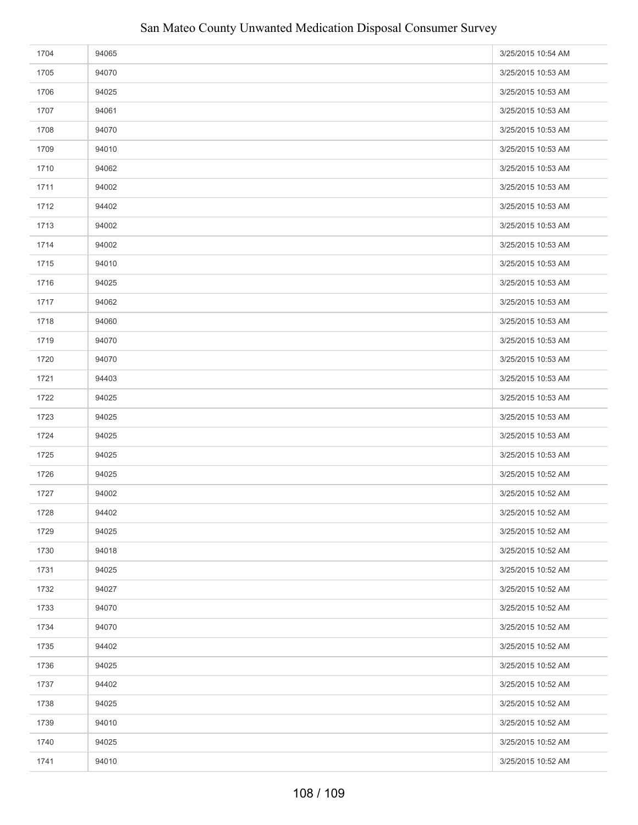| 1704 | 94065 | 3/25/2015 10:54 AM |
|------|-------|--------------------|
| 1705 | 94070 | 3/25/2015 10:53 AM |
| 1706 | 94025 | 3/25/2015 10:53 AM |
| 1707 | 94061 | 3/25/2015 10:53 AM |
| 1708 | 94070 | 3/25/2015 10:53 AM |
| 1709 | 94010 | 3/25/2015 10:53 AM |
| 1710 | 94062 | 3/25/2015 10:53 AM |
| 1711 | 94002 | 3/25/2015 10:53 AM |
| 1712 | 94402 | 3/25/2015 10:53 AM |
| 1713 | 94002 | 3/25/2015 10:53 AM |
| 1714 | 94002 | 3/25/2015 10:53 AM |
| 1715 | 94010 | 3/25/2015 10:53 AM |
| 1716 | 94025 | 3/25/2015 10:53 AM |
| 1717 | 94062 | 3/25/2015 10:53 AM |
| 1718 | 94060 | 3/25/2015 10:53 AM |
| 1719 | 94070 | 3/25/2015 10:53 AM |
| 1720 | 94070 | 3/25/2015 10:53 AM |
| 1721 | 94403 | 3/25/2015 10:53 AM |
| 1722 | 94025 | 3/25/2015 10:53 AM |
| 1723 | 94025 | 3/25/2015 10:53 AM |
| 1724 | 94025 | 3/25/2015 10:53 AM |
| 1725 | 94025 | 3/25/2015 10:53 AM |
| 1726 | 94025 | 3/25/2015 10:52 AM |
| 1727 | 94002 | 3/25/2015 10:52 AM |
| 1728 | 94402 | 3/25/2015 10:52 AM |
| 1729 | 94025 | 3/25/2015 10:52 AM |
| 1730 | 94018 | 3/25/2015 10:52 AM |
| 1731 | 94025 | 3/25/2015 10:52 AM |
| 1732 | 94027 | 3/25/2015 10:52 AM |
| 1733 | 94070 | 3/25/2015 10:52 AM |
| 1734 | 94070 | 3/25/2015 10:52 AM |
| 1735 | 94402 | 3/25/2015 10:52 AM |
| 1736 | 94025 | 3/25/2015 10:52 AM |
| 1737 | 94402 | 3/25/2015 10:52 AM |
| 1738 | 94025 | 3/25/2015 10:52 AM |
| 1739 | 94010 | 3/25/2015 10:52 AM |
| 1740 | 94025 | 3/25/2015 10:52 AM |
| 1741 | 94010 | 3/25/2015 10:52 AM |